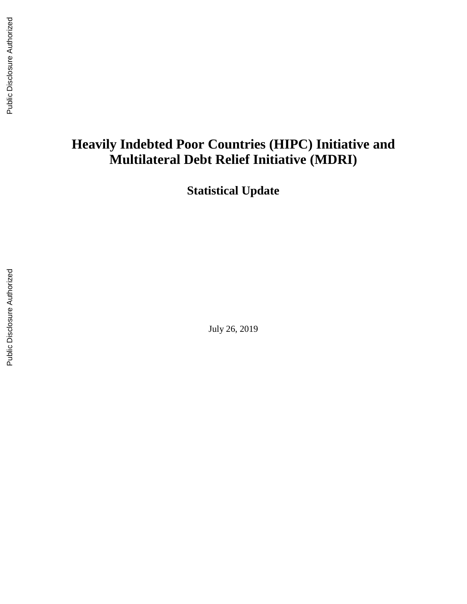# **Heavily Indebted Poor Countries (HIPC) Initiative and Multilateral Debt Relief Initiative (MDRI)**

**Statistical Update**

July 26, 2019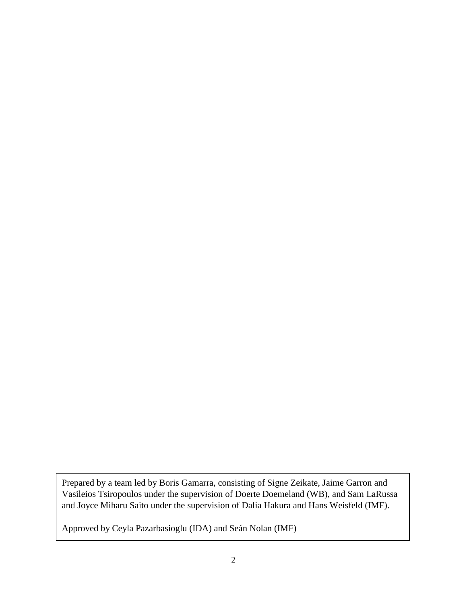Prepared by a team led by Boris Gamarra, consisting of Signe Zeikate, Jaime Garron and Vasileios Tsiropoulos under the supervision of Doerte Doemeland (WB), and Sam LaRussa and Joyce Miharu Saito under the supervision of Dalia Hakura and Hans Weisfeld (IMF).

Approved by Ceyla Pazarbasioglu (IDA) and Seán Nolan (IMF)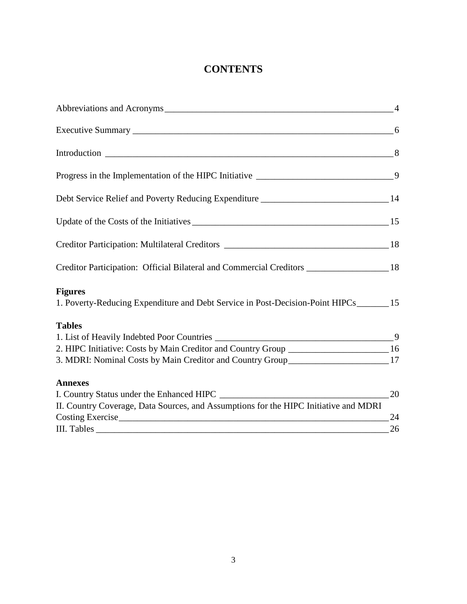# **CONTENTS**

| Abbreviations and Acronyms 24                                                                      |    |
|----------------------------------------------------------------------------------------------------|----|
|                                                                                                    |    |
|                                                                                                    |    |
|                                                                                                    |    |
| Debt Service Relief and Poverty Reducing Expenditure ____________________________14                |    |
| Update of the Costs of the Initiatives 15                                                          |    |
|                                                                                                    |    |
| Creditor Participation: Official Bilateral and Commercial Creditors __________________ 18          |    |
| <b>Figures</b><br>1. Poverty-Reducing Expenditure and Debt Service in Post-Decision-Point HIPCs 15 |    |
| <b>Tables</b>                                                                                      |    |
|                                                                                                    |    |
| 2. HIPC Initiative: Costs by Main Creditor and Country Group ____________________ 16               |    |
| 3. MDRI: Nominal Costs by Main Creditor and Country Group_______________________17                 |    |
| <b>Annexes</b>                                                                                     |    |
|                                                                                                    | 20 |
| II. Country Coverage, Data Sources, and Assumptions for the HIPC Initiative and MDRI               |    |
| Costing Exercise                                                                                   | 24 |
| III. Tables                                                                                        | 26 |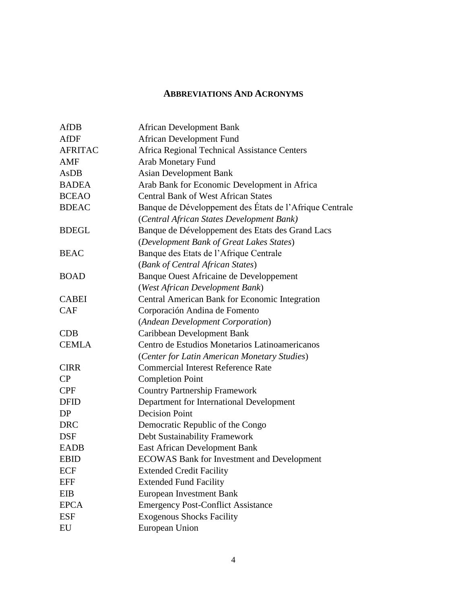#### **ABBREVIATIONS AND ACRONYMS**

| <b>AfDB</b>                             | <b>African Development Bank</b>                                                                                                                                                                                                                                                                                                                                                                                      |
|-----------------------------------------|----------------------------------------------------------------------------------------------------------------------------------------------------------------------------------------------------------------------------------------------------------------------------------------------------------------------------------------------------------------------------------------------------------------------|
| <b>AfDF</b>                             | <b>African Development Fund</b>                                                                                                                                                                                                                                                                                                                                                                                      |
| <b>AFRITAC</b>                          | Africa Regional Technical Assistance Centers                                                                                                                                                                                                                                                                                                                                                                         |
| <b>AMF</b>                              | <b>Arab Monetary Fund</b>                                                                                                                                                                                                                                                                                                                                                                                            |
| AsDB                                    | <b>Asian Development Bank</b>                                                                                                                                                                                                                                                                                                                                                                                        |
| <b>BADEA</b>                            | Arab Bank for Economic Development in Africa                                                                                                                                                                                                                                                                                                                                                                         |
| <b>BCEAO</b>                            | <b>Central Bank of West African States</b>                                                                                                                                                                                                                                                                                                                                                                           |
| <b>BDEAC</b>                            | Banque de Développement des États de l'Afrique Centrale                                                                                                                                                                                                                                                                                                                                                              |
|                                         | (Central African States Development Bank)                                                                                                                                                                                                                                                                                                                                                                            |
| <b>BDEGL</b>                            | Banque de Développement des Etats des Grand Lacs                                                                                                                                                                                                                                                                                                                                                                     |
|                                         | (Development Bank of Great Lakes States)                                                                                                                                                                                                                                                                                                                                                                             |
| <b>BEAC</b>                             | Banque des Etats de l'Afrique Centrale                                                                                                                                                                                                                                                                                                                                                                               |
|                                         | (Bank of Central African States)                                                                                                                                                                                                                                                                                                                                                                                     |
| <b>BOAD</b>                             | Banque Ouest Africaine de Developpement                                                                                                                                                                                                                                                                                                                                                                              |
|                                         | (West African Development Bank)                                                                                                                                                                                                                                                                                                                                                                                      |
| <b>CABEI</b>                            | Central American Bank for Economic Integration                                                                                                                                                                                                                                                                                                                                                                       |
| <b>CAF</b>                              | Corporación Andina de Fomento                                                                                                                                                                                                                                                                                                                                                                                        |
|                                         | (Andean Development Corporation)                                                                                                                                                                                                                                                                                                                                                                                     |
| CDB                                     | Caribbean Development Bank                                                                                                                                                                                                                                                                                                                                                                                           |
| <b>CEMLA</b>                            | Centro de Estudios Monetarios Latinoamericanos                                                                                                                                                                                                                                                                                                                                                                       |
|                                         | (Center for Latin American Monetary Studies)                                                                                                                                                                                                                                                                                                                                                                         |
| <b>CIRR</b>                             | <b>Commercial Interest Reference Rate</b>                                                                                                                                                                                                                                                                                                                                                                            |
| CP                                      | <b>Completion Point</b>                                                                                                                                                                                                                                                                                                                                                                                              |
| <b>CPF</b>                              | <b>Country Partnership Framework</b>                                                                                                                                                                                                                                                                                                                                                                                 |
| <b>DFID</b>                             |                                                                                                                                                                                                                                                                                                                                                                                                                      |
| DP                                      | <b>Decision Point</b>                                                                                                                                                                                                                                                                                                                                                                                                |
| <b>DRC</b>                              |                                                                                                                                                                                                                                                                                                                                                                                                                      |
| <b>DSF</b>                              |                                                                                                                                                                                                                                                                                                                                                                                                                      |
| <b>EADB</b>                             |                                                                                                                                                                                                                                                                                                                                                                                                                      |
|                                         |                                                                                                                                                                                                                                                                                                                                                                                                                      |
|                                         |                                                                                                                                                                                                                                                                                                                                                                                                                      |
|                                         |                                                                                                                                                                                                                                                                                                                                                                                                                      |
|                                         |                                                                                                                                                                                                                                                                                                                                                                                                                      |
| <b>EPCA</b>                             |                                                                                                                                                                                                                                                                                                                                                                                                                      |
| <b>ESF</b>                              |                                                                                                                                                                                                                                                                                                                                                                                                                      |
| EU                                      |                                                                                                                                                                                                                                                                                                                                                                                                                      |
| <b>EBID</b><br>ECF<br><b>EFF</b><br>EIB | Department for International Development<br>Democratic Republic of the Congo<br>Debt Sustainability Framework<br><b>East African Development Bank</b><br><b>ECOWAS Bank for Investment and Development</b><br><b>Extended Credit Facility</b><br><b>Extended Fund Facility</b><br><b>European Investment Bank</b><br><b>Emergency Post-Conflict Assistance</b><br><b>Exogenous Shocks Facility</b><br>European Union |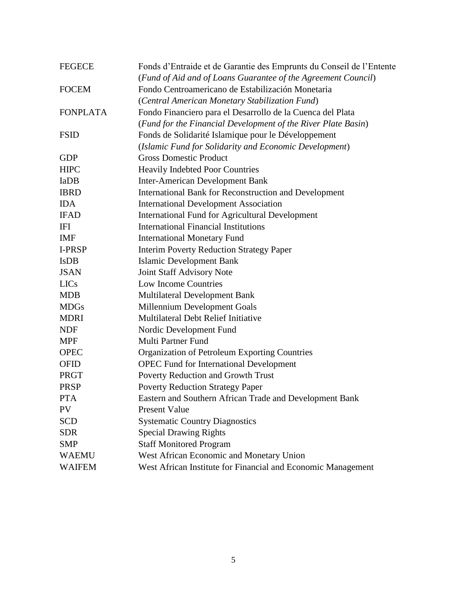| <b>FEGECE</b>   | Fonds d'Entraide et de Garantie des Emprunts du Conseil de l'Entente |
|-----------------|----------------------------------------------------------------------|
|                 | (Fund of Aid and of Loans Guarantee of the Agreement Council)        |
| <b>FOCEM</b>    | Fondo Centroamericano de Estabilización Monetaria                    |
|                 | (Central American Monetary Stabilization Fund)                       |
| <b>FONPLATA</b> | Fondo Financiero para el Desarrollo de la Cuenca del Plata           |
|                 | (Fund for the Financial Development of the River Plate Basin)        |
| <b>FSID</b>     | Fonds de Solidarité Islamique pour le Développement                  |
|                 | (Islamic Fund for Solidarity and Economic Development)               |
| <b>GDP</b>      | <b>Gross Domestic Product</b>                                        |
| <b>HIPC</b>     | <b>Heavily Indebted Poor Countries</b>                               |
| IaDB            | <b>Inter-American Development Bank</b>                               |
| <b>IBRD</b>     | <b>International Bank for Reconstruction and Development</b>         |
| <b>IDA</b>      | <b>International Development Association</b>                         |
| <b>IFAD</b>     | <b>International Fund for Agricultural Development</b>               |
| IFI             | <b>International Financial Institutions</b>                          |
| <b>IMF</b>      | <b>International Monetary Fund</b>                                   |
| I-PRSP          | <b>Interim Poverty Reduction Strategy Paper</b>                      |
| <b>IsDB</b>     | <b>Islamic Development Bank</b>                                      |
| <b>JSAN</b>     | Joint Staff Advisory Note                                            |
| <b>LICs</b>     | <b>Low Income Countries</b>                                          |
| <b>MDB</b>      | <b>Multilateral Development Bank</b>                                 |
| <b>MDGs</b>     | Millennium Development Goals                                         |
| <b>MDRI</b>     | <b>Multilateral Debt Relief Initiative</b>                           |
| <b>NDF</b>      | Nordic Development Fund                                              |
| <b>MPF</b>      | <b>Multi Partner Fund</b>                                            |
| <b>OPEC</b>     | Organization of Petroleum Exporting Countries                        |
| <b>OFID</b>     | <b>OPEC Fund for International Development</b>                       |
| PRGT            | Poverty Reduction and Growth Trust                                   |
| <b>PRSP</b>     | <b>Poverty Reduction Strategy Paper</b>                              |
| <b>PTA</b>      | Eastern and Southern African Trade and Development Bank              |
| <b>PV</b>       | <b>Present Value</b>                                                 |
| <b>SCD</b>      | <b>Systematic Country Diagnostics</b>                                |
| <b>SDR</b>      | <b>Special Drawing Rights</b>                                        |
| <b>SMP</b>      | <b>Staff Monitored Program</b>                                       |
| <b>WAEMU</b>    | West African Economic and Monetary Union                             |
| <b>WAIFEM</b>   | West African Institute for Financial and Economic Management         |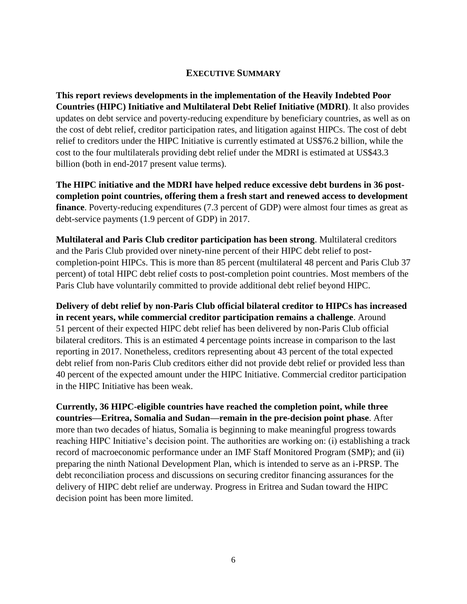#### **EXECUTIVE SUMMARY**

**This report reviews developments in the implementation of the Heavily Indebted Poor Countries (HIPC) Initiative and Multilateral Debt Relief Initiative (MDRI)**. It also provides updates on debt service and poverty-reducing expenditure by beneficiary countries, as well as on the cost of debt relief, creditor participation rates, and litigation against HIPCs. The cost of debt relief to creditors under the HIPC Initiative is currently estimated at US\$76.2 billion, while the cost to the four multilaterals providing debt relief under the MDRI is estimated at US\$43.3 billion (both in end-2017 present value terms).

**The HIPC initiative and the MDRI have helped reduce excessive debt burdens in 36 postcompletion point countries, offering them a fresh start and renewed access to development finance**. Poverty-reducing expenditures (7.3 percent of GDP) were almost four times as great as debt-service payments (1.9 percent of GDP) in 2017.

**Multilateral and Paris Club creditor participation has been strong**. Multilateral creditors and the Paris Club provided over ninety-nine percent of their HIPC debt relief to postcompletion-point HIPCs. This is more than 85 percent (multilateral 48 percent and Paris Club 37 percent) of total HIPC debt relief costs to post-completion point countries. Most members of the Paris Club have voluntarily committed to provide additional debt relief beyond HIPC.

**Delivery of debt relief by non-Paris Club official bilateral creditor to HIPCs has increased in recent years, while commercial creditor participation remains a challenge**. Around 51 percent of their expected HIPC debt relief has been delivered by non-Paris Club official bilateral creditors. This is an estimated 4 percentage points increase in comparison to the last reporting in 2017. Nonetheless, creditors representing about 43 percent of the total expected debt relief from non-Paris Club creditors either did not provide debt relief or provided less than 40 percent of the expected amount under the HIPC Initiative. Commercial creditor participation in the HIPC Initiative has been weak.

**Currently, 36 HIPC-eligible countries have reached the completion point, while three countries—Eritrea, Somalia and Sudan—remain in the pre-decision point phase**. After more than two decades of hiatus, Somalia is beginning to make meaningful progress towards reaching HIPC Initiative's decision point. The authorities are working on: (i) establishing a track record of macroeconomic performance under an IMF Staff Monitored Program (SMP); and (ii) preparing the ninth National Development Plan, which is intended to serve as an i-PRSP. The debt reconciliation process and discussions on securing creditor financing assurances for the delivery of HIPC debt relief are underway. Progress in Eritrea and Sudan toward the HIPC decision point has been more limited.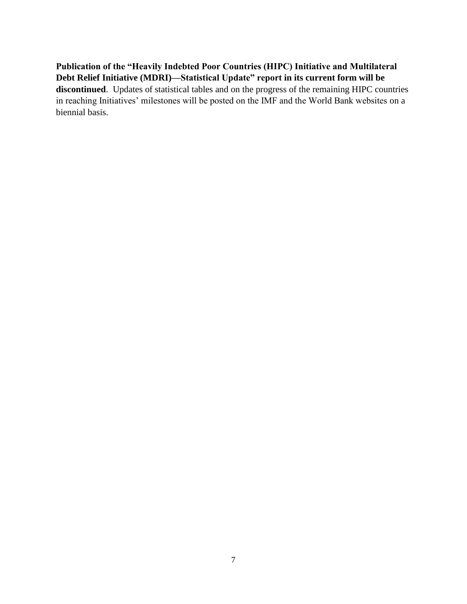**Publication of the "Heavily Indebted Poor Countries (HIPC) Initiative and Multilateral Debt Relief Initiative (MDRI)—Statistical Update" report in its current form will be discontinued**. Updates of statistical tables and on the progress of the remaining HIPC countries in reaching Initiatives' milestones will be posted on the IMF and the World Bank websites on a biennial basis.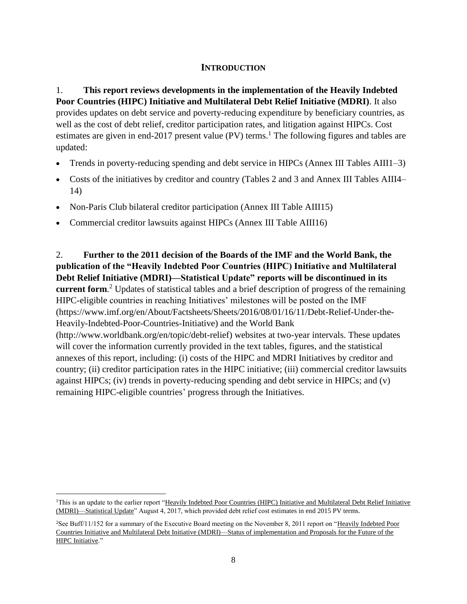#### **INTRODUCTION**

# 1. **This report reviews developments in the implementation of the Heavily Indebted Poor Countries (HIPC) Initiative and Multilateral Debt Relief Initiative (MDRI)**. It also

provides updates on debt service and poverty-reducing expenditure by beneficiary countries, as well as the cost of debt relief, creditor participation rates, and litigation against HIPCs. Cost estimates are given in end-2017 present value (PV) terms.<sup>1</sup> The following figures and tables are updated:

- Trends in poverty-reducing spending and debt service in HIPCs (Annex III Tables AIII1–3)
- Costs of the initiatives by creditor and country (Tables 2 and 3 and Annex III Tables AIII4– 14)
- Non-Paris Club bilateral creditor participation (Annex III Table AIII15)
- Commercial creditor lawsuits against HIPCs (Annex III Table AIII16)

2. **Further to the 2011 decision of the Boards of the IMF and the World Bank, the publication of the "Heavily Indebted Poor Countries (HIPC) Initiative and Multilateral Debt Relief Initiative (MDRI)—Statistical Update" reports will be discontinued in its current form**. <sup>2</sup> Updates of statistical tables and a brief description of progress of the remaining HIPC-eligible countries in reaching Initiatives' milestones will be posted on the IMF [\(https://www.imf.org/en/About/Factsheets/Sheets/2016/08/01/16/11/Debt-Relief-Under-the-](https://www.imf.org/en/About/Factsheets/Sheets/2016/08/01/16/11/Debt-Relief-Under-the-Heavily-Indebted-Poor-Countries-Initiative)[Heavily-Indebted-Poor-Countries-Initiative\)](https://www.imf.org/en/About/Factsheets/Sheets/2016/08/01/16/11/Debt-Relief-Under-the-Heavily-Indebted-Poor-Countries-Initiative) and the World Bank [\(http://www.worldbank.org/en/topic/debt-relief\)](http://www.worldbank.org/en/topic/debt-relief) websites at two-year intervals. These updates will cover the information currently provided in the text tables, figures, and the statistical annexes of this report, including: (i) costs of the HIPC and MDRI Initiatives by creditor and country; (ii) creditor participation rates in the HIPC initiative; (iii) commercial creditor lawsuits against HIPCs; (iv) trends in poverty-reducing spending and debt service in HIPCs; and (v) remaining HIPC-eligible countries' progress through the Initiatives.

<sup>&</sup>lt;sup>1</sup>This is an update to the earlier report "Heavily Indebted Poor Countries (HIPC) Initiative and Multilateral Debt Relief Initiative [\(MDRI\)—Statistical Update"](https://www.imf.org/~/media/Files/Publications/PP/2017/pp090117hipc-mdri.ashx) August 4, 2017, which provided debt relief cost estimates in end 2015 PV terms.

<sup>&</sup>lt;sup>2</sup>See Buff/11/152 for a summary of the Executive Board meeting on the November 8, 2011 report on "Heavily Indebted Poor [Countries Initiative and Multilateral Debt Initiative \(MDRI\)—Status of implementation and Proposals for the Future of the](https://www.imf.org/external/np/pp/eng/2011/110811.pdf)  [HIPC Initiative.](https://www.imf.org/external/np/pp/eng/2011/110811.pdf)"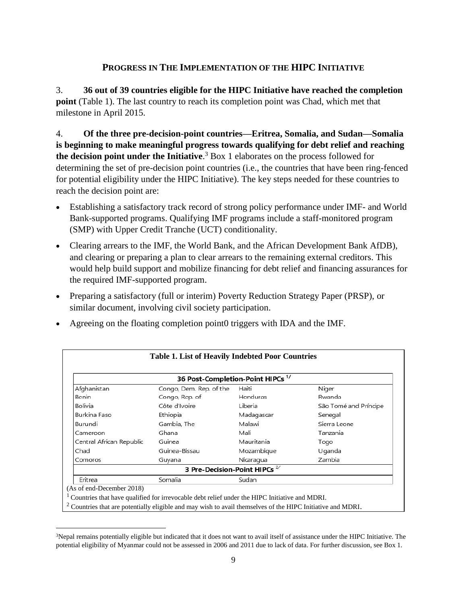#### **PROGRESS IN THE IMPLEMENTATION OF THE HIPC INITIATIVE**

3. **36 out of 39 countries eligible for the HIPC Initiative have reached the completion point** (Table 1). The last country to reach its completion point was Chad, which met that milestone in April 2015.

4. **Of the three pre-decision-point countries—Eritrea, Somalia, and Sudan—Somalia is beginning to make meaningful progress towards qualifying for debt relief and reaching the decision point under the Initiative**. <sup>3</sup> Box 1 elaborates on the process followed for determining the set of pre-decision point countries (i.e., the countries that have been ring-fenced for potential eligibility under the HIPC Initiative). The key steps needed for these countries to reach the decision point are:

- Establishing a satisfactory track record of strong policy performance under IMF- and World Bank-supported programs. Qualifying IMF programs include a staff-monitored program (SMP) with Upper Credit Tranche (UCT) conditionality.
- Clearing arrears to the IMF, the World Bank, and the African Development Bank AfDB), and clearing or preparing a plan to clear arrears to the remaining external creditors. This would help build support and mobilize financing for debt relief and financing assurances for the required IMF-supported program.
- Preparing a satisfactory (full or interim) Poverty Reduction Strategy Paper (PRSP), or similar document, involving civil society participation.
- Agreeing on the floating completion point0 triggers with IDA and the IMF.

|                          |                                    | 36 Post-Completion-Point HIPCs <sup>1/</sup> |                       |
|--------------------------|------------------------------------|----------------------------------------------|-----------------------|
| Afghanistan              | Congo, Dem. Rep. of the            | Haiti                                        | Niger                 |
| Benin                    | Congo, Rep. of                     | Honduras                                     | Rwanda                |
| Bolivia                  | Côte d'Ivoire                      | Liberia                                      | São Tomé and Príncipe |
| Burkina Faso             | Ethiopia                           | Madagascar                                   | Senegal               |
| Burundi                  | Gambia, The                        | Malawi                                       | Sierra Leone          |
| Cameroon                 | Ghana                              | Mali                                         | Tanzania              |
| Central African Republic | Guinea                             | Mauritania                                   | Togo                  |
| Chad                     | Guinea-Bissau                      | Mozambique                                   | Uganda                |
| Comoros                  | Guyana                             | Nicaragua                                    | Zambia                |
|                          | 3 Pre-Decision-Point HIPCs $^{27}$ |                                              |                       |
| Eritrea                  | Somalia                            | Sudan                                        |                       |

<sup>&</sup>lt;sup>3</sup>Nepal remains potentially eligible but indicated that it does not want to avail itself of assistance under the HIPC Initiative. The potential eligibility of Myanmar could not be assessed in 2006 and 2011 due to lack of data. For further discussion, see Box 1.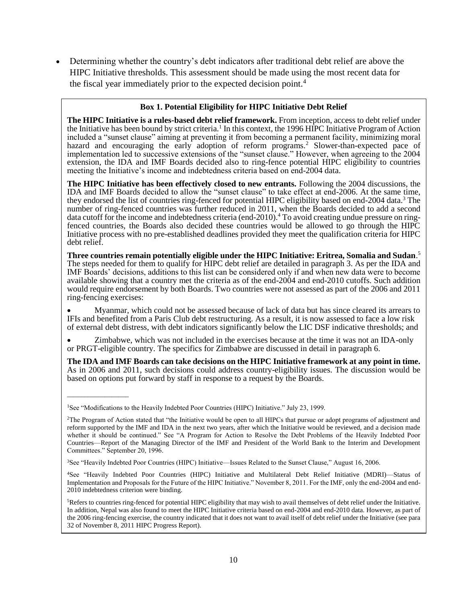• Determining whether the country's debt indicators after traditional debt relief are above the HIPC Initiative thresholds. This assessment should be made using the most recent data for the fiscal year immediately prior to the expected decision point.<sup>4</sup>

#### **Box 1. Potential Eligibility for HIPC Initiative Debt Relief**

**The HIPC Initiative is a rules-based debt relief framework.** From inception, access to debt relief under the Initiative has been bound by strict criteria.<sup>1</sup> In this context, the 1996 HIPC Initiative Program of Action included a "sunset clause" aiming at preventing it from becoming a permanent facility, minimizing moral hazard and encouraging the early adoption of reform programs.<sup>2</sup> Slower-than-expected pace of implementation led to successive extensions of the "sunset clause." However, when agreeing to the 2004 extension, the IDA and IMF Boards decided also to ring-fence potential HIPC eligibility to countries meeting the Initiative's income and indebtedness criteria based on end-2004 data.

**The HIPC Initiative has been effectively closed to new entrants.** Following the 2004 discussions, the IDA and IMF Boards decided to allow the "sunset clause" to take effect at end-2006. At the same time, they endorsed the list of countries ring-fenced for potential HIPC eligibility based on end-2004 data.<sup>3</sup> The number of ring-fenced countries was further reduced in 2011, when the Boards decided to add a second data cutoff for the income and indebtedness criteria (end-2010).<sup>4</sup> To avoid creating undue pressure on ringfenced countries, the Boards also decided these countries would be allowed to go through the HIPC Initiative process with no pre-established deadlines provided they meet the qualification criteria for HIPC debt relief.

**Three countries remain potentially eligible under the HIPC Initiative: Eritrea, Somalia and Sudan**. 5 The steps needed for them to qualify for HIPC debt relief are detailed in paragraph 3. As per the IDA and IMF Boards' decisions, additions to this list can be considered only if and when new data were to become available showing that a country met the criteria as of the end-2004 and end-2010 cutoffs. Such addition would require endorsement by both Boards. Two countries were not assessed as part of the 2006 and 2011 ring-fencing exercises:

• Myanmar, which could not be assessed because of lack of data but has since cleared its arrears to IFIs and benefited from a Paris Club debt restructuring. As a result, it is now assessed to face a low risk of external debt distress, with debt indicators significantly below the LIC DSF indicative thresholds; and

• Zimbabwe, which was not included in the exercises because at the time it was not an IDA-only or PRGT-eligible country. The specifics for Zimbabwe are discussed in detail in paragraph 6.

**The IDA and IMF Boards can take decisions on the HIPC Initiative framework at any point in time.**  As in 2006 and 2011, such decisions could address country-eligibility issues. The discussion would be based on options put forward by staff in response to a request by the Boards.

\_\_\_\_\_\_\_\_\_\_\_\_\_\_\_\_\_\_

<sup>&</sup>lt;sup>1</sup>See "Modifications to the Heavily Indebted Poor Countries (HIPC) Initiative." July 23, 1999.

<sup>2</sup>The Program of Action stated that "the Initiative would be open to all HIPCs that pursue or adopt programs of adjustment and reform supported by the IMF and IDA in the next two years, after which the Initiative would be reviewed, and a decision made whether it should be continued." See "A Program for Action to Resolve the Debt Problems of the Heavily Indebted Poor Countries—Report of the Managing Director of the IMF and President of the World Bank to the Interim and Development Committees." September 20, 1996.

<sup>3</sup>See "Heavily Indebted Poor Countries (HIPC) Initiative—Issues Related to the Sunset Clause," August 16, 2006.

<sup>4</sup>See "Heavily Indebted Poor Countries (HIPC) Initiative and Multilateral Debt Relief Initiative (MDRI)—Status of Implementation and Proposals for the Future of the HIPC Initiative." November 8, 2011. For the IMF, only the end-2004 and end-2010 indebtedness criterion were binding.

<sup>5</sup>Refers to countries ring-fenced for potential HIPC eligibility that may wish to avail themselves of debt relief under the Initiative. In addition, Nepal was also found to meet the HIPC Initiative criteria based on end-2004 and end-2010 data. However, as part of the 2006 ring-fencing exercise, the country indicated that it does not want to avail itself of debt relief under the Initiative (see para 32 of November 8, 2011 HIPC Progress Report).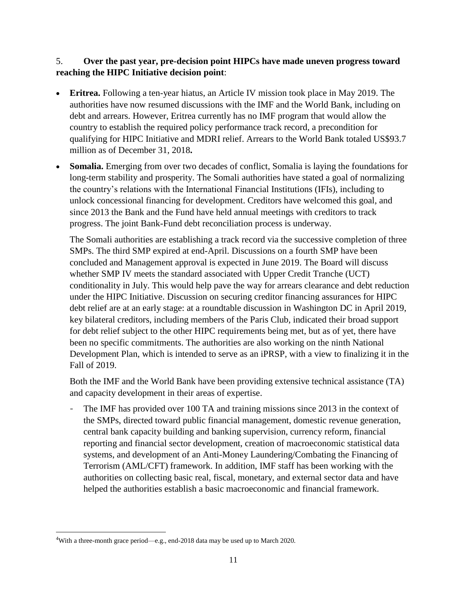#### 5. **Over the past year, pre-decision point HIPCs have made uneven progress toward reaching the HIPC Initiative decision point**:

- **Eritrea.** Following a ten-year hiatus, an Article IV mission took place in May 2019. The authorities have now resumed discussions with the IMF and the World Bank, including on debt and arrears. However, Eritrea currently has no IMF program that would allow the country to establish the required policy performance track record, a precondition for qualifying for HIPC Initiative and MDRI relief. Arrears to the World Bank totaled US\$93.7 million as of December 31, 2018**.**
- **Somalia.** Emerging from over two decades of conflict, Somalia is laying the foundations for long-term stability and prosperity. The Somali authorities have stated a goal of normalizing the country's relations with the International Financial Institutions (IFIs), including to unlock concessional financing for development. Creditors have welcomed this goal, and since 2013 the Bank and the Fund have held annual meetings with creditors to track progress. The joint Bank-Fund debt reconciliation process is underway.

The Somali authorities are establishing a track record via the successive completion of three SMPs. The third SMP expired at end-April. Discussions on a fourth SMP have been concluded and Management approval is expected in June 2019. The Board will discuss whether SMP IV meets the standard associated with Upper Credit Tranche (UCT) conditionality in July. This would help pave the way for arrears clearance and debt reduction under the HIPC Initiative. Discussion on securing creditor financing assurances for HIPC debt relief are at an early stage: at a roundtable discussion in Washington DC in April 2019, key bilateral creditors, including members of the Paris Club, indicated their broad support for debt relief subject to the other HIPC requirements being met, but as of yet, there have been no specific commitments. The authorities are also working on the ninth National Development Plan, which is intended to serve as an iPRSP, with a view to finalizing it in the Fall of 2019.

Both the IMF and the World Bank have been providing extensive technical assistance (TA) and capacity development in their areas of expertise.

- The IMF has provided over 100 TA and training missions since 2013 in the context of the SMPs, directed toward public financial management, domestic revenue generation, central bank capacity building and banking supervision, currency reform, financial reporting and financial sector development, creation of macroeconomic statistical data systems, and development of an Anti-Money Laundering/Combating the Financing of Terrorism (AML/CFT) framework. In addition, IMF staff has been working with the authorities on collecting basic real, fiscal, monetary, and external sector data and have helped the authorities establish a basic macroeconomic and financial framework.

<sup>4</sup>With a three-month grace period—e.g., end-2018 data may be used up to March 2020.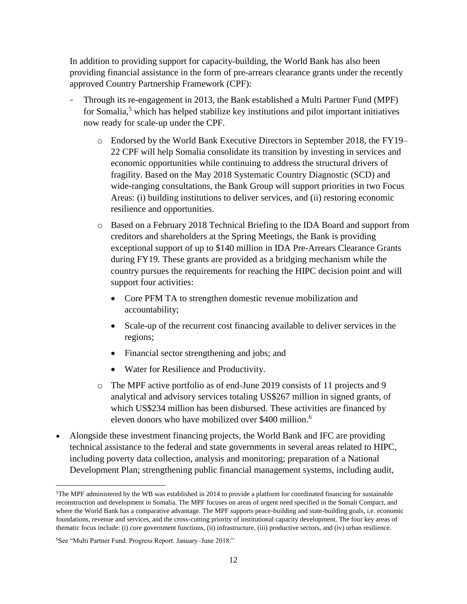In addition to providing support for capacity-building, the World Bank has also been providing financial assistance in the form of pre-arrears clearance grants under the recently approved Country Partnership Framework (CPF):

- Through its re-engagement in 2013, the Bank established a Multi Partner Fund (MPF) for Somalia,<sup>5</sup> which has helped stabilize key institutions and pilot important initiatives now ready for scale-up under the CPF.
	- o Endorsed by the World Bank Executive Directors in September 2018, the FY19– 22 CPF will help Somalia consolidate its transition by investing in services and economic opportunities while continuing to address the structural drivers of fragility. Based on the May 2018 Systematic Country Diagnostic (SCD) and wide-ranging consultations, the Bank Group will support priorities in two Focus Areas: (i) building institutions to deliver services, and (ii) restoring economic resilience and opportunities.
	- o Based on a February 2018 Technical Briefing to the IDA Board and support from creditors and shareholders at the Spring Meetings, the Bank is providing exceptional support of up to \$140 million in IDA Pre-Arrears Clearance Grants during FY19. These grants are provided as a bridging mechanism while the country pursues the requirements for reaching the HIPC decision point and will support four activities:
		- Core PFM TA to strengthen domestic revenue mobilization and accountability;
		- Scale-up of the recurrent cost financing available to deliver services in the regions;
		- Financial sector strengthening and jobs; and
		- Water for Resilience and Productivity.
	- o The MPF active portfolio as of end-June 2019 consists of 11 projects and 9 analytical and advisory services totaling US\$267 million in signed grants, of which US\$234 million has been disbursed. These activities are financed by eleven donors who have mobilized over \$400 million. 6
- Alongside these investment financing projects, the World Bank and IFC are providing technical assistance to the federal and state governments in several areas related to HIPC, including poverty data collection, analysis and monitoring; preparation of a National Development Plan; strengthening public financial management systems, including audit,

<sup>5</sup>The MPF administered by the WB was established in 2014 to provide a platform for coordinated financing for sustainable reconstruction and development in Somalia. The MPF focuses on areas of urgent need specified in the Somali Compact, and where the World Bank has a comparative advantage. The MPF supports peace-building and state-building goals, i.e. economic foundations, revenue and services, and the cross-cutting priority of institutional capacity development. The four key areas of thematic focus include: (i) core government functions, (ii) infrastructure, (iii) productive sectors, and (iv) urban resilience.

<sup>6</sup>See "Multi Partner Fund. Progress Report. January–June 2018."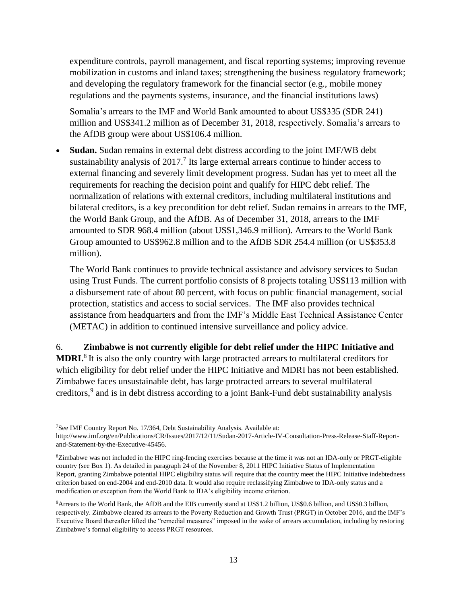expenditure controls, payroll management, and fiscal reporting systems; improving revenue mobilization in customs and inland taxes; strengthening the business regulatory framework; and developing the regulatory framework for the financial sector (e.g., mobile money regulations and the payments systems, insurance, and the financial institutions laws)

Somalia's arrears to the IMF and World Bank amounted to about US\$335 (SDR 241) million and US\$341.2 million as of December 31, 2018, respectively. Somalia's arrears to the AfDB group were about US\$106.4 million.

• **Sudan.** Sudan remains in external debt distress according to the joint IMF/WB debt sustainability analysis of  $2017<sup>7</sup>$  Its large external arrears continue to hinder access to external financing and severely limit development progress. Sudan has yet to meet all the requirements for reaching the decision point and qualify for HIPC debt relief. The normalization of relations with external creditors, including multilateral institutions and bilateral creditors, is a key precondition for debt relief. Sudan remains in arrears to the IMF, the World Bank Group, and the AfDB. As of December 31, 2018, arrears to the IMF amounted to SDR 968.4 million (about US\$1,346.9 million). Arrears to the World Bank Group amounted to US\$962.8 million and to the AfDB SDR 254.4 million (or US\$353.8 million).

The World Bank continues to provide technical assistance and advisory services to Sudan using Trust Funds. The current portfolio consists of 8 projects totaling US\$113 million with a disbursement rate of about 80 percent, with focus on public financial management, social protection, statistics and access to social services. The IMF also provides technical assistance from headquarters and from the IMF's Middle East Technical Assistance Center (METAC) in addition to continued intensive surveillance and policy advice.

6. **Zimbabwe is not currently eligible for debt relief under the HIPC Initiative and** 

**MDRI.**<sup>8</sup> It is also the only country with large protracted arrears to multilateral creditors for which eligibility for debt relief under the HIPC Initiative and MDRI has not been established. Zimbabwe faces unsustainable debt, has large protracted arrears to several multilateral creditors, 9 and is in debt distress according to a joint Bank-Fund debt sustainability analysis

<sup>7</sup>See IMF Country Report No. 17/364, Debt Sustainability Analysis. Available at:

http://www.imf.org/en/Publications/CR/Issues/2017/12/11/Sudan-2017-Article-IV-Consultation-Press-Release-Staff-Reportand-Statement-by-the-Executive-45456.

<sup>&</sup>lt;sup>8</sup>Zimbabwe was not included in the HIPC ring-fencing exercises because at the time it was not an IDA-only or PRGT-eligible country (see Box 1). As detailed in paragraph 24 of the November 8, 2011 HIPC Initiative Status of Implementation Report, granting Zimbabwe potential HIPC eligibility status will require that the country meet the HIPC Initiative indebtedness criterion based on end-2004 and end-2010 data. It would also require reclassifying Zimbabwe to IDA-only status and a modification or exception from the World Bank to IDA's eligibility income criterion.

<sup>9</sup>Arrears to the World Bank, the AfDB and the EIB currently stand at US\$1.2 billion, US\$0.6 billion, and US\$0.3 billion, respectively. Zimbabwe cleared its arrears to the Poverty Reduction and Growth Trust (PRGT) in October 2016, and the IMF's Executive Board thereafter lifted the "remedial measures" imposed in the wake of arrears accumulation, including by restoring Zimbabwe's formal eligibility to access PRGT resources.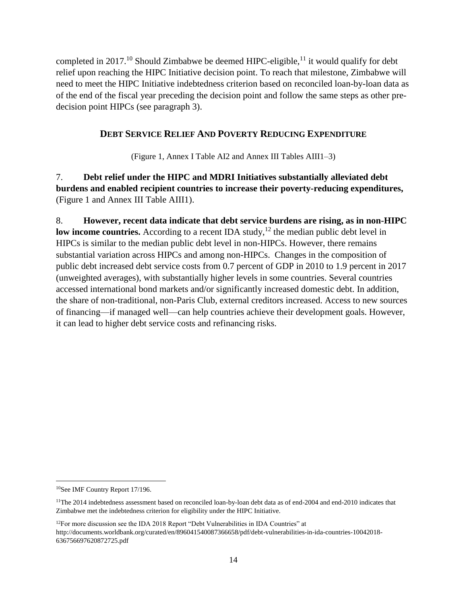completed in 2017.<sup>10</sup> Should Zimbabwe be deemed HIPC-eligible,<sup>11</sup> it would qualify for debt relief upon reaching the HIPC Initiative decision point. To reach that milestone, Zimbabwe will need to meet the HIPC Initiative indebtedness criterion based on reconciled loan-by-loan data as of the end of the fiscal year preceding the decision point and follow the same steps as other predecision point HIPCs (see paragraph 3).

#### **DEBT SERVICE RELIEF AND POVERTY REDUCING EXPENDITURE**

(Figure 1, Annex I Table AI2 and Annex III Tables AIII1–3)

7. **Debt relief under the HIPC and MDRI Initiatives substantially alleviated debt burdens and enabled recipient countries to increase their poverty-reducing expenditures,** (Figure 1 and Annex III Table AIII1).

8. **However, recent data indicate that debt service burdens are rising, as in non-HIPC**  low income countries. According to a recent IDA study,<sup>12</sup> the median public debt level in HIPCs is similar to the median public debt level in non-HIPCs. However, there remains substantial variation across HIPCs and among non-HIPCs. Changes in the composition of public debt increased debt service costs from 0.7 percent of GDP in 2010 to 1.9 percent in 2017 (unweighted averages), with substantially higher levels in some countries. Several countries accessed international bond markets and/or significantly increased domestic debt. In addition, the share of non-traditional, non-Paris Club, external creditors increased. Access to new sources of financing—if managed well—can help countries achieve their development goals. However, it can lead to higher debt service costs and refinancing risks.

<sup>10</sup>[See IMF Country Report 17/196.](https://www.imf.org/external/pubs/ft/dsa/pdf/2017/dsacr17196.pdf)

<sup>&</sup>lt;sup>11</sup>The 2014 indebtedness assessment based on reconciled loan-by-loan debt data as of end-2004 and end-2010 indicates that Zimbabwe met the indebtedness criterion for eligibility under the HIPC Initiative.

<sup>&</sup>lt;sup>12</sup>For more discussion see the IDA 2018 Report "Debt Vulnerabilities in IDA Countries" at http://documents.worldbank.org/curated/en/896041540087366658/pdf/debt-vulnerabilities-in-ida-countries-10042018- 636756697620872725.pdf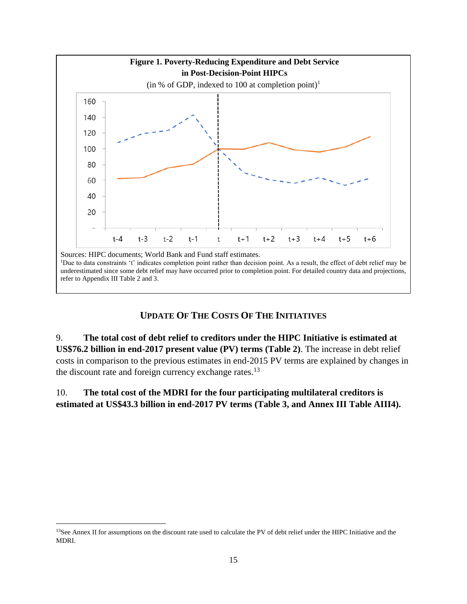

#### **UPDATE OF THE COSTS OF THE INITIATIVES**

9. **The total cost of debt relief to creditors under the HIPC Initiative is estimated at US\$76.2 billion in end-2017 present value (PV) terms (Table 2)**. The increase in debt relief costs in comparison to the previous estimates in end-2015 PV terms are explained by changes in the discount rate and foreign currency exchange rates.<sup>13</sup>

#### 10. **The total cost of the MDRI for the four participating multilateral creditors is estimated at US\$43.3 billion in end-2017 PV terms (Table 3, and Annex III Table AIII4).**

<sup>&</sup>lt;sup>13</sup>See Annex II for assumptions on the discount rate used to calculate the PV of debt relief under the HIPC Initiative and the MDRI.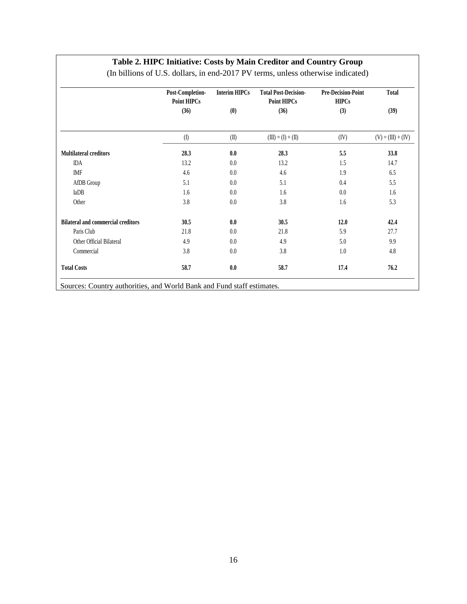#### **Table 2. HIPC Initiative: Costs by Main Creditor and Country Group**

|                                           | Post-Completion-<br><b>Point HIPCs</b> | Interim HIPCs | <b>Total Post-Decision-</b><br><b>Point HIPCs</b> | <b>Pre-Decision-Point</b><br><b>HIPCs</b> | Total                |
|-------------------------------------------|----------------------------------------|---------------|---------------------------------------------------|-------------------------------------------|----------------------|
|                                           | (36)                                   | (0)           | (36)                                              | (3)                                       | (39)                 |
|                                           | $($ $\Box$                             | (II)          | $(III) = (I) + (II)$                              | (IV)                                      | $(V) = (III) + (IV)$ |
| <b>Multilateral creditors</b>             | 28.3                                   | 0.0           | 28.3                                              | 5.5                                       | 33.8                 |
| <b>IDA</b>                                | 13.2                                   | 0.0           | 13.2                                              | 1.5                                       | 14.7                 |
| <b>IMF</b>                                | 4.6                                    | 0.0           | 4.6                                               | 1.9                                       | 6.5                  |
| AfDB Group                                | 5.1                                    | 0.0           | 5.1                                               | 0.4                                       | 5.5                  |
| IaDB                                      | 1.6                                    | $0.0\,$       | 1.6                                               | 0.0                                       | 1.6                  |
| Other                                     | 3.8                                    | 0.0           | 3.8                                               | 1.6                                       | 5.3                  |
| <b>Bilateral and commercial creditors</b> | 30.5                                   | 0.0           | 30.5                                              | 12.0                                      | 42.4                 |
| Paris Club                                | 21.8                                   | $0.0\,$       | 21.8                                              | 5.9                                       | 27.7                 |
| Other Official Bilateral                  | 4.9                                    | 0.0           | 4.9                                               | 5.0                                       | 9.9                  |
| Commercial                                | 3.8                                    | 0.0           | 3.8                                               | 1.0                                       | 4.8                  |
| <b>Total Costs</b>                        | 58.7                                   | 0.0           | 58.7                                              | 17.4                                      | 76.2                 |

(In billions of U.S. dollars, in end-2017 PV terms, unless otherwise indicated)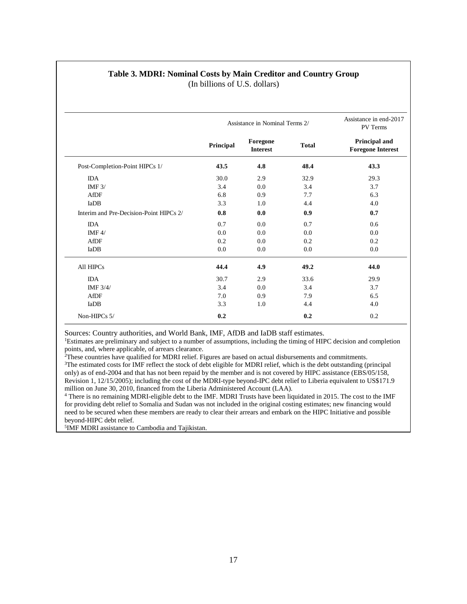| Table 3. MDRI: Nominal Costs by Main Creditor and Country Group |                               |  |  |
|-----------------------------------------------------------------|-------------------------------|--|--|
|                                                                 | (In billions of U.S. dollars) |  |  |

|                                         | Assistance in Nominal Terms 2/ | Assistance in end-2017<br><b>PV</b> Terms |              |                                           |
|-----------------------------------------|--------------------------------|-------------------------------------------|--------------|-------------------------------------------|
|                                         | Principal                      | Foregone<br><b>Interest</b>               | <b>Total</b> | Principal and<br><b>Foregone Interest</b> |
| Post-Completion-Point HIPCs 1/          | 43.5                           | 4.8                                       | 48.4         | 43.3                                      |
| <b>IDA</b>                              | 30.0                           | 2.9                                       | 32.9         | 29.3                                      |
| IMF $3/$                                | 3.4                            | 0.0                                       | 3.4          | 3.7                                       |
| AfDF                                    | 6.8                            | 0.9                                       | 7.7          | 6.3                                       |
| IaDB                                    | 3.3                            | 1.0                                       | 4.4          | 4.0                                       |
| Interim and Pre-Decision-Point HIPCs 2/ | 0.8                            | 0.0                                       | 0.9          | 0.7                                       |
| <b>IDA</b>                              | 0.7                            | 0.0                                       | 0.7          | 0.6                                       |
| IMF $4/$                                | 0.0                            | 0.0                                       | 0.0          | 0.0                                       |
| AfDF                                    | 0.2                            | 0.0                                       | 0.2          | 0.2                                       |
| IaDB                                    | 0.0                            | 0.0                                       | 0.0          | 0.0                                       |
| All HIPCs                               | 44.4                           | 4.9                                       | 49.2         | 44.0                                      |
| <b>IDA</b>                              | 30.7                           | 2.9                                       | 33.6         | 29.9                                      |
| IMF $3/4/$                              | 3.4                            | 0.0                                       | 3.4          | 3.7                                       |
| AfDF                                    | 7.0                            | 0.9                                       | 7.9          | 6.5                                       |
| IaDB                                    | 3.3                            | 1.0                                       | 4.4          | 4.0                                       |
| Non-HIPCs 5/                            | 0.2                            |                                           | 0.2          | 0.2                                       |

Sources: Country authorities, and World Bank, IMF, AfDB and IaDB staff estimates.

<sup>1</sup>Estimates are preliminary and subject to a number of assumptions, including the timing of HIPC decision and completion points, and, where applicable, of arrears clearance.

<sup>2</sup>These countries have qualified for MDRI relief. Figures are based on actual disbursements and commitments.

<sup>3</sup>The estimated costs for IMF reflect the stock of debt eligible for MDRI relief, which is the debt outstanding (principal only) as of end-2004 and that has not been repaid by the member and is not covered by HIPC assistance (EBS/05/158, Revision 1, 12/15/2005); including the cost of the MDRI-type beyond-IPC debt relief to Liberia equivalent to US\$171.9 million on June 30, 2010, financed from the Liberia Administered Account (LAA).

<sup>4</sup> There is no remaining MDRI-eligible debt to the IMF. MDRI Trusts have been liquidated in 2015. The cost to the IMF for providing debt relief to Somalia and Sudan was not included in the original costing estimates; new financing would need to be secured when these members are ready to clear their arrears and embark on the HIPC Initiative and possible beyond-HIPC debt relief.

5 IMF MDRI assistance to Cambodia and Tajikistan.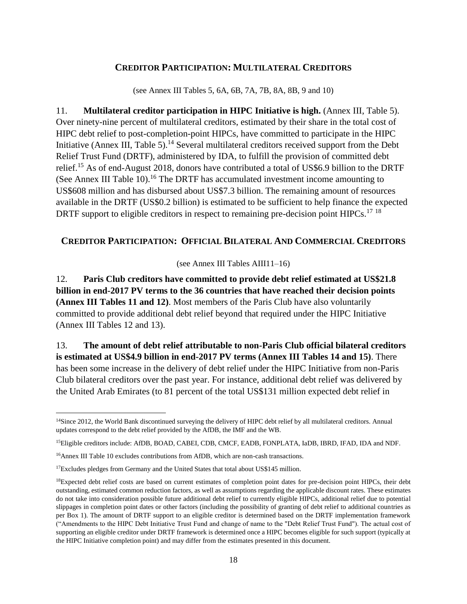#### **CREDITOR PARTICIPATION: MULTILATERAL CREDITORS**

(see Annex III Tables 5, 6A, 6B, 7A, 7B, 8A, 8B, 9 and 10)

11. **Multilateral creditor participation in HIPC Initiative is high.** (Annex III, Table 5). Over ninety-nine percent of multilateral creditors, estimated by their share in the total cost of HIPC debt relief to post-completion-point HIPCs, have committed to participate in the HIPC Initiative (Annex III, Table 5).<sup>14</sup> Several multilateral creditors received support from the Debt Relief Trust Fund (DRTF), administered by IDA, to fulfill the provision of committed debt relief.<sup>15</sup> As of end-August 2018, donors have contributed a total of US\$6.9 billion to the DRTF (See Annex III Table 10).<sup>16</sup> The DRTF has accumulated investment income amounting to US\$608 million and has disbursed about US\$7.3 billion. The remaining amount of resources available in the DRTF (US\$0.2 billion) is estimated to be sufficient to help finance the expected DRTF support to eligible creditors in respect to remaining pre-decision point HIPCs.<sup>17 18</sup>

#### **CREDITOR PARTICIPATION: OFFICIAL BILATERAL AND COMMERCIAL CREDITORS**

(see Annex III Tables AIII11–16)

12. **Paris Club creditors have committed to provide debt relief estimated at US\$21.8 billion in end-2017 PV terms to the 36 countries that have reached their decision points (Annex III Tables 11 and 12)**. Most members of the Paris Club have also voluntarily committed to provide additional debt relief beyond that required under the HIPC Initiative (Annex III Tables 12 and 13).

13. **The amount of debt relief attributable to non-Paris Club official bilateral creditors is estimated at US\$4.9 billion in end-2017 PV terms (Annex III Tables 14 and 15)**. There has been some increase in the delivery of debt relief under the HIPC Initiative from non-Paris Club bilateral creditors over the past year. For instance, additional debt relief was delivered by the United Arab Emirates (to 81 percent of the total US\$131 million expected debt relief in

 $14$ Since 2012, the World Bank discontinued surveying the delivery of HIPC debt relief by all multilateral creditors. Annual updates correspond to the debt relief provided by the AfDB, the IMF and the WB.

<sup>15</sup>Eligible creditors include: AfDB, BOAD, CABEI, CDB, CMCF, EADB, FONPLATA, IaDB, IBRD, IFAD, IDA and NDF.

<sup>&</sup>lt;sup>16</sup>Annex III Table 10 excludes contributions from AfDB, which are non-cash transactions.

<sup>&</sup>lt;sup>17</sup>Excludes pledges from Germany and the United States that total about US\$145 million.

<sup>&</sup>lt;sup>18</sup>Expected debt relief costs are based on current estimates of completion point dates for pre-decision point HIPCs, their debt outstanding, estimated common reduction factors, as well as assumptions regarding the applicable discount rates. These estimates do not take into consideration possible future additional debt relief to currently eligible HIPCs, additional relief due to potential slippages in completion point dates or other factors (including the possibility of granting of debt relief to additional countries as per Box 1). The amount of DRTF support to an eligible creditor is determined based on the DRTF implementation framework ("Amendments to the HIPC Debt Initiative Trust Fund and change of name to the "Debt Relief Trust Fund"). The actual cost of supporting an eligible creditor under DRTF framework is determined once a HIPC becomes eligible for such support (typically at the HIPC Initiative completion point) and may differ from the estimates presented in this document.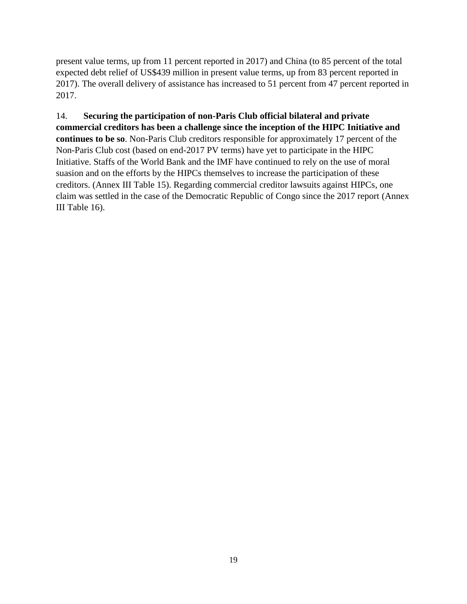present value terms, up from 11 percent reported in 2017) and China (to 85 percent of the total expected debt relief of US\$439 million in present value terms, up from 83 percent reported in 2017). The overall delivery of assistance has increased to 51 percent from 47 percent reported in 2017.

14. **Securing the participation of non-Paris Club official bilateral and private commercial creditors has been a challenge since the inception of the HIPC Initiative and continues to be so**. Non-Paris Club creditors responsible for approximately 17 percent of the Non-Paris Club cost (based on end-2017 PV terms) have yet to participate in the HIPC Initiative. Staffs of the World Bank and the IMF have continued to rely on the use of moral suasion and on the efforts by the HIPCs themselves to increase the participation of these creditors. (Annex III Table 15). Regarding commercial creditor lawsuits against HIPCs, one claim was settled in the case of the Democratic Republic of Congo since the 2017 report (Annex III Table 16).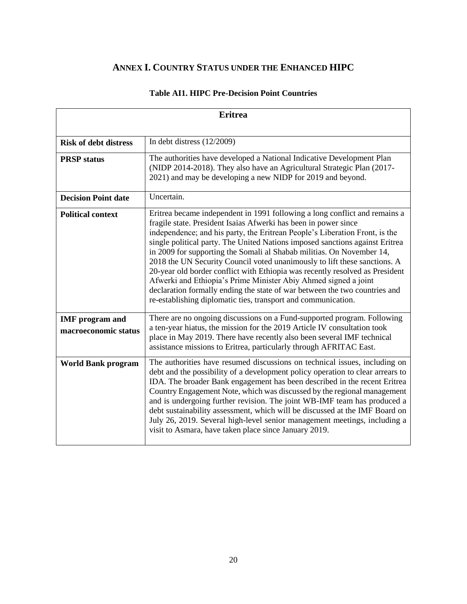## **ANNEX I. COUNTRY STATUS UNDER THE ENHANCED HIPC**

|                                                | <b>Eritrea</b>                                                                                                                                                                                                                                                                                                                                                                                                                                                                                                                                                                                                                                                                                                                                                       |  |  |  |  |  |  |  |  |
|------------------------------------------------|----------------------------------------------------------------------------------------------------------------------------------------------------------------------------------------------------------------------------------------------------------------------------------------------------------------------------------------------------------------------------------------------------------------------------------------------------------------------------------------------------------------------------------------------------------------------------------------------------------------------------------------------------------------------------------------------------------------------------------------------------------------------|--|--|--|--|--|--|--|--|
|                                                |                                                                                                                                                                                                                                                                                                                                                                                                                                                                                                                                                                                                                                                                                                                                                                      |  |  |  |  |  |  |  |  |
| <b>Risk of debt distress</b>                   | In debt distress $(12/2009)$                                                                                                                                                                                                                                                                                                                                                                                                                                                                                                                                                                                                                                                                                                                                         |  |  |  |  |  |  |  |  |
| <b>PRSP</b> status                             | The authorities have developed a National Indicative Development Plan<br>(NIDP 2014-2018). They also have an Agricultural Strategic Plan (2017-<br>2021) and may be developing a new NIDP for 2019 and beyond.                                                                                                                                                                                                                                                                                                                                                                                                                                                                                                                                                       |  |  |  |  |  |  |  |  |
| <b>Decision Point date</b>                     | Uncertain.                                                                                                                                                                                                                                                                                                                                                                                                                                                                                                                                                                                                                                                                                                                                                           |  |  |  |  |  |  |  |  |
| <b>Political context</b>                       | Eritrea became independent in 1991 following a long conflict and remains a<br>fragile state. President Isaias Afwerki has been in power since<br>independence; and his party, the Eritrean People's Liberation Front, is the<br>single political party. The United Nations imposed sanctions against Eritrea<br>in 2009 for supporting the Somali al Shabab militias. On November 14,<br>2018 the UN Security Council voted unanimously to lift these sanctions. A<br>20-year old border conflict with Ethiopia was recently resolved as President<br>Afwerki and Ethiopia's Prime Minister Abiy Ahmed signed a joint<br>declaration formally ending the state of war between the two countries and<br>re-establishing diplomatic ties, transport and communication. |  |  |  |  |  |  |  |  |
| <b>IMF</b> program and<br>macroeconomic status | There are no ongoing discussions on a Fund-supported program. Following<br>a ten-year hiatus, the mission for the 2019 Article IV consultation took<br>place in May 2019. There have recently also been several IMF technical<br>assistance missions to Eritrea, particularly through AFRITAC East.                                                                                                                                                                                                                                                                                                                                                                                                                                                                  |  |  |  |  |  |  |  |  |
| <b>World Bank program</b>                      | The authorities have resumed discussions on technical issues, including on<br>debt and the possibility of a development policy operation to clear arrears to<br>IDA. The broader Bank engagement has been described in the recent Eritrea<br>Country Engagement Note, which was discussed by the regional management<br>and is undergoing further revision. The joint WB-IMF team has produced a<br>debt sustainability assessment, which will be discussed at the IMF Board on<br>July 26, 2019. Several high-level senior management meetings, including a<br>visit to Asmara, have taken place since January 2019.                                                                                                                                                |  |  |  |  |  |  |  |  |

#### **Table AI1. HIPC Pre-Decision Point Countries**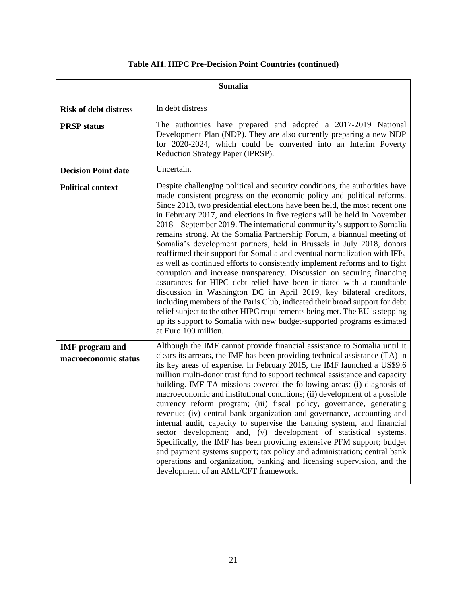|                                                | Somalia                                                                                                                                                                                                                                                                                                                                                                                                                                                                                                                                                                                                                                                                                                                                                                                                                                                                                                                                                                                                                                                                                                                                                                                               |
|------------------------------------------------|-------------------------------------------------------------------------------------------------------------------------------------------------------------------------------------------------------------------------------------------------------------------------------------------------------------------------------------------------------------------------------------------------------------------------------------------------------------------------------------------------------------------------------------------------------------------------------------------------------------------------------------------------------------------------------------------------------------------------------------------------------------------------------------------------------------------------------------------------------------------------------------------------------------------------------------------------------------------------------------------------------------------------------------------------------------------------------------------------------------------------------------------------------------------------------------------------------|
| <b>Risk of debt distress</b>                   | In debt distress                                                                                                                                                                                                                                                                                                                                                                                                                                                                                                                                                                                                                                                                                                                                                                                                                                                                                                                                                                                                                                                                                                                                                                                      |
| <b>PRSP</b> status                             | The authorities have prepared and adopted a 2017-2019 National<br>Development Plan (NDP). They are also currently preparing a new NDP<br>for 2020-2024, which could be converted into an Interim Poverty<br>Reduction Strategy Paper (IPRSP).                                                                                                                                                                                                                                                                                                                                                                                                                                                                                                                                                                                                                                                                                                                                                                                                                                                                                                                                                         |
| <b>Decision Point date</b>                     | Uncertain.                                                                                                                                                                                                                                                                                                                                                                                                                                                                                                                                                                                                                                                                                                                                                                                                                                                                                                                                                                                                                                                                                                                                                                                            |
| <b>Political context</b>                       | Despite challenging political and security conditions, the authorities have<br>made consistent progress on the economic policy and political reforms.<br>Since 2013, two presidential elections have been held, the most recent one<br>in February 2017, and elections in five regions will be held in November<br>2018 – September 2019. The international community's support to Somalia<br>remains strong. At the Somalia Partnership Forum, a biannual meeting of<br>Somalia's development partners, held in Brussels in July 2018, donors<br>reaffirmed their support for Somalia and eventual normalization with IFIs,<br>as well as continued efforts to consistently implement reforms and to fight<br>corruption and increase transparency. Discussion on securing financing<br>assurances for HIPC debt relief have been initiated with a roundtable<br>discussion in Washington DC in April 2019, key bilateral creditors,<br>including members of the Paris Club, indicated their broad support for debt<br>relief subject to the other HIPC requirements being met. The EU is stepping<br>up its support to Somalia with new budget-supported programs estimated<br>at Euro 100 million. |
| <b>IMF</b> program and<br>macroeconomic status | Although the IMF cannot provide financial assistance to Somalia until it<br>clears its arrears, the IMF has been providing technical assistance (TA) in<br>its key areas of expertise. In February 2015, the IMF launched a US\$9.6<br>million multi-donor trust fund to support technical assistance and capacity<br>building. IMF TA missions covered the following areas: (i) diagnosis of<br>macroeconomic and institutional conditions; (ii) development of a possible<br>currency reform program; (iii) fiscal policy, governance, generating<br>revenue; (iv) central bank organization and governance, accounting and<br>internal audit, capacity to supervise the banking system, and financial<br>sector development; and, (v) development of statistical systems.<br>Specifically, the IMF has been providing extensive PFM support; budget<br>and payment systems support; tax policy and administration; central bank<br>operations and organization, banking and licensing supervision, and the<br>development of an AML/CFT framework.                                                                                                                                                 |

#### **Table AI1. HIPC Pre-Decision Point Countries (continued)**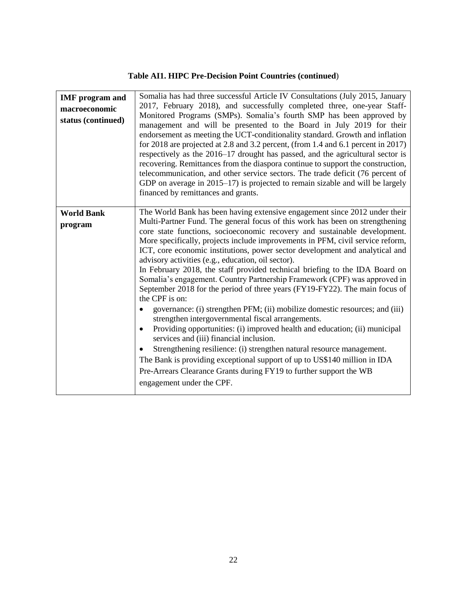#### **Table AI1. HIPC Pre-Decision Point Countries (continued**)

| <b>IMF</b> program and<br>macroeconomic<br>status (continued) | Somalia has had three successful Article IV Consultations (July 2015, January<br>2017, February 2018), and successfully completed three, one-year Staff-<br>Monitored Programs (SMPs). Somalia's fourth SMP has been approved by<br>management and will be presented to the Board in July 2019 for their<br>endorsement as meeting the UCT-conditionality standard. Growth and inflation<br>for 2018 are projected at 2.8 and 3.2 percent, (from 1.4 and 6.1 percent in 2017)<br>respectively as the 2016–17 drought has passed, and the agricultural sector is<br>recovering. Remittances from the diaspora continue to support the construction,<br>telecommunication, and other service sectors. The trade deficit (76 percent of<br>GDP on average in 2015–17) is projected to remain sizable and will be largely<br>financed by remittances and grants.                                                                                                                                                                                                                                                                                                                                                                                                                              |
|---------------------------------------------------------------|-------------------------------------------------------------------------------------------------------------------------------------------------------------------------------------------------------------------------------------------------------------------------------------------------------------------------------------------------------------------------------------------------------------------------------------------------------------------------------------------------------------------------------------------------------------------------------------------------------------------------------------------------------------------------------------------------------------------------------------------------------------------------------------------------------------------------------------------------------------------------------------------------------------------------------------------------------------------------------------------------------------------------------------------------------------------------------------------------------------------------------------------------------------------------------------------------------------------------------------------------------------------------------------------|
| <b>World Bank</b><br>program                                  | The World Bank has been having extensive engagement since 2012 under their<br>Multi-Partner Fund. The general focus of this work has been on strengthening<br>core state functions, socioeconomic recovery and sustainable development.<br>More specifically, projects include improvements in PFM, civil service reform,<br>ICT, core economic institutions, power sector development and analytical and<br>advisory activities (e.g., education, oil sector).<br>In February 2018, the staff provided technical briefing to the IDA Board on<br>Somalia's engagement. Country Partnership Framework (CPF) was approved in<br>September 2018 for the period of three years (FY19-FY22). The main focus of<br>the CPF is on:<br>governance: (i) strengthen PFM; (ii) mobilize domestic resources; and (iii)<br>$\bullet$<br>strengthen intergovernmental fiscal arrangements.<br>Providing opportunities: (i) improved health and education; (ii) municipal<br>$\bullet$<br>services and (iii) financial inclusion.<br>Strengthening resilience: (i) strengthen natural resource management.<br>$\bullet$<br>The Bank is providing exceptional support of up to US\$140 million in IDA<br>Pre-Arrears Clearance Grants during FY19 to further support the WB<br>engagement under the CPF. |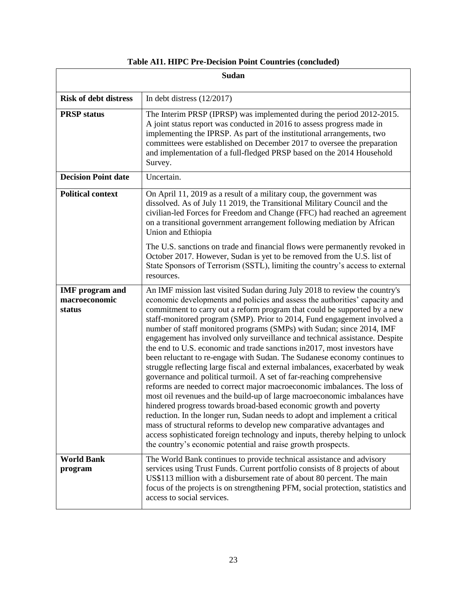|                                                   | Sudan                                                                                                                                                                                                                                                                                                                                                                                                                                                                                                                                                                                                                                                                                                                                                                                                                                                                                                                                                                                                                                                                                                                                                                                                                                                                                                                                 |
|---------------------------------------------------|---------------------------------------------------------------------------------------------------------------------------------------------------------------------------------------------------------------------------------------------------------------------------------------------------------------------------------------------------------------------------------------------------------------------------------------------------------------------------------------------------------------------------------------------------------------------------------------------------------------------------------------------------------------------------------------------------------------------------------------------------------------------------------------------------------------------------------------------------------------------------------------------------------------------------------------------------------------------------------------------------------------------------------------------------------------------------------------------------------------------------------------------------------------------------------------------------------------------------------------------------------------------------------------------------------------------------------------|
| <b>Risk of debt distress</b>                      | In debt distress $(12/2017)$                                                                                                                                                                                                                                                                                                                                                                                                                                                                                                                                                                                                                                                                                                                                                                                                                                                                                                                                                                                                                                                                                                                                                                                                                                                                                                          |
| <b>PRSP</b> status                                | The Interim PRSP (IPRSP) was implemented during the period 2012-2015.<br>A joint status report was conducted in 2016 to assess progress made in<br>implementing the IPRSP. As part of the institutional arrangements, two<br>committees were established on December 2017 to oversee the preparation<br>and implementation of a full-fledged PRSP based on the 2014 Household<br>Survey.                                                                                                                                                                                                                                                                                                                                                                                                                                                                                                                                                                                                                                                                                                                                                                                                                                                                                                                                              |
| <b>Decision Point date</b>                        | Uncertain.                                                                                                                                                                                                                                                                                                                                                                                                                                                                                                                                                                                                                                                                                                                                                                                                                                                                                                                                                                                                                                                                                                                                                                                                                                                                                                                            |
| <b>Political context</b>                          | On April 11, 2019 as a result of a military coup, the government was<br>dissolved. As of July 11 2019, the Transitional Military Council and the<br>civilian-led Forces for Freedom and Change (FFC) had reached an agreement<br>on a transitional government arrangement following mediation by African<br>Union and Ethiopia                                                                                                                                                                                                                                                                                                                                                                                                                                                                                                                                                                                                                                                                                                                                                                                                                                                                                                                                                                                                        |
|                                                   | The U.S. sanctions on trade and financial flows were permanently revoked in<br>October 2017. However, Sudan is yet to be removed from the U.S. list of<br>State Sponsors of Terrorism (SSTL), limiting the country's access to external<br>resources.                                                                                                                                                                                                                                                                                                                                                                                                                                                                                                                                                                                                                                                                                                                                                                                                                                                                                                                                                                                                                                                                                 |
| <b>IMF</b> program and<br>macroeconomic<br>status | An IMF mission last visited Sudan during July 2018 to review the country's<br>economic developments and policies and assess the authorities' capacity and<br>commitment to carry out a reform program that could be supported by a new<br>staff-monitored program (SMP). Prior to 2014, Fund engagement involved a<br>number of staff monitored programs (SMPs) with Sudan; since 2014, IMF<br>engagement has involved only surveillance and technical assistance. Despite<br>the end to U.S. economic and trade sanctions in 2017, most investors have<br>been reluctant to re-engage with Sudan. The Sudanese economy continues to<br>struggle reflecting large fiscal and external imbalances, exacerbated by weak<br>governance and political turmoil. A set of far-reaching comprehensive<br>reforms are needed to correct major macroeconomic imbalances. The loss of<br>most oil revenues and the build-up of large macroeconomic imbalances have<br>hindered progress towards broad-based economic growth and poverty<br>reduction. In the longer run, Sudan needs to adopt and implement a critical<br>mass of structural reforms to develop new comparative advantages and<br>access sophisticated foreign technology and inputs, thereby helping to unlock<br>the country's economic potential and raise growth prospects. |
| <b>World Bank</b><br>program                      | The World Bank continues to provide technical assistance and advisory<br>services using Trust Funds. Current portfolio consists of 8 projects of about<br>US\$113 million with a disbursement rate of about 80 percent. The main<br>focus of the projects is on strengthening PFM, social protection, statistics and<br>access to social services.                                                                                                                                                                                                                                                                                                                                                                                                                                                                                                                                                                                                                                                                                                                                                                                                                                                                                                                                                                                    |

**Table AI1. HIPC Pre-Decision Point Countries (concluded)**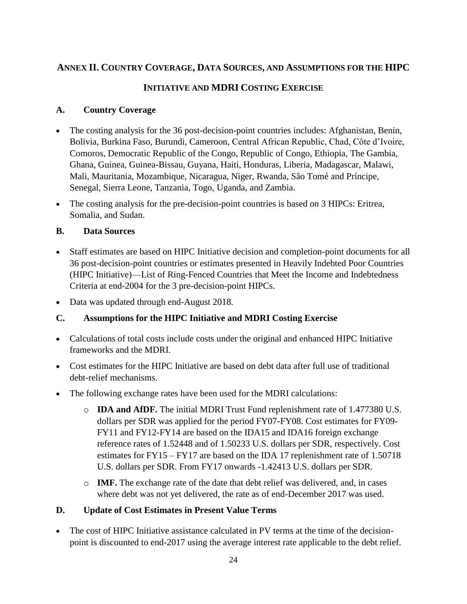#### **ANNEX II. COUNTRY COVERAGE, DATA SOURCES, AND ASSUMPTIONS FOR THE HIPC**

#### **INITIATIVE AND MDRI COSTING EXERCISE**

#### **A. Country Coverage**

- The costing analysis for the 36 post-decision-point countries includes: Afghanistan, Benin, Bolivia, Burkina Faso, Burundi, Cameroon, Central African Republic, Chad, Côte d'Ivoire, Comoros, Democratic Republic of the Congo, Republic of Congo, Ethiopia, The Gambia, Ghana, Guinea, Guinea-Bissau, Guyana, Haiti, Honduras, Liberia, Madagascar, Malawi, Mali, Mauritania, Mozambique, Nicaragua, Niger, Rwanda, São Tomé and Príncipe, Senegal, Sierra Leone, Tanzania, Togo, Uganda, and Zambia.
- The costing analysis for the pre-decision-point countries is based on 3 HIPCs: Eritrea, Somalia, and Sudan.

#### **B. Data Sources**

- Staff estimates are based on HIPC Initiative decision and completion-point documents for all 36 post-decision-point countries or estimates presented in Heavily Indebted Poor Countries (HIPC Initiative)—List of Ring-Fenced Countries that Meet the Income and Indebtedness Criteria at end-2004 for the 3 pre-decision-point HIPCs.
- Data was updated through end-August 2018.

#### **C. Assumptions for the HIPC Initiative and MDRI Costing Exercise**

- Calculations of total costs include costs under the original and enhanced HIPC Initiative frameworks and the MDRI.
- Cost estimates for the HIPC Initiative are based on debt data after full use of traditional debt-relief mechanisms.
- The following exchange rates have been used for the MDRI calculations:
	- o **IDA and AfDF.** The initial MDRI Trust Fund replenishment rate of 1.477380 U.S. dollars per SDR was applied for the period FY07-FY08. Cost estimates for FY09- FY11 and FY12-FY14 are based on the IDA15 and IDA16 foreign exchange reference rates of 1.52448 and of 1.50233 U.S. dollars per SDR, respectively. Cost estimates for FY15 – FY17 are based on the IDA 17 replenishment rate of 1.50718 U.S. dollars per SDR. From FY17 onwards -1.42413 U.S. dollars per SDR.
	- o **IMF.** The exchange rate of the date that debt relief was delivered, and, in cases where debt was not yet delivered, the rate as of end-December 2017 was used.

#### **D. Update of Cost Estimates in Present Value Terms**

The cost of HIPC Initiative assistance calculated in PV terms at the time of the decisionpoint is discounted to end-2017 using the average interest rate applicable to the debt relief.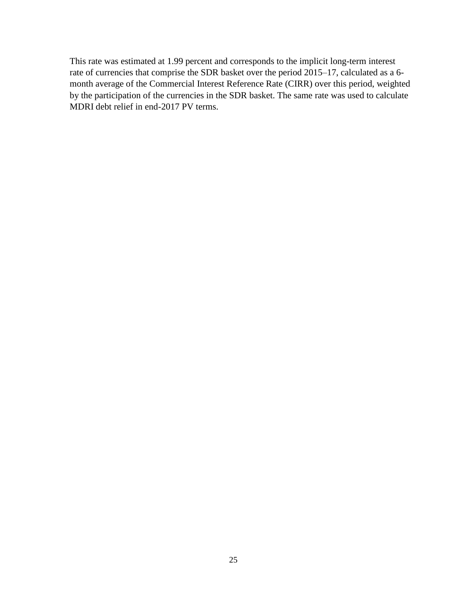This rate was estimated at 1.99 percent and corresponds to the implicit long-term interest rate of currencies that comprise the SDR basket over the period 2015–17, calculated as a 6 month average of the Commercial Interest Reference Rate (CIRR) over this period, weighted by the participation of the currencies in the SDR basket. The same rate was used to calculate MDRI debt relief in end-2017 PV terms.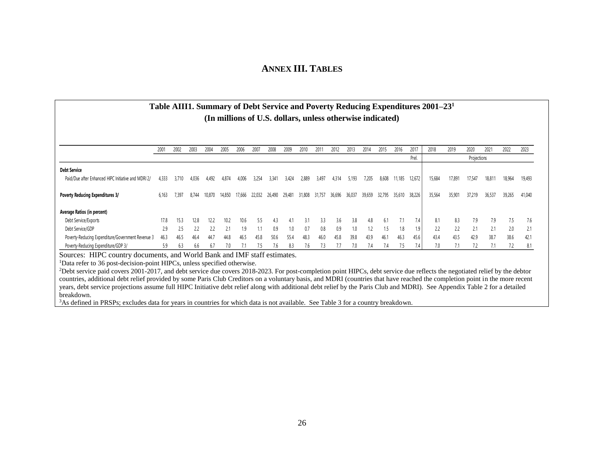#### **ANNEX III. TABLES**

#### **Table AIII1. Summary of Debt Service and Poverty Reducing Expenditures 2001–23 1 (In millions of U.S. dollars, unless otherwise indicated)**

|                                                     | 2001  | 2002  | 2003  | 2004   | 2005   | 2006   | 200    | 2008   | 2009   | 2010   | 201    | 2012   | 2013   | 2014   | 2015    | 2016   | 2017   | 2018   | 2019   | 2020        | 202 <sup>2</sup> | 2022   | 2023   |
|-----------------------------------------------------|-------|-------|-------|--------|--------|--------|--------|--------|--------|--------|--------|--------|--------|--------|---------|--------|--------|--------|--------|-------------|------------------|--------|--------|
|                                                     |       |       |       |        |        |        |        |        |        |        |        |        |        |        |         |        | Prel.  |        |        | Projections |                  |        |        |
| <b>Debt Service</b>                                 |       |       |       |        |        |        |        |        |        |        |        |        |        |        |         |        |        |        |        |             |                  |        |        |
| Paid/Due after Enhanced HIPC Initiative and MDRI 2/ | 4,333 | 3.710 | 4,036 | 4.492  | 4.874  | 4,006  | 3,254  | 3,341  | 3.424  | 2,889  | 3,497  | 4,314  | 5.193  | 7.205  | 8.608   | 1.185  | 12,672 | 15,684 | 17,891 | 17,547      | 18,81            | 18,964 | 19,493 |
| <b>Poverty Reducing Expenditures 3/</b>             | 6,163 | 7,397 | 8.744 | 10,870 | 14,850 | 17,666 | 22,032 | 26,490 | 29,481 | 31,808 | 31.757 | 36,696 | 36,037 | 39,659 | 32,795  | 35,610 | 38,226 | 35,564 | 35,901 | 37,219      | 36,537           | 39,265 | 41,040 |
| Average Ratios (in percent)                         |       |       |       |        |        |        |        |        |        |        |        |        |        |        |         |        |        |        |        |             |                  |        |        |
| Debt Service/Exports                                | 17.8  | 15.3  | 12.8  | 12.2   | 10.2   | 10.6   | 5.5    | 4.3    | 4.1    | 3.1    | 3.3    | 3.6    | 3.8    | 4.8    | 6.1     | 7.1    | 7.4    | 8.1    | 8.3    | 7.9         | 7.9              | 7.5    | 7.6    |
| Debt Service/GDP                                    | 2.9   | 2.5   | 2.2   | 2.2    |        | 1.9    |        | 0.9    | 1.0    | 0.7    | 0.8    | 0.9    | 1.0    | 1.2    | $1.5\,$ | 1.8    | 1.9    | 2.2    | 2.2    |             | 2.1              | 2.0    | 2.1    |
| Poverty-Reducing Expenditure/Government Revenue 3   | 46.3  | 46.5  | 46.4  | 44.7   | 44.8   | 46.5   | 45.8   | 50.6   | 55.4   | 48.3   | 46.0   | 45.8   | 39.8   | 43.9   | 46.1    | 46.3   | 45.6   | 43.4   | 43.5   | 42.9        | 38.7             | 38.6   | 42.1   |
| Poverty-Reducing Expenditure/GDP 3/                 | 5.9   | 6.3   | 6.6   | 6.7    | 7.0    |        | 7.5    | 7.6    | 8.3    | 7.6    |        |        | 7.0    | 7.4    | 1.4     | 7.5    | 7.4    | 7.0    | 7.1    |             |                  | 7.2    | 8.1    |

Sources: HIPC country documents, and World Bank and IMF staff estimates.

<sup>1</sup>Data refer to 36 post-decision-point HIPCs, unless specified otherwise.

<sup>2</sup>Debt service paid covers 2001-2017, and debt service due covers 2018-2023. For post-completion point HIPCs, debt service due reflects the negotiated relief by the debtor countries, additional debt relief provided by some Paris Club Creditors on a voluntary basis, and MDRI (countries that have reached the completion point in the more recent years, debt service projections assume full HIPC Initiative debt relief along with additional debt relief by the Paris Club and MDRI). See Appendix Table 2 for a detailed breakdown.

<sup>3</sup>As defined in PRSPs; excludes data for years in countries for which data is not available. See Table 3 for a country breakdown.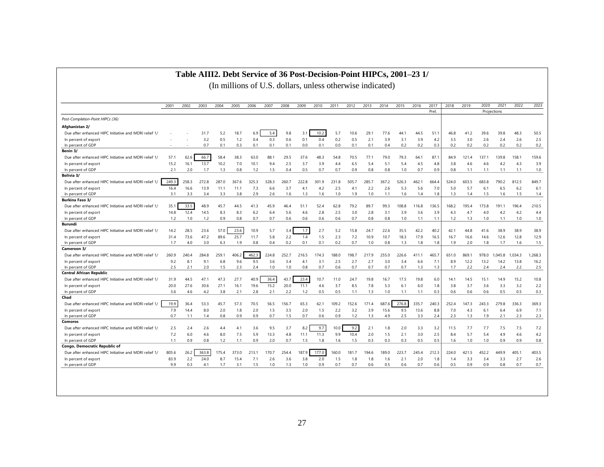#### **Table AIII2. Debt Service of 36 Post-Decision-Point HIPCs, 2001–23 1/**

|                                                       | 2001           | 2002  | 2003  | 2004  | 2005  | 2006  | 2007  | 2008  | 2009  | 2010  | 2011  | 2012  | 2013  | 2014  | 2015  | 2016  | 2017<br>Prel. | 2018  | 2019  | 2020  | 2021<br>Projections | 2022    | 2023    |
|-------------------------------------------------------|----------------|-------|-------|-------|-------|-------|-------|-------|-------|-------|-------|-------|-------|-------|-------|-------|---------------|-------|-------|-------|---------------------|---------|---------|
| Post-Completion-Point HIPCs (36)                      |                |       |       |       |       |       |       |       |       |       |       |       |       |       |       |       |               |       |       |       |                     |         |         |
| Afghanistan 2/                                        |                |       |       |       |       |       |       |       |       |       |       |       |       |       |       |       |               |       |       |       |                     |         |         |
| Due after enhanced HIPC Initiative and MDRI relief 1, |                |       | 31.7  | 5.2   | 18.7  | 6.9   | 5.4   | 9.8   | 3.    | 10.2  | 5.7   | 10.6  | 29.   | 77.6  | 44.1  | 44.5  | 51.1          | 46.8  | 41.2  | 39.6  | 39.8                | 48.3    | 50.5    |
| In percent of export                                  |                |       | 3.2   | 0.5   | 1.2   | 0.4   | 0.3   | 0.6   | 0.1   | 0.4   | 0.2   | 0.5   | 2.1   | 3.9   | 3.1   | 3.9   | 4.2           | 3.5   | 3.0   | 2.6   | 2.4                 | 2.6     | 2.5     |
| In percent of GDP                                     | $\overline{a}$ |       | 0.7   | 0.1   | 0.3   | 0.1   | 0.1   | 0.1   | 0.0   | 0.1   | 0.0   | 0.1   | 0.1   | 0.4   | 0.2   | 0.2   | 0.3           | 0.2   | 0.2   | 0.2   | 0.2                 | 0.2     | 0.2     |
| Benin 3/                                              |                |       |       |       |       |       |       |       |       |       |       |       |       |       |       |       |               |       |       |       |                     |         |         |
| Due after enhanced HIPC Initiative and MDRI relief 1/ | 57.1           | 62.6  | 66.7  | 58.4  | 38.3  | 63.0  | 88.1  | 29.5  | 37.6  | 48.3  | 54.8  | 70.5  | 77.1  | 79.0  | 79.3  | 64.1  | 87.1          | 84.9  | 121.4 | 137.1 | 139.8               | 158.1   | 159.6   |
| In percent of export                                  | 15.2           | 16.1  | 13.7  | 10.2  | 7.0   | 10.1  | 9.4   | 2.5   | 3.7   | 3.9   | 4.4   | 6.5   | 5.4   | 5.1   | 5.4   | 4.5   | 4.8           | 3.8   | 4.6   | 4.6   | 4.2                 | 4.3     | 3.9     |
| In percent of GDP                                     | 2.1            | 2.0   | 1.7   | 1.3   | 0.8   | 1.2   | 1.5   | 0.4   | 0.5   | 0.7   | 0.7   | 0.9   | 0.8   | 0.8   | 1.0   | 0.7   | 0.9           | 0.8   | 1.1   | 1.1   | 1.1                 | 1.1     | 1.0     |
| Bolivia 3/                                            |                |       |       |       |       |       |       |       |       |       |       |       |       |       |       |       |               |       |       |       |                     |         |         |
| Due after enhanced HIPC Initiative and MDRI relief 1  | 249.3          | 258.3 | 272.8 | 287.0 | 367.6 | 325.3 | 328.3 | 260.7 | 222.8 | 301.9 | 231.8 | 505.7 | 285.7 | 367.2 | 526.3 | 462.1 | 664.4         | 524.0 | 603.5 | 683.8 | 790.2               | 812.5   | 849.7   |
| In percent of export                                  | 16.4           | 16.6  | 13.9  | 11.1  | 11.1  | 7.3   | 6.6   | 3.7   | 4.1   | 4.2   | 2.5   | 4.1   | 2.2   | 2.6   | 5.3   | 5.6   | 7.0           | 5.0   | 5.7   | 6.1   | 6.5                 | 6.2     | 6.1     |
| In percent of GDP                                     | 3.1            | 3.3   | 3.4   | 3.3   | 3.8   | 2.9   | 2.6   | 1.6   | 1.3   | 1.6   | 1.0   | 1.9   | 1.0   | 1.1   | 1.6   | 1.4   | 1.8           | 1.3   | 1.4   | 1.5   | 1.6                 | 1.5     | 1.4     |
| <b>Burkina Faso 3/</b>                                |                |       |       |       |       |       |       |       |       |       |       |       |       |       |       |       |               |       |       |       |                     |         |         |
| Due after enhanced HIPC Initiative and MDRI relief 1/ | 35.7           | 33.5  | 48.9  | 45.7  | 44.5  | 41.3  | 45.9  | 46.4  | 51.1  | 52.4  | 62.8  | 79.2  | 89.7  | 99.3  | 108.8 | 116.8 | 136.5         | 168.2 | 195.4 | 173.8 | 191.1               | 196.4   | 210.5   |
| In percent of export                                  | 14.8           | 12.4  | 14.5  | 8.3   | 8.3   | 6.2   | 6.4   | 5.6   | 4.6   | 2.8   | 2.5   | 3.0   | 2.8   | 3.1   | 3.9   | 3.6   | 3.9           | 4.3   | 4.7   | 4.0   | 4.2                 | 4.2     | 4.4     |
| In percent of GDP                                     | 1.2            | 1.0   | 1.2   | 0.9   | 0.8   | 0.7   | 0.7   | 0.6   | 0.6   | 0.6   | 0.6   | 0.7   | 0.8   | 0.8   | 1.0   | 1.1   | 1.1           | 1.2   | 1.3   | 1.0   | 1.1                 | 1.0     | 1.0     |
| Burundi                                               |                |       |       |       |       |       |       |       |       |       |       |       |       |       |       |       |               |       |       |       |                     |         |         |
| Due after enhanced HIPC Initiative and MDRI relief 1, | 14.2           | 28.5  | 23.6  | 57.0  | 23.6  | 10.9  | 5.7   | 3.4   | 1.7   | 2.7   | 5.2   | 15.8  | 24.7  | 22.6  | 35.5  | 42.2  | 40.2          | 42.1  | 44.8  | 41.6  | 38.9                | 38.9    | 38.9    |
| In percent of export                                  | 31.4           | 73.6  | 47.2  | 89.6  | 25.7  | 11.7  | 5.8   | 2.2   | 1.4   | 1.5   | 2.3   | 7.2   | 10.9  | 10.7  | 18.3  | 17.9  | 16.5          | 16.7  | 16.6  | 14.6  | 12.6                | 12.8    | 12.9    |
| In percent of GDP                                     | 1.7            | 4.0   | 3.0   | 6.3   | 1.9   | 0.8   | 0.4   | 0.2   | 0.1   | 0.1   | 0.2   | 0.7   | 1.0   | 0.8   | 1.3   | 1.8   | 1.8           | 1.9   | 2.0   | 1.8   | 1.7                 | 1.6     | 1.5     |
| Cameroon 3/                                           |                |       |       |       |       |       |       |       |       |       |       |       |       |       |       |       |               |       |       |       |                     |         |         |
| Due after enhanced HIPC Initiative and MDRI relief 1/ | 260.9          | 240.4 | 284.8 | 259.1 | 406.  | 462.3 | 224.8 | 252.7 | 216.5 | 174.3 | 188.0 | 198.7 | 217.9 | 255.0 | 226.6 | 411.1 | 465.7         | 651.0 | 869.1 | 978.0 | 1.045.8             | 1.034.3 | 1,268.3 |
| In percent of export                                  | 9.2            | 8.7   | 9.1   | 6.8   | 9.6   | 9.5   | 3.6   | 3.4   | 4.1   | 3.1   | 2.5   | 2.7   | 2.7   | 3.0   | 3.4   | 6.6   | 7.1           | 8.9   | 12.2  | 13.2  | 14.2                | 13.8    | 16.2    |
| In percent of GDP                                     | 2.5            | 2.1   | 2.0   | 1.5   | 2.3   | 2.4   | 1.0   | 1.0   | 0.8   | 0.7   | 0.6   | 0.7   | 0.7   | 0.7   | 0.7   | 1.3   | 1.3           | 1.7   | 2.2   | 2.4   | 2.4                 | 2.2     | 2.5     |
| <b>Central African Republic</b>                       |                |       |       |       |       |       |       |       |       |       |       |       |       |       |       |       |               |       |       |       |                     |         |         |
| Due after enhanced HIPC Initiative and MDRI relief 1/ | 31.9           | 44.5  | 47.1  | 47.3  | 27.7  | 40.9  | 36.4  | 43.7  | 23.4  | 10.7  | 11.0  | 24.7  | 19.8  | 16.7  | 17.5  | 19.8  | 6.0           | 14.1  | 14.5  | 15.1  | 14.9                | 15.2    | 10.8    |
| In percent of export                                  | 20.0           | 27.6  | 30.6  | 27.1  | 16.1  | 19.6  | 15.2  | 20.0  | 11.1  | 4.6   | 3.7   | 8.5   | 7.8   | 5.3   | 6.1   | 6.0   | 1.8           | 3.8   | 3.7   | 3.6   | 3.3                 | 3.2     | 2.2     |
| In percent of GDP                                     | 3.6            | 4.6   | 4.2   | 3.8   | 2.1   | 2.8   | 2.1   | 2.2   | 1.2   | 0.5   | 0.5   | 1.1   | 1.3   | 1.0   | 1.1   | 1.1   | 0.3           | 0.6   | 0.6   | 0.6   | 0.5                 | 0.5     | 0.3     |
| Chad                                                  |                |       |       |       |       |       |       |       |       |       |       |       |       |       |       |       |               |       |       |       |                     |         |         |
| Due after enhanced HIPC Initiative and MDRI relief 1/ | 19.9           | 36.4  | 53.3  | 45.7  | 57.3  | 70.5  | 56.5  | 156.7 | 65.3  | 62.1  | 109.2 | 152.6 | 171.4 | 687.6 | 276.8 | 335.7 | 240.3         | 252.4 | 147.3 | 243.3 | 279.8               | 336.3   | 369.3   |
| In percent of export                                  | 7.9            | 14.4  | 8.0   | 2.0   | 1.8   | 2.0   | 1.5   | 3.5   | 2.0   | 1.5   | 2.2   | 3.2   | 3.9   | 15.6  | 9.5   | 13.6  | 8.8           | 7.0   | 4.3   | 6.1   | 6.4                 | 6.9     | 7.1     |
| In percent of GDP                                     | 0.7            | 1.1   | 1.4   | 0.8   | 0.9   | 0.9   | 0.7   | 1.5   | 0.7   | 0.6   | 0.9   | 1.2   | 1.3   | 4.9   | 2.5   | 3.3   | 2.4           | 2.3   | 1.3   | 1.9   | 2.1                 | 2.3     | 2.3     |
| Comoros                                               |                |       |       |       |       |       |       |       |       |       |       |       |       |       |       |       |               |       |       |       |                     |         |         |
| Due after enhanced HIPC Initiative and MDRI relief 1, | 2.5            | 2.4   | 2.6   | 4.4   | 4.1   | 3.6   | 9.5   | 3.7   | 8.2   | 9.7   | 10.0  | 9.2   | 2.1   | 1.8   | 2.0   | 3.3   | 3.2           | 11.5  | 7.7   | 7.7   | 7.5                 | 7.5     | 7.2     |
| In percent of export                                  | 7.2            | 6.0   | 4.6   | 8.0   | 7.5   | 5.9   | 13.3  | 4.8   | 11.1  | 11.3  | 9.9   | 10.4  | 2.0   | 1.5   | 2.1   | 3.0   | 2.5           | 8.4   | 5.7   | 5.4   | 4.9                 | 4.6     | 4.2     |
| In percent of GDP                                     | 1.1            | 0.9   | 0.8   | 1.2   | 1.1   | 0.9   | 2.0   | 0.7   | 1.5   | 1.8   | 1.6   | 1.5   | 0.3   | 0.3   | 0.3   | 0.5   | 0.5           | 1.6   | 1.0   | 1.0   | 0.9                 | 0.9     | 0.8     |
| Congo, Democratic Republic of                         |                |       |       |       |       |       |       |       |       |       |       |       |       |       |       |       |               |       |       |       |                     |         |         |
| Due after enhanced HIPC Initiative and MDRI relief 1/ | 805.6          | 26.2  | 363.8 | 175.4 | 373.0 | 213.1 | 170.7 | 254.4 | 187.9 | 177.0 | 160.0 | 181.7 | 194.6 | 189.0 | 223.7 | 245.4 | 212.3         | 224.0 | 421.5 | 452.2 | 449.9               | 405.1   | 403.5   |
| In percent of export                                  | 83.9           | 2.2   | 24.0  | 8.7   | 15.4  | 7.1   | 2.6   | 3.6   | 3.8   | 2.0   | 1.5   | 1.8   | 1.8   | 1.6   | 2.1   | 2.0   | 1.8           | 1.4   | 3.3   | 3.4   | 3.3                 | 2.7     | 2.6     |
| In percent of GDP                                     | 9.9            | 0.3   | 4.1   | 1.7   | 3.1   | 1.5   | 1.0   | 1.3   | 1.0   | 0.9   | 0.7   | 0.7   | 0.6   | 0.5   | 0.6   | 0.7   | 0.6           | 0.5   | 0.9   | 0.9   | 0.8                 | 0.7     | 0.7     |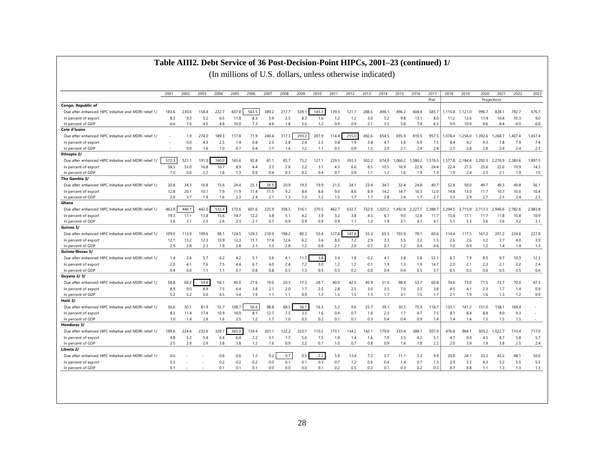#### **Table AIII2. Debt Service of 36 Post-Decision-Point HIPCs, 2001–23 (continued) 1/**

|                                                       | 2001  | 2002  | 2003  | 2004  | 2005  | 2006  | 2007  | 2008  | 2009  | 2010  | 2011  | 2012  | 2013  | 2014   | 2015    | 2016    | 2017    | 2018    | 2019    | 2020    | 2021        | 2022    | 2023    |
|-------------------------------------------------------|-------|-------|-------|-------|-------|-------|-------|-------|-------|-------|-------|-------|-------|--------|---------|---------|---------|---------|---------|---------|-------------|---------|---------|
|                                                       |       |       |       |       |       |       |       |       |       |       |       |       |       |        |         |         | Prel.   |         |         |         | Projections |         |         |
| Congo, Republic of                                    |       |       |       |       |       |       |       |       |       |       |       |       |       |        |         |         |         |         |         |         |             |         |         |
| Due after enhanced HIPC Initiative and MDRI relief 1/ | 183.6 | 230.6 | 158.4 | 222.7 | 607.8 | 563.5 | 389.2 | 217.7 | 539.  | 145.3 | 139.3 | 121.7 | 288.5 | 496.1  | 496.2   | 604.4   | 585.7   | .115.8  | 1.121.0 | 996.7   | 828.1       | 792.7   | 676.7   |
| In percent of export                                  | 8.3   | 9.3   | 5.2   | 6.5   | 11.8  | 8.3   | 5.9   | 2.5   | 8.3   | 1.6   | 1.2   | 1.2   | 3.0   | 5.2    | 9.8     | 13.1    | 8.0     | 11.2    | 12.6    | 11.4    | 10.4        | 10.3    | 9.0     |
| In percent of GDP                                     | 6.6   | 7.6   | 4.5   | 4.8   | 10.0  | 7.3   | 4.6   | 1.8   | 5.6   | 1.2   | 0.9   | 0.9   | 2.1   | 3.5    | 5.8     | 7.8     | 6.5     | 9.9     | 10.9    | 9.6     | 8.4         | 8.0     | 6.8     |
| Cote d'Ivoire                                         |       |       |       |       |       |       |       |       |       |       |       |       |       |        |         |         |         |         |         |         |             |         |         |
| Due after enhanced HIPC Initiative and MDRI relief 1/ |       | 1.9   | 274.0 | 189.3 | 117.8 | 71.9  | 240.4 | 317.3 | 293.2 | 287.9 | 114.4 | 255.0 | 492.6 | 654.5  | 695.9   | 810.5   | 957.5   | .078.4  | .256.0  | 1.392.6 | 1.268.7     | 1.407.4 | 1.457.4 |
| In percent of export                                  |       | 0.0   | 4.3   | 2.5   | 1.4   | 0.8   | 2.5   | 2.8   | 2.4   | 2.3   | 0.8   | 1.9   | 3.8   | 4.7    | 5.6     | 6.9     | 7.5     | 8.4     | 9.2     | 9.3     | 7.8         | 7.9     | 7.4     |
| In percent of GDP                                     |       | 0.0   | 1.6   | 1.0   | 0.7   | 0.4   | 1.1   | 1.4   | 1.2   | 1.1   | 0.5   | 0.9   | 1.5   | 2.0    | 2.1     | 2.4     | 2.4     | 2.5     | 2.8     | 2.8     | 2.4         | 2.4     | 2.3     |
| Ethiopia 2/                                           |       |       |       |       |       |       |       |       |       |       |       |       |       |        |         |         |         |         |         |         |             |         |         |
| Due after enhanced HIPC Initiative and MDRI relief 1/ | 572.3 | 521.1 | 191.3 | 160.0 | 165.6 | 92.8  | 81.7  | 85.7  | 75.2  | 127.1 | 229.5 | 393.3 | 502.2 | 674.9  | .060.2  | .380.2  | 1.519.3 | 577.8   | 2.184.4 | 2.292.3 | 2,276.9     | 2.283.6 | 1.897.5 |
| In percent of export                                  | 58.5  | 53.0  | 16.8  | 10.7  | 8.9   | 4.4   | 3.3   | 2.8   | 2.2   | 3.1   | 4.3   | 6.6   | 8.5   | 10.5   | 16.9    | 22.8    | 24.4    | 22.4    | 27.5    | 25.6    | 22.6        | 19.9    | 14.5    |
| In percent of GDP                                     | 7.0   | 6.6   | 2.2   | 1.6   | 1.3   | 0.6   | 0.4   | 0.3   | 0.2   | 0.4   | 0.7   | 0.9   | 1.1   | 1.2    | 1.6     | 1.9     | 1.9     | 1.9     | 2.4     | 2.3     | 2.1         | 1.9     | 1.5     |
| The Gambia 3/                                         |       |       |       |       |       |       |       |       |       |       |       |       |       |        |         |         |         |         |         |         |             |         |         |
| Due after enhanced HIPC Initiative and MDRI relief 1/ | 20.8  | 34.3  | 16.8  | 15.6  | 24.4  | 25.3  | 26.5  | 20.9  | 19.3  | 19.9  | 21.5  | 24.1  | 23.4  | 34.7   | 32.4    | 24.8    | 40.7    | 52.8    | 50.0    | 49.7    | 49.3        | 49.8    | 56.1    |
| In percent of export                                  | 12.8  | 20.1  | 10.1  | 7.9   | 11.9  | 11.4  | 11.5  | 9.2   | 8.4   | 8.8   | 9.0   | 8.6   | 8.9   | 14.2   | 14.7    | 10.3    | 12.0    | 14.8    | 13.0    | 11.7    | 10.7        | 10.0    | 10.4    |
| In percent of GDP                                     | 2.0   | 3.7   | 1.9   | 1.6   | 2.3   | 2.4   | 2.1   | 1.3   | 1.3   | 1.2   | 1.5   | 1.7   | 1.7   | 2.8    | 2.4     | 1.7     | 2.7     | 3.3     | 2.9     | 2.7     | 2.5         | 2.4     | 2.5     |
| Ghana                                                 |       |       |       |       |       |       |       |       |       |       |       |       |       |        |         |         |         |         |         |         |             |         |         |
| Due after enhanced HIPC Initiative and MDRI relief 1/ | 463.9 | 446.1 | 442.0 | 532.4 | 573.6 | 601.6 | 225.9 | 358.5 | 316.1 | 370.5 | 462.7 | 632.7 | 732.9 | .025.2 | 1.492.8 | 2.227.7 | 2.388.7 | 3.294.5 | 3.715.9 | 2.713.3 | 2.946.6     | 2.782.6 | 2.983.8 |
| In percent of export                                  | 19.3  | 17.1  | 13.8  | 15.6  | 14.7  | 12.2  | 3.8   | 5.1   | 4.2   | 3.9   | 3.2   | 3.8   | 4.5   | 6.7    | 9.0     | 12.8    | 11.7    | 15.8    | 17.1    | 11.7    | 11.8        | 10.8    | 10.9    |
| In percent of GDP                                     | 3.8   | 3.1   | 2.5   | 2.6   | 2.3   | 2.1   | 0.7   | 0.9   | 0.9   | 0.9   | 0.9   | 1.1   | 1.2   | 1.9    | 3.1     | 4.1     | 4.1     | 5.1     | 5.3     | 3.6     | 3.6         | 3.2     | 3.1     |
| Guinea 3/                                             |       |       |       |       |       |       |       |       |       |       |       |       |       |        |         |         |         |         |         |         |             |         |         |
| Due after enhanced HIPC Initiative and MDRI relief 1/ | 109.0 | 113.9 | 109.6 | 98.1  | 124.5 | 129.3 | 210.9 | 198.2 | 80.2  | 55.4  | 127.8 | 147.8 | 55.3  | 65.5   | 103.0   | 78.1    | 60.6    | 114.4   | 117.5   | 161.2   | 201.2       | 224.6   | 227.8   |
| In percent of export                                  | 12.1  | 13.2  | 12.3  | 10.9  | 12.3  | 11.1  | 17.4  | 12.6  | 6.2   | 3.6   | 8.3   | 7.2   | 2.9   | 3.3    | 5.5     | 3.2     | 1.5     | 2.6     | 2.6     | 3.2     | 3.7         | 4.0     | 3.9     |
| In percent of GDP                                     | 2.9   | 2.8   | 2.3   | 1.9   | 2.8   | 3.1   | 3.3   | 2.8   | 1.2   | 0.8   | 2.1   | 2.0   | 0.7   | 0.7    | 1.2     | 0.9     | 0.6     | 1.0     | 0.9     | 1.2     | 1.4         | 1.4     | 1.3     |
| Guinea-Bissau 3/                                      |       |       |       |       |       |       |       |       |       |       |       |       |       |        |         |         |         |         |         |         |             |         |         |
| Due after enhanced HIPC Initiative and MDRI relief 1/ | 1.4   | 2.6   | 5.7   | 6.2   | 4.2   | 5.1   | 5.6   | 4.1   | 11.3  | 3.8   | 3.4   | 1.8   | 0.2   | 4.1    | 3.8     | 5.8     | 52.1    | 6.7     | 7.9     | 9.5     | 9.7         | 10.3    | 12.3    |
| In percent of export                                  | 2.0   | 4.1   | 7.6   | 7.5   | 4.4   | 6.7   | 4.0   | 2.4   | 7.2   | 3.0   | 1.2   | 1.2   | 0.1   | 1.9    | 1.3     | 1.9     | 14.7    | 2.0     | 2.1     | 2.3     | 2.1         | 2.2     | 2.4     |
| In percent of GDP                                     | 0.4   | 0.6   | 1.1   | 1.1   | 0.7   | 0.8   | 0.8   | 0.5   | 1.3   | 0.5   | 0.3   | 0.2   | 0.0   | 0.4    | 0.4     | 0.5     | 3.7     | 0.5     | 0.5     | 0.6     | 0.5         | 0.5     | 0.6     |
| Guyana 2/3/                                           |       |       |       |       |       |       |       |       |       |       |       |       |       |        |         |         |         |         |         |         |             |         |         |
| Due after enhanced HIPC Initiative and MDRI relief 1/ | 58.8  | 60.2  | 59.8  | 56.1  | 45.0  | 27.6  | 19.0  | 20.5  | 17.5  | 28.7  | 40.0  | 42.5  | 45.9  | 51.0   | 98.4    | 53.7    | 60.8    | 74.6    | 73.0    | 71.5    | 72.7        | 70.0    | 67.3    |
| In percent of export                                  | 8.9   | 9.0   | 8.9   | 7.5   | 6.4   | 3.8   | 2.1   | 2.0   | 1.7   | 2.5   | 2.8   | 2.5   | 3.0   | 3.5    | 7.0     | 3.3     | 3.8     | 4.5     | 4.1     | 2.3     | 1.7         | 1.4     | 0.9     |
| In percent of GDP                                     | 5.2   | 5.2   | 5.0   | 4.5   | 3.4   | 1.9   | 1.1   | 1.1   | 0.9   | 1.3   | 1.5   | 1.5   | 1.5   | 1.7    | 3.1     | 1.5     | 1.7     | 2.1     | 1.9     | 1.6     | 1.3         | 1.2     | 0.9     |
| Haiti 2/                                              |       |       |       |       |       |       |       |       |       |       |       |       |       |        |         |         |         |         |         |         |             |         |         |
| Due after enhanced HIPC Initiative and MDRI relief 1/ | 36.6  | 50.1  | 81.9  | 55.7  | 108.7 | 56.6  | 98.8  | 68.5  | 36.1  | 16.3  | 5.2   | 9.6   | 25.7  | 39.1   | 30.5    | 75.9    | 118.7   | 133.1   | 141.2   | 151.0   | 158.1       | 169.4   |         |
| In percent of export                                  | 8.3   | 11.4  | 17.4  | 10.9  | 18.0  | 8.1   | 12.7  | 7.5   | 3.5   | 1.6   | 0.4   | 0.7   | 1.6   | 2.3    | 1.7     | 4.7     | 7.5     | 8.1     | 8.4     | 8.8     | 9.0         | 9.3     |         |
| In percent of GDP                                     | 1.0   | 1.4   | 2.8   | 1.6   | 2.5   | 1.2   | 1.7   | 1.0   | 0.5   | 0.2   | 0.1   | 0.1   | 0.3   | 0.4    | 0.4     | 0.9     | 1.4     | 1.4     | 1.4     | 1.5     | 1.5         | 1.5     | $\sim$  |
| Honduras 3/                                           |       |       |       |       |       |       |       |       |       |       |       |       |       |        |         |         |         |         |         |         |             |         |         |
| Due after enhanced HIPC Initiative and MDRI relief 1/ | 189.6 | 224.6 | 232.6 | 329.7 | 365.0 | 134.4 | 201.1 | 122.2 | 323.7 | 110.2 | 173.1 | 134.2 | 142.1 | 179.0  | 333.4   | 388.7   | 507.9   | 476.8   | 984.1   | 503.2   | 1.022.7     | 710.4   | 717.0   |
| In percent of export                                  | 4.8   | 5.2   | 5.4   | 6.4   | 6.4   | 2.2   | 3.1   | 1.7   | 5.6   | 1.5   | 1.9   | 1.4   | 1.6   | 1.9    | 3.5     | 4.2     | 5.1     | 4.7     | 9.4     | 4.5     | 8.7         | 5.8     | 5.7     |
| In percent of GDP                                     | 2.5   | 2.9   | 2.9   | 3.8   | 3.8   | 1.2   | 1.6   | 0.9   | 2.2   | 0.7   | 1.0   | 0.7   | 0.8   | 0.9    | 1.6     | 1.8     | 2.2     | 2.0     | 3.9     | 1.9     | 3.8         | 2.5     | 2.4     |
| Liberia 2/                                            |       |       |       |       |       |       |       |       |       |       |       |       |       |        |         |         |         |         |         |         |             |         |         |
| Due after enhanced HIPC Initiative and MDRI relief 1/ | 0.6   |       |       | 0.6   | 0.6   | 1.2   | 0.2   | 0.7   | 0.5   | 2.2   | 5.8   | 13.4  | 7.3   | 3.7    | 11.1    | 5.3     | 9.9     | 20.8    | 24.1    | 33.2    | 43.2        | 48.1    | 50.0    |
| In percent of export                                  | 0.3   |       |       | 0.2   | 0.2   | 0.2   | 0.0   | 0.1   | 0.1   | 0.3   | 0.7   | 1.2   | 0.6   | 0.4    | 1.4     | 0.7     | 1.3     | 2.9     | 3.3     | 4.3     | 5.2         | 5.5     | 5.5     |
| In percent of GDP                                     | 0.1   |       |       | 0.1   | 0.1   | 0.1   | 0.0   | 0.0   | 0.0   | 0.1   | 0.2   | 0.5   | 0.2   | 0.1    | 0.3     | 0.2     | 0.3     | 0.7     | 0.8     | 1.1     | 1.3         | 1.3     | 1.3     |
|                                                       |       |       |       |       |       |       |       |       |       |       |       |       |       |        |         |         |         |         |         |         |             |         |         |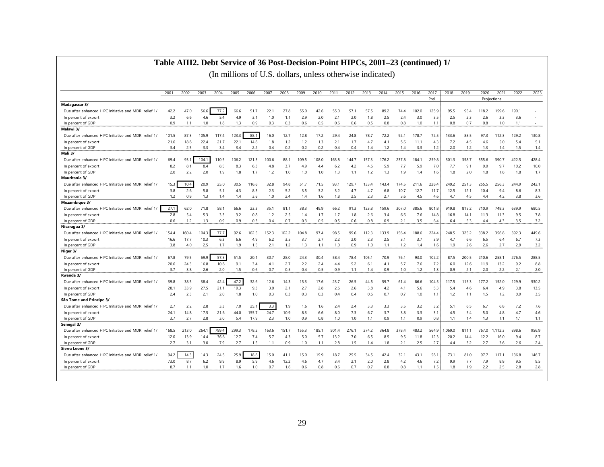#### **Table AIII2. Debt Service of 36 Post-Decision-Point HIPCs, 2001–23 (continued) 1/**

|                                                       | 2001  | 2002  | 2003  | 2004  | 2005  | 2006  | 2007  | 2008  | 2009  | 2010  | 2011  | 2012  | 2013  | 2014  | 2015  | 2016  | 2017  | 2018    | 2019  | 2020        | 2021    | 2022  | 2023  |
|-------------------------------------------------------|-------|-------|-------|-------|-------|-------|-------|-------|-------|-------|-------|-------|-------|-------|-------|-------|-------|---------|-------|-------------|---------|-------|-------|
|                                                       |       |       |       |       |       |       |       |       |       |       |       |       |       |       |       |       | Prel. |         |       | Projections |         |       |       |
| Madagascar 3/                                         |       |       |       |       |       |       |       |       |       |       |       |       |       |       |       |       |       |         |       |             |         |       |       |
| Due after enhanced HIPC Initiative and MDRI relief 1/ | 42.2  | 47.0  | 56.6  | 77.2  | 66.6  | 51.7  | 22.1  | 27.8  | 55.0  | 42.6  | 55.0  | 57.1  | 57.5  | 89.2  | 74.4  | 102.0 | 125.9 | 95.5    | 95.4  | 118.2       | 159.6   | 190.1 |       |
| In percent of export                                  | 3.2   | 6.6   | 4.6   | 5.4   | 4.9   | 3.1   | 1.0   | 1.1   | 2.9   | 2.0   | 2.1   | 2.0   | 1.8   | 2.5   | 2.4   | 3.0   | 3.5   | 2.5     | 2.3   | 2.6         | 3.3     | 3.6   |       |
| In percent of GDP                                     | 0.9   | 1.1   | 1.0   | 1.8   | 1.3   | 0.9   | 0.3   | 0.3   | 0.6   | 0.5   | 0.6   | 0.6   | 0.5   | 0.8   | 0.8   | 1.0   | 1.1   | 0.8     | 0.7   | 0.8         | 1.0     | 1.1   | ٠     |
| Malawi 3/                                             |       |       |       |       |       |       |       |       |       |       |       |       |       |       |       |       |       |         |       |             |         |       |       |
| Due after enhanced HIPC Initiative and MDRI relief 1/ | 101.5 | 87.3  | 105.9 | 117.4 | 123.3 | 88.1  | 16.0  | 12.7  | 12.8  | 17.2  | 29.4  | 24.8  | 78.7  | 72.2  | 92.1  | 178.7 | 72.5  | 133.6   | 88.5  | 97.3        | 112.3   | 129.2 | 130.8 |
| In percent of export                                  | 21.6  | 18.8  | 22.4  | 21.7  | 22.1  | 14.6  | 1.8   | 1.2   | 1.2   | 1.3   | 2.1   | 1.7   | 4.7   | 4.1   | 5.6   | 11.1  | 4.3   | 7.2     | 4.5   | 4.6         | 5.0     | 5.4   | 5.1   |
| In percent of GDP                                     | 3.4   | 2.5   | 3.3   | 3.4   | 3.4   | 2.2   | 0.4   | 0.2   | 0.2   | 0.2   | 0.4   | 0.4   | 1.4   | 1.2   | 1.4   | 3.3   | 1.2   | 2.0     | 1.2   | 1.3         | 1.4     | 1.5   | 1.4   |
| Mali 3/                                               |       |       |       |       |       |       |       |       |       |       |       |       |       |       |       |       |       |         |       |             |         |       |       |
| Due after enhanced HIPC Initiative and MDRI relief 1/ | 69.4  | 93.   | 104.1 | 110.5 | 106.2 | 121.3 | 100.6 | 88.1  | 109.5 | 108.0 | 163.8 | 144.7 | 157.3 | 176.2 | 237.8 | 184.1 | 259.8 | 301.3   | 358.7 | 355.6       | 390.7   | 422.5 | 428.4 |
| In percent of export                                  | 8.2   | 8.1   | 8.4   | 8.5   | 8.3   | 6.3   | 4.8   | 3.7   | 4.9   | 4.4   | 6.2   | 4.2   | 4.6   | 5.9   | 7.7   | 5.9   | 7.0   | 7.7     | 9.1   | 9.0         | 9.7     | 10.2  | 10.0  |
| In percent of GDP                                     | 2.0   | 2.2   | 2.0   | 1.9   | 1.8   | 1.7   | 1.2   | 1.0   | 1.0   | 1.0   | 1.3   | 1.1   | 1.2   | 1.3   | 1.9   | 1.4   | 1.6   | 1.8     | 2.0   | 1.8         | 1.8     | 1.8   | 1.7   |
| Mauritania 3/                                         |       |       |       |       |       |       |       |       |       |       |       |       |       |       |       |       |       |         |       |             |         |       |       |
| Due after enhanced HIPC Initiative and MDRI relief 1/ | 15.3  | 10.4  | 20.9  | 25.0  | 30.5  | 116.8 | 32.8  | 94.8  | 51.7  | 71.5  | 93.1  | 129.7 | 133.4 | 143.4 | 174.5 | 211.6 | 228.4 | 249.2   | 251.3 | 255.5       | 256.3   | 244.9 | 242.1 |
| In percent of export                                  | 3.8   | 2.6   | 5.8   | 5.1   | 4.3   | 8.3   | 2.3   | 5.2   | 3.5   | 3.2   | 3.2   | 4.7   | 4.7   | 6.8   | 10.7  | 12.7  | 11.7  | 12.5    | 12.1  | 10.4        | 9.4     | 8.6   | 8.3   |
| In percent of GDP                                     | 1.2   | 0.8   | 1.3   | 1.4   | 1.4   | 3.8   | 1.0   | 2.4   | 1.4   | 1.6   | 1.8   | 2.5   | 2.3   | 2.7   | 3.6   | 4.5   | 4.6   | 4.7     | 4.5   | 4.4         | 4.2     | 3.8   | 3.6   |
| Mozambique 3/                                         |       |       |       |       |       |       |       |       |       |       |       |       |       |       |       |       |       |         |       |             |         |       |       |
| Due after enhanced HIPC Initiative and MDRI relief 1/ | 27.1  | 62.0  | 71.8  | 58.1  | 66.6  | 23.3  | 35.1  | 81.1  | 38.3  | 49.9  | 66.2  | 91.3  | 123.8 | 159.6 | 307.0 | 385.6 | 801.8 | 919.8   | 815.2 | 710.9       | 748.3   | 639.9 | 680.5 |
| In percent of export                                  | 2.8   | 5.4   | 5.3   | 3.3   | 3.2   | 0.8   | 1.2   | 2.5   | 1.4   | 1.7   | 1.7   | 1.8   | 2.6   | 3.4   | 6.6   | 7.6   | 14.8  | 16.8    | 14.1  | 11.3        | 11.3    | 9.5   | 7.8   |
| In percent of GDP                                     | 0.6   | 1.2   | 1.3   | 0.9   | 0.9   | 0.3   | 0.4   | 0.7   | 0.3   | 0.5   | 0.5   | 0.6   | 0.8   | 0.9   | 2.1   | 3.5   | 6.4   | 6.4     | 5.3   | 4.4         | 4.3     | 3.5   | 3.2   |
| Nicaragua 3/                                          |       |       |       |       |       |       |       |       |       |       |       |       |       |       |       |       |       |         |       |             |         |       |       |
| Due after enhanced HIPC Initiative and MDRI relief 1/ | 154.4 | 160.4 | 104.3 | 77.7  | 92.6  | 102.5 | 152.3 | 102.2 | 104.8 | 97.4  | 98.5  | 99.6  | 112.3 | 133.9 | 156.4 | 188.6 | 224.4 | 248.5   | 325.2 | 338.2       | 356.8   | 392.3 | 449.6 |
| In percent of export                                  | 16.6  | 17.7  | 10.3  | 6.3   | 6.6   | 4.9   | 6.2   | 3.5   | 3.7   | 2.7   | 2.2   | 2.0   | 2.3   | 2.5   | 3.1   | 3.7   | 3.9   | 4.7     | 6.6   | 6.5         | 6.4     | 6.7   | 7.3   |
| In percent of GDP                                     | 3.8   | 4.0   | 2.5   | 1.7   | 1.9   | 1.5   | 2.1   | 1.2   | 1.3   | 1.1   | 1.0   | 0.9   | 1.0   | 1.1   | 1.2   | 1.4   | 1.6   | 1.9     | 2.6   | 2.6         | 2.7     | 2.9   | 3.2   |
| Niger 3/                                              |       |       |       |       |       |       |       |       |       |       |       |       |       |       |       |       |       |         |       |             |         |       |       |
| Due after enhanced HIPC Initiative and MDRI relief 1/ | 67.8  | 79.5  | 69.9  | 57.3  | 51.5  | 20.1  | 30.7  | 28.0  | 24.3  | 30.4  | 58.4  | 78.4  | 105.1 | 70.9  | 76.1  | 93.0  | 102.2 | 87.5    | 200.5 | 210.6       | 258.1   | 276.5 | 288.5 |
| In percent of export                                  | 20.6  | 24.3  | 16.8  | 10.8  | 9.1   | 3.4   | 4.1   | 2.7   | 2.2   | 2.4   | 4.4   | 5.2   | 6.1   | 4.1   | 5.7   | 7.6   | 7.2   | 6.0     | 12.6  | 11.9        | 13.2    | 9.2   | 8.8   |
| In percent of GDP                                     | 3.7   | 3.8   | 2.6   | 2.0   | 1.5   | 0.6   | 0.7   | 0.5   | 0.4   | 0.5   | 0.9   | 1.1   | 1.4   | 0.9   | 1.0   | 1.2   | 1.3   | 0.9     | 2.1   | 2.0         | 2.2     | 2.1   | 2.0   |
| Rwanda 3/                                             |       |       |       |       |       |       |       |       |       |       |       |       |       |       |       |       |       |         |       |             |         |       |       |
| Due after enhanced HIPC Initiative and MDRI relief 1/ | 39.8  | 38.5  | 38.4  | 42.   | 47.2  | 32.6  | 12.6  | 14.3  | 15.3  | 17.6  | 23.7  | 26.5  | 44.5  | 59.7  | 61.4  | 86.6  | 104.5 | 117.5   | 115.3 | 177.2       | 152.0   | 129.9 | 530.2 |
| In percent of export                                  | 28.1  | 33.9  | 27.5  | 21.1  | 19.3  | 9.3   | 3.0   | 2.1   | 2.7   | 2.8   | 2.6   | 2.6   | 3.8   | 4.2   | 4.1   | 5.6   | 5.3   | 5.4     | 4.6   | 6.4         | 4.9     | 3.8   | 13.5  |
| In percent of GDP                                     | 2.4   | 2.3   | 2.1   | 2.0   | 1.8   | 1.0   | 0.3   | 0.3   | 0.3   | 0.3   | 0.4   | 0.4   | 0.6   | 0.7   | 0.7   | 1.0   | 1.1   | 1.2     | 1.1   | 1.5         | 1.2     | 0.9   | 3.5   |
| São Tome and Principe 3/                              |       |       |       |       |       |       |       |       |       |       |       |       |       |       |       |       |       |         |       |             |         |       |       |
| Due after enhanced HIPC Initiative and MDRI relief 1/ | 2.7   | 2.2   | 2.8   | 3.3   | 7.0   | 25.7  | 3.3   | 1.9   | 1.6   | 1.6   | 2.4   | 2.4   | 3.3   | 3.3   | 3.5   | 3.2   | 3.2   | 5.1     | 6.5   | 6.7         | 6.8     | 7.2   | 7.6   |
| In percent of export                                  | 24.1  | 14.8  | 17.5  | 21.6  | 44.0  | 155.7 | 24.7  | 10.9  | 8.3   | 6.6   | 8.0   | 7.3   | 6.7   | 3.7   | 3.8   | 3.3   | 3.1   | 4.5     | 5.4   | 5.0         | 4.8     | 4.7   | 4.6   |
| In percent of GDP                                     | 3.7   | 2.7   | 2.8   | 3.0   | 5.4   | 17.9  | 2.3   | 1.0   | 0.9   | 0.8   | 1.0   | 1.0   | 1.1   | 0.9   | 1.1   | 0.9   | 0.8   | 1.1     | 1.4   | 1.3         | 1.1     | 1.1   | 1.1   |
| Senegal 3/                                            |       |       |       |       |       |       |       |       |       |       |       |       |       |       |       |       |       |         |       |             |         |       |       |
| Due after enhanced HIPC Initiative and MDRI relief 1/ | 168.5 | 213.0 | 264.1 | 799.4 | 299.3 | 178.2 | 163.6 | 151.7 | 155.3 | 185.1 | 501.4 | 276.1 | 274.2 | 364.8 | 378.4 | 483.2 | 564.9 | 1,069.0 | 811.1 | 767.0       | 1,112.3 | 898.6 | 956.9 |
| In percent of export                                  | 12.0  | 13.9  | 14.4  | 36.6  | 12.7  | 7.4   | 5.7   | 4.3   | 5.0   | 5.7   | 13.2  | 7.0   | 6.5   | 8.5   | 9.5   | 11.8  | 12.3  | 20.2    | 14.4  | 12.2        | 16.0    | 9.4   | 8.7   |
| In percent of GDP                                     | 2.7   | 3.1   | 3.0   | 7.9   | 2.7   | 1.5   | 1.1   | 0.9   | 1.0   | 1.1   | 2.8   | 1.5   | 1.4   | 1.8   | 2.1   | 2.5   | 2.7   | 4.4     | 3.2   | 2.7         | 3.6     | 2.6   | 2.4   |
| Sierra Leone 3/                                       |       |       |       |       |       |       |       |       |       |       |       |       |       |       |       |       |       |         |       |             |         |       |       |
| Due after enhanced HIPC Initiative and MDRI relief 1/ | 94.2  | 14.3  | 14.3  | 24.5  | 25.9  | 18.6  | 15.0  | 41.1  | 15.0  | 19.9  | 18.7  | 25.5  | 34.5  | 42.4  | 32.1  | 43.1  | 58.   | 73.1    | 81.0  | 97.7        | 117.1   | 136.8 | 146.7 |
| In percent of export                                  | 73.0  | 8.7   | 6.2   | 9.9   | 8.9   | 5.9   | 4.6   | 12.2  | 4.6   | 4.7   | 3.4   | 2.1   | 2.0   | 2.8   | 4.2   | 4.6   | 7.2   | 9.9     | 7.7   | 7.9         | 8.8     | 9.5   | 9.5   |
| In percent of GDP                                     | 8.7   | 1.1   | 1.0   | 1.7   | 1.6   | 1.0   | 0.7   | 1.6   | 0.6   | 0.8   | 0.6   | 0.7   | 0.7   | 0.8   | 0.8   | 1.1   | 1.5   | 1.8     | 1.9   | 2.2         | 2.5     | 2.8   | 2.8   |
|                                                       |       |       |       |       |       |       |       |       |       |       |       |       |       |       |       |       |       |         |       |             |         |       |       |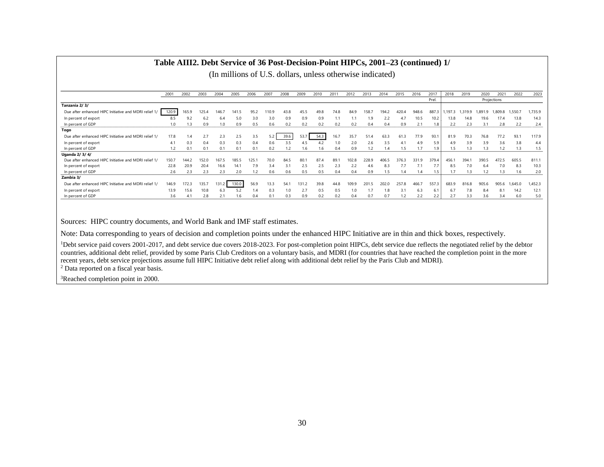|                                                       |       |       |       |       |       |       |       | (In millions of U.S. dollars, unless otherwise indicated) |       |      |      |       |       |       |       |       |       |       |         |        |             |         |         |
|-------------------------------------------------------|-------|-------|-------|-------|-------|-------|-------|-----------------------------------------------------------|-------|------|------|-------|-------|-------|-------|-------|-------|-------|---------|--------|-------------|---------|---------|
|                                                       |       |       |       |       |       |       |       |                                                           |       |      |      |       |       |       |       |       |       |       |         |        |             |         |         |
|                                                       | 2001  | 2002  | 2003  | 2004  | 2005  | 2006  | 2007  | 2008                                                      | 2009  | 2010 | 201  | 2012  | 2013  | 2014  | 2015  | 2016  | 2017  | 2018  | 2019    | 2020   | 202         | 2022    | 2023    |
|                                                       |       |       |       |       |       |       |       |                                                           |       |      |      |       |       |       |       |       | Prel. |       |         |        | Projections |         |         |
| Tanzania 2/3/                                         |       |       |       |       |       |       |       |                                                           |       |      |      |       |       |       |       |       |       |       |         |        |             |         |         |
| Due after enhanced HIPC Initiative and MDRI relief 1/ | 120.9 | 165.9 | 125.4 | 146.7 | 141.5 | 95.2  | 110.9 | 43.8                                                      | 45.5  | 49.8 | 74.8 | 84.9  | 158.7 | 194.2 | 420.4 | 948.6 | 887.3 | 197.3 | 1,319.9 | .891.9 | 1,809.8     | 1,550.7 | 1,735.9 |
| In percent of export                                  | 8.5   | 9.2   | 6.2   | 6.4   | 5.0   | 3.0   | 3.0   | 0.9                                                       | 0.9   | 0.9  |      |       | 1.9   | 2.2   | 4.7   | 10.5  | 10.2  | 13.8  | 14.8    | 19.6   | 17.4        | 13.8    | 14.3    |
| In percent of GDP                                     | 1.0   | 1.3   | 0.9   | 1.0   | 0.9   | 0.5   | 0.6   | 0.2                                                       | 0.2   | 0.2  | 0.2  | 0.2   | 0.4   | 0.4   | 0.9   | 2.1   | 1.8   | 2.2   | 2.3     | 3.1    | 2.8         | 2.2     | 2.4     |
| Togo                                                  |       |       |       |       |       |       |       |                                                           |       |      |      |       |       |       |       |       |       |       |         |        |             |         |         |
| Due after enhanced HIPC Initiative and MDRI relief 1/ | 17.8  | 1.4   | 2.7   | 2.3   | 2.5   | 3.5   | 5.2   | 39.6                                                      | 53.7  | 54.3 | 16.7 | 35.7  | 51.4  | 63.3  | 61.3  | 77.9  | 93.   | 81.9  | 70.3    | 76.8   | 77.2        | 93.1    | 117.9   |
| In percent of export                                  | 4.1   | 0.3   | 0.4   | 0.3   | 0.3   | 0.4   | 0.6   | 3.5                                                       | 4.5   | 4.2  | 1.0  | 2.0   | 2.6   | 3.5   | 4.1   | 4.9   | 5.9   | 4.9   | 3.9     | 3.9    | 3.6         | 3.8     | 4.4     |
| In percent of GDP                                     | 1.2   |       | 0.1   | 0.1   | 0.1   | 0.1   | 0.2   | 1.2                                                       | 1.6   | 1.6  | 0.4  | 0.9   | 1.2   | 1.4   | 1.5   | 1.7   | 1.9   | 1.5   | 1.3     | 1.3    | 1.2         | 1.3     | 1.5     |
| Uganda 2/ 3/ 4/                                       |       |       |       |       |       |       |       |                                                           |       |      |      |       |       |       |       |       |       |       |         |        |             |         |         |
| Due after enhanced HIPC Initiative and MDRI relief 1/ | 150.7 | 144.2 | 152.0 | 167.5 | 185.5 | 125.7 | 70.0  | 84.5                                                      | 80.7  | 87.4 | 89.1 | 102.8 | 228.9 | 406.5 | 376.3 | 331.9 | 379.4 | 456.1 | 394.    | 390.5  | 472.5       | 605.5   | 811.1   |
| In percent of export                                  | 22.8  | 20.9  | 20.4  | 16.6  | 14.1  | 7.9   | 3.4   | 3.1                                                       | 2.5   | 2.5  | 2.3  | 2.2   | 4.6   | 8.3   | 7.7   | 7.1   | 1.1   | 8.5   | 7.0     | 6.4    | 7.0         | 8.3     | 10.3    |
| In percent of GDP                                     | 2.6   | 2.3   | 2.3   | 2.3   | 2.0   |       | 0.6   | 0.6                                                       | 0.5   | 0.5  | 0.4  | 0.4   | 0.9   | 1.5   | 1.4   | 1.4   | 1.5   | 1.7   | 1.3     |        | 1.3         | 1.6     | 2.0     |
| Zambia 3/                                             |       |       |       |       |       |       |       |                                                           |       |      |      |       |       |       |       |       |       |       |         |        |             |         |         |
| Due after enhanced HIPC Initiative and MDRI relief 1/ | 146.9 | 172.3 | 135.7 | 131.2 | 130.0 | 56.9  | 13.3  | 54.1                                                      | 131.2 | 39.8 | 44.8 | 109.9 | 201.5 | 202.0 | 257.8 | 466.7 | 557.3 | 683.9 | 816.8   | 905.6  | 905.6       | 1,645.0 | 1,452.3 |
| In percent of export                                  | 13.9  | 15.6  | 10.8  | 6.3   | 5.2   |       | 0.3   | 1.0                                                       | 2.7   | 0.5  | 0.5  | 1.0   |       | 1.8   | 3.1   | 6.3   | 6.1   | 6.7   | 7.8     | 8.4    | 8.1         | 14.2    | 12.1    |
| In percent of GDP                                     | 3.6   | 4.1   | 2.8   |       | 1.6   | 0.4   | 0.1   | 0.3                                                       | 0.9   | 0.2  | 0.2  | 0.4   | 0.7   | 0.7   | 1.2   | 2.2   | 2.2   | 2.7   | 3.3     | 3.6    | 3.4         | 6.0     | 5.0     |

#### **Table AIII2. Debt Service of 36 Post-Decision-Point HIPCs, 2001–23 (continued) 1/**

 $(T_{\text{in}} - 111)$  case of U.S. dollars, unless otherwise indicated)

Sources: HIPC country documents, and World Bank and IMF staff estimates.

Note: Data corresponding to years of decision and completion points under the enhanced HIPC Initiative are in thin and thick boxes, respectively.

<sup>1</sup>Debt service paid covers 2001-2017, and debt service due covers 2018-2023. For post-completion point HIPCs, debt service due reflects the negotiated relief by the debtor countries, additional debt relief, provided by some Paris Club Creditors on a voluntary basis, and MDRI (for countries that have reached the completion point in the more recent years, debt service projections assume full HIPC Initiative debt relief along with additional debt relief by the Paris Club and MDRI).

<sup>2</sup> Data reported on a fiscal year basis.

<sup>3</sup>Reached completion point in 2000.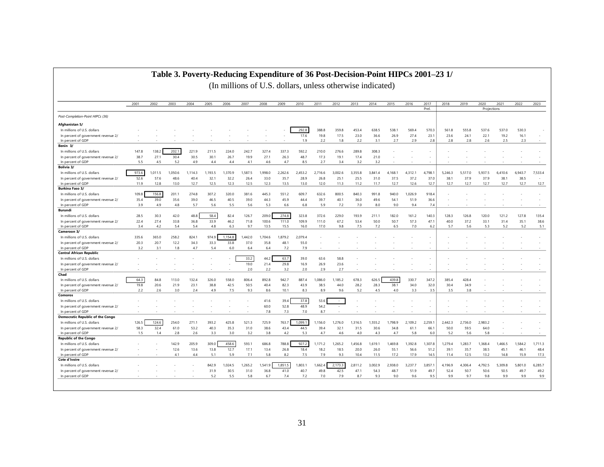#### **Table 3. Poverty-Reducing Expenditure of 36 Post-Decision-Point HIPCs 2001–23 1/**

|                                         | 2001  | 2002    | 2003    | 2004    | 2005    | 2006    | 2007    | 2008    | 2009    | 2010    | 2011    | 2012    | 2013    | 2014    | 2015    | 2016    | 2017    | 2018    | 2019    | 2020        | 2021    | 2022    | 2023    |
|-----------------------------------------|-------|---------|---------|---------|---------|---------|---------|---------|---------|---------|---------|---------|---------|---------|---------|---------|---------|---------|---------|-------------|---------|---------|---------|
|                                         |       |         |         |         |         |         |         |         |         |         |         |         |         |         |         |         | Prel.   |         |         | Projections |         |         |         |
| Post-Completion-Point HIPCs (36)        |       |         |         |         |         |         |         |         |         |         |         |         |         |         |         |         |         |         |         |             |         |         |         |
| Afghanistan 5/                          |       |         |         |         |         |         |         |         |         |         |         |         |         |         |         |         |         |         |         |             |         |         |         |
| In millions of U.S. dollars             |       |         |         |         |         |         |         |         |         | 292.8   | 388.8   | 359.8   | 453.4   | 638.5   | 538.1   | 569.4   | 570.3   | 561.8   | 555.8   | 537.6       | 537.0   | 530.3   |         |
| In percent of government revenue 2/     |       |         |         |         |         |         |         |         |         | 17.6    | 19.8    | 17.5    | 23.0    | 36.6    | 26.9    | 27.4    | 23.1    | 23.6    | 24.1    | 22.1        | 19.2    | 16.1    |         |
| In percent of GDP                       |       |         |         |         |         |         |         |         |         | 1.9     | 2.2     | 1.8     | 2.2     | 3.1     | 2.7     | 2.9     | 2.8     | 2.8     | 2.8     | 2.6         | 2.5     | 2.3     |         |
| Benin 3/                                |       |         |         |         |         |         |         |         |         |         |         |         |         |         |         |         |         |         |         |             |         |         |         |
| In millions of U.S. dollars             | 147.8 | 138.2   | 202.1   | 221.9   | 211.5   | 224.0   | 242.7   | 327.4   | 337.3   | 592.2   | 210.0   | 276.6   | 289.8   | 308.3   |         |         |         |         |         |             |         |         |         |
| In percent of government revenue 2/     | 38.7  | 27.1    | 30.4    | 30.5    | 30.1    | 26.7    | 19.9    | 27.1    | 26.3    | 48.7    | 17.3    | 19.1    | 17.4    | 21.0    |         |         |         |         |         |             |         |         |         |
| In percent of GDP                       | 5.5   | 4.5     | 5.2     | 4.9     | 4.4     | 4.4     | 4.1     | 4.6     | 4.7     | 8.5     | 2.7     | 3.4     | 3.2     | 3.2     |         |         |         |         |         |             |         |         |         |
| Bolivia 3/                              |       |         |         |         |         |         |         |         |         |         |         |         |         |         |         |         |         |         |         |             |         |         |         |
| In millions of U.S. dollars             | 973.6 | 1,011.5 | 1,050.6 | 1,114.3 | 1,193.5 | 1,370.9 | 1.587.5 | 1.998.0 | 2.262.6 | 2.453.2 | 2,716.6 | 3.002.6 | 3,355.8 | 3.841.4 | 4.168.1 | 4.312.1 | 4,798.  | 5,246.3 | 5.517.0 | 5.937.5     | 6.410.6 | 6.943.7 | 7.533.4 |
| In percent of government revenue 2/     | 52.6  | 57.6    | 48.6    | 40.4    | 32.1    | 32.2    | 26.4    | 33.0    | 35.7    | 28.9    | 26.8    | 25.1    | 25.5    | 31.0    | 37.5    | 37.2    | 37.0    | 38.1    | 37.9    | 37.9        | 38.1    | 38.5    |         |
| In percent of GDP                       | 11.9  | 12.8    | 13.0    | 12.7    | 12.5    | 12.3    | 12.5    | 12.3    | 13.5    | 13.0    | 12.0    | 11.3    | 11.2    | 11.7    | 12.7    | 12.6    | 12.7    | 12.7    | 12.7    | 12.7        | 12.7    | 12.7    | 12.7    |
| Burkina Faso 3/                         |       |         |         |         |         |         |         |         |         |         |         |         |         |         |         |         |         |         |         |             |         |         |         |
| In millions of U.S. dollars             | 109.8 | 156.8   | 201.1   | 274.8   | 307.2   | 320.0   | 381.6   | 445.3   | 551.2   | 609.7   | 632.6   | 800.5   | 840.3   | 991.8   | 940.0   | 1,026.9 | 918.4   |         |         |             |         |         |         |
| In percent of government revenue 2/     | 35.4  | 39.0    | 35.6    | 39.0    | 46.5    | 40.5    | 39.0    | 44.3    | 45.9    | 44.4    | 39.7    | 40.1    | 36.0    | 49.6    | 54.1    | 51.9    | 36.6    |         |         |             |         |         |         |
| In percent of GDP                       | 3.9   | 4.9     | 4.8     | 5.7     | 5.6     | 5.5     | 5.6     | 5.3     | 6.6     | 6.8     | 5.9     | 7.2     | 7.0     | 8.0     | 9.0     | 9.4     | 7.4     |         |         |             |         |         |         |
| Burundi                                 |       |         |         |         |         |         |         |         |         |         |         |         |         |         |         |         |         |         |         |             |         |         |         |
| In millions of U.S. dollars             | 28.5  | 30.3    | 42.0    | 48.8    | 58.4    | 82.4    | 126.7   | 209.0   | 274.8   | 323.8   | 372.6   | 229.0   | 193.9   | 211.1   | 182.0   | 161.2   | 140.3   | 128.3   | 126.8   | 120.0       | 121.2   | 127.8   | 135.4   |
| In percent of government revenue 2/     | 22.4  | 27.4    | 33.8    | 36.8    | 33.9    | 46.2    | 71.8    | 100.6   | 111.0   | 109.9   | 111.0   | 67.2    | 53.4    | 50.0    | 50.7    | 57.3    | 47.1    | 40.0    | 37.2    | 33.1        | 31.4    | 35.1    | 38.6    |
| In percent of GDP                       | 3.4   | 4.2     | 5.4     | 5.4     | 4.8     | 6.3     | 9.7     | 13.5    | 15.5    | 16.0    | 17.0    | 9.8     | 7.5     | 7.2     | 6.5     | 7.0     | 6.2     | 5.7     | 5.6     | 5.3         | 5.2     | 5.2     | 5.1     |
| Cameroon 3/                             |       |         |         |         |         |         |         |         |         |         |         |         |         |         |         |         |         |         |         |             |         |         |         |
| In millions of U.S. dollars             | 335.6 | 365.0   | 258.2   | 824.1   | 974.9   | 1,154.8 | 1,442.0 | 1,704.6 | 1,879.2 | 2,079.4 |         |         |         |         |         |         |         |         |         |             |         |         |         |
| In percent of government revenue 2/     | 20.3  | 20.7    | 12.2    | 34.3    | 33.3    | 33.8    | 37.0    | 35.8    | 48.1    | 55.0    |         |         |         |         |         |         |         |         |         |             |         |         |         |
| In percent of GDP                       | 3.2   | 3.1     | 1.8     | 4.7     | 5.4     | 6.0     | 6.4     | 6.4     | 7.2     | 7.9     |         |         |         |         |         |         |         |         |         |             |         |         |         |
| <b>Central African Republic</b>         |       |         |         |         |         |         |         |         |         |         |         |         |         |         |         |         |         |         |         |             |         |         |         |
| In millions of U.S. dollars             |       |         |         |         |         |         | 33.2    | 44.2    | 63.7    | 39.0    | 63.6    | 58.8    |         |         |         |         |         |         |         |             |         |         |         |
| In percent of government revenue 2/     |       |         |         |         |         |         | 19.0    | 21.4    | 29.8    | 16.9    | 26.9    | 23.6    |         |         |         |         |         |         |         |             |         |         |         |
| In percent of GDP                       |       |         |         |         |         |         | 2.0     | 2.2     | 3.2     | 2.0     | 2.9     | 2.7     |         |         |         |         |         |         |         |             |         |         |         |
| Chad                                    |       |         |         |         |         |         |         |         |         |         |         |         |         |         |         |         |         |         |         |             |         |         |         |
| In millions of U.S. dollars             | 64.3  | 84.8    | 113.0   | 132.4   | 326.0   | 558.0   | 806.4   | 892.8   | 942.7   | 887.4   | 1,086.0 | 1,185.2 | 678.3   | 626.5   | 439.8   | 330.7   | 347.2   | 385.4   | 428.4   |             |         |         |         |
| In percent of government revenue 2/     | 19.8  | 20.6    | 21.9    | 23.1    | 38.8    | 42.5    | 50.5    | 40.4    | 82.3    | 43.9    | 38.5    | 44.0    | 28.2    | 28.3    | 38.1    | 34.0    | 32.0    | 30.4    | 34.9    |             |         |         |         |
| In percent of GDP                       | 2.2   | 2.6     | 3.0     | 2.4     | 4.9     | 7.5     | 9.3     | 8.6     | 10.1    | 8.3     | 8.9     | 9.6     | 5.2     | 4.5     | 4.0     | 3.3     | 3.5     | 3.5     | 3.8     |             |         |         |         |
| Comoros                                 |       |         |         |         |         |         |         |         |         |         |         |         |         |         |         |         |         |         |         |             |         |         |         |
| In millions of U.S. dollars             |       |         |         |         |         |         |         | 41.6    | 39.4    | 37.8    | 53.6    |         |         |         |         |         |         |         |         |             |         |         |         |
| In percent of government revenue 2/     |       |         |         |         |         |         |         | 60.0    | 52.8    | 48.9    | 54.2    | ÷       |         |         |         |         |         |         |         |             |         |         |         |
| In percent of GDP                       |       |         |         |         |         |         |         | 7.8     | 7.3     | 7.0     | 8.7     |         |         |         |         |         |         |         |         |             |         |         |         |
| <b>Democratic Republic of the Congo</b> |       |         |         |         |         |         |         |         |         |         |         |         |         |         |         |         |         |         |         |             |         |         |         |
| In millions of U.S. dollars             | 126.5 | 124.6   | 254.0   | 271.1   | 393.2   | 425.8   | 521.3   | 725.9   | 763.7   | 1,099.1 | 1,156.0 | 1,276.0 | 1,316.5 | 1,555.2 | 1,798.9 | 2,109.2 | 2,259.  | 2,442.3 | 2,736.0 | 2,983.2     |         |         |         |
| In percent of government revenue 2/     | 58.3  | 32.4    | 61.0    | 53.2    | 40.3    | 35.3    | 31.0    | 38.6    | 43.4    | 44.5    | 39.4    | 32.1    | 31.5    | 30.6    | 34.8    | 61.1    | 66.1    | 50.0    | 59.5    | 64.0        |         |         |         |
| In percent of GDP                       | 1.5   | 1.4     | 2.8     | 2.6     | 3.3     | 3.0     | 3.2     | 3.8     | 4.2     | 5.3     | 4.7     | 4.6     | 4.0     | 4.3     | 4.7     | 5.8     | 6.0     | 5.2     | 5.6     | 5.8         |         |         |         |
| <b>Republic of the Congo</b>            |       |         |         |         |         |         |         |         |         |         |         |         |         |         |         |         |         |         |         |             |         |         |         |
| In millions of U.S. dollars             |       |         | 142.9   | 205.9   | 309.0   | 458.6   | 593.1   | 686.8   | 788.8   | 927.2   | 1,171.2 | 1,265.2 | 1,456.8 | 1,619.1 | 1,469.8 | 1,392.8 | 1,307.8 | 1,279.4 | 1,283.7 | 1,368.4     | 1,466.5 | 1,584.2 | 1,711.3 |
| In percent of government revenue 2/     |       |         | 12.6    | 13.6    | 13.8    | 12.7    | 17.1    | 13.4    | 26.8    | 18.4    | 18.2    | 18.5    | 20.0    | 26.0    | 55.1    | 56.6    | 51.2    | 39.1    | 35.7    | 38.5        | 45.1    | 46.1    | 48.4    |
| In percent of GDP                       |       |         | 4.1     | 4.4     | 5.1     | 5.9     | 7.1     | 5.8     | 8.2     | 7.5     | 7.9     | 9.3     | 10.4    | 11.5    | 17.2    | 17.9    | 14.5    | 11.4    | 12.5    | 13.2        | 14.8    | 15.9    | 17.3    |
| Cote d'Ivoire                           |       |         |         |         |         |         |         |         |         |         |         |         |         |         |         |         |         |         |         |             |         |         |         |
| In millions of U.S. dollars             |       |         |         |         | 842.9   | 1.024.5 | 1.265.2 | 1.541.9 | 1,851.5 | 1,803.1 | 1.662.4 | 2,173.3 | 2.811.2 | 3.002.9 | 2.938.0 | 3.237.7 | 3.857.1 | 4,196.9 | 4.306.4 | 4,792.5     | 5.309.8 | 5.801.0 | 6.285.7 |
|                                         |       |         |         |         |         |         |         |         |         |         |         |         |         |         |         |         |         |         |         |             |         |         |         |
| In percent of government revenue 2/     |       |         |         |         | 31.9    | 30.5    | 31.0    | 36.8    | 41.0    | 40.7    | 49.8    | 42.5    | 47.1    | 54.3    | 48.7    | 51.9    | 49.7    | 52.4    | 50.7    | 50.6        | 50.5    | 49.7    | 49.2    |
| In percent of GDP                       |       |         |         |         | 5.2     | 5.5     | 5.8     | 6.7     | 7.4     | 7.2     | 7.0     | 7.9     | 8.7     | 9.3     | 9.0     | 9.6     | 9.5     | 9.9     | 9.7     | 9.8         | 9.9     | 9.9     | 9.9     |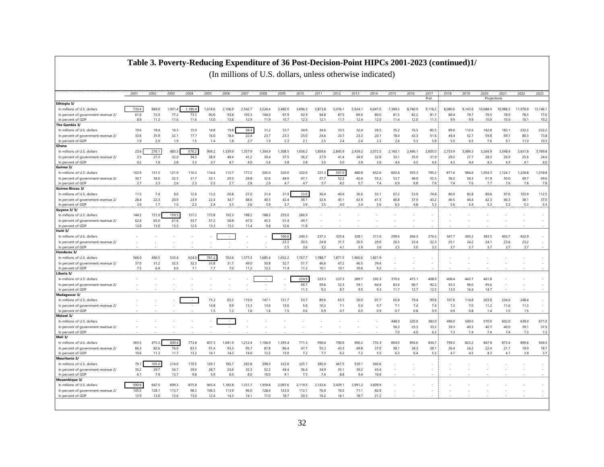#### **Table 3. Poverty-Reducing Expenditure of 36 Post-Decision-Point HIPCs 2001-2023 (continued)1/**

|                                                          | 2001        | 2002        | 2003        | 2004        | 2005        | 2006        | 2007        | 2008        | 2009        | 2010        | 2011        | 2012        | 2013        | 2014        | 2015        | 2016        | 2017        | 2018        | 2019        | 2020        | 2021        | 2022         | 2023            |
|----------------------------------------------------------|-------------|-------------|-------------|-------------|-------------|-------------|-------------|-------------|-------------|-------------|-------------|-------------|-------------|-------------|-------------|-------------|-------------|-------------|-------------|-------------|-------------|--------------|-----------------|
|                                                          |             |             |             |             |             |             |             |             |             |             |             |             |             |             |             |             | Prel.       |             |             | Projections |             |              |                 |
| Ethiopia 5/                                              |             |             |             |             |             |             |             |             |             |             |             |             |             |             |             |             |             |             |             |             |             |              |                 |
| In millions of U.S. dollars                              | 733.4       | 884.0       | 1,001.      | 1,180.4     | 1,618.6     | 2,106.9     | 2,542.7     | 3,224.4     | 3,482.0     | 3,696.3     | 3,873.8     | 5,076.1     | 5,924.1     | 6,647.0     | 7,389.5     | 8,740.9     | 9,116.2     | 8,080.6     | 9,143.6     | 10,048.4    | 10,988.3    | 11,978.9     | 13, 146.1       |
| In percent of government revenue 2/                      | 61.0        | 72.9        | 77.2        | 73.3        | 90.0        | 93.8        | 105.3       | 104.0       | 97.9        | 92.9        | 94.8        | 87.5        | 89.0        | 89.0        | 81.5        | 82.2        | 81.7        | 80.4        | 79.7        | 79.5        | 78.9        | 78.3         | 77.0            |
| In percent of GDP                                        | 8.9         | 11.3        | 11.6        | 11.6        | 13.0        | 13.8        | 12.9        | 11.9        | 10.7        | 12.3        | 12.1        | 11.7        | 12.4        | 12.0        | 11.4        | 12.0        | 11.3        | 9.9         | 9.9         | 10.0        | 10.0        | 10.1         | 10.2            |
| The Gambia 3/                                            |             |             |             |             |             |             |             |             |             |             |             |             |             |             |             |             |             |             |             |             |             |              |                 |
| In millions of U.S. dollars                              | 19.6        | 18.4        | 16.3        | 15.0        | 14.8        | 19.8        | 34.4        | 31.2        | 33.7        | 34.9        | 34.6        | 33.5        | 32.4        | 28.5        | 35.2        | 76.5        | 85.5        | 89.6        | 112.6       | 142.8       | 182.1       | 232.2        | 232.2           |
| In percent of government revenue 2/<br>In percent of GDP | 33.6<br>1.9 | 35.9<br>2.0 | 32.1<br>1.9 | 17.7<br>1.5 | 16.0        | 18.4<br>1.8 | 22.4<br>2.7 | 23.7<br>1.9 | 23.3<br>2.3 | 25.0<br>2.1 | 24.6<br>2.5 | 23.7<br>2.4 | 23.3<br>2.4 | 20.1<br>2.3 | 18.4<br>2.6 | 43.3<br>5.3 | 51.6<br>5.8 | 49.4<br>5.5 | 52.7<br>6.5 | 59.8<br>7.6 | 69.1        | 80.3<br>11.0 | 73.8<br>10.3    |
| Ghana                                                    |             |             |             |             | 1.4         |             |             |             |             |             |             |             |             |             |             |             |             |             |             |             | 9.1         |              |                 |
|                                                          |             |             | 483.3       | 676.2       |             |             |             |             |             |             |             |             |             |             |             |             |             |             |             |             |             |              |                 |
| In millions of U.S. dollars                              | 23.6        | 276.1       |             | 34.3        | 904.2       | 1,339.9     | 1.357.9     | 1.304.9     | 1,308.5     | 1,636.2     | 1,859.6     | 2.845.9     | 2,439.2     | 2.072.5     | 2,160.1     | 2,496.1     | 2,605.0     | 2,753.9     | 3,084.3     | 3.264.9     | 3,548.4     | 3,631.8      | 3,789.8<br>24.6 |
| In percent of government revenue 2/<br>In percent of GDP | 2.5<br>0.2  | 27.3<br>1.9 | 32.0<br>2.8 | 3.3         | 38.9<br>3.7 | 48.4<br>4.7 | 41.2<br>4.0 | 39.4<br>3.4 | 37.5<br>3.8 | 36.2<br>3.8 | 27.9<br>3.5 | 41.4<br>5.0 | 34.9<br>3.9 | 32.8<br>3.9 | 33.1<br>4.4 | 35.9<br>4.5 | 31.9<br>4.4 | 29.2<br>4.3 | 27.7<br>4.4 | 28.3<br>4.3 | 26.9<br>4.3 | 25.6<br>4.1  | 4.0             |
| Guinea 3/                                                |             |             |             |             |             |             |             |             |             |             |             |             |             |             |             |             |             |             |             |             |             |              |                 |
| In millions of U.S. dollars                              | 102.9       | 131.5       | 121.9       | 116.3       | 114.4       | 112.7       | 177.2       | 205.0       | 320.0       | 322.0       | 221.3       | 597.0       | 480.8       | 652.6       | 602.8       | 593.3       | 795.2       | 871.6       | 964.6       | 1.054.3     | 1.124.1     | 1.228.8      | 1.318.8         |
| In percent of government revenue 2/                      | 30.7        | 34.0        | 32.3        | 31.7        | 33.1        | 29.3        | 29.8        | 32.6        | 44.0        | 47.1        | 27.7        | 52.2        | 42.6        | 55.2        | 53.7        | 48.0        | 55.5        | 56.2        | 54.3        | 51.9        | 50.0        | 49.7         | 49.6            |
| In percent of GDP                                        | 2.7         | 3.3         | 2.6         | 2.3         | 2.5         | 2.7         | 2.8         | 2.9         | 4.7         | 4.7         | 3.7         | 8.2         | 5.7         | 7.4         | 6.9         | 6.8         | 7.6         | 7.4         | 7.6         | 7.7         | 7.6         | 7.8          | 7.8             |
| Guinea-Bissau 3/                                         |             |             |             |             |             |             |             |             |             |             |             |             |             |             |             |             |             |             |             |             |             |              |                 |
| In millions of U.S. dollars                              | 11.5        | 7.4         | 8.0         | 12.6        | 13.2        | 20.8        | 27.0        | 31.4        | 31.9        | 33.0        | 36.4        | 40.6        | 36.6        | 55.1        | 67.2        | 53.9        | 74.8        | 80.9        | 83.8        | 89.8        | 97.6        | 103.9        | 112.5           |
| In percent of government revenue 2/                      | 28.4        | 22.3        | 20.9        | 23.9        | 22.4        | 34.7        | 48.6        | 40.5        | 42.4        | 36.1        | 32.6        | 45.1        | 43.9        | 41.5        | 46.8        | 37.9        | 43.2        | 46.5        | 44.4        | 42.3        | 40.3        | 38.1         | 37.0            |
| In percent of GDP                                        | 3.0         | 1.7         | 1.5         | 2.2         | 2.4         | 3.3         | 3.6         | 3.9         | 3.7         | 3.9         | 3.5         | 4.0         | 3.4         | 5.6         | 6.5         | 4.8         | 5.3         | 5.6         | 5.4         | 5.3         | 5.3         | 5.3          | 5.3             |
| <b>Guyana 3/5/</b>                                       |             |             |             |             |             |             |             |             |             |             |             |             |             |             |             |             |             |             |             |             |             |              |                 |
| In millions of U.S. dollars                              | 144.3       | 151.0       | 159.5       | 157.2       | 173.8       | 192.3       | 198.2       | 188.2       | 255.0       | 266.9       |             |             |             |             |             |             |             |             |             |             |             |              | $\sim$          |
| In percent of government revenue 2/                      | 62.4        | 65.0        | 61.6        | 53.7        | 57.2        | 56.8        | 47.0        | 45.5        | 51.4        | 49.7        |             |             |             |             |             |             |             |             |             |             |             |              |                 |
| In percent of GDP                                        | 12.8        | 13.0        | 13.3        | 12.5        | 13.3        | 13.2        | 11.4        | 9.8         | 12.6        | 11.8        |             |             |             |             |             |             |             |             |             |             |             |              |                 |
| Haiti 5/                                                 |             |             |             |             |             |             |             |             |             |             |             |             |             |             |             |             |             |             |             |             |             |              |                 |
| In millions of U.S. dollars                              |             |             |             |             |             | $\sim$      |             |             | 166.6       | 240.3       | 237.3       | 325.4       | 328.1       | 311.6       | 299.6       | 244.3       | 276.2       | 347.7       | 365.2       | 383.5       | 402.7       | 422.9        | $\sim$          |
| In percent of government revenue 2/                      |             |             |             |             |             |             |             |             | 23.3        | 30.5        | 24.8        | 31.7        | 30.5        | 29.0        | 26.5        | 23.4        | 22.3        | 25.1        | 24.2        | 24.1        | 23.6        | 23.2         | $\sim$          |
| In percent of GDP                                        |             |             |             |             |             |             |             |             | 2.5         | 3.6         | 3.2         | 4.1         | 3.9         | 3.6         | 3.5         | 3.0         | 3.2         | 3.7         | 3.7         | 3.7         | 3.7         | 3.7          | $\sim$          |
| Honduras 3/                                              |             |             |             |             |             |             |             |             |             |             |             |             |             |             |             |             |             |             |             |             |             |              |                 |
| In millions of U.S. dollars                              | 566.0       | 496.5       | 533.4       | 624.0       | 741.2       | 763.6       | 1,377.3     | 1,685.4     | 1,652.2     | 1,767.7     | 1,788.7     | 1,871.5     | 1,960.6     | 1,821.9     |             |             |             |             |             |             |             |              | a.              |
| In percent of government revenue 2/                      | 37.0        | 31.2        | 32.5        | 32.3        | 33.8        | 31.7        | 49.0        | 50.8        | 52.7        | 51.7        | 46.6        | 47.2        | 46.5        | 39.4        |             |             |             |             |             |             |             |              |                 |
| In percent of GDP                                        | 7.5         | 6.4         | 6.6         | 7.1         | 7.7         | 7.0         | 11.2        | 12.2        | 11.4        | 11.2        | 10.1        | 10.1        | 10.6        | 9.2         |             |             |             |             |             |             |             |              |                 |
| Liberia 5/                                               |             |             |             |             |             |             |             |             |             |             |             |             |             |             |             |             |             |             |             |             |             |              |                 |
| In millions of U.S. dollars                              |             |             |             |             |             |             |             | $\sim$      |             | 224.9       | 223.3       | 237.3       | 289.7       | 292.3       | 370.6       | 415.1       | 408.9       | 408.4       | 443.7       | 461.8       |             |              | $\sim$          |
| In percent of government revenue 2/                      |             |             |             |             |             |             |             |             |             | 69.7        | 59.6        | 52.3        | 59.1        | 64.4        | 83.4        | 90.7        | 92.2        | 93.3        | 96.0        | 95.6        |             |              |                 |
| In percent of GDP                                        |             |             |             |             |             |             |             |             |             | 11.3        | 9.3         | 8.7         | 9.5         | 9.3         | 11.7        | 12.7        | 12.5        | 13.0        | 14.4        | 14.7        |             |              | $\sim$          |
| Madagascar 3/                                            |             |             |             |             |             |             |             |             |             |             |             |             |             |             |             |             |             |             |             |             |             |              |                 |
| In millions of U.S. dollars                              |             |             |             |             | 75.3        | 65.2        | 119.9       | 147.1       | 131.7       | 53.7        | 89.6        | 65.5        | 50.0        | 97.7        | 65.8        | 79.4        | 99.6        | 107.6       | 114.8       | 203.9       | 234.0       | 248.4        | $\sim$          |
| In percent of government revenue 2/                      |             |             |             |             | 14.8        | 9.9         | 13.3        | 13.6        | 15.6        | 5.6         | 10.3        | 7.1         | 5.0         | 9.7         | 7.1         | 7.4         | 7.4         | 7.2         | 7.0         | 11.2        | 11.6        | 11.3         | $\sim$          |
| In percent of GDP                                        |             |             |             |             | 1.5         | 1.2         | 1.6         | 1.6         | 1.5         | 0.6         | 0.9         | 0.7         | 0.5         | 0.9         | 0.7         | 0.8         | 0.9         | 0.9         | 0.8         | 1.4         | 1.5         | 1.5          | $\sim$          |
| Malawi 3/                                                |             |             |             |             |             |             |             |             |             |             |             |             |             |             |             |             |             |             |             |             |             |              |                 |
| In millions of U.S. dollars                              |             |             |             |             |             | $\sim$      |             |             |             |             |             |             |             |             | 448.9       | 220.0       | 383.0       | 496.0       | 540.0       | 570.0       | 602.0       | 639.0        | 671.0           |
| In percent of government revenue 2/                      |             |             |             |             |             |             |             |             |             |             |             |             |             |             | 56.3        | 25.3        | 33.3        | 39.3        | 40.3        | 40.7        | 40.0        | 39.1         | 37.5            |
| In percent of GDP                                        |             |             |             |             |             |             |             |             |             |             |             |             |             |             | 7.0         | 4.0         | 6.2         | 7.3         | 7.4         | 7.4         | 7.4         | 7.3          | 7.2             |
| Mali 3/                                                  |             |             |             |             |             |             |             |             |             |             |             |             |             |             |             |             |             |             |             |             |             |              |                 |
| In millions of U.S. dollars                              | 365.5       | 475.3       | 600.4       | 773.8       | 837.3       | 1.041.9     | 1.212.4     | 1.106.9     | 1.393.4     | 771.3       | 950.4       | 790.9       | 990.2       | 735.3       | 804.0       | 856.6       | 834.7       | 799.2       | 823.2       | 847.9       | 873.4       | 899.6        | 926.5           |
| In percent of government revenue 2/                      | 86.3        | 82.6        | 76.0        | 83.5        | 91.4        | 93.3        | 95.7        | 87.8        | 86.4        | 47.7        | 55.3        | 43.3        | 49.8        | 37.0        | 38.1        | 38.3        | 28.1        | 26.4        | 24.2        | 22.4        | 21.1        | 19.9         | 18.7            |
| In percent of GDP                                        | 10.6        | 11.3        | 11.7        | 13.2        | 14.1        | 14.3        | 14.0        | 12.2        | 13.0        | 7.2         | 7.7         | 6.2         | 7.2         | 5.5         | 6.3         | 6.4         | 5.2         | 4.7         | 4.5         | 4.3         | 4.1         | 3.9          | 3.7             |
| Mauritania 3/                                            |             |             |             |             |             |             |             |             |             |             |             |             |             |             |             |             |             |             |             |             |             |              |                 |
| In millions of U.S. dollars                              | 79.1        | 105.0       | 214.0       | 179.5       | 129.1       | 185.7       | 265.8       | 398.0       | 332.6       | 325.1       | 385.0       | 461.5       | 539.1       | 560.6       |             |             |             |             |             |             |             |              |                 |
| In percent of government revenue 2/                      | 35.2        | 29.7        | 54.7        | 39.0        | 28.7        | 23.6        | 35.3        | 52.2        | 44.4        | 36.4        | 34.9        | 35.1        | 39.2        | 43.4        |             |             |             |             |             |             |             |              |                 |
| In percent of GDP                                        | 6.1         | 7.9         | 13.7        | 9.8         | 5.9         | 6.0         | 8.0         | 10.0        | 9.1         | 7.5         | 7.4         | 8.8         | 9.4         | 10.4        |             |             |             |             |             |             |             |              |                 |
| Mozambique 3/                                            |             |             |             |             |             |             |             |             |             |             |             |             |             |             |             |             |             |             |             |             |             |              |                 |
| In millions of U.S. dollars                              | 590.6       | 647.5       | 699.3       | 875.8       | 943.4       | 1,183.8     | 1,331.7     | 1,958.8     | 2,097.6     | 2,119.5     | 2,132.6     | 2,439.1     | 2,991.2     | 3.609.9     |             |             |             |             |             |             |             |              |                 |
| In percent of government revenue 2/                      | 145.5       | 128.1       | 113.7       | 98.3        | 106.5       | 113.9       | 96.0        | 128.4       | 123.5       | 112.1       | 76.9        | 76.5        | 71.1        | 82.9        |             |             |             |             |             |             |             |              |                 |
| In percent of GDP                                        | 12.9        | 13.0        | 12.6        | 13.0        | 12.4        | 14.3        | 14.1        | 17.0        | 18.7        | 20.3        | 16.2        | 16.1        | 18.7        | 21.2        |             |             |             |             |             |             |             |              |                 |
|                                                          |             |             |             |             |             |             |             |             |             |             |             |             |             |             |             |             |             |             |             |             |             |              |                 |
|                                                          |             |             |             |             |             |             |             |             |             |             |             |             |             |             |             |             |             |             |             |             |             |              |                 |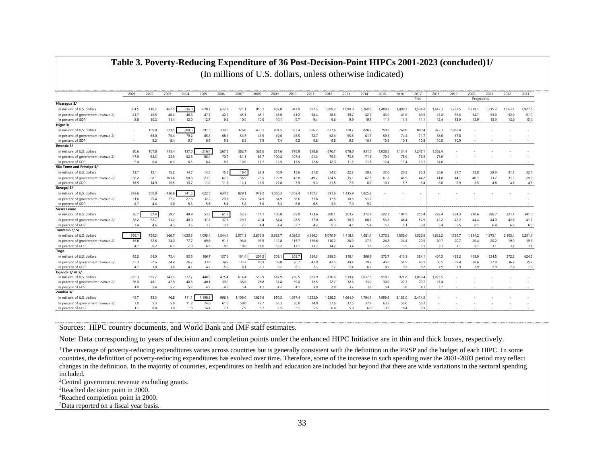|                                     | 2001  | 2002  | 2003  | 2004   | 2005    | 2006    | 2007    | 2008    | 2009    | 2010    | 2011    | 2012    | 2013    | 2014    | 2015    | 2016    | 2017    | 2018    | 2019    | 2020        | 2021    | 2022    | 2023    |
|-------------------------------------|-------|-------|-------|--------|---------|---------|---------|---------|---------|---------|---------|---------|---------|---------|---------|---------|---------|---------|---------|-------------|---------|---------|---------|
|                                     |       |       |       |        |         |         |         |         |         |         |         |         |         |         |         |         | Prel.   |         |         | Projections |         |         |         |
| Nicaragua 3/                        |       |       |       |        |         |         |         |         |         |         |         |         |         |         |         |         |         |         |         |             |         |         |         |
| In millions of U.S. dollars         | 361.5 | 410.7 | 467   | 536.0  | 620.7   | 632.3   | 771.7   | 850.1   | 837.0   | 847.9   | 922.5   | 1,009.2 | 1.090.0 | 1,268.5 | A08.8   | 1,499.2 | 1,534.8 | 1,642.3 | 1.767.5 | 1.779.1     | 1,815.2 | 1.863.1 | 1.927.5 |
| In percent of government revenue 2/ | 41.7  | 45.5  | 46.4  | 46.3   | 47.7    | 42.1    | 45.1    | 45.1    | 45.0    | 41.2    | 38.4    | 38.6    | 39.7    | 42.7    | 43.0    | 41.6    | 40.5    | 45.8    | 56.6    | 54.7        | 53.0    | 52.0    | 51.0    |
| In percent of GDF                   | 8.8   | 10.2  | 11.4  | 12.0   | 12.7    | 9.3     | 10.4    | 10.0    | 10.1    | 9.7     | 9.4     | 9.6     | 9.9     | 10.7    | 11.1    | 11.4    | 11.1    | 12.4    | 13.9    | 13.9        | 13.9    | 13.9    | 13.9    |
| Niger 3/                            |       |       |       |        |         |         |         |         |         |         |         |         |         |         |         |         |         |         |         |             |         |         |         |
| In millions of U.S. dollars         |       | 169.8 | 221.5 | 280.6  | 291.5   | 339.0   | 376.0   | 430.1   | 401.5   | 353.4   | 626.2   | 677.6   | 728.7   | 828.7   | 758.3   | 769.8   | 880.4   | 972.3   | 1.062.4 |             |         |         |         |
| In percent of government revenue 2/ |       | 68.0  | 75.4  | 79.2   | 85.3    | 68.1    | 54.7    | 46.9    | 49.6    | 45.5    | 72.7    | 62.4    | 55.5    | 61.7    | 59.5    | 74.4    | 71.7    | 65.0    | 67.8    |             |         |         |         |
| In percent of GDP                   |       | 8.2   | 8.4   | 9.7    | 8.6     | 9.3     | 8.8     | 7.9     | 7.4     | 6.2     | 9.8     | 9.8     | 9.5     | 10.1    | 10.5    | 10.1    | 10.8    | 10.5    | 10.9    |             |         |         |         |
| Rwanda 3/                           |       |       |       |        |         |         |         |         |         |         |         |         |         |         |         |         |         |         |         |             |         |         |         |
| In millions of U.S. dollars         | 90.6  | 107.8 | 115.4 | 137.0  | 216.4   | 267.2   | 382.7   | 568.6   | 671.6   | 778.8   | 818.8   | 876.7   | 878.0   | 931.5   | 1.028.5 | .134.4  | 1.247.1 | 1.362.4 |         |             |         |         |         |
| In percent of government revenue 2/ | 47.9  | 54.3  | 53.9  | 52.5   | 66.4    | 70.7    | 81.1    | 83.7    | 100.8   | 107.4   | 91.3    | 79.3    | 73.6    | 71.6    | 70.1    | 75.9    | 76.5    | 77.0    |         |             |         |         |         |
| In percent of GDP                   | 5.4   | 6.4   | 6.3   | 6.5    | 8.4     | 8.5     | 10.0    | 11.7    | 12.5    | 13.5    | 12.6    | 12.0    | 11.5    | 11.6    | 12.4    | 13.4    | 13.7    | 14.0    |         |             |         |         |         |
| São Tome and Principe 3/            |       |       |       |        |         |         |         |         |         |         |         |         |         |         |         |         |         |         |         |             |         |         |         |
| In millions of U.S. dollars         | 13.7  | 12.1  | 15.2  | 14.7   | 14.4    | 15.8    | 19.4    | 22.3    | 40.9    | 15.6    | 21.8    | 54.2    | 22.7    | 30.2    | 32.0    | 20.2    | 25.3    | 26.6    | 27.7    | 28.8        | 29.9    | 31.1    | 32.4    |
| In percent of government revenue 2/ | 138.2 | 98.1  | 101.6 | 90.3   | 23.9    | 67.6    | 36.9    | 76.5    | 129.9   | 42.8    | 49.7    | 124.6   | 35.1    | 62.5    | 61.8    | 41.9    | 44.2    | 41.8    | 44.1    | 40.1        | 33.7    | 31.3    | 29.2    |
| In percent of GDF                   | 18.9  | 14.9  | 15.5  | 13.7   | 11.0    | 11.3    | 13.1    | 11.9    | 21.8    | 7.9     | 9.3     | 21.5    | 7.5     | 8.7     | 10.1    | 5.7     | 6.4     | 6.0     | 5.9     | 5.5         | 4.8     | 4.6     | 4.5     |
| Senegal 3/                          |       |       |       |        |         |         |         |         |         |         |         |         |         |         |         |         |         |         |         |             |         |         |         |
| In millions of U.S. dollars         | 292.6 | 300.8 | 436.8 | 541.5  | 622.5   | 634.8   | 829.    | 949.2   | 1.030.3 | 1,102.4 | 1,167.7 | 591.6   | 1.335.9 | 1,825.2 |         |         |         |         |         |             |         |         |         |
| In percent of government revenue 2/ | 31.6  | 25.4  | 27.7  | 27.3   | 32.2    | 29.3    | 28.7    | 34.9    | 34.9    | 38.6    | 37.8    | 17.5    | 38.5    | 51.7    |         |         |         |         |         |             |         |         |         |
| In percent of GDP                   | 4.7   | 4.4   | 5.0   | 5.3    | 5.6     | 5.4     | 5.8     | 5.6     | 6.3     | 6.8     | 6.5     | 3.3     | 7.0     | 9.2     |         |         | $\sim$  |         |         |             |         |         |         |
| Sierra Leone                        |       |       |       |        |         |         |         |         |         |         |         |         |         |         |         |         |         |         |         |             |         |         |         |
| In millions of U.S. dollars         | 36.7  | 57.4  | 59.7  | 49.9   | 53.5    | 61.8    | 53.2    | 111.1   | 106.8   | 69.0    | 123.6   | 200.1   | 203.7   | 272.7   | 222.2   | 194.5   | 256.4   | 222.4   | 234.3   | 270.6       | 296.7   | 321.1   | 341.0   |
| In percent of government revenue 2/ | 38.2  | 52.7  | 53.2  | 40.0   | 37.7    | 37.1    | 29.5    | 49.4    | 54.4    | 28.5    | 37.0    | 46.3    | 38.9    | 60.7    | 53.8    | 48.4    | 57.9    | 42.2    | 42.2    | 44.4        | 44.0    | 42.6    | 41.7    |
| In percent of GDF                   | 3.4   | 4.6   | 4.3   | 3.5    | 3.2     | 3.3     | 2.5     | 4.4     | 4.4     | 2.7     | 4.2     | 5.3     | 4.1     | 5.4     | 5.2     | 5.1     | 6.8     | 5.4     | 5.5     | 6.1         | 6.4     | 6.6     | 6.6     |
| Tanzania 3/5/                       |       |       |       |        |         |         |         |         |         |         |         |         |         |         |         |         |         |         |         |             |         |         |         |
| In millions of U.S. dollars         | 595.1 | 799.3 | 860.7 | .023.6 | 1.095.4 | 1.544.1 | 2.071.3 | 2.876.9 | 3.685.7 | 4,026.3 | 4.366.3 | 5.070.9 | 1.418.3 | 1.681.9 | 1.376.2 | .558.6  | 1,526.6 | 1,632.2 | 1.739.7 | 1.854.2     | 1.973.1 | 2.105.4 | 2.251.9 |
| In percent of government revenue 2/ | 56.8  | 72.6  | 74.0  | 77.7   | 69.6    | 91.1    | 95.8    | 93.5    | 112.8   | 115.7   | 119.6   | 110.2   | 26.9    | 27.3    | 24.8    | 24.4    | 20.5    | 20.7    | 20.7    | 20.4        | 20.2    | 19.9    | 19.6    |
| In percent of GDF                   | 4.7   | 6.2   | 6.3   | 7.0    | 6.6     | 8.6     | 10.6    | 11.6    | 13.2    | 13.1    | 13.3    | 14.2    | 3.4     | 3.6     | 2.8     | 3.5     | 3.1     | 3.1     | 3.1     | 3.1         | 3.1     | 3.1     | 3.1     |
| <b>Togo</b>                         |       |       |       |        |         |         |         |         |         |         |         |         |         |         |         |         |         |         |         |             |         |         |         |
| In millions of U.S. dollars         | 69.2  | 64.0  | 75.4  | 93.5   | 106.7   | 137.6   | 161.4   | 201.2   | 209.1   | 209.7   | 284.3   | 299.3   | 318.1   | 308.6   | 372.7   | 413.3   | 394.1   | 404.3   | 439.2   | 479.9       | 524.5   | 572.2   | 624.6   |
| In percent of government revenue 2/ | 35.3  | 32.6  | 24.4  | 26.7   | 33.8    | 34.9    | 35.7    | 43.9    | 39.8    | 36.7    | 47.9    | 42.5    | 39.4    | 39.7    | 46.6    | 51.9    | 43.1    | 38.5    | 39.4    | 38.6        | 37.9    | 36.7    | 35.7    |
| In percent of GDF                   | 4.7   | 3.8   | 3.6   | 4.1    | 4.7     | 5.9     | 6.1     | 6.1     | 6.2     | 6.1     | 7.3     | 7.7     | 7.4     | 6.7     | 8.9     | 9.2     | 8.2     | 7.5     | 7.9     | 7.9         | 7.9     | 7.8     | 7.9     |
| Uganda 3/4/5/                       |       |       |       |        |         |         |         |         |         |         |         |         |         |         |         |         |         |         |         |             |         |         |         |
| In millions of U.S. dollars         | 235.3 | 335.7 | 343.1 | 377.7  | 448.5   | 475.4   | 614.4   | 559.9   | 687.9   | 730.5   | 783.9   | 876.6   | 919.4   | 1,037.5 | 918.2   | 921.8   | 1,069.4 | 1,025.5 |         |             |         |         |         |
| In percent of government revenue 2/ | 36.0  | 48.1  | 47.9  | 40.5   | 40.1    | 39.0    | 36.6    | 28.8    | 37.8    | 39.0    | 32.5    | 32.7    | 32.6    | 33.0    | 30.0    | 27.3    | 29.7    | 27.4    |         |             |         |         |         |
| In percent of GDF                   | 4.0   | 5.4   | 5.2   | 5.2    | 4.9     | 4.5     | 5.4     | 41      | 4.2     | 41      | 3.9     | 3.8     | 3.7     | 3.8     | 3.4     | 3.8     | 4.1     | 3.7     |         |             |         |         |         |
| Zambia 3/                           |       |       |       |        |         |         |         |         |         |         |         |         |         |         |         |         |         |         |         |             |         |         |         |
| In millions of U.S. dollars         | 45.7  | 35.3  | 46.8  | 111.1  | 1,198.9 | 906.4   | 1,109.0 | 1,021.6 | 850.3   | 1,037.4 | 1,295.9 | 1,628.0 | 1,664.0 | 1,794.  | 1,959.9 | 2,182.0 | 2,414.2 |         |         |             |         |         |         |
| In percent of government revenue 2/ | 7.0   | 5.3   | 5.9   | 11.2   | 74.6    | 61.8    | 50.0    | 47.7    | 38.3    | 36.0    | 34.0    | 37.6    | 37.5    | 37.9    | 63.2    | 55.6    | 56.2    |         |         |             |         |         |         |
| In percent of GDP                   | 1.1   | 0.8   | 1.0   | 1.8    | 14.4    | 7.1     | 7.9     | 5.7     | 5.5     | 5.1     | 5.5     | 6.4     | 5.9     | 6.6     | 9.2     | 10.4    | 9.3     |         |         |             |         |         |         |

#### **Table 3. Poverty-Reducing Expenditure of 36 Post-Decision-Point HIPCs 2001-2023 (concluded)1/** (In millions of U.S. dollars, unless otherwise indicated)

Sources: HIPC country documents, and World Bank and IMF staff estimates.

Note: Data corresponding to years of decision and completion points under the enhanced HIPC Initiative are in thin and thick boxes, respectively.

<sup>1</sup>The coverage of poverty-reducing expenditures varies across countries but is generally consistent with the definition in the PRSP and the budget of each HIPC. In some countries, the definition of poverty-reducing expenditures has evolved over time. Therefore, some of the increase in such spending over the 2001-2003 period may reflect changes in the definition. In the majority of countries, expenditures on health and education are included but beyond that there are wide variations in the sectoral spending included.

<sup>2</sup>Central government revenue excluding grants.

<sup>3</sup>Reached decision point in 2000.

<sup>4</sup>Reached completion point in 2000.

<sup>5</sup>Data reported on a fiscal year basis.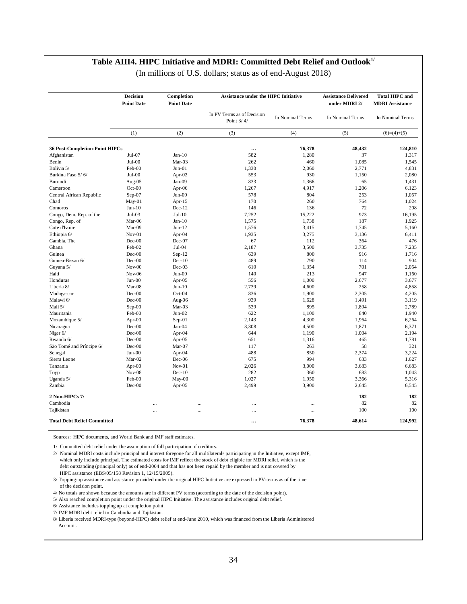#### **Table AIII4. HIPC Initiative and MDRI: Committed Debt Relief and Outlook1/**

|  | (In millions of U.S. dollars; status as of end-August 2018) |  |
|--|-------------------------------------------------------------|--|
|--|-------------------------------------------------------------|--|

|                                       | <b>Decision</b><br><b>Point Date</b> | Completion<br><b>Point Date</b> | <b>Assistance under the HIPC Initiative</b> |                  | <b>Assistance Delivered</b><br>under MDRI 2/ | <b>Total HIPC and</b><br><b>MDRI</b> Assistance |
|---------------------------------------|--------------------------------------|---------------------------------|---------------------------------------------|------------------|----------------------------------------------|-------------------------------------------------|
|                                       |                                      |                                 | In PV Terms as of Decision<br>Point 3/4/    | In Nominal Terms | In Nominal Terms                             | In Nominal Terms                                |
|                                       | (1)                                  | (2)                             | (3)                                         | (4)              | (5)                                          | $(6)=(4)+(5)$                                   |
| <b>36 Post-Completion-Point HIPCs</b> |                                      |                                 |                                             | 76,378           | 48.432                                       | 124.810                                         |
| Afghanistan                           | Jul-07                               | $Jan-10$                        | 582                                         | 1,280            | 37                                           | 1,317                                           |
| Benin                                 | $Jul-00$                             | $Mar-03$                        | 262                                         | 460              | 1,085                                        | 1,545                                           |
| Bolivia 5/                            | Feb-00                               | $Jun-01$                        | 1,330                                       | 2,060            | 2,771                                        | 4,831                                           |
| Burkina Faso 5/6/                     | $Jul-00$                             | Apr-02                          | 553                                         | 930              | 1,150                                        | 2,080                                           |
| Burundi                               | Aug-05                               | Jan-09                          | 833                                         | 1,366            | 65                                           | 1,431                                           |
| Cameroon                              | $Oct-00$                             | Apr-06                          | 1,267                                       | 4,917            | 1,206                                        | 6,123                                           |
| Central African Republic              | $Sep-07$                             | $Jun-09$                        | 578                                         | 804              | 253                                          | 1,057                                           |
| Chad                                  | $May-01$                             | Apr- $15$                       | 170                                         | 260              | 764                                          | 1,024                                           |
| Comoros                               | $Jun-10$                             | $Dec-12$                        | 146                                         | 136              | 72                                           | 208                                             |
| Congo, Dem. Rep. of the               | $Jul-03$                             | $Jul-10$                        | 7.252                                       | 15,222           | 973                                          | 16.195                                          |
| Congo, Rep. of                        | Mar-06                               | $Jan-10$                        | 1,575                                       | 1,738            | 187                                          | 1,925                                           |
| Cote d'Ivoire                         | Mar-09                               | $Jun-12$                        | 1,576                                       | 3,415            | 1,745                                        | 5,160                                           |
|                                       | $Nov-01$                             |                                 | 1,935                                       | 3,275            | 3,136                                        | 6,411                                           |
| Ethiopia 6/<br>Gambia, The            | $Dec-00$                             | Apr-04<br>$Dec-07$              | 67                                          | 112              | 364                                          | 476                                             |
|                                       |                                      |                                 |                                             |                  |                                              |                                                 |
| Ghana                                 | Feb-02                               | Jul-04                          | 2,187                                       | 3,500            | 3,735                                        | 7,235                                           |
| Guinea                                | $Dec-00$                             | $Sep-12$                        | 639                                         | 800              | 916                                          | 1,716                                           |
| Guinea-Bissau 6/                      | $Dec-00$                             | $Dec-10$                        | 489                                         | 790              | 114                                          | 904                                             |
| Guyana 5/                             | $Nov-00$                             | $Dec-03$                        | 610                                         | 1,354            | 701                                          | 2.054                                           |
| Haiti                                 | $Nov-06$                             | $Jun-09$                        | 140                                         | 213              | 947                                          | 1,160                                           |
| Honduras                              | $Jun-00$                             | Apr-05                          | 556                                         | 1,000            | 2,677                                        | 3,677                                           |
| Liberia 8/                            | Mar-08                               | $Jun-10$                        | 2,739                                       | 4,600            | 258                                          | 4,858                                           |
| Madagascar                            | $Dec-00$                             | Oct-04                          | 836                                         | 1,900            | 2,305                                        | 4,205                                           |
| Malawi 6/                             | $Dec-00$                             | Aug-06                          | 939                                         | 1,628            | 1,491                                        | 3,119                                           |
| Mali 5/                               | Sep-00                               | Mar-03                          | 539                                         | 895              | 1,894                                        | 2,789                                           |
| Mauritania                            | Feb-00                               | $Jun-02$                        | 622                                         | 1.100            | 840                                          | 1.940                                           |
| Mozambique 5/                         | Apr-00                               | $Sep-01$                        | 2,143                                       | 4,300            | 1,964                                        | 6,264                                           |
| Nicaragua                             | $Dec-00$                             | Jan-04                          | 3,308                                       | 4,500            | 1,871                                        | 6,371                                           |
| Niger 6/                              | $Dec-00$                             | Apr-04                          | 644                                         | 1,190            | 1,004                                        | 2,194                                           |
| Rwanda 6/                             | $Dec-00$                             | Apr-05                          | 651                                         | 1,316            | 465                                          | 1,781                                           |
| São Tomé and Príncipe 6/              | $Dec-00$                             | Mar-07                          | 117                                         | 263              | 58                                           | 321                                             |
| Senegal                               | $Jun-00$                             | Apr-04                          | 488                                         | 850              | 2,374                                        | 3,224                                           |
| Sierra Leone                          | Mar-02                               | Dec-06                          | 675                                         | 994              | 633                                          | 1,627                                           |
| Tanzania                              | Apr-00                               | $Nov-01$                        | 2,026                                       | 3,000            | 3,683                                        | 6,683                                           |
| Togo                                  | $Nov-08$                             | $Dec-10$                        | 282                                         | 360              | 683                                          | 1.043                                           |
| Uganda 5/                             | Feb-00                               | May-00                          | 1,027                                       | 1,950            | 3,366                                        | 5,316                                           |
| Zambia                                | $Dec-00$                             | Apr- $05$                       | 2,499                                       | 3,900            | 2,645                                        | 6,545                                           |
| 2 Non-HIPCs 7/                        |                                      |                                 |                                             |                  | 182                                          | 182                                             |
| Cambodia                              | $\ddotsc$                            |                                 |                                             | $\cdots$         | 82                                           | 82                                              |
| Tajikistan                            |                                      | $\ddotsc$                       | $\ddotsc$                                   | $\cdots$         | 100                                          | 100                                             |
| <b>Total Debt Relief Committed</b>    |                                      |                                 |                                             | 76,378           | 48,614                                       | 124,992                                         |

Sources: HIPC documents, and World Bank and IMF staff estimates.

1/ Committed debt relief under the assumption of full participation of creditors.

2/ Nominal MDRI costs include principal and interest foregone for all multilaterals participating in the Initiative, except IMF, which only include principal. The estimated costs for IMF reflect the stock of debt eligible for MDRI relief, which is the debt outstanding (principal only) as of end-2004 and that has not been repaid by the member and is not covered by HIPC assistance (EBS/05/158 Revision 1, 12/15/2005).

3/ Topping-up assistance and assistance provided under the original HIPC Initiative are expressed in PV-terms as of the time of the decision point.

4/ No totals are shown because the amounts are in different PV terms (according to the date of the decision point).

5/ Also reached completion point under the original HIPC Initiative. The assistance includes original debt relief.

6/ Assistance includes topping up at completion point.

7/ IMF MDRI debt relief to Cambodia and Tajikistan.

8/ Liberia received MDRI-type (beyond-HIPC) debt relief at end-June 2010, which was financed from the Liberia Administered Account.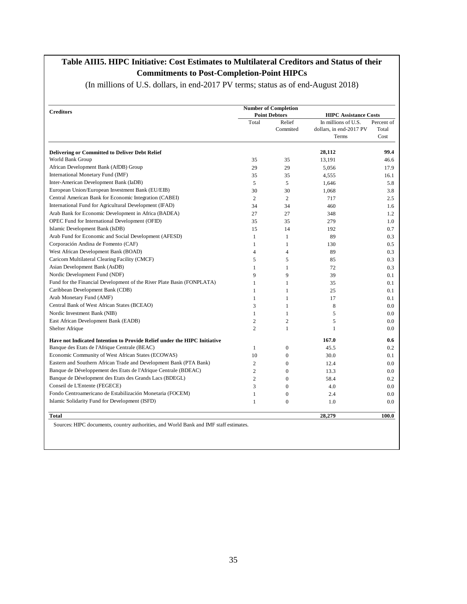#### **Table AIII5. HIPC Initiative: Cost Estimates to Multilateral Creditors and Status of their Commitments to Post-Completion-Point HIPCs**

(In millions of U.S. dollars, in end-2017 PV terms; status as of end-August 2018)

| <b>Creditors</b>                                                         |                | <b>Number of Completion</b> |                                  |               |
|--------------------------------------------------------------------------|----------------|-----------------------------|----------------------------------|---------------|
|                                                                          |                | <b>Point Debtors</b>        | <b>HIPC Assistance Costs</b>     |               |
|                                                                          | Total          | Relief                      | In millions of U.S.              | Percent of    |
|                                                                          |                | Commited                    | dollars, in end-2017 PV<br>Terms | Total<br>Cost |
| <b>Delivering or Committed to Deliver Debt Relief</b>                    |                |                             | 28,112                           | 99.4          |
| World Bank Group                                                         | 35             | 35                          | 13,191                           | 46.6          |
| African Development Bank (AfDB) Group                                    | 29             | 29                          | 5,056                            | 17.9          |
| International Monetary Fund (IMF)                                        | 35             | 35                          | 4,555                            | 16.1          |
| Inter-American Development Bank (IaDB)                                   | 5              | 5                           | 1,646                            | 5.8           |
| European Union/European Investment Bank (EU/EIB)                         | 30             | 30                          | 1,068                            | 3.8           |
| Central American Bank for Economic Integration (CABEI)                   | $\overline{c}$ | $\overline{c}$              | 717                              | 2.5           |
| International Fund for Agricultural Development (IFAD)                   | 34             | 34                          | 460                              | 1.6           |
| Arab Bank for Economic Development in Africa (BADEA)                     | 27             | 27                          | 348                              | 1.2           |
| OPEC Fund for International Development (OFID)                           | 35             | 35                          | 279                              | 1.0           |
| Islamic Development Bank (IsDB)                                          | 15             | 14                          | 192                              | 0.7           |
| Arab Fund for Economic and Social Development (AFESD)                    | $\mathbf{1}$   | $\mathbf{1}$                | 89                               | 0.3           |
| Corporación Andina de Fomento (CAF)                                      | $\mathbf{1}$   | $\mathbf{1}$                | 130                              | 0.5           |
| West African Development Bank (BOAD)                                     | 4              | $\overline{4}$              | 89                               | 0.3           |
| Caricom Multilateral Clearing Facility (CMCF)                            | 5              | 5                           | 85                               | 0.3           |
| Asian Development Bank (AsDB)                                            | $\mathbf{1}$   | $\mathbf{1}$                | 72                               | 0.3           |
| Nordic Development Fund (NDF)                                            | 9              | 9                           | 39                               | 0.1           |
| Fund for the Financial Development of the River Plate Basin (FONPLATA)   | 1              | 1                           | 35                               | 0.1           |
| Caribbean Development Bank (CDB)                                         | 1              | 1                           | 25                               | 0.1           |
| Arab Monetary Fund (AMF)                                                 | 1              | 1                           | 17                               | 0.1           |
| Central Bank of West African States (BCEAO)                              | 3              | 1                           | 8                                | 0.0           |
| Nordic Investment Bank (NIB)                                             | $\mathbf{1}$   | $\mathbf{1}$                | 5                                | 0.0           |
| East African Development Bank (EADB)                                     | $\overline{c}$ | $\overline{2}$              | 5                                | 0.0           |
| Shelter Afrique                                                          | $\overline{2}$ | $\mathbf{1}$                | $\mathbf{1}$                     | 0.0           |
| Have not Indicated Intention to Provide Relief under the HIPC Initiative |                |                             | 167.0                            | 0.6           |
| Banque des Etats de l'Afrique Centrale (BEAC)                            | $\mathbf{1}$   | $\mathbf{0}$                | 45.5                             | 0.2           |
| Economic Community of West African States (ECOWAS)                       | 10             | $\mathbf{0}$                | 30.0                             | 0.1           |
| Eastern and Southern African Trade and Development Bank (PTA Bank)       | 2              | $\boldsymbol{0}$            | 12.4                             | 0.0           |
| Banque de Développement des Etats de l'Afrique Centrale (BDEAC)          | $\overline{c}$ | $\mathbf{0}$                | 13.3                             | 0.0           |
| Banque de Dévelopment des Etats des Grands Lacs (BDEGL)                  | $\overline{c}$ | $\Omega$                    | 58.4                             | 0.2           |
| Conseil de L'Entente (FEGECE)                                            | 3              | $\mathbf{0}$                | 4.0                              | 0.0           |
| Fondo Centroamericano de Estabilización Monetaria (FOCEM)                | $\mathbf{1}$   | $\boldsymbol{0}$            | 2.4                              | 0.0           |
| Islamic Solidarity Fund for Development (ISFD)                           | 1              | $\mathbf{0}$                | 1.0                              | 0.0           |
| Total                                                                    |                |                             | 28,279                           | 100.0         |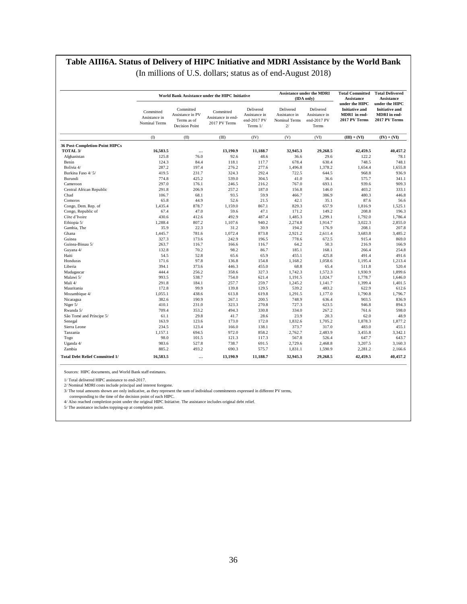#### **Table AIII6A. Status of Delivery of HIPC Initiative and MDRI Assistance by the World Bank**

|  |  | (In millions of U.S. dollars; status as of end-August 2018) |
|--|--|-------------------------------------------------------------|
|--|--|-------------------------------------------------------------|

|                                       |                                             |                                                                       | World Bank Assistance under the HIPC Initiative  |                                                       |                                                   | <b>Assistance under the MDRI</b><br>(IDA only)     | <b>Total Committed</b><br><b>Assistance</b>                              | <b>Total Delivered</b><br>Assistance                                     |
|---------------------------------------|---------------------------------------------|-----------------------------------------------------------------------|--------------------------------------------------|-------------------------------------------------------|---------------------------------------------------|----------------------------------------------------|--------------------------------------------------------------------------|--------------------------------------------------------------------------|
|                                       | Committed<br>Assistance in<br>Nominal Terms | Committed<br>Assistance in PV<br>Terms as of<br><b>Decision Point</b> | Committed<br>Assistance in end-<br>2017 PV Terms | Delivered<br>Assistance in<br>end-2017 PV<br>Terms 1/ | Delivered<br>Assistance in<br>Nominal Terms<br>2/ | Delivered<br>Assistance in<br>end-2017 PV<br>Terms | under the HIPC<br><b>Initiative and</b><br>MDRI in end-<br>2017 PV Terms | under the HIPC<br><b>Initiative and</b><br>MDRI in end-<br>2017 PV Terms |
|                                       | (1)                                         | (II)                                                                  | (III)                                            | (IV)                                                  | (V)                                               | (VI)                                               | $(III) + (VI)$                                                           | $(IV) + (VI)$                                                            |
| 36 Post-Completion-Point HIPCs        |                                             |                                                                       |                                                  |                                                       |                                                   |                                                    |                                                                          |                                                                          |
| TOTAL 3/                              | 16,583.5                                    | $\ddotsc$                                                             | 13,190.9                                         | 11,188.7                                              | 32,945.3                                          | 29,268.5                                           | 42,459.5                                                                 | 40,457.2                                                                 |
| Afghanistan                           | 125.8                                       | 76.0                                                                  | 92.6                                             | 48.6                                                  | 36.6                                              | 29.6                                               | 122.2                                                                    | 78.1                                                                     |
| Benin                                 | 124.3                                       | 84.4                                                                  | 118.1                                            | 117.7                                                 | 678.4                                             | 630.4                                              | 748.5                                                                    | 748.1                                                                    |
| Bolivia 4/                            | 287.2                                       | 197.4                                                                 | 276.2                                            | 277.6                                                 | 1,496.8                                           | 1,378.2                                            | 1,654.4                                                                  | 1,655.8                                                                  |
| Burkina Faso 4/5/                     | 419.5                                       | 231.7                                                                 | 324.3                                            | 292.4                                                 | 722.5                                             | 644.5                                              | 968.8                                                                    | 936.9                                                                    |
| Burundi                               | 774.8                                       | 425.2                                                                 | 539.0                                            | 304.5                                                 | 41.0                                              | 36.6                                               | 575.7                                                                    | 341.1                                                                    |
| Cameroon                              | 297.0                                       | 176.1                                                                 | 246.5                                            | 216.2                                                 | 767.0                                             | 693.1                                              | 939.6                                                                    | 909.3                                                                    |
| Central African Republic              | 291.8                                       | 206.9                                                                 | 257.2                                            | 187.0                                                 | 156.8                                             | 146.0                                              | 403.2                                                                    | 333.1                                                                    |
| Chad                                  | 106.7                                       | 68.1                                                                  | 93.5                                             | 59.9                                                  | 466.7                                             | 386.9                                              | 480.3                                                                    | 446.8                                                                    |
| Comoros                               | 65.8                                        | 44.9                                                                  | 52.6                                             | 21.5                                                  | 42.1                                              | 35.1                                               | 87.6                                                                     | 56.6                                                                     |
| Congo, Dem. Rep. of                   | 1,435.4                                     | 878.7                                                                 | 1,159.0                                          | 867.1                                                 | 829.3                                             | 657.9                                              | 1,816.9                                                                  | 1,525.1                                                                  |
| Congo, Republic of                    | 67.4                                        | 47.0                                                                  | 59.6                                             | 47.1                                                  | 171.2                                             | 149.2                                              | 208.8                                                                    | 196.3                                                                    |
| Côte d'Ivoire                         | 430.6                                       | 412.6                                                                 | 492.9                                            | 487.4                                                 | 1,485.3                                           | 1,299.1                                            | 1,792.0                                                                  | 1,786.4                                                                  |
| Ethiopia 5/                           | 1,288.4                                     | 807.2                                                                 | 1,107.6                                          | 940.2                                                 | 2,274.8                                           | 1,914.7                                            | 3,022.3                                                                  | 2,855.0                                                                  |
| Gambia, The                           | 35.9                                        | 22.3                                                                  | 31.2                                             | 30.9                                                  | 194.2                                             | 176.9                                              | 208.1                                                                    | 207.8                                                                    |
| Ghana                                 | 1,445.7                                     | 781.6                                                                 | 1,072.4                                          | 873.8                                                 | 2,921.2                                           | 2,611.4                                            | 3,683.8                                                                  | 3,485.2                                                                  |
| Guinea                                | 327.3                                       | 173.6                                                                 | 242.9                                            | 196.5                                                 | 778.6                                             | 672.5                                              | 915.4                                                                    | 869.0                                                                    |
| Guinea-Bissau 5/                      | 263.7                                       | 116.7                                                                 | 166.6                                            | 116.7                                                 | 64.2                                              | 50.3                                               | 216.9                                                                    | 166.9                                                                    |
| Guyana 4/                             | 132.8                                       | 70.2                                                                  | 98.2                                             | 86.7                                                  | 185.1                                             | 168.1                                              | 266.4                                                                    | 254.8                                                                    |
| Haiti                                 | 54.5                                        | 52.8                                                                  | 65.6                                             | 65.9                                                  | 455.1                                             | 425.8                                              | 491.4                                                                    | 491.6                                                                    |
|                                       | 171.6                                       | 97.8                                                                  |                                                  |                                                       |                                                   |                                                    |                                                                          |                                                                          |
| Honduras                              |                                             |                                                                       | 136.8                                            | 154.8                                                 | 1,168.2                                           | 1,058.6                                            | 1,195.4                                                                  | 1,213.4                                                                  |
| Liberia                               | 394.1                                       | 373.6                                                                 | 446.3                                            | 455.0                                                 | 68.8                                              | 65.4                                               | 511.8                                                                    | 520.4                                                                    |
| Madagascar                            | 444.4                                       | 256.2                                                                 | 358.6                                            | 327.3                                                 | 1,742.3                                           | 1,572.3                                            | 1,930.9                                                                  | 1,899.6                                                                  |
| Malawi 5/                             | 993.5                                       | 538.7                                                                 | 754.0                                            | 621.4                                                 | 1,191.5                                           | 1,024.7                                            | 1,778.7                                                                  | 1,646.0                                                                  |
| Mali 4/                               | 291.8                                       | 184.1                                                                 | 257.7                                            | 259.7                                                 | 1,245.2                                           | 1,141.7                                            | 1,399.4                                                                  | 1,401.5                                                                  |
| Mauritania                            | 172.8                                       | 99.9                                                                  | 139.8                                            | 129.5                                                 | 539.2                                             | 483.2                                              | 622.9                                                                    | 612.6                                                                    |
| Mozambique 4/                         | 1,055.1                                     | 438.6                                                                 | 613.8                                            | 619.8                                                 | 1,291.5                                           | 1,177.0                                            | 1,790.8                                                                  | 1,796.7                                                                  |
| Nicaragua                             | 382.6                                       | 190.9                                                                 | 267.1                                            | 200.5                                                 | 748.9                                             | 636.4                                              | 903.5                                                                    | 836.9                                                                    |
| Niger 5/                              | 410.1                                       | 231.0                                                                 | 323.3                                            | 270.8                                                 | 727.3                                             | 623.5                                              | 946.8                                                                    | 894.3                                                                    |
| Rwanda 5/                             | 709.4                                       | 353.2                                                                 | 494.3                                            | 330.8                                                 | 334.0                                             | 267.2                                              | 761.6                                                                    | 598.0                                                                    |
| São Tomé and Príncipe 5/              | 61.1                                        | 29.8                                                                  | 41.7                                             | 28.6                                                  | 23.9                                              | 20.3                                               | 62.0                                                                     | 48.9                                                                     |
| Senegal                               | 163.9                                       | 123.6                                                                 | 173.0                                            | 172.0                                                 | 1,832.6                                           | 1,705.2                                            | 1,878.3                                                                  | 1,877.2                                                                  |
| Sierra Leone                          | 234.5                                       | 123.4                                                                 | 166.0                                            | 138.1                                                 | 373.7                                             | 317.0                                              | 483.0                                                                    | 455.1                                                                    |
| Tanzania                              | 1,157.1                                     | 694.5                                                                 | 972.0                                            | 858.2                                                 | 2,762.7                                           | 2,483.9                                            | 3,455.8                                                                  | 3,342.1                                                                  |
| Togo                                  | 98.0                                        | 101.5                                                                 | 121.3                                            | 117.3                                                 | 567.8                                             | 526.4                                              | 647.7                                                                    | 643.7                                                                    |
| Uganda 4/                             | 983.6                                       | 527.8                                                                 | 738.7                                            | 691.5                                                 | 2,729.6                                           | 2,468.8                                            | 3,207.5                                                                  | 3.160.3                                                                  |
| Zambia                                | 885.2                                       | 493.2                                                                 | 690.3                                            | 575.7                                                 | 1,831.1                                           | 1,590.9                                            | 2,281.2                                                                  | 2,166.6                                                                  |
| <b>Total Debt Relief Committed 1/</b> | 16,583.5                                    | $\ddotsc$                                                             | 13,190.9                                         | 11,188.7                                              | 32,945.3                                          | 29,268.5                                           | 42,459.5                                                                 | 40,457.2                                                                 |

Sources: HIPC documents, and World Bank staff estimates.

1/ Total delivered HIPC assistance to end-2017.

2/ Nominal MDRI costs include principal and interest foregone.<br>3/ The total amounts shown are only indicative, as they represent the sum of individual commitments expressed in different PV terms,<br>corresponding to the time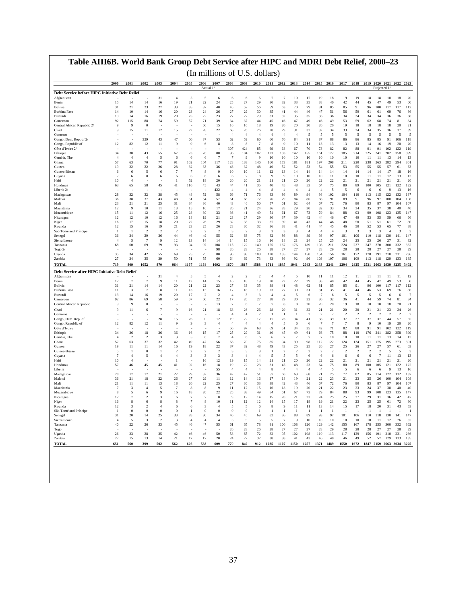| Debt Service before HIPC Initiative Debt Relief<br>Afghanistan<br>15<br>Benin<br>Bolivia<br>31<br>Burkina Faso<br>14<br>13<br>Burundi<br>92<br>Cameroon<br>Central African Republic 2/<br>9<br>9<br>Chad<br>Comoros<br>Congo, Dem. Rep. of 2/<br>Congo, Republic of<br>12<br>Côte d'Ivoire 2/<br>34<br>Ethiopia<br>Gambia, The<br>$\overline{4}$<br>57<br>Ghana<br>19<br>Guinea<br>Guinea-Bissau<br>6<br>Guyana<br>7<br>10<br>Haiti<br>Honduras<br>63<br>Liberia 2/<br>28<br>Madagascar<br>Malawi<br>36<br>23<br>Mali<br>12<br>Mauritania<br>15<br>Mozambique<br>12<br>Nicaragua<br>16<br>Niger<br>12<br>Rwanda | 14<br>21<br>10<br>14<br>115<br>9<br>15<br>82<br>38<br>$\overline{4}$<br>63<br>22<br>6<br>6<br>$\overline{4}$<br>65<br>32<br>38 | 14<br>23<br>14<br>16<br>88<br>$\mathbf{0}$<br>11<br>329<br>12<br>43<br>$\overline{4}$<br>70<br>22<br>5<br>8<br>58 | 31<br>16<br>27<br>16<br>19<br>74<br>12<br>43<br>11<br>55<br>-5<br>77<br>26<br>6 | $\overline{4}$<br>19<br>33<br>20<br>20<br>59<br>15<br>47<br>9<br>67<br>6<br>91 | 5<br>21<br>35<br>23<br>25<br>57<br>$22\,$<br>60<br>9<br>73 | Actual 1/<br>5<br>22<br>37<br>24<br>22<br>71<br>66<br>28<br>37 | 6<br>24<br>40<br>26<br>23<br>39<br>15<br>22 | 6<br>25<br>45<br>27<br>27<br>34<br>16 | 6<br>27<br>52<br>29<br>27<br>37 | 6<br>29<br>56<br>30<br>29                 | $\overline{7}$<br>30<br>59<br>35<br>31 | 7<br>32<br>63<br>41                       | 10<br>33<br>70<br>44 | 17<br>35<br>79<br>46 | 19<br>38<br>81<br>47     | 18<br>40<br>85<br>51     | 19<br>42<br>85<br>56 | 19<br>44<br>91<br>59 | 18<br>45<br>96<br>61 | Projected 1/<br>18<br>47<br>100<br>61 | 18<br>18<br>49<br>53<br>117<br>117<br>69<br>76 | 20<br>60                            |
|-----------------------------------------------------------------------------------------------------------------------------------------------------------------------------------------------------------------------------------------------------------------------------------------------------------------------------------------------------------------------------------------------------------------------------------------------------------------------------------------------------------------------------------------------------------------------------------------------------------------|--------------------------------------------------------------------------------------------------------------------------------|-------------------------------------------------------------------------------------------------------------------|---------------------------------------------------------------------------------|--------------------------------------------------------------------------------|------------------------------------------------------------|----------------------------------------------------------------|---------------------------------------------|---------------------------------------|---------------------------------|-------------------------------------------|----------------------------------------|-------------------------------------------|----------------------|----------------------|--------------------------|--------------------------|----------------------|----------------------|----------------------|---------------------------------------|------------------------------------------------|-------------------------------------|
|                                                                                                                                                                                                                                                                                                                                                                                                                                                                                                                                                                                                                 |                                                                                                                                |                                                                                                                   |                                                                                 |                                                                                |                                                            |                                                                |                                             |                                       |                                 |                                           |                                        |                                           |                      |                      |                          |                          |                      |                      |                      |                                       |                                                |                                     |
|                                                                                                                                                                                                                                                                                                                                                                                                                                                                                                                                                                                                                 |                                                                                                                                |                                                                                                                   |                                                                                 |                                                                                |                                                            |                                                                |                                             |                                       |                                 |                                           |                                        |                                           |                      |                      |                          |                          |                      |                      |                      |                                       |                                                |                                     |
|                                                                                                                                                                                                                                                                                                                                                                                                                                                                                                                                                                                                                 |                                                                                                                                |                                                                                                                   |                                                                                 |                                                                                |                                                            |                                                                |                                             |                                       |                                 |                                           |                                        |                                           |                      |                      |                          |                          |                      |                      |                      |                                       |                                                | 112                                 |
|                                                                                                                                                                                                                                                                                                                                                                                                                                                                                                                                                                                                                 |                                                                                                                                |                                                                                                                   |                                                                                 |                                                                                |                                                            |                                                                |                                             |                                       |                                 |                                           |                                        |                                           |                      |                      |                          |                          |                      |                      |                      |                                       |                                                | 86                                  |
|                                                                                                                                                                                                                                                                                                                                                                                                                                                                                                                                                                                                                 |                                                                                                                                |                                                                                                                   |                                                                                 |                                                                                |                                                            |                                                                |                                             |                                       |                                 |                                           |                                        | 32                                        | 35                   | 35                   | 36                       | 36                       | 34                   | 34                   | 34                   | 34                                    | 36<br>36                                       | 38                                  |
|                                                                                                                                                                                                                                                                                                                                                                                                                                                                                                                                                                                                                 |                                                                                                                                |                                                                                                                   |                                                                                 |                                                                                |                                                            |                                                                |                                             |                                       | 16                              | 44<br>18                                  | 45<br>19                               | 46<br>20                                  | 47<br>20             | 49<br>20             | 46<br>20                 | 49<br>20                 | 53<br>19             | 59<br>18             | 62<br>18             | 68<br>18                              | 74<br>81<br>18<br>20                           | 84<br>21                            |
|                                                                                                                                                                                                                                                                                                                                                                                                                                                                                                                                                                                                                 |                                                                                                                                |                                                                                                                   |                                                                                 |                                                                                |                                                            |                                                                |                                             | 68                                    | 26                              | 26                                        | 28                                     | 29                                        | 31                   | 32                   | 32                       | 34                       | 33                   | 34                   | 34                   | 35                                    | 36<br>37                                       | 39                                  |
|                                                                                                                                                                                                                                                                                                                                                                                                                                                                                                                                                                                                                 |                                                                                                                                |                                                                                                                   |                                                                                 |                                                                                |                                                            |                                                                |                                             | $\overline{4}$                        | $\overline{4}$                  | $\overline{4}$                            | $\overline{4}$                         | $\overline{4}$                            | $\overline{4}$       | 5                    | $\overline{\phantom{1}}$ | $\overline{\phantom{0}}$ | 5                    | 5                    | 5                    | 5                                     | 5                                              | 5<br>5                              |
|                                                                                                                                                                                                                                                                                                                                                                                                                                                                                                                                                                                                                 |                                                                                                                                |                                                                                                                   |                                                                                 |                                                                                |                                                            | 6                                                              | 53<br>8                                     | 62<br>8                               | 59<br>8                         | 60<br>$\overline{7}$                      | 60<br>8                                | $70\,$<br>9                               | 84<br>10             | 91<br>11             | 87<br>13                 | 88<br>13                 | 86<br>13             | 86<br>13             | 85<br>14             | 85<br>16                              | 91<br>106<br>19<br>20                          | 118<br>20                           |
|                                                                                                                                                                                                                                                                                                                                                                                                                                                                                                                                                                                                                 |                                                                                                                                |                                                                                                                   |                                                                                 |                                                                                |                                                            |                                                                |                                             | 307                                   | 424                             | 85                                        | 69                                     | 68                                        | 67                   | 70                   | 73                       | 82                       | 82                   | 88                   | 91                   | 91                                    | 102<br>122                                     | 119                                 |
|                                                                                                                                                                                                                                                                                                                                                                                                                                                                                                                                                                                                                 |                                                                                                                                |                                                                                                                   |                                                                                 |                                                                                |                                                            | 76                                                             | 80                                          | 96                                    | 104                             | 107                                       | 123                                    | 133                                       | 142                  | 155                  | 161                      | 172                      | 185                  | 214                  | 225                  | 241<br>282                            | 358                                            | 399                                 |
|                                                                                                                                                                                                                                                                                                                                                                                                                                                                                                                                                                                                                 |                                                                                                                                |                                                                                                                   |                                                                                 |                                                                                | 6<br>102                                                   | 6<br>104                                                       | 7<br>117                                    | 7<br>128                              | 9<br>138                        | -9<br>146                                 | 10<br>160                              | 10<br>173                                 | 10<br>181            | 10<br>181            | 10<br>197                | 10<br>208                | 10<br>211            | 10<br>220            | 11<br>238            | -11<br>263<br>282                     | 13<br>14<br>294                                | 13<br>301                           |
|                                                                                                                                                                                                                                                                                                                                                                                                                                                                                                                                                                                                                 |                                                                                                                                |                                                                                                                   |                                                                                 | 28                                                                             | 32                                                         | 33                                                             | 36                                          | 43                                    | 32                              | 48                                        | 49                                     | 52                                        | 52                   | 53                   | 54                       | 55                       | 53                   | 55                   | 55                   | 55                                    | 57<br>61                                       | 63                                  |
|                                                                                                                                                                                                                                                                                                                                                                                                                                                                                                                                                                                                                 |                                                                                                                                |                                                                                                                   |                                                                                 | $\overline{7}$                                                                 | $\overline{7}$                                             | 8                                                              | -9                                          | 10                                    | 10                              | 11                                        | 12                                     | 13                                        | 14                   | 14                   | 14                       | 14                       | 14                   | 14                   | 14                   | 14                                    | 17<br>18                                       | 16                                  |
|                                                                                                                                                                                                                                                                                                                                                                                                                                                                                                                                                                                                                 |                                                                                                                                |                                                                                                                   | 6                                                                               | 6                                                                              | 6<br>52                                                    | 6<br>18                                                        | 6<br>20                                     | 6<br>20                               | $\overline{7}$<br>20            | 8<br>21                                   | 9<br>21                                | 9<br>21                                   | 10<br>20             | 10<br>20             | 10<br>22                 | 11<br>22                 | 10<br>21             | 10<br>21             | 11<br>21             | -11<br>21                             | 12<br>13<br>21<br>21                           | 13<br>20                            |
|                                                                                                                                                                                                                                                                                                                                                                                                                                                                                                                                                                                                                 |                                                                                                                                |                                                                                                                   | 45                                                                              | 41                                                                             | 110                                                        | 45                                                             | 43                                          | 44                                    | 41                              | 35                                        | 40                                     | 45                                        | 48                   | 53                   | 64                       | 75                       | 80                   | 89                   | 100                  | 105                                   | 121<br>122                                     | 122                                 |
|                                                                                                                                                                                                                                                                                                                                                                                                                                                                                                                                                                                                                 |                                                                                                                                | 32                                                                                                                |                                                                                 |                                                                                |                                                            |                                                                | 422                                         | $\overline{4}$                        | $\overline{A}$                  | $\overline{4}$                            | 8                                      | $\overline{4}$                            | $\overline{4}$       | $\overline{4}$<br>94 | $\overline{4}$<br>98     | $\overline{5}$           | -5                   | 6                    | 6                    | 6                                     | 13<br>9<br>132                                 | 16                                  |
|                                                                                                                                                                                                                                                                                                                                                                                                                                                                                                                                                                                                                 |                                                                                                                                | 37                                                                                                                | 38<br>43                                                                        | 45<br>48                                                                       | 48<br>51                                                   | 52<br>54                                                       | 58<br>57                                    | 66<br>61                              | 71<br>68                        | 76<br>72                                  | 83<br>76                               | 86<br>79                                  | 89<br>84             | 86                   | 88                       | 102<br>91                | 104<br>89            | 110<br>91            | 113<br>96            | 115<br>97                             | 122<br>100<br>104                              | 137<br>108                          |
|                                                                                                                                                                                                                                                                                                                                                                                                                                                                                                                                                                                                                 | 21                                                                                                                             | 21                                                                                                                | 25                                                                              | 31                                                                             | 34                                                         | 36                                                             | 40                                          | 43                                    | 46                              | 50                                        | 57                                     | 61                                        | 62                   | 64                   | 67                       | 72                       | 76                   | 80                   | 83                   | 87                                    | 97<br>104                                      | 107                                 |
|                                                                                                                                                                                                                                                                                                                                                                                                                                                                                                                                                                                                                 | 9                                                                                                                              | 10                                                                                                                | 11                                                                              | 13                                                                             | 15                                                         | 16                                                             | 17                                          | 20                                    | 21                              | 24                                        | 26                                     | 28                                        | 29                   | 30                   | 32                       | 33                       | 34                   | 34                   | 35                   | 37                                    | 38<br>40                                       | 40                                  |
|                                                                                                                                                                                                                                                                                                                                                                                                                                                                                                                                                                                                                 | 11<br>12                                                                                                                       | 12<br>10                                                                                                          | 16<br>12                                                                        | 25<br>16                                                                       | 28<br>18                                                   | 30<br>19                                                       | 33<br>21                                    | 36<br>23                              | 41<br>27                        | 49<br>29                                  | 54<br>30                               | 61<br>37                                  | 67<br>39             | 73<br>42             | 79<br>44                 | 84<br>46                 | 88<br>47             | 93<br>49             | 99<br>53             | 108<br>55                             | 123<br>135<br>59<br>66                         | 147<br>66                           |
|                                                                                                                                                                                                                                                                                                                                                                                                                                                                                                                                                                                                                 | 17                                                                                                                             | 15                                                                                                                | 18                                                                              | 20                                                                             | 22                                                         | 26                                                             | 29                                          | 32                                    | 33                              | 33                                        | 37                                     | 39                                        | 41                   | 43                   | 44                       | 46                       | 48                   | 50                   | 51                   | 51                                    | 61<br>72                                       | 80                                  |
| 1                                                                                                                                                                                                                                                                                                                                                                                                                                                                                                                                                                                                               | 15<br>-1                                                                                                                       | 16<br>$\mathfrak{D}$                                                                                              | 19<br>$\overline{2}$                                                            | 21<br>$\overline{2}$                                                           | 23<br>$\overline{2}$                                       | 25<br>$\overline{2}$                                           | 26<br>$\overline{2}$                        | 28                                    | 30                              | 32                                        | 36                                     | 38                                        | 41                   | 41<br>$\overline{4}$ | 44<br>$\overline{4}$     | 45<br>$\overline{4}$     | 46                   | 50                   | 52                   | 53                                    | 65<br>77                                       | 88                                  |
| São Tomé and Príncipe<br>36<br>Senegal                                                                                                                                                                                                                                                                                                                                                                                                                                                                                                                                                                          | 34                                                                                                                             | 29                                                                                                                | 36                                                                              | 44                                                                             | 46                                                         | 49                                                             | 55                                          | $\overline{\mathbf{3}}$<br>62         | $\overline{c}$<br>68            | 3<br>75                                   | 3<br>82                                | 3<br>86                                   | 3<br>88              | 89                   | 93                       | 97                       | 3<br>101             | 3<br>106             | 3<br>110             | 3<br>118                              | $\overline{4}$<br>130<br>141                   | 3<br>$\overline{\mathbf{3}}$<br>147 |
| Sierra Leone<br>$\overline{4}$                                                                                                                                                                                                                                                                                                                                                                                                                                                                                                                                                                                  | 5                                                                                                                              | $\overline{7}$                                                                                                    | -9                                                                              | 12                                                                             | 13                                                         | 14                                                             | 14                                          | 14                                    | 15                              | 16                                        | 16                                     | 18                                        | 21                   | 24                   | 25                       | 25                       | 24                   | 25                   | 25                   | 26                                    | 27<br>31                                       | 32                                  |
| 68<br>Tanzania<br>Togo 2/                                                                                                                                                                                                                                                                                                                                                                                                                                                                                                                                                                                       | 60                                                                                                                             | 69                                                                                                                | 79                                                                              | 93                                                                             | 94                                                         | 97                                                             | 108<br>98                                   | 115<br>26                             | 122<br>28                       | 140<br>26                                 | 155<br>28                              | 167<br>27                                 | 176<br>27            | 189<br>27            | 198<br>28                | 211<br>29                | 224<br>28            | 237<br>28            | 247<br>28            | 270<br>27                             | 300<br>332<br>27<br>28                         | 362<br>29                           |
| Uganda<br>35                                                                                                                                                                                                                                                                                                                                                                                                                                                                                                                                                                                                    | 34                                                                                                                             | 42                                                                                                                | 55                                                                              | 69                                                                             | 75                                                         | 75                                                             | 80                                          | 90                                    | 98                              | 108                                       | 120                                    | 135                                       | 144                  | 150                  | 154                      | 156                      | 161                  | 172                  | 178                  | 191                                   | 210<br>231                                     | 236                                 |
| Zambia<br>27                                                                                                                                                                                                                                                                                                                                                                                                                                                                                                                                                                                                    | 34                                                                                                                             | 35                                                                                                                | 39                                                                              | 50                                                                             | 51                                                         | 55                                                             | 60                                          | 64                                    | 69                              | 73                                        | 83                                     | 86                                        | 92                   | 96                   | 103                      | 107                      | 106                  | 109                  | 113                  | 118                                   | 129<br>133                                     | 135                                 |
| 719<br><b>TOTAL</b>                                                                                                                                                                                                                                                                                                                                                                                                                                                                                                                                                                                             | 809                                                                                                                            | 1052                                                                                                              | 870                                                                             | 964                                                                            | 1167                                                       | 1164                                                           | 1692                                        | 1670                                  | 1817                            | 1588                                      | 1711                                   | 1835                                      | 1941                 | 2043                 | 2133                     | 2241                     | 2294                 | 2425                 | 2531 2663            |                                       | 2939 3235                                      | 3402                                |
| Debt Service after HIPC Initiative Debt Relief                                                                                                                                                                                                                                                                                                                                                                                                                                                                                                                                                                  |                                                                                                                                |                                                                                                                   |                                                                                 |                                                                                |                                                            |                                                                |                                             |                                       |                                 |                                           |                                        |                                           |                      |                      |                          |                          |                      |                      |                      |                                       |                                                |                                     |
| Afghanistan<br>12<br>Benin                                                                                                                                                                                                                                                                                                                                                                                                                                                                                                                                                                                      | $\overline{7}$                                                                                                                 | $\tau$                                                                                                            | 31<br>9                                                                         | $\overline{4}$<br>11                                                           | 5<br>12                                                    | 5<br>14                                                        | $\overline{4}$<br>15                        | $\overline{2}$<br>16                  | $\overline{c}$<br>18            | $\overline{2}$<br>19                      | $\overline{4}$<br>20                   | $\overline{4}$<br>22                      | 5<br>22              | 10<br>29             | 11<br>38                 | 11<br>40                 | 12<br>42             | 11<br>44             | 11<br>45             | 11<br>47                              | 11<br>11<br>49<br>53                           | 12<br>60                            |
| Bolivia<br>31                                                                                                                                                                                                                                                                                                                                                                                                                                                                                                                                                                                                   | 21                                                                                                                             | 14                                                                                                                | 14                                                                              | 20                                                                             | 21                                                         | 22                                                             | 23                                          | 27                                    | 33                              | 35                                        | 38                                     | 41                                        | 48                   | 62                   | 81                       | 85                       | 85                   | 91                   | 96                   | 100                                   | 117<br>117                                     | 112                                 |
| 11<br>Burkina Faso                                                                                                                                                                                                                                                                                                                                                                                                                                                                                                                                                                                              | 3                                                                                                                              | $\tau$                                                                                                            | 8                                                                               | 11                                                                             | 13                                                         | 13                                                             | 16                                          | 17                                    | $18\,$                          | 19                                        | 23                                     | $27\,$                                    | 30                   | 31                   | 31                       | 35                       | 41                   | 44                   | 46                   | 53                                    | 69<br>76                                       | 86                                  |
| 13<br>Burundi<br>92<br>Cameroon                                                                                                                                                                                                                                                                                                                                                                                                                                                                                                                                                                                 | 14<br>86                                                                                                                       | 16<br>69                                                                                                          | 19<br>58                                                                        | 20<br>59                                                                       | 17<br>57                                                   | $\overline{2}$<br>60                                           | $\overline{2}$<br>22                        | $\overline{4}$<br>17                  | 3<br>20                         | $\overline{\mathbf{3}}$<br>27             | $\overline{4}$<br>28                   | $\overline{4}$<br>29                      | 5<br>30              | 6<br>32              | $\overline{7}$<br>30     | 6<br>32                  | 5<br>36              | 5<br>41              | 5<br>44              | 5<br>59                               | 6<br>74<br>81                                  | $7\phantom{.0}$<br>6<br>84          |
| 9<br>Central African Republic                                                                                                                                                                                                                                                                                                                                                                                                                                                                                                                                                                                   | 9                                                                                                                              | $\mathbf{0}$                                                                                                      |                                                                                 |                                                                                |                                                            |                                                                | 13                                          | $\overline{7}$                        | 6                               | $\tau$                                    | $\overline{7}$                         | 8                                         | 8                    | 20                   | 20                       | 20                       | 19                   | 18                   | 18                   | 18                                    | 18<br>20                                       | 21                                  |
| 9<br>Chad                                                                                                                                                                                                                                                                                                                                                                                                                                                                                                                                                                                                       | 11                                                                                                                             | 6                                                                                                                 | 7                                                                               | 9                                                                              | 16                                                         | 21                                                             | 18                                          | 68                                    | 26                              | 26                                        | 28                                     | 29                                        | 31                   | 32                   | 21                       | 21                       | 20                   | 20                   | 21                   | 21                                    | 23<br>24                                       | 26                                  |
| Comoros                                                                                                                                                                                                                                                                                                                                                                                                                                                                                                                                                                                                         |                                                                                                                                |                                                                                                                   |                                                                                 |                                                                                |                                                            |                                                                |                                             | $\overline{4}$                        | $\overline{A}$                  | $\overline{2}$                            | -1                                     | -1                                        | -1                   | $\overline{2}$       | $\mathcal{D}$            | $\overline{2}$           | $\mathcal{D}$        | $\overline{2}$       | $\overline{2}$       | $\overline{2}$                        | $\overline{2}$                                 | $\overline{2}$<br>$\overline{2}$    |
| Congo, Dem. Rep. of<br>12<br>Congo, Republic of                                                                                                                                                                                                                                                                                                                                                                                                                                                                                                                                                                 | 82                                                                                                                             | 12                                                                                                                | 28<br>11                                                                        | 15<br>9                                                                        | 26<br>9                                                    | $\boldsymbol{0}$<br>3                                          | 12<br>$\overline{4}$                        | 19<br>$\overline{4}$                  | 22<br>$\overline{4}$            | 17<br>$\overline{4}$                      | 17<br>$\overline{4}$                   | 23<br>$\overline{\phantom{0}}$            | 34<br>6              | 41<br>6              | 38<br>-7                 | 39<br>$\overline{7}$     | 37<br>-7             | 37<br>8              | 37<br>9              | 37<br>10                              | 44<br>57<br>19<br>20                           | 65<br>20                            |
| Côte d'Ivoire                                                                                                                                                                                                                                                                                                                                                                                                                                                                                                                                                                                                   |                                                                                                                                |                                                                                                                   |                                                                                 |                                                                                |                                                            |                                                                |                                             | 50                                    | 97                              | 63                                        | 69                                     | 51                                        | 34                   | 35                   | 42                       | 71                       | 82                   | 88                   | 91                   | 91                                    | 102<br>122                                     | 119                                 |
| 34<br>Ethiopia<br>$\overline{4}$                                                                                                                                                                                                                                                                                                                                                                                                                                                                                                                                                                                | 36<br>$\mathcal{D}$                                                                                                            | 18<br>$\mathfrak{D}$                                                                                              | 26<br>-3                                                                        | 36<br>$\mathcal{R}$                                                            | 16<br>-5                                                   | 15                                                             | 17<br>7                                     | 25<br>$\overline{4}$                  | 29                              | 31                                        | 40<br>6                                | 45<br>$\overline{7}$                      | 49<br>$\overline{7}$ | 61<br>-7             | 66<br>-7                 | 75<br>10                 | 88<br>10             | 110<br>10            | 176<br>11            | 241<br>11                             | 282<br>358<br>13                               | 399<br>13                           |
| Gambia, The<br>57<br>Ghana                                                                                                                                                                                                                                                                                                                                                                                                                                                                                                                                                                                      | 63                                                                                                                             | 37                                                                                                                | 32                                                                              | 42                                                                             | 49                                                         | 6<br>47                                                        | 56                                          | 63                                    | 6<br>70                         | 6<br>75                                   | 85                                     | 94                                        | 99                   | 98                   | 112                      | 122                      | 124                  | 134                  | 151                  | 175                                   | 14<br>273<br>195                               | 301                                 |
| 19<br>Guinea                                                                                                                                                                                                                                                                                                                                                                                                                                                                                                                                                                                                    | 11                                                                                                                             | 11                                                                                                                | 14                                                                              | 16                                                                             | 19                                                         | 18                                                             | 22                                          | 37                                    | 32                              | 48                                        | 49                                     | 43                                        | 25                   | 25                   | 26                       | 27                       | 25                   | 26                   | 27                   | 27                                    | 57<br>61                                       | 63                                  |
| $\overline{\phantom{1}}$<br>Guinea-Bissau<br>$\overline{7}$<br>Guyana                                                                                                                                                                                                                                                                                                                                                                                                                                                                                                                                           | -1<br>$\overline{4}$                                                                                                           | $\mathbf{0}$<br>5                                                                                                 | -1<br>$\overline{4}$                                                            | $\mathcal{D}$<br>$\overline{4}$                                                | $\mathcal{D}$<br>3                                         | $\mathfrak{D}$<br>3                                            | $\mathcal{D}$<br>3                          | 3<br>3                                | 3<br>$\overline{4}$             | $\overline{\mathbf{3}}$<br>$\overline{4}$ | -1<br>5                                | $\mathcal{D}$<br>$\overline{\phantom{0}}$ | $\mathcal{D}$<br>5   | $\overline{2}$<br>6  | $\mathcal{D}$<br>6       | $\mathcal{D}$<br>6       | $\mathfrak{D}$<br>6  | $\overline{2}$<br>6  | $\mathcal{D}$<br>6   | $\mathcal{L}$<br>$7\phantom{.0}$      | $\overline{\phantom{0}}$<br>11<br>13           | $\overline{\mathbf{3}}$<br>5<br>13  |
| 10<br>Haiti                                                                                                                                                                                                                                                                                                                                                                                                                                                                                                                                                                                                     | $\overline{4}$                                                                                                                 |                                                                                                                   |                                                                                 | -1                                                                             | ٠                                                          | 16                                                             | 12                                          | 19                                    | 15                              | 14                                        | 21                                     | 21                                        | 20                   | 20                   | 22                       | 22                       | 21                   | 21                   | 21                   | 21                                    | 21<br>21                                       | 20                                  |
| 57<br>Honduras                                                                                                                                                                                                                                                                                                                                                                                                                                                                                                                                                                                                  | 46                                                                                                                             | 45                                                                                                                | 45                                                                              | 41                                                                             | 92                                                         | 16                                                             | 18                                          | 19                                    | 22                              | 23                                        | 31                                     | 45                                        | 48                   | 53                   | 64                       | 75                       | 80                   | 89                   | 100                  | 105                                   | 121<br>122                                     | 122                                 |
| Liberia                                                                                                                                                                                                                                                                                                                                                                                                                                                                                                                                                                                                         |                                                                                                                                | 17                                                                                                                |                                                                                 |                                                                                |                                                            |                                                                | 55                                          | $\overline{4}$                        | $\overline{4}$                  | $\overline{4}$                            | 8                                      | $\overline{4}$                            | $\overline{4}$       | $\overline{4}$       | $\overline{4}$           | 5                        | 5                    | 6                    | 6                    | 6                                     | 9<br>13                                        | 16                                  |
| 28<br>Madagascar<br>36<br>Malawi                                                                                                                                                                                                                                                                                                                                                                                                                                                                                                                                                                                | 17<br>21                                                                                                                       | 18                                                                                                                | 21<br>22                                                                        | 27<br>26                                                                       | 29<br>27                                                   | 32<br>29                                                       | 36<br>11                                    | 42<br>12                              | 47<br>14                        | 51<br>16                                  | 57<br>17                               | 60<br>18                                  | 63<br>19             | 68<br>21             | 71<br>22                 | 75<br>23                 | 77<br>21             | 82<br>23             | 85<br>25             | 114<br>26                             | 122<br>132<br>100<br>104                       | 137<br>108                          |
| 21<br>Mali                                                                                                                                                                                                                                                                                                                                                                                                                                                                                                                                                                                                      | 11                                                                                                                             | 11                                                                                                                | 13                                                                              | 18                                                                             | 20                                                         | 22                                                             | 25                                          | 27                                    | 30                              | 33                                        | 38                                     | 42                                        | 43                   | 46                   | 67                       | 72                       | 76                   | 80                   | 83                   | 87                                    | 97<br>104                                      | 107                                 |
| Mauritania<br>7<br>Mozambique<br>8                                                                                                                                                                                                                                                                                                                                                                                                                                                                                                                                                                              | 3<br>5                                                                                                                         | 4<br>6                                                                                                            | 5<br>9                                                                          | $\overline{7}$<br>16                                                           | 8<br>18                                                    | 8<br>20                                                        | 9<br>22                                     | 11<br>25                              | 12<br>38                        | 15<br>49                                  | 16<br>54                               | 18<br>61                                  | 19<br>67             | 20<br>73             | 21<br>79                 | 22<br>84                 | 23<br>88             | 23<br>93             | 24<br>99             | 37<br>108                             | 38<br>40<br>123<br>135                         | 40<br>147                           |
| 12<br>Nicaragua                                                                                                                                                                                                                                                                                                                                                                                                                                                                                                                                                                                                 | 7                                                                                                                              | $\overline{c}$                                                                                                    | 3                                                                               | 6                                                                              | $\overline{7}$                                             | $\tau$                                                         | 8                                           | 9                                     | 12                              | 14                                        | 15                                     | 20                                        | 21                   | 23                   | 24                       | 25                       | 25                   | 27                   | 29                   | 31                                    | 36<br>42                                       | 47                                  |
| Niger<br>16                                                                                                                                                                                                                                                                                                                                                                                                                                                                                                                                                                                                     |                                                                                                                                |                                                                                                                   |                                                                                 |                                                                                |                                                            |                                                                |                                             |                                       |                                 | 12                                        |                                        |                                           |                      |                      |                          | 21                       |                      | 23                   | 25                   |                                       | 61                                             | 72<br>80                            |
| 12<br>Rwanda<br>São Tomé and Príncipe<br>-1                                                                                                                                                                                                                                                                                                                                                                                                                                                                                                                                                                     | 3                                                                                                                              | $\overline{2}$                                                                                                    | $\overline{4}$<br>$\theta$                                                      | 6                                                                              | 6<br>-1                                                    | 3<br>$\theta$                                                  | $\overline{4}$<br>$\bf{0}$                  | 5<br>$\theta$                         | 5                               | 6                                         | 8<br>1                                 | 9<br>-1                                   | 11<br>-1             | 11                   | 13<br>-1                 | 14<br>-1                 | 15<br>-1             | 17<br>-1             | 18<br>-1             | 20<br>-1                              | 31<br>-1                                       | 43<br>53<br>-1                      |
| 31<br>Senegal                                                                                                                                                                                                                                                                                                                                                                                                                                                                                                                                                                                                   | $\bf{0}$<br>20                                                                                                                 | $\bf{0}$<br>$^{14}$                                                                                               | 25                                                                              | $\bf{0}$<br>33                                                                 | 28                                                         | 30                                                             | 34                                          | 40                                    | $\bf{0}$<br>45                  | $\mathbf{1}$<br>69                        | 82                                     | 86                                        | 88                   | 89                   | 93                       | 97                       | 101                  | 106                  | 110                  | 118                                   | 130<br>141                                     | $\overline{1}$<br>147               |
| Sierra Leone<br>$\overline{4}$                                                                                                                                                                                                                                                                                                                                                                                                                                                                                                                                                                                  | 5                                                                                                                              | 3                                                                                                                 | $\overline{2}$                                                                  | 3                                                                              | $\overline{4}$                                             | $\overline{4}$                                                 | $\overline{4}$                              | -5                                    | 5                               | 5                                         | 5                                      | 7                                         | 9                    | 10                   | 10                       | 10                       | 10                   | 10                   | 10                   | 11                                    | 12<br>26                                       | 32                                  |
| Tanzania<br>40                                                                                                                                                                                                                                                                                                                                                                                                                                                                                                                                                                                                  | 22                                                                                                                             | 26                                                                                                                | 33                                                                              | 45                                                                             | 46                                                         | 47                                                             | 55                                          | 61<br>26                              | 65<br>28                        | 78<br>26                                  | 91<br>28                               | 100<br>27                                 | 108<br>27            | 120<br>27            | 129<br>28                | 142<br>29                | 155<br>28            | 167<br>28            | 178<br>28            | 255<br>27                             | 300<br>332<br>27<br>28                         | 362<br>29                           |
| Togo<br>Uganda<br>26                                                                                                                                                                                                                                                                                                                                                                                                                                                                                                                                                                                            | 23                                                                                                                             | 28                                                                                                                | 35                                                                              | 42                                                                             | 46                                                         | 46                                                             | 50                                          | 58                                    | 65                              | 72                                        | 82                                     | 95                                        | 102                  | 108                  | 110                      | 113                      | 117                  | 129                  | 156                  | 191 210                               | 231                                            | 236                                 |
| 27<br>Zambia                                                                                                                                                                                                                                                                                                                                                                                                                                                                                                                                                                                                    | 15                                                                                                                             | 13                                                                                                                | 14                                                                              | 21                                                                             | 17                                                         | 17                                                             | 20                                          | 24                                    | 27                              | 32                                        | 38                                     | 38                                        | 41                   | 43                   | 46                       | 48                       | 46                   | 49                   | 52                   | 57<br>129                             | 133                                            | 135                                 |
| <b>TOTAL</b><br>651                                                                                                                                                                                                                                                                                                                                                                                                                                                                                                                                                                                             | 560                                                                                                                            | 399                                                                                                               | 502                                                                             | 562                                                                            | 626                                                        | 538                                                            | 609                                         | 770                                   | 840                             | 912                                       | 1035                                   | 1107                                      | 1150                 | 1257                 | 1371                     | 1489                     | 1550                 | 1672                 |                      | 1847 2159 2663 3034 3225              |                                                |                                     |

37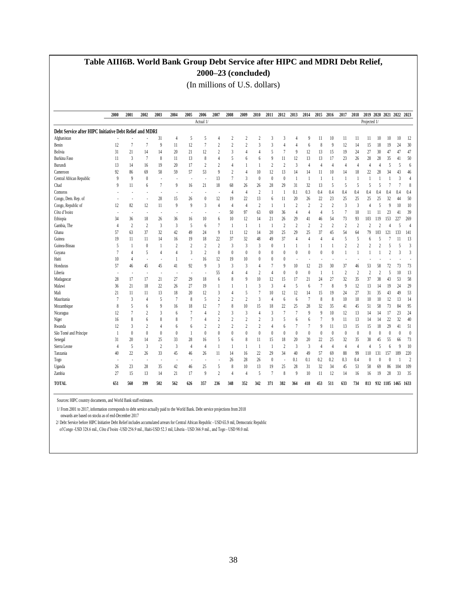### **Table AIII6B. World Bank Group Debt Service after HIPC and MDRI Debt Relief, 2000–23 (concluded)**

(In millions of U.S. dollars)

|                                                         | 2000           | 2001           | 2002           | 2003           | 2004           | 2005                     | 2006           | 2007           | 2008           | 2009           | 2010                    | 2011                     | 2012           | 2013           | 2014             | 2015           | 2016           | 2017             | 2018                     | 2019 2020 2021 2022 2023 |                         |                |                    |                  |
|---------------------------------------------------------|----------------|----------------|----------------|----------------|----------------|--------------------------|----------------|----------------|----------------|----------------|-------------------------|--------------------------|----------------|----------------|------------------|----------------|----------------|------------------|--------------------------|--------------------------|-------------------------|----------------|--------------------|------------------|
|                                                         |                |                |                |                |                |                          | Actual 1/      |                |                |                |                         |                          |                |                |                  |                |                |                  |                          | Projected 1/             |                         |                |                    |                  |
| Debt Service after HIPC Initiative Debt Relief and MDRI |                |                |                |                |                |                          |                |                |                |                |                         |                          |                |                |                  |                |                |                  |                          |                          |                         |                |                    |                  |
| Afghanistan                                             |                |                |                | 31             | $\overline{4}$ | 5                        | 5              | 4              | 2              | 2              | $\overline{\mathbf{c}}$ | 3                        | 3              | 4              | q                | 11             | 10             | 11               | 11                       | 11                       | 10                      | 10             | 10                 | 12               |
| Benin                                                   | 12             | 7              |                | 9              | 11             | 12                       | 7              | $\overline{2}$ | $\overline{2}$ | $\overline{c}$ | 3                       | 3                        | 4              | 4              | 6                | 8              | 9              | 12               | 14                       | 15                       | 18                      | 19             | 24                 | 30               |
| Bolivia                                                 | 31             | 21             | 14             | 14             | 20             | 21                       | 12             |                | 3              | 4              | 4                       | 5                        | 7              | 9              | 12               | 13             | 15             | 19               | 24                       | 27                       | 30                      | 47             | 47                 | 47               |
| Burkina Faso                                            | 11             | $\mathfrak{Z}$ |                | 8              | 11             | 13                       | 8              | 4              | 5              | 6              | 6                       | 9                        | 11             | 12             | 13               | 13             | 17             | 23               | 26                       | 28                       | 28                      | 35             | 41                 | 50               |
| Burundi                                                 | 13             | 14             | 16             | 19             | 20             | 17                       | 2              | $\overline{2}$ | 4              | 1              | $\overline{1}$          | $\overline{2}$           | $\overline{c}$ | 3              | $\overline{4}$   | $\overline{4}$ | $\overline{4}$ | $\overline{4}$   | 4                        | $\overline{4}$           | 4                       | 5              | 5                  | 6                |
| Cameroon                                                | 92             | 86             | 69             | 58             | 59             | 57                       | 53             | 9              | $\overline{2}$ | $\overline{4}$ | 10                      | 12                       | 13             | 14             | 14               | 11             | 10             | 14               | 18                       | 22                       | 28                      | 34             | 43                 | 46               |
| Central African Republic                                | 9              | 9              | $\bf{0}$       | ×              | ×,             | ÷,                       |                | 13             | $\overline{7}$ | 3              | $\boldsymbol{0}$        | $\bf{0}$                 | $\theta$       | $\overline{1}$ |                  |                |                | $\overline{1}$   |                          |                          |                         |                | 3                  | $\overline{4}$   |
| Chad                                                    | 9              | 11             | 6              | 7              | 9              | 16                       | 21             | 18             | 68             | 26             | 26                      | 28                       | 29             | 31             | 32               | 13             | 5              | 5                | $\overline{\phantom{0}}$ | 5                        | 5                       | 7              | 7                  | 8                |
| Comoros                                                 |                |                |                |                |                |                          |                |                | 4              | 4              | $\overline{c}$          | $\mathbf{1}$             | $\mathbf{1}$   | 0.1            | 0.3              | 0.4            | 0.4            | 0.4              | 0.4                      | 0.4                      | 0.4                     | 0.4            | 0.4                | 0.4              |
| Congo, Dem. Rep. of                                     |                | ٠              |                | 28             | 15             | 26                       | $\theta$       | 12             | 19             | 22             | 13                      | 6                        | 11             | 20             | 26               | 22             | 23             | 25               | 25                       | 25                       | 25                      | 32             | 44                 | 50               |
| Congo, Republic of                                      | 12             | 82             | 12             | 11             | $\mathbf{Q}$   | $\overline{9}$           | 3              | $\overline{4}$ | 4              | $\overline{4}$ | $\overline{c}$          | $\overline{\phantom{a}}$ | $\mathbf{1}$   | $\overline{2}$ | $\overline{2}$   | $\overline{2}$ | $\overline{2}$ | $\overline{3}$   | 3                        | 4                        | 5                       | 9              | 10                 | 10               |
| Côte d'Ivoire                                           |                | ٠              |                | ٠              |                |                          |                |                | 50             | 97             | 63                      | 69                       | 36             | $\overline{4}$ | $\overline{4}$   | 4              | 5              | 7                | 10                       | 11                       | 11                      | 23             | 41                 | 39               |
| Ethiopia                                                | 34             | 36             | 18             | 26             | 36             | 16                       | 10             | 6              | 10             | 12             | 14                      | 21                       | 26             | 29             | 41               | 46             | 54             | 73               | 93                       | 103                      | 119                     | 153            | 227                | 269              |
| Gambia, The                                             | $\overline{4}$ | $\overline{2}$ | $\overline{c}$ | $\overline{3}$ | $\overline{3}$ | 5                        | 6              | $\overline{7}$ | 1              | $\mathbf{1}$   | $\mathbf{1}$            | $\overline{\phantom{a}}$ | $\overline{c}$ | $\overline{2}$ | $\boldsymbol{2}$ | $\overline{2}$ | $\overline{2}$ | $\overline{2}$   | $\overline{2}$           | $\overline{c}$           | $\overline{\mathbf{c}}$ | 4              | 5                  | $\overline{4}$   |
| Ghana                                                   | 57             | 63             | 37             | 32             | 42             | 49                       | 24             | 9              | 11             | 12             | 14                      | 20                       | 25             | 29             | 25               | 37             | 45             | 54               | 64                       | 79                       | 103                     | 121            | 133                | 141              |
| Guinea                                                  | 19             | 11             | 11             | 14             | 16             | 19                       | 18             | 22             | 37             | 32             | 48                      | 49                       | 37             | $\overline{4}$ |                  | $\overline{4}$ | 4              | 5                | 5                        | 6                        | 5                       | 7              | 11                 | 13               |
| Guinea-Bissau                                           | 5              | $\mathbf{1}$   | $\bf{0}$       |                | $\overline{2}$ | $\overline{2}$           | 2              | 2              | 3              | 3              | 3                       | $\bf{0}$                 | 1              | 1              |                  |                |                | $\overline{c}$   | $\overline{2}$           |                          | $\overline{c}$          | 5              | 5                  | 3                |
| Guyana                                                  | 7              | $\overline{4}$ | 5              | $\overline{4}$ | $\overline{4}$ | 3                        | $\overline{2}$ | $\theta$       | $\theta$       | $\theta$       | $\boldsymbol{0}$        | $\theta$                 | $\theta$       | $\theta$       | $\theta$         | $\theta$       | $\theta$       |                  |                          |                          |                         | $\overline{c}$ | 3                  | 3                |
| Haiti                                                   | 10             | 4              |                | ÷,             |                | ä,                       | 16             | 12             | 19             | 10             | $\bf{0}$                | $\theta$                 | $\theta$       |                |                  |                |                |                  |                          |                          |                         |                |                    |                  |
| Honduras                                                | 57             | 46             | 45             | 45             | 41             | 92                       | 9              | 3              | 3              | 3              | 4                       | 7                        | 9              | 10             | 12               | 23             | 30             | 37               | 46                       | 53                       | 58                      | 72             | 73                 | 73               |
| Liberia                                                 | ٠              | ٠              | $\overline{a}$ | ٠              | ٠              | $\overline{\phantom{a}}$ |                | 55             | 4              | $\overline{A}$ | $\overline{2}$          | $\overline{4}$           | $\theta$       | $\theta$       | $\theta$         | $\overline{1}$ | $\overline{1}$ | $\overline{2}$   | $\overline{2}$           | $\overline{c}$           | $\overline{c}$          | 5              | 10                 | 13               |
| Madagascar                                              | 28             | 17             | 17             | 21             | 27             | 29                       | 18             | 6              | 8              | 9              | 10                      | 12                       | 15             | 17             | 21               | 24             | 27             | 32               | 35                       | 37                       | 38                      | 43             | 53                 | 58               |
| Malawi                                                  | 36             | 21             | 18             | 22             | 26             | 27                       | 19             | 1              |                | 1              | 3                       | 3                        | 4              | 5              | 6                | $\overline{7}$ | 8              | 9                | 12                       | 13                       | 14                      | 19             | 24                 | 29               |
| Mali                                                    | 21             | 11             | 11             | 13             | 18             | 20                       | 12             | 3              | 4              | 5              | $\overline{1}$          | 10                       | 12             | 12             | 14               | 15             | 19             | 24               | 27                       | 31                       | 35                      | 43             | 49                 | 53               |
| Mauritania                                              | $\overline{7}$ | 3              | $\overline{4}$ | 5              | 7              | 8                        | 5              | $\overline{2}$ | $\overline{2}$ | $\overline{c}$ | 3                       | 4                        | 6              | 6              | $\overline{7}$   | 8              | 8              | 10               | 10                       | 10                       | 10                      | 12             | 13                 | 14               |
| Mozambique                                              | 8              | 5              | 6              | 9              | 16             | 18                       | 12             | 7              | 8              | 10             | 15                      | 18                       | 22             | 25             | 28               | 32             | 35             | 41               | 45                       | 51                       | 58                      | 73             | 84                 | 95               |
| Nicaragua                                               | 12             | $\overline{7}$ | $\overline{c}$ | 3              | 6              | 7                        | 4              | $\overline{2}$ | 3              | 3              | 4                       | 3                        | $\overline{7}$ | $\overline{7}$ | q                | $\overline{9}$ | 10             | 12               | 13                       | 14                       | 14                      | 17             | 23                 | 24               |
| Niger                                                   | 16             | 8              | 6              | 8              | 8              | 7                        | 4              | $\overline{2}$ | $\overline{2}$ | $\overline{c}$ | $\overline{c}$          | 3                        | 5              | 6              | 6                | 7              | 9              | 11               | 13                       | 14                       | 14                      | 22             | 32                 | 40               |
| Rwanda                                                  | 12             | 3              | $\overline{c}$ | $\overline{4}$ | 6              | 6                        | $\overline{2}$ | $\overline{2}$ | $\overline{2}$ | $\overline{c}$ | $\overline{2}$          | $\overline{4}$           | 6              | 7              | $\overline{7}$   | 9              | 11             | 13               | 15                       | 15                       | 18                      | 29             | 41                 | 51               |
| São Tomé and Príncipe                                   | $\mathbf{1}$   | $\bf{0}$       | $\bf{0}$       | $\theta$       | $\theta$       | $\overline{1}$           | $\theta$       | $\theta$       | $\theta$       | $\theta$       | $\boldsymbol{0}$        | $\bf{0}$                 | $\theta$       | $\theta$       | $\theta$         | $\theta$       | $\theta$       | $\boldsymbol{0}$ | $\theta$                 | $\theta$                 | $\theta$                | $\theta$       | $\theta$           | $\boldsymbol{0}$ |
| Senegal                                                 | 31             | 20             | 14             | 25             | 33             | 28                       | 16             | 5              | 6              | 8              | 11                      | 15                       | 18             | 20             | 20               | 22             | 25             | 32               | 35                       | 38                       | 45                      | 55             | 66                 | 73               |
| Sierra Leone                                            | $\overline{4}$ | 5              | 3              | 2              | 3              | $\overline{4}$           | $\overline{4}$ | $\mathbf{1}$   | 1              | 1              | $\mathbf{1}$            | $\mathbf{1}$             | $\overline{c}$ | 3              | 3                | $\overline{4}$ | $\overline{4}$ | $\overline{4}$   | $\overline{4}$           | $\overline{4}$           | 5                       | 6              | 9                  | 10               |
| Tanzania                                                | 40             | 22             | 26             | 33             | 45             | 46                       | 26             | 11             | 14             | 16             | 22                      | 29                       | 34             | 40             | 49               | 57             | 69             | 88               | 99                       | 110                      | 131                     | 157            | 189                | 220              |
| Togo                                                    |                | ٠              |                | ٠              |                | ٠                        |                | ×              | 26             | 28             | 26                      | $\bf{0}$                 | ×              | 0.1            | 0.1              | 0.2            | 0.2            | 0.3              | 0.4                      | $\bf{0}$                 | $\theta$                | 0              |                    | $\overline{2}$   |
| Uganda                                                  | 26             | 23             | 28             | 35             | 42             | 46                       | 25             | 5              | 8              | 10             | 13                      | 19                       | 25             | 28             | 31               | 32             | 34             | 45               | 53                       | 58                       | 69                      | 86             | 104                | 109              |
| Zambia                                                  | 27             | 15             | 13             | 14             | 21             | 17                       | 9              | $\overline{2}$ | $\overline{4}$ | 4              | 5                       | $\overline{7}$           | 8              | 9              | 10               | 11             | 12             | 14               | 16                       | 16                       | 19                      | 28             | 33                 | 35               |
| <b>TOTAL</b>                                            | 651            | 560            | 399            | 502            | 562            | 626                      | 357            | 236            | 348            | 352            | 342                     | 371                      | 382            | 364            | 418              | 453            | 511            | 633              | 734                      | 813                      |                         |                | 932 1185 1465 1633 |                  |

Sources: HIPC country documents, and World Bank staff estimates.

1/ From 2001 to 2017, information corresponds to debt service actually paid to the World Bank. Debt service projections from 2018

onwards are based on stocks as of end-December 2017

2/ Debt Service before HIPC Initiative Debt Relief includes accumulated arrears for Central African Republic - USD 65.9 mil, Democratic Republic

of Congo -USD 328.6 mil., Côte d'Ivoire -USD 256.9 mil., Haiti-USD 52.3 mil, Liberia - USD 366.9 mil., and Togo - USD 98.0 mil.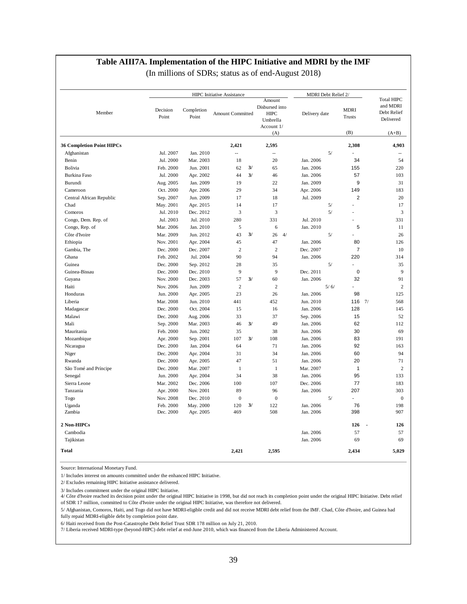#### **Table AIII7A. Implementation of the HIPC Initiative and MDRI by the IMF**

(In millions of SDRs; status as of end-August 2018)

|                                  |                   |                     | <b>HIPC</b> Initiative Assistance |    |                                                                          | MDRI Debt Relief 2/ |    |                                 |                                                                      |
|----------------------------------|-------------------|---------------------|-----------------------------------|----|--------------------------------------------------------------------------|---------------------|----|---------------------------------|----------------------------------------------------------------------|
| Member                           | Decision<br>Point | Completion<br>Point | <b>Amount Committed</b>           |    | Amount<br>Disbursed into<br><b>HIPC</b><br>Umbrella<br>Account 1/<br>(A) | Delivery date       |    | <b>MDRI</b><br>Trusts<br>(B)    | <b>Total HIPC</b><br>and MDRI<br>Debt Relief<br>Delivered<br>$(A+B)$ |
| <b>36 Completion Point HIPCs</b> |                   |                     | 2,421                             |    | 2,595                                                                    |                     |    | 2,308                           | 4,903                                                                |
| Afghanistan                      | Jul. 2007         | Jan. 2010           | Ξ.                                |    | $\overline{a}$                                                           |                     | 5/ |                                 | $\sim$ $\sim$                                                        |
| Benin                            | Jul. 2000         | Mar. 2003           | 18                                |    | 20                                                                       | Jan. 2006           |    | 34                              | 54                                                                   |
| Bolivia                          | Feb. 2000         | Jun. 2001           | 62                                | 3/ | 65                                                                       | Jan. 2006           |    | 155                             | 220                                                                  |
| Burkina Faso                     | Jul. 2000         | Apr. 2002           | 44                                | 3/ | 46                                                                       | Jan. 2006           |    | 57                              | 103                                                                  |
| Burundi                          | Aug. 2005         | Jan. 2009           | 19                                |    | 22                                                                       | Jan. 2009           |    | 9                               | 31                                                                   |
| Cameroon                         | Oct. 2000         | Apr. 2006           | 29                                |    | 34                                                                       | Apr. 2006           |    | 149                             | 183                                                                  |
| Central African Republic         | Sep. 2007         | Jun. 2009           | 17                                |    | 18                                                                       | Jul. 2009           |    | $\overline{2}$                  | 20                                                                   |
| Chad                             | May. 2001         | Apr. 2015           | 14                                |    | 17                                                                       |                     | 5/ |                                 | 17                                                                   |
| Comoros                          | Jul. 2010         | Dec. 2012           | 3                                 |    | 3                                                                        |                     | 5/ | $\overline{a}$                  | 3                                                                    |
| Congo, Dem. Rep. of              | Jul. 2003         | Jul. 2010           | 280                               |    | 331                                                                      | Jul. 2010           |    |                                 | 331                                                                  |
| Congo, Rep. of                   | Mar. 2006         | Jan. 2010           | 5                                 |    | 6                                                                        | Jan. 2010           |    | 5                               | 11                                                                   |
| Côte d'Ivoire                    | Mar. 2009         | Jun. 2012           | 43                                | 3/ | 26<br>4/                                                                 |                     | 5/ |                                 | 26                                                                   |
| Ethiopia                         | Nov. 2001         | Apr. 2004           | 45                                |    | 47                                                                       | Jan. 2006           |    | 80                              | 126                                                                  |
| Gambia, The                      | Dec. 2000         | Dec. 2007           | $\overline{c}$                    |    | $\overline{2}$                                                           | Dec. 2007           |    | $\overline{7}$                  | 10                                                                   |
| Ghana                            | Feb. 2002         | Jul. 2004           | 90                                |    | 94                                                                       | Jan. 2006           |    | 220                             | 314                                                                  |
| Guinea                           | Dec. 2000         | Sep. 2012           | 28                                |    | 35                                                                       |                     | 5/ |                                 | 35                                                                   |
| Guinea-Bissau                    | Dec. 2000         | Dec. 2010           | 9                                 |    | 9                                                                        | Dec. 2011           |    | $\pmb{0}$                       | 9                                                                    |
| Guyana                           | Nov. 2000         | Dec. 2003           | 57                                | 3/ | 60                                                                       | Jan. 2006           |    | 32                              | 91                                                                   |
| Haiti                            | Nov. 2006         | Jun. 2009           | $\overline{c}$                    |    | $\overline{2}$                                                           | 5/6/                |    | $\overline{a}$                  | $\overline{c}$                                                       |
| Honduras                         | Jun. 2000         | Apr. 2005           | 23                                |    | 26                                                                       | Jan. 2006           |    | 98                              | 125                                                                  |
| Liberia                          | Mar. 2008         | Jun. 2010           | 441                               |    | 452                                                                      | Jun. 2010           |    | 116 $7/$                        | 568                                                                  |
| Madagascar                       | Dec. 2000         | Oct. 2004           | 15                                |    | 16                                                                       | Jan. 2006           |    | 128                             | 145                                                                  |
| Malawi                           | Dec. 2000         | Aug. 2006           | 33                                |    | 37                                                                       | Sep. 2006           |    | 15                              | 52                                                                   |
| Mali                             | Sep. 2000         | Mar. 2003           | 46                                | 3/ | 49                                                                       | Jan. 2006           |    | 62                              | 112                                                                  |
| Mauritania                       | Feb. 2000         | Jun. 2002           | 35                                |    | 38                                                                       | Jun. 2006           |    | 30                              | 69                                                                   |
| Mozambique                       | Apr. 2000         | Sep. 2001           | 107                               | 3/ | 108                                                                      | Jan. 2006           |    | 83                              | 191                                                                  |
| Nicaragua                        | Dec. 2000         | Jan. 2004           | 64                                |    | 71                                                                       | Jan. 2006           |    | 92                              | 163                                                                  |
| Niger                            | Dec. 2000         | Apr. 2004           | 31                                |    | 34                                                                       | Jan. 2006           |    | 60                              | 94                                                                   |
| Rwanda                           | Dec. 2000         | Apr. 2005           | 47                                |    | 51                                                                       | Jan. 2006           |    | 20                              | 71                                                                   |
| São Tomé and Príncipe            | Dec. 2000         | Mar. 2007           | $\mathbf{1}$                      |    | $\mathbf{1}$                                                             | Mar. 2007           |    | $\mathbf{1}$                    | $\overline{2}$                                                       |
| Senegal                          | Jun. 2000         | Apr. 2004           | 34                                |    | 38                                                                       | Jan. 2006           |    | 95                              | 133                                                                  |
| Sierra Leone                     | Mar. 2002         | Dec. 2006           | 100                               |    | 107                                                                      | Dec. 2006           |    | 77                              | 183                                                                  |
| Tanzania                         | Apr. 2000         | Nov. 2001           | 89                                |    | 96                                                                       | Jan. 2006           |    | 207                             | 303                                                                  |
| Togo                             | Nov. 2008         | Dec. 2010           | $\boldsymbol{0}$                  |    | $\boldsymbol{0}$                                                         |                     | 5/ | $\overline{a}$                  | $\mathbf{0}$                                                         |
| Uganda                           | Feb. 2000         | May. 2000           | 120                               | 3/ | 122                                                                      | Jan. 2006           |    | 76                              | 198                                                                  |
| Zambia                           | Dec. 2000         | Apr. 2005           | 469                               |    | 508                                                                      | Jan. 2006           |    | 398                             | 907                                                                  |
| 2 Non-HIPCs                      |                   |                     |                                   |    |                                                                          |                     |    | 126<br>$\overline{\phantom{a}}$ | 126                                                                  |
| Cambodia                         |                   |                     |                                   |    |                                                                          | Jan. 2006           |    | 57                              | 57                                                                   |
| Tajikistan                       |                   |                     |                                   |    |                                                                          | Jan. 2006           |    | 69                              | 69                                                                   |
| <b>Total</b>                     |                   |                     | 2,421                             |    | 2,595                                                                    |                     |    | 2,434                           | 5,029                                                                |

Source: International Monetary Fund.

1/ Includes interest on amounts committed under the enhanced HIPC Initiative.

2/ Excludes remaining HIPC Initiative assistance delivered.

3/ Includes commitment under the original HIPC Initiative.

4/ Côte d'Ivoire reached its decision point under the original HIPC Initiative in 1998, but did not reach its completion point under the original HIPC Initiative. Debt relief of SDR 17 million, committed to Côte d'Ivoire under the original HIPC Initiative, was therefore not delivered.

5/ Afghanistan, Comoros, Haiti, and Togo did not have MDRI-eligible credit and did not receive MDRI debt relief from the IMF. Chad, Côte d'Ivoire, and Guinea had

fully repaid MDRI-eligible debt by completion point date.

6/ Haiti received from the Post-Catastrophe Debt Relief Trust SDR 178 million on July 21, 2010.

7/ Liberia received MDRI-type (beyond-HIPC) debt relief at end-June 2010, which was financed from the Liberia Administered Account.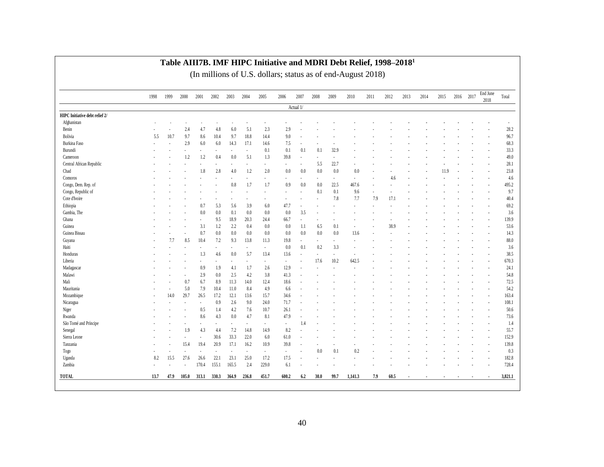|                                | 1998 | 1999   | 2000                     | 2001                 | 2002  | 2003   | 2004   | 2005   | 2006   | 2007      | 2008                     | 2009   | 2010         | 2011 | 2012 | 2013 | 2014 | 2015 | 2016 2017 | End June<br>2018 | Total   |
|--------------------------------|------|--------|--------------------------|----------------------|-------|--------|--------|--------|--------|-----------|--------------------------|--------|--------------|------|------|------|------|------|-----------|------------------|---------|
|                                |      |        |                          |                      |       |        |        |        |        | Actual 1/ |                          |        |              |      |      |      |      |      |           |                  |         |
| HIPC Initiative debt relief 2/ |      |        |                          |                      |       |        |        |        |        |           |                          |        |              |      |      |      |      |      |           |                  |         |
| Afghanistan                    |      |        |                          |                      |       |        |        |        |        |           |                          |        |              |      |      |      |      |      |           |                  |         |
| Benin                          |      |        | 2.4                      | 4.7                  | 4.8   | 6.0    | 5.1    | 2.3    | 2.9    |           |                          |        |              |      |      |      |      |      |           |                  | 28.2    |
| Bolivia                        | 5.5  | 10.7   | 9.7                      | 8.6                  | 10.4  | 9.7    | 18.8   | 14.4   | 9.0    |           |                          |        |              |      |      |      |      |      |           |                  | 96.7    |
| Burkina Faso                   |      | ÷,     | 2.9                      | 6.0                  | 6.0   | 14.3   | 17.1   | 14.6   | 7.5    | ٠         |                          |        |              |      |      |      |      |      |           |                  | 68.3    |
| Burundi                        |      |        | $\sim$                   | $\sim$               |       | $\sim$ | $\sim$ | 0.1    | 0.1    | 0.1       | 0.1                      | 32.9   |              |      |      |      |      |      |           |                  | 33.3    |
| Cameroon                       |      |        | 1.2                      | 1.2                  | 0.4   | 0.0    | 5.1    | 1.3    | 39.8   | $\sim$    | $\overline{\phantom{a}}$ |        |              |      |      |      |      |      |           |                  | 49.0    |
| Central African Republic       |      |        |                          |                      |       |        |        | ä,     |        | ٠         | 5.5                      | 22.7   |              |      |      |      |      |      |           |                  | 28.1    |
| Chad                           |      |        |                          | 1.8                  | 2.8   | 4.0    | 1.2    | 2.0    | 0.0    | 0.0       | 0.0                      | 0.0    | 0.0          |      |      |      |      | 11.9 |           |                  | 23.8    |
| Comoros                        |      |        |                          |                      |       | ٠      | ٠      | ä,     | $\sim$ | $\sim$    | ÷.                       | $\sim$ | ÷            |      | 4.6  |      |      |      |           |                  | 4.6     |
| Congo, Dem. Rep. of            |      |        |                          |                      |       | 0.8    | 1.7    | 1.7    | 0.9    | 0.0       | 0.0                      | 22.5   | 467.6        |      |      |      |      |      |           |                  | 495.2   |
| Congo, Republic of             |      |        |                          |                      |       |        |        |        |        |           | 0.1                      | 0.1    | 9.6          | ä,   |      |      |      |      |           |                  | 9.7     |
| Cote d'Ivoire                  |      |        |                          |                      |       |        |        |        |        |           |                          | 7.8    | 7.7          | 7.9  | 17.1 |      |      |      |           |                  | 40.4    |
| Ethiopia                       |      |        |                          | 0.7                  | 5.3   | 5.6    | 3.9    | 6.0    | 47.7   | ٠         | $\overline{\phantom{a}}$ |        | ٠            |      |      |      |      |      |           |                  | 69.2    |
| Gambia, The                    |      |        |                          | 0.0                  | 0.0   | 0.1    | 0.0    | 0.0    | 0.0    | 3.5       | ÷,                       |        |              |      |      |      |      |      |           |                  | 3.6     |
| Ghana                          |      |        |                          | $\bar{a}$            | 9.5   | 18.9   | 20.3   | 24.4   | 66.7   | ٠         | ä,                       |        |              |      |      |      |      |      |           |                  | 139.9   |
| Guinea                         |      |        |                          | 3.1                  | 1.2   | 2.2    | 0.4    | 0.0    | 0.0    | 1.1       | 6.5                      | 0.1    | $\sim$       |      | 38.9 |      |      |      |           |                  | 53.6    |
| Guinea Bissau                  |      |        |                          | 0.7                  | 0.0   | 0.0    | 0.0    | 0.0    | 0.0    | 0.0       | 0.0                      | 0.0    | 13.6         |      |      |      |      |      |           |                  | 14.3    |
| Guyana                         |      | 7.7    | 8.5                      | 10.4                 | 7.2   | 9.3    | 13.8   | 11.3   | 19.8   | ÷,        | ä,                       |        | ÷,           |      |      |      |      |      |           |                  | 88.0    |
| Haiti                          |      |        |                          | $\ddot{\phantom{a}}$ | ٠.    | ٠      | ÷.     | ÷.     | 0.0    | 0.1       | 0.2                      | 3.3    | $\mathbf{r}$ |      |      |      |      |      |           |                  | 3.6     |
| Honduras                       |      |        |                          | 1.3                  | 4.6   | 0.0    | 5.7    | 13.4   | 13.6   | ÷,        | $\blacksquare$           |        |              |      |      |      |      |      |           |                  | 38.5    |
| Liberia                        |      |        |                          | $\sim$               |       | ÷.     | х.     | $\sim$ | $\sim$ | $\sim$    | 17.6                     | 10.2   | 642.5        |      |      |      |      |      |           |                  | 670.3   |
| Madagascar                     |      |        |                          | 0.9                  | 1.9   | 4.1    | 1.7    | 2.6    | 12.9   | ÷,        |                          |        |              |      |      |      |      |      |           |                  | 24.1    |
| Malawi                         |      |        |                          | 2.9                  | 0.0   | 2.5    | 4.2    | 3.8    | 41.3   |           |                          |        |              |      |      |      |      |      |           |                  | 54.8    |
| Mali                           |      |        | 0.7                      | 6.7                  | 8.9   | 11.3   | 14.0   | 12.4   | 18.6   |           |                          |        |              |      |      |      |      |      |           |                  | 72.5    |
| Mauritania                     |      | $\sim$ | 5.0                      | 7.9                  | 10.4  | 11.0   | 8.4    | 4.9    | 6.6    |           |                          |        |              |      |      |      |      |      |           |                  | 54.2    |
| Mozambique                     |      | 14.0   | 29.7                     | 26.5                 | 17.2  | 12.1   | 13.6   | 15.7   | 34.6   |           |                          |        |              |      |      |      |      |      |           |                  | 163.4   |
| Nicaragua                      |      |        | $\overline{\phantom{a}}$ | $\sim$               | 0.9   | 2.6    | 9.0    | 24.0   | 71.7   |           |                          |        |              |      |      |      |      |      |           |                  | 108.1   |
| Niger                          |      |        |                          | 0.5                  | 1.4   | 4.2    | 7.6    | 10.7   | 26.1   |           |                          |        |              |      |      |      |      |      |           |                  | 50.6    |
| Rwanda                         |      |        |                          | 8.6                  | 4.3   | 0.0    | 4.7    | 8.1    | 47.9   | $\sim$    |                          |        |              |      |      |      |      |      |           |                  | 73.6    |
| São Tomé and Príncipe          |      |        |                          | ÷,                   |       | $\sim$ | ÷,     | ä,     | ×      | 1.4       |                          |        |              |      |      |      |      |      |           |                  | 1.4     |
| Senegal                        |      |        | 1.9                      | 4.3                  | 4.4   | 7.2    | 14.8   | 14.9   | 8.2    |           |                          |        |              |      |      |      |      |      |           |                  | 55.7    |
| Sierra Leone                   |      |        |                          | ÷,                   | 30.6  | 33.3   | 22.0   | 6.0    | 61.0   |           |                          |        |              |      |      |      |      |      |           |                  | 152.9   |
| Tanzania                       |      |        | 15.4                     | 19.4                 | 20.9  | 17.1   | 16.2   | 10.9   | 39.8   | $\sim$    |                          |        |              |      |      |      |      |      |           |                  | 139.8   |
| Togo                           |      |        | ÷,                       | ÷,                   | ÷,    | ×,     | ÷,     | ä,     |        |           | 0.0                      | 0.1    | 0.2          |      |      |      |      |      |           |                  | 0.3     |
| Uganda                         | 8.2  | 15.5   | 27.6                     | 26.6                 | 22.1  | 23.1   | 25.0   | 17.2   | 17.5   | i.        |                          |        |              |      |      |      |      |      |           |                  | 182.8   |
| Zambia                         |      |        |                          | 170.4                | 155.1 | 165.5  | 2.4    | 229.0  | 6.1    |           |                          |        |              |      |      |      |      |      |           |                  | 728.4   |
|                                |      |        |                          |                      |       |        |        |        |        |           |                          |        |              |      |      |      |      |      |           |                  |         |
| TOTAL                          | 13.7 | 47.9   | 105.0                    | 313.1                | 330.3 | 364.9  | 236.8  | 451.7  | 600.2  | 6.2       | 30.0                     | 99.7   | 1,141.3      | 7.9  | 60.5 |      |      |      |           |                  | 3,821.1 |

#### **Table AIII7B. IMF HIPC Initiative and MDRI Debt Relief, 1998–2018 1**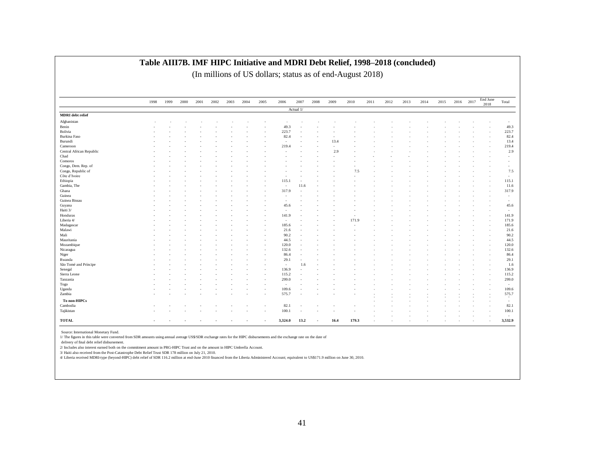| Actual 1/<br>MDRI debt relief<br>Afghanistan<br>Benin<br>49.3<br>Bolivia<br>223.7<br>Burkina Faso<br>82.4<br>Burundi<br>13.4<br>Cameroon<br>219.4<br>Central African Republic<br>2.9<br>Chad<br>Comoros<br>Congo, Dem. Rep. of<br>Congo, Republic of<br>7.5<br>Côte d'Ivoire<br>Ethiopia<br>115.1<br>Gambia, The<br>11.6<br>٠<br>Ghana<br>317.9 |  |  | $\overline{\phantom{a}}$<br>49.3<br>223.7<br>82.4<br>13.4<br>219.4<br>2.9<br>$\overline{\phantom{a}}$<br>٠<br>٠ |
|-------------------------------------------------------------------------------------------------------------------------------------------------------------------------------------------------------------------------------------------------------------------------------------------------------------------------------------------------|--|--|-----------------------------------------------------------------------------------------------------------------|
|                                                                                                                                                                                                                                                                                                                                                 |  |  |                                                                                                                 |
|                                                                                                                                                                                                                                                                                                                                                 |  |  |                                                                                                                 |
|                                                                                                                                                                                                                                                                                                                                                 |  |  |                                                                                                                 |
|                                                                                                                                                                                                                                                                                                                                                 |  |  |                                                                                                                 |
|                                                                                                                                                                                                                                                                                                                                                 |  |  |                                                                                                                 |
|                                                                                                                                                                                                                                                                                                                                                 |  |  |                                                                                                                 |
|                                                                                                                                                                                                                                                                                                                                                 |  |  |                                                                                                                 |
|                                                                                                                                                                                                                                                                                                                                                 |  |  |                                                                                                                 |
|                                                                                                                                                                                                                                                                                                                                                 |  |  |                                                                                                                 |
|                                                                                                                                                                                                                                                                                                                                                 |  |  |                                                                                                                 |
|                                                                                                                                                                                                                                                                                                                                                 |  |  |                                                                                                                 |
|                                                                                                                                                                                                                                                                                                                                                 |  |  |                                                                                                                 |
|                                                                                                                                                                                                                                                                                                                                                 |  |  | 7.5                                                                                                             |
|                                                                                                                                                                                                                                                                                                                                                 |  |  | $\sim$                                                                                                          |
|                                                                                                                                                                                                                                                                                                                                                 |  |  | 115.1                                                                                                           |
|                                                                                                                                                                                                                                                                                                                                                 |  |  | 11.6                                                                                                            |
|                                                                                                                                                                                                                                                                                                                                                 |  |  | 317.9                                                                                                           |
| Guinea                                                                                                                                                                                                                                                                                                                                          |  |  | $\sim$                                                                                                          |
| Guinea Bissau                                                                                                                                                                                                                                                                                                                                   |  |  | $\sim$                                                                                                          |
| Guyana<br>45.6                                                                                                                                                                                                                                                                                                                                  |  |  | 45.6                                                                                                            |
| Haiti 3/                                                                                                                                                                                                                                                                                                                                        |  |  | $\sim$                                                                                                          |
| Honduras<br>141.9                                                                                                                                                                                                                                                                                                                               |  |  | 141.9                                                                                                           |
| Liberia 4/<br>171.9                                                                                                                                                                                                                                                                                                                             |  |  | 171.9                                                                                                           |
| Madagascar<br>185.6                                                                                                                                                                                                                                                                                                                             |  |  | 185.6                                                                                                           |
| Malawi<br>21.6                                                                                                                                                                                                                                                                                                                                  |  |  | 21.6                                                                                                            |
| Mali<br>90.2                                                                                                                                                                                                                                                                                                                                    |  |  | 90.2                                                                                                            |
| Mauritania<br>44.5                                                                                                                                                                                                                                                                                                                              |  |  | 44.5                                                                                                            |
| Mozambique<br>120.0                                                                                                                                                                                                                                                                                                                             |  |  | 120.0                                                                                                           |
| Nicaragua<br>132.6                                                                                                                                                                                                                                                                                                                              |  |  | 132.6                                                                                                           |
| Niger<br>86.4                                                                                                                                                                                                                                                                                                                                   |  |  | 86.4                                                                                                            |
| Rwanda<br>29.1                                                                                                                                                                                                                                                                                                                                  |  |  | 29.1                                                                                                            |
| São Tomé and Príncipe<br>1.6<br>$\sim$                                                                                                                                                                                                                                                                                                          |  |  | 1.6                                                                                                             |
| 136.9<br>Senegal                                                                                                                                                                                                                                                                                                                                |  |  | 136.9                                                                                                           |
| Sierra Leone<br>115.2                                                                                                                                                                                                                                                                                                                           |  |  | 115.2                                                                                                           |
| Tanzania<br>299.0                                                                                                                                                                                                                                                                                                                               |  |  | 299.0                                                                                                           |
| Togo                                                                                                                                                                                                                                                                                                                                            |  |  | $\overline{\phantom{a}}$                                                                                        |
| Uganda<br>109.6                                                                                                                                                                                                                                                                                                                                 |  |  | 109.6                                                                                                           |
| Zambia<br>575.7                                                                                                                                                                                                                                                                                                                                 |  |  | 575.7                                                                                                           |
|                                                                                                                                                                                                                                                                                                                                                 |  |  | ٠                                                                                                               |
| To non-HIPCs                                                                                                                                                                                                                                                                                                                                    |  |  | $\sim$                                                                                                          |
| Cambodia<br>82.1                                                                                                                                                                                                                                                                                                                                |  |  | 82.1                                                                                                            |
| Tajikistan<br>100.1                                                                                                                                                                                                                                                                                                                             |  |  | 100.1                                                                                                           |
|                                                                                                                                                                                                                                                                                                                                                 |  |  | $\sim$                                                                                                          |
| <b>TOTAL</b><br>13.2<br>179.3<br>3,324.0<br>16.4                                                                                                                                                                                                                                                                                                |  |  | 3,532.9                                                                                                         |

#### **Table AIII7B. IMF HIPC Initiative and MDRI Debt Relief, 1998–2018 (concluded)**

(In millions of US dollars; status as of end-August 2018)

Source: International Monetary Fund.

1/ The figures in this table were converted from SDR amounts using annual average US\$/SDR exchange rates for the HIPC disbursements and the exchange rate on the date of

delivery of final debt relief disbursement.

2/ Includes also interest earned both on the commitment amount in PRG-HIPC Trust and on the amount in HIPC Umbrella Account.

3/ Haiti also received from the Post-Catastrophe Debt Relief Trust SDR 178 million on July 21, 2010.

4/ Liberia received MDRI-type (beyond-HIPC) debt relief of SDR 116.2 million at end-June 2010 financed from the Liberia Administered Account; equivalent to US\$171.9 million on June 30, 2010.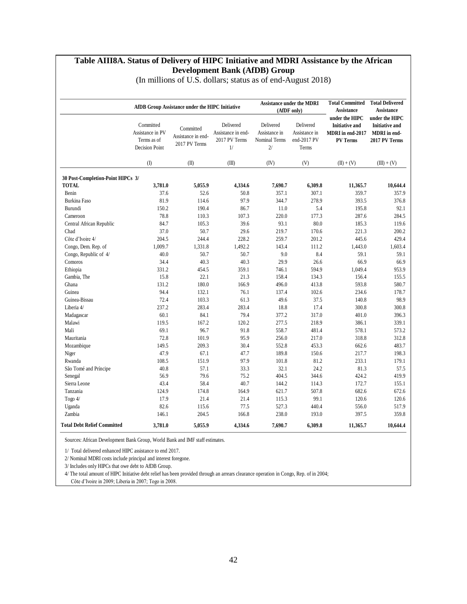#### **Table AIII8A. Status of Delivery of HIPC Initiative and MDRI Assistance by the African Development Bank (AfDB) Group**

|                                    |                                                                       | AfDB Group Assistance under the HIPC Initiative  |                                                        |                                                   | <b>Assistance under the MDRI</b><br>(AfDF only)    | <b>Total Committed</b><br><b>Assistance</b>                                    | <b>Total Delivered</b><br><b>Assistance</b>                                     |
|------------------------------------|-----------------------------------------------------------------------|--------------------------------------------------|--------------------------------------------------------|---------------------------------------------------|----------------------------------------------------|--------------------------------------------------------------------------------|---------------------------------------------------------------------------------|
|                                    | Committed<br>Assistance in PV<br>Terms as of<br><b>Decision Point</b> | Committed<br>Assistance in end-<br>2017 PV Terms | Delivered<br>Assistance in end-<br>2017 PV Terms<br>1/ | Delivered<br>Assistance in<br>Nominal Terms<br>2/ | Delivered<br>Assistance in<br>end-2017 PV<br>Terms | under the HIPC<br><b>Initiative and</b><br>MDRI in end-2017<br><b>PV Terms</b> | under the HIPC<br><b>Initiative and</b><br><b>MDRI</b> in end-<br>2017 PV Terms |
|                                    | $($ $\Gamma$                                                          | (II)                                             | (III)                                                  | (IV)                                              | (V)                                                | $(II) + (V)$                                                                   | $(III) + (V)$                                                                   |
| 30 Post-Completion-Point HIPCs 3/  |                                                                       |                                                  |                                                        |                                                   |                                                    |                                                                                |                                                                                 |
| <b>TOTAL</b>                       | 3,781.0                                                               | 5,055.9                                          | 4,334.6                                                | 7,690.7                                           | 6,309.8                                            | 11,365.7                                                                       | 10,644.4                                                                        |
| Benin                              | 37.6                                                                  | 52.6                                             | 50.8                                                   | 357.1                                             | 307.1                                              | 359.7                                                                          | 357.9                                                                           |
| <b>Burkina Faso</b>                | 81.9                                                                  | 114.6                                            | 97.9                                                   | 344.7                                             | 278.9                                              | 393.5                                                                          | 376.8                                                                           |
| Burundi                            | 150.2                                                                 | 190.4                                            | 86.7                                                   | 11.0                                              | 5.4                                                | 195.8                                                                          | 92.1                                                                            |
| Cameroon                           | 78.8                                                                  | 110.3                                            | 107.3                                                  | 220.0                                             | 177.3                                              | 287.6                                                                          | 284.5                                                                           |
| Central African Republic           | 84.7                                                                  | 105.3                                            | 39.6                                                   | 93.1                                              | 80.0                                               | 185.3                                                                          | 119.6                                                                           |
| Chad                               | 37.0                                                                  | 50.7                                             | 29.6                                                   | 219.7                                             | 170.6                                              | 221.3                                                                          | 200.2                                                                           |
| Côte d'Ivoire 4/                   | 204.5                                                                 | 244.4                                            | 228.2                                                  | 259.7                                             | 201.2                                              | 445.6                                                                          | 429.4                                                                           |
| Congo, Dem. Rep. of                | 1,009.7                                                               | 1,331.8                                          | 1,492.2                                                | 143.4                                             | 111.2                                              | 1,443.0                                                                        | 1,603.4                                                                         |
| Congo, Republic of 4/              | 40.0                                                                  | 50.7                                             | 50.7                                                   | 9.0                                               | 8.4                                                | 59.1                                                                           | 59.1                                                                            |
| Comoros                            | 34.4                                                                  | 40.3                                             | 40.3                                                   | 29.9                                              | 26.6                                               | 66.9                                                                           | 66.9                                                                            |
| Ethiopia                           | 331.2                                                                 | 454.5                                            | 359.1                                                  | 746.1                                             | 594.9                                              | 1,049.4                                                                        | 953.9                                                                           |
| Gambia, The                        | 15.8                                                                  | 22.1                                             | 21.3                                                   | 158.4                                             | 134.3                                              | 156.4                                                                          | 155.5                                                                           |
| Ghana                              | 131.2                                                                 | 180.0                                            | 166.9                                                  | 496.0                                             | 413.8                                              | 593.8                                                                          | 580.7                                                                           |
| Guinea                             | 94.4                                                                  | 132.1                                            | 76.1                                                   | 137.4                                             | 102.6                                              | 234.6                                                                          | 178.7                                                                           |
| Guinea-Bissau                      | 72.4                                                                  | 103.3                                            | 61.3                                                   | 49.6                                              | 37.5                                               | 140.8                                                                          | 98.9                                                                            |
| Liberia 4/                         | 237.2                                                                 | 283.4                                            | 283.4                                                  | 18.8                                              | 17.4                                               | 300.8                                                                          | 300.8                                                                           |
| Madagascar                         | 60.1                                                                  | 84.1                                             | 79.4                                                   | 377.2                                             | 317.0                                              | 401.0                                                                          | 396.3                                                                           |
| Malawi                             | 119.5                                                                 | 167.2                                            | 120.2                                                  | 277.5                                             | 218.9                                              | 386.1                                                                          | 339.1                                                                           |
| Mali                               | 69.1                                                                  | 96.7                                             | 91.8                                                   | 558.7                                             | 481.4                                              | 578.1                                                                          | 573.2                                                                           |
| Mauritania                         | 72.8                                                                  | 101.9                                            | 95.9                                                   | 256.0                                             | 217.0                                              | 318.8                                                                          | 312.8                                                                           |
| Mozambique                         | 149.5                                                                 | 209.3                                            | 30.4                                                   | 552.8                                             | 453.3                                              | 662.6                                                                          | 483.7                                                                           |
| Niger                              | 47.9                                                                  | 67.1                                             | 47.7                                                   | 189.8                                             | 150.6                                              | 217.7                                                                          | 198.3                                                                           |
| Rwanda                             | 108.5                                                                 | 151.9                                            | 97.9                                                   | 101.8                                             | 81.2                                               | 233.1                                                                          | 179.1                                                                           |
| São Tomé and Príncipe              | 40.8                                                                  | 57.1                                             | 33.3                                                   | 32.1                                              | 24.2                                               | 81.3                                                                           | 57.5                                                                            |
| Senegal                            | 56.9                                                                  | 79.6                                             | 75.2                                                   | 404.5                                             | 344.6                                              | 424.2                                                                          | 419.9                                                                           |
| Sierra Leone                       | 43.4                                                                  | 58.4                                             | 40.7                                                   | 144.2                                             | 114.3                                              | 172.7                                                                          | 155.1                                                                           |
| Tanzania                           | 124.9                                                                 | 174.8                                            | 164.9                                                  | 621.7                                             | 507.8                                              | 682.6                                                                          | 672.6                                                                           |
| Togo $4/$                          | 17.9                                                                  | 21.4                                             | 21.4                                                   | 115.3                                             | 99.1                                               | 120.6                                                                          | 120.6                                                                           |
| Uganda                             | 82.6                                                                  | 115.6                                            | 77.5                                                   | 527.3                                             | 440.4                                              | 556.0                                                                          | 517.9                                                                           |
| Zambia                             | 146.1                                                                 | 204.5                                            | 166.8                                                  | 238.0                                             | 193.0                                              | 397.5                                                                          | 359.8                                                                           |
| <b>Total Debt Relief Committed</b> | 3,781.0                                                               | 5,055.9                                          | 4,334.6                                                | 7,690.7                                           | 6,309.8                                            | 11,365.7                                                                       | 10,644.4                                                                        |

(In millions of U.S. dollars; status as of end-August 2018)

Sources: African Development Bank Group, World Bank and IMF staff estimates.

1/ Total delivered enhanced HIPC assistance to end 2017.

2/ Nominal MDRI costs include principal and interest foregone.

3/ Includes only HIPCs that owe debt to AfDB Group.

4/ The total amount of HIPC Initiative debt relief has been provided through an arrears clearance operation in Congo, Rep. of in 2004;

Côte d'Ivoire in 2009; Liberia in 2007; Togo in 2008.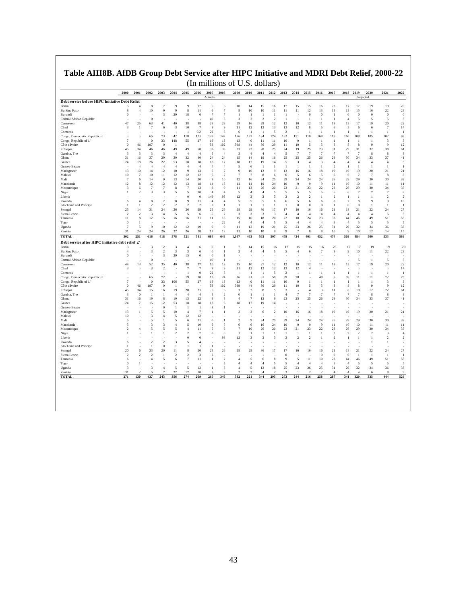| Actuals<br>Projected<br>Debt service before HIPC Initiative Debt Relief<br>$\overline{7}$<br>9<br>9<br>12<br>10<br>14<br>15<br>16<br>17<br>15<br>15<br>16<br>23<br>17<br>17<br>19<br>19<br>Benin<br>4<br>6<br>6<br>$1\,1$<br>10<br>9<br>8<br>11<br>10<br>10<br>11<br>11<br>12<br>13<br>15<br>15<br>22<br><b>Burkina Faso</b><br>8<br>$\overline{4}$<br>9<br>6<br>7<br>8<br>15<br>16<br>3<br>29<br>18<br>$\overline{7}$<br>$\overline{7}$<br>$\boldsymbol{0}$<br>$\,0\,$<br>$\theta$<br>6<br>$\overline{0}$<br>$\overline{0}$<br>$\overline{0}$<br>$\mathbf{0}$<br>Burundi<br>-1<br>-1<br>1<br>1<br>-1<br>-1<br>Central African Republic<br>$\bf{0}$<br>49<br>5<br>$\overline{\mathbf{3}}$<br>$\overline{c}$<br>$\overline{c}$<br>$\overline{2}$<br>$\overline{1}$<br>$\overline{4}$<br>5<br>5<br>5<br>$\mathbf{1}$<br>1<br>1<br>-1<br>47<br>25<br>63<br>41<br>40<br>38<br>38<br>28<br>28<br>29<br>16<br>29<br>12<br>12<br>10<br>12<br>11<br>18<br>15<br>17<br>19<br>20<br>Cameroon<br>10<br>$\overline{7}$<br>9<br>11<br>$\overline{7}$<br>Chad<br>3<br>-1<br>$\overline{7}$<br>6<br>$\boldsymbol{\beta}$<br>-9<br>12<br>12<br>13<br>13<br>12<br>8<br>-5<br>6<br>5<br>6<br>6<br>0.2<br>22<br>Comoros<br>$\mathbf{1}$<br>8<br>6<br>$\overline{1}$<br>-1<br>5<br>$\mathcal{D}$<br>$\overline{1}$<br>$\overline{1}$<br>$\mathbf{1}$<br>$\overline{1}$<br>$\overline{1}$<br>-1<br>-1<br>-1<br>73<br>42<br>128<br>142<br>153<br>160<br>105<br>102<br>Congo, Democratic Republic of<br>65<br>118<br>121<br>156<br>184<br>174<br>162<br>151<br>110<br>168<br>115<br>108<br>Congo, Republic of 1/<br>$\overline{7}$<br>$\theta$<br>33<br>148<br>55<br>27<br>19<br>13<br>13<br>$\boldsymbol{0}$<br>11<br>11<br>10<br>-9<br>$\overline{\mathbf{3}}$<br>$\mathbf{1}$<br>1<br>-1<br>1<br>-1<br>-1<br>Côte d'Ivoire<br>$\boldsymbol{0}$<br>46<br>197<br>$\boldsymbol{0}$<br>58<br>102<br>598<br>44<br>36<br>29<br>11<br>10<br>5<br>5<br>8<br>8<br>8<br>9<br>9<br>$\mathbf{1}$<br>34<br>49<br>50<br>33<br>33<br>23<br>22<br>28<br>25<br>31<br>29<br>31<br>32<br>Ethiopia<br>45<br>46<br>46<br>49<br>24<br>19<br>25<br>23<br>38<br>$\overline{7}$<br>$\overline{7}$<br>Gambia, The<br>3<br>$\overline{\mathbf{3}}$<br>3<br>3<br>$\overline{4}$<br>$\overline{4}$<br>5<br>$\overline{4}$<br>$\overline{4}$<br>$\overline{4}$<br>$\overline{4}$<br>5<br>$\overline{7}$<br>$\overline{7}$<br>$\overline{7}$<br>$\overline{7}$<br>8<br>8<br>$\overline{4}$<br>3<br>37<br>24<br>31<br>16<br>29<br>30<br>32<br>40<br>24<br>15<br>14<br>19<br>16<br>25<br>25<br>25<br>26<br>29<br>30<br>34<br>33<br>37<br>Ghana<br>24<br>18<br>26<br>22<br>53<br>18<br>18<br>18<br>17<br>18<br>17<br>19<br>14<br>5<br>3<br>$\overline{\mathbf{3}}$<br>$\overline{4}$<br>$\overline{4}$<br>$\overline{4}$<br>$\overline{4}$<br>$\overline{4}$<br>Guinea<br>$\overline{4}$<br>Guinea-Bissau<br>$\overline{4}$<br>$\overline{4}$<br>$\overline{4}$<br>$\overline{4}$<br>$\overline{4}$<br>$\overline{4}$<br>$\overline{4}$<br>$\overline{4}$<br>-5<br>6<br>$\mathbf{1}$<br>$\overline{1}$<br>$\overline{1}$<br>-1<br>$\overline{1}$<br>$\mathbf{1}$<br>$\mathcal{D}$<br>$\overline{1}$<br>$\overline{1}$<br>$\mathbf{1}$<br>$\overline{1}$<br>9<br>13<br>10<br>14<br>12<br>10<br>13<br>7<br>$\overline{7}$<br>9<br>10<br>13<br>9<br>18<br>19<br>19<br>19<br>20<br>21<br>Madagascar<br>13<br>16<br>16<br>Malawi<br>10<br>$\overline{7}$<br>10<br>11<br>12<br>$12 \,$<br>12<br>$\overline{7}$<br>$\overline{7}$<br>$\overline{7}$<br>8<br>6<br>5<br>5<br>6<br>6<br>$\overline{7}$<br>$\overline{7}$<br>8<br>6<br>6<br>6<br>25<br>28<br>29<br>$\overline{7}$<br>14<br>9<br>13<br>14<br>20<br>9<br>10<br>12<br>16<br>24<br>29<br>24<br>24<br>24<br>26<br>30<br>30<br>Mali<br>6<br>12<br>12<br>12<br>12<br>13<br>18<br>14<br>13<br>14<br>19<br>24<br>10<br>9<br>9<br>9<br>11<br>10<br>10<br>11<br>11<br>Mauritania<br>8<br>14<br>8<br>11<br>20<br>23<br>21<br>23<br>22<br>28<br>29<br>Mozambique<br>3<br>6<br>$\overline{7}$<br>$\overline{7}$<br>8<br>7<br>13<br>9<br>13<br>26<br>26<br>30<br>34<br>5<br>$\overline{4}$<br>$\tau$<br>$\overline{2}$<br>3<br>3<br>10<br>$\overline{4}$<br>5<br>5<br>5<br>5<br>5<br>6<br>6<br>$\overline{7}$<br>1<br>5<br>$\overline{4}$<br>4<br>7<br>Niger<br>-5<br>$\overline{2}$<br>$\boldsymbol{0}$<br>$\boldsymbol{0}$<br>149<br>98<br>12<br>3<br>3<br>3<br>3<br>$\overline{2}$<br>1<br>$\sqrt{2}$<br>$\mathbf{1}$<br>$\overline{1}$<br>$\overline{2}$<br>Liberia<br>1<br>8<br>$\overline{7}$<br>8<br>9<br>11<br>$\overline{4}$<br>5<br>5<br>6<br>5<br>8<br>$\overline{7}$<br>9<br>9<br>Rwanda<br>6<br>4<br>$\overline{4}$<br>-5<br>6<br>6<br>6<br>8<br>$\theta$<br>São Tomé and Príncipe<br>$\overline{1}$<br>-1<br>$\overline{\mathbf{c}}$<br>$\mathcal{D}$<br>$\overline{2}$<br>$\mathcal{D}$<br>$\mathcal{D}$<br>3<br>$\mathbf{1}$<br>$\overline{1}$<br>$\overline{1}$<br>$\mathbf{1}$<br>$\mathbf{1}$<br>$\overline{1}$<br>$\theta$<br>$\theta$<br>$\overline{0}$<br>$\overline{1}$<br>$\Omega$<br>$\overline{1}$<br>-1<br>29<br>21<br>22<br>25<br>31<br>26<br>25<br>26<br>28<br>29<br>17<br>17<br>16<br>16<br>21<br>18<br>24<br>14<br>24<br>26<br>36<br>16<br>Senegal<br>$\overline{2}$<br>$\overline{2}$<br>3<br>$\overline{4}$<br>5<br>5<br>6<br>5<br>$\overline{2}$<br>$\overline{\mathbf{3}}$<br>$\overline{\mathbf{3}}$<br>3<br>3<br>$\overline{4}$<br>$\overline{4}$<br>$\overline{4}$<br>$\overline{4}$<br>$\overline{4}$<br>$\overline{4}$<br>$\overline{4}$<br>5<br>Sierra Leone<br>$\overline{4}$<br>11<br>8<br>12<br>15<br>16<br>16<br>21<br>11<br>13<br>15<br>16<br>18<br>20<br>22<br>18<br>24<br>23<br>33<br>44<br>46<br>49<br>51<br>Tanzania<br>22<br>Togo<br>$\overline{0}$<br>-1<br>$\overline{4}$<br>$\overline{4}$<br>$\overline{4}$<br>-5<br>-5<br>$\overline{4}$<br>$\overline{4}$<br>$\overline{4}$<br>-5<br>$\overline{4}$<br>$\overline{\phantom{a}}$<br>-5<br>-5<br>ż.<br>÷,<br>7<br>9<br>10<br>12<br>12<br>19<br>9<br>9<br>11<br>12<br>19<br>21<br>25<br>23<br>26<br>25<br>29<br>32<br>34<br>5<br>31<br>36<br>Uganda<br>31<br>24<br>26<br>27<br>28<br>17<br>12<br>10<br>9<br>$\bf8$<br>9<br>10<br>Zambia<br>24<br>26<br>11<br>10<br>9<br>$\overline{7}$<br>8<br>10<br>12<br>14<br>302<br>418<br>521<br>1,047<br>474<br>484<br>500<br><b>TOTAL</b><br>251<br>616<br>578<br>541<br>684<br>648<br>463<br>563<br>507<br>479<br>434<br>401<br>452<br>509<br>533<br>Debt service after HIPC Initiative debt relief 2/<br>17<br>15<br>23<br>17<br>19<br>3<br>$\overline{2}$<br>3<br>$\overline{4}$<br>6<br>$\boldsymbol{0}$<br>$\mathbf{1}$<br>$\overline{7}$<br>14<br>15<br>16<br>15<br>16<br>17<br>19<br>Benin<br>3<br>3<br>$\overline{c}$<br>3<br>3<br>6<br>$\bf{0}$<br>$\overline{c}$<br>$\overline{4}$<br>$\overline{4}$<br>5<br>$\overline{4}$<br>6<br>$\overline{7}$<br>9<br>9<br>10<br>11<br>22<br><b>Burkina</b> Faso<br>$\overline{4}$<br>$\mathbf{1}$<br>5<br>Burundi<br>$\bf{0}$<br>3<br>29<br>15<br>$\boldsymbol{0}$<br>$\overline{0}$<br>1<br>×,<br>Î,<br>Î,<br>ł.<br>Ī.<br>ä,<br>49<br>5<br>$\mathbf{0}$<br>5<br>Central African Republic<br>1<br>1<br>$27\,$<br>15<br>44<br>13<br>52<br>35<br>40<br>38<br>10<br>13<br>15<br>10<br>27<br>12<br>12<br>10<br>12<br>11<br>18<br>17<br>19<br>20<br>Cameroon<br>3<br>$\overline{2}$<br>7<br>$\overline{7}$<br>9<br>9<br>11<br>12<br>12<br>13<br>13<br>12<br>Chad<br>3<br>$\overline{4}$<br>$\theta$<br>22<br>Comoros<br>$\mathbf{1}$<br>8<br>$\overline{1}$<br>$\overline{1}$<br>-5<br>$\mathcal{D}$<br>$\overline{1}$<br>1<br>$\mathbf{1}$<br>$\overline{1}$<br>$\overline{1}$<br>$\overline{1}$<br>$\mathbf{1}$<br>$\overline{1}$<br>÷<br>٠.<br>72<br>10<br>13<br>24<br>50<br>48<br>59<br>72<br>Congo, Democratic Republic of<br>65<br>19<br>36<br>31<br>61<br>39<br>28<br>5<br>11<br>11<br>÷,<br>Congo, Republic of 1/<br>$\overline{7}$<br>$\mathbf{0}$<br>33<br>106<br>55<br>27<br>19<br>13<br>13<br>$\boldsymbol{0}$<br>11<br>11<br>10<br>9<br>$\mathbf{1}$<br>$\mathbf{1}$<br>$\mathbf{1}$<br>$\overline{1}$<br>$\overline{\mathbf{3}}$<br>1<br>1<br>102<br>Côte d'Ivoire<br>$\bf{0}$<br>46<br>197<br>$\overline{0}$<br>$\overline{1}$<br>58<br>399<br>44<br>36<br>29<br>11<br>10<br>5<br>5<br>8<br>8<br>8<br>9<br>9<br>Ethiopia<br>45<br>34<br>15<br>16<br>19<br>20<br>21<br>5<br>3<br>$\overline{\mathbf{c}}$<br>8<br>5<br>3<br>3<br>11<br>8<br>10<br>12<br>22<br>6<br>$\overline{4}$<br>Gambia, The<br>3<br>$\Omega$<br>$\overline{1}$<br>-1<br>$\overline{4}$<br>$\overline{4}$<br>$\overline{4}$<br>5<br>$\overline{2}$<br>$\bf{0}$<br>1<br>$\mathbf{1}$<br>1<br>$\overline{4}$<br>$\overline{7}$<br>7<br>$\overline{7}$<br>$\tau$<br>7<br>7<br>8<br>-8<br>22<br>$\tau$<br>9<br>25<br>37<br>31<br>19<br>10<br>13<br>12<br>23<br>25<br>26<br>29<br>30<br>34<br>33<br>16<br>8<br>8<br>Ghana<br>8<br>$\overline{A}$<br>24<br>$\overline{7}$<br>15<br>12<br>53<br>18<br>18<br>18<br>18<br>17<br>19<br>14<br>Guinea<br>6<br>3<br>Guinea-Bissau<br>$\bf{0}$<br>$\mathbf{1}$<br>$\mathbf{1}$<br>-1<br>3<br>$\overline{2}$<br>18<br>19<br>19<br>19<br>Madagascar<br>13<br>1<br>5<br>$\overline{5}$<br>10<br>$\overline{4}$<br>7<br>$\mathbf{1}$<br>1<br>$\overline{2}$<br>6<br>10<br>16<br>16<br>20<br>21<br>12<br>10<br>$\overline{4}$<br>5<br>12<br>Malawi<br>3<br>٠<br>9<br>25<br>28<br>29<br>5<br>5<br>5<br>6<br>11<br>$\boldsymbol{0}$<br>$\mathbf{1}$<br>$\overline{2}$<br>24<br>29<br>24<br>24<br>24<br>26<br>30<br>30<br>Mali<br>1<br>5<br>3<br>$\overline{4}$<br>5<br>10<br>6<br>16<br>24<br>10<br>9<br>9<br>$\overline{9}$<br>11<br>10<br>10<br>11<br>11<br>Mauritania<br>3<br>6<br>5<br>6<br>5<br>20<br>21<br>23<br>22<br>29<br>Mozambique<br>$\mathfrak{D}$<br>4<br>5<br>5<br>4<br>11<br>5<br>6<br>$\tau$<br>10<br>26<br>23<br>28<br>26<br>30<br>34<br>$\overline{\mathbf{c}}$<br>$\overline{7}$<br>Niger<br>1<br>1<br>$\mathbf{1}$<br>$\overline{2}$<br>$\bf{0}$<br>$\Omega$<br>$\overline{1}$<br>1<br>1<br>$\mathbf{1}$<br>-1<br>-1<br>$\overline{1}$<br>1<br>$\overline{2}$<br>$\overline{2}$<br>$\overline{2}$<br>$\overline{\mathbf{c}}$<br>3<br>$\overline{2}$<br>$\mathbf{0}$<br>$\theta$<br>98<br>12<br>3<br>3<br>3<br>3<br>$\overline{2}$<br>$\overline{2}$<br>$\overline{2}$<br>Liberia<br>1<br>-1<br>-1<br>-1<br>٠<br>$\overline{2}$<br>$\overline{2}$<br>3<br>5<br>$\overline{4}$<br>$\mathbf{1}$<br>Rwanda<br>6<br>1<br>São Tomé and Príncipe<br>$\theta$<br>$\mathbf{1}$<br>$\mathbf{1}$<br>1<br>$\mathbf{1}$<br>1<br>-1<br>23<br>8<br>18<br>22<br>Senegal<br>20<br>6<br>20<br>11<br>20<br>25<br>26<br>28<br>29<br>36<br>17<br>17<br>16<br>16<br>16<br>21<br>21<br>24<br>$\overline{2}$<br>$\overline{2}$<br>$\,2\,$<br>$\overline{c}$<br>$\bf{0}$<br>$\boldsymbol{0}$<br>$\overline{2}$<br>$\overline{2}$<br>3<br>$\overline{0}$<br>-1<br>$\overline{0}$<br>-1<br>-1<br>-1<br>Sierra Leone<br>5<br>$23\,$<br>6<br>$\overline{4}$<br>5<br>6<br>7<br>11<br>$\,$ 1<br>$\overline{2}$<br>$\overline{4}$<br>6<br>8<br>9<br>5<br>11<br>10<br>44<br>46<br>49<br>51<br>Tanzania<br>$\bf{0}$<br>$\overline{4}$<br>$\overline{4}$<br>$\overline{4}$<br>5<br>$\overline{4}$<br>$\overline{4}$<br>$\overline{4}$<br>5<br>$\overline{4}$<br>5<br>5<br>5<br>Togo<br>1<br>5<br>5<br>5<br>5<br>$12 \,$<br>18<br>23<br>25<br>32<br>Uganda<br>3<br>3<br>$\overline{4}$<br>1<br>3<br>$\overline{4}$<br>5<br>12<br>25<br>26<br>31<br>29<br>34<br>36<br>31<br>$\overline{2}$<br>27<br>17<br>10<br>$\mathcal{P}$<br>$\overline{2}$<br>$\overline{2}$<br>$\overline{4}$<br>-8<br>Zambia<br>$\overline{\phantom{0}}$<br>7<br>3<br>3<br>$\mathcal{D}$<br>3<br>$\overline{2}$<br>$\overline{4}$<br>$\overline{4}$<br>6<br>4<br>437<br>344<br>295<br>273<br>341<br>335<br>444<br><b>TOTAL</b><br>271<br>130<br>243<br>356<br>274<br>269<br>265<br>346<br>582<br>221<br>244<br>216<br>258<br>287<br>320 | 2000 | 2001 | 2002 | 2003 | 2004 | 2005 | 2006 | 2007 | 2008 | 2009 | 2010 | 2011 | 2012 | 2013 | 2014 | 2015 | 2016 | 2017 | 2018 | 2019 | 2020 | 2021 | 2022 |
|------------------------------------------------------------------------------------------------------------------------------------------------------------------------------------------------------------------------------------------------------------------------------------------------------------------------------------------------------------------------------------------------------------------------------------------------------------------------------------------------------------------------------------------------------------------------------------------------------------------------------------------------------------------------------------------------------------------------------------------------------------------------------------------------------------------------------------------------------------------------------------------------------------------------------------------------------------------------------------------------------------------------------------------------------------------------------------------------------------------------------------------------------------------------------------------------------------------------------------------------------------------------------------------------------------------------------------------------------------------------------------------------------------------------------------------------------------------------------------------------------------------------------------------------------------------------------------------------------------------------------------------------------------------------------------------------------------------------------------------------------------------------------------------------------------------------------------------------------------------------------------------------------------------------------------------------------------------------------------------------------------------------------------------------------------------------------------------------------------------------------------------------------------------------------------------------------------------------------------------------------------------------------------------------------------------------------------------------------------------------------------------------------------------------------------------------------------------------------------------------------------------------------------------------------------------------------------------------------------------------------------------------------------------------------------------------------------------------------------------------------------------------------------------------------------------------------------------------------------------------------------------------------------------------------------------------------------------------------------------------------------------------------------------------------------------------------------------------------------------------------------------------------------------------------------------------------------------------------------------------------------------------------------------------------------------------------------------------------------------------------------------------------------------------------------------------------------------------------------------------------------------------------------------------------------------------------------------------------------------------------------------------------------------------------------------------------------------------------------------------------------------------------------------------------------------------------------------------------------------------------------------------------------------------------------------------------------------------------------------------------------------------------------------------------------------------------------------------------------------------------------------------------------------------------------------------------------------------------------------------------------------------------------------------------------------------------------------------------------------------------------------------------------------------------------------------------------------------------------------------------------------------------------------------------------------------------------------------------------------------------------------------------------------------------------------------------------------------------------------------------------------------------------------------------------------------------------------------------------------------------------------------------------------------------------------------------------------------------------------------------------------------------------------------------------------------------------------------------------------------------------------------------------------------------------------------------------------------------------------------------------------------------------------------------------------------------------------------------------------------------------------------------------------------------------------------------------------------------------------------------------------------------------------------------------------------------------------------------------------------------------------------------------------------------------------------------------------------------------------------------------------------------------------------------------------------------------------------------------------------------------------------------------------------------------------------------------------------------------------------------------------------------------------------------------------------------------------------------------------------------------------------------------------------------------------------------------------------------------------------------------------------------------------------------------------------------------------------------------------------------------------------------------------------------------------------------------------------------------------------------------------------------------------------------------------------------------------------------------------------------------------------------------------------------------------------------------------------------------------------------------------------------------------------------------------------------------------------------------------------------------------------------------------------------------------------------------------------------------------------------------------------------------------------------------------------------------------------------------------------------------------------------------------------------------------------------------------------------------------------------------------------------------------------------------------------------------------------------------------------------------------------------------------------------------------------------------------------------------------------------------------------------------------------------------------------------------------------------------------------------------------------------------------------------------------------------------------------------------------------------------------------------------------------------------------------------------------------------------------------------------------------------------------------------------------------------------------------------------------------------------------------------------------------------------------------------------------------------------------------------------------------------------------------------------------------------------------------------------------------------------------------------------------------------------------------------------------------------------------------------------------------------------------------------------------------------------------------------------------------------------------------------------------------------------------------------------------------------------------------------------------------------------------------------------------------------------------------------------------------------------------------------------------------------------------------------------------------------------------------------------------------------------------------------------------------------------------------------------------------------------------------------------------------------------------------------------------------------------------------------------------------------------------------------------------------------------------------------------------------------------------------------------------------------------------------------------------------------------------------------------------------------------------------------------------------------------------------------------------------------------------------------------------------------------------------------------------------------------------------------------------------------------------------------------------------------------------------------------------------------------------------------------------------------------------------------------------------------------------------------------------------------------------------------------------------------------------------------------------------------------------------------------------------------------------------------------------------------------------------------------------------------------------------------------------------------------------------------------------------------------------------------------------------------------------------------------------------------------------------------------------------------------------------------------------------------------------------------------------------------------------------------------------------------------------------------------------------------------------------------------------------------------------------------------------------------------------------------------------------------------------------------------------------------------------------------------------------------------------------------------------------------------------------------------------------------------------------------------------------------------------------------------------------------------------------------------------------------------------------------------------------------------------------------------------------------------------------------------------------------------------------------------------------------------------------------------------------------------------------------------------------------------------------------------------------------------------------------------------------------------------------------------------------------------------------------------------------------------------------------------------------------------------------------------------------------------------------------------------------------------------------------------|------|------|------|------|------|------|------|------|------|------|------|------|------|------|------|------|------|------|------|------|------|------|------|
| 20<br>23                                                                                                                                                                                                                                                                                                                                                                                                                                                                                                                                                                                                                                                                                                                                                                                                                                                                                                                                                                                                                                                                                                                                                                                                                                                                                                                                                                                                                                                                                                                                                                                                                                                                                                                                                                                                                                                                                                                                                                                                                                                                                                                                                                                                                                                                                                                                                                                                                                                                                                                                                                                                                                                                                                                                                                                                                                                                                                                                                                                                                                                                                                                                                                                                                                                                                                                                                                                                                                                                                                                                                                                                                                                                                                                                                                                                                                                                                                                                                                                                                                                                                                                                                                                                                                                                                                                                                                                                                                                                                                                                                                                                                                                                                                                                                                                                                                                                                                                                                                                                                                                                                                                                                                                                                                                                                                                                                                                                                                                                                                                                                                                                                                                                                                                                                                                                                                                                                                                                                                                                                                                                                                                                                                                                                                                                                                                                                                                                                                                                                                                                                                                                                                                                                                                                                                                                                                                                                                                                                                                                                                                                                                                                                                                                                                                                                                                                                                                                                                                                                                                                                                                                                                                                                                                                                                                                                                                                                                                                                                                                                                                                                                                                                                                                                                                                                                                                                                                                                                                                                                                                                                                                                                                                                                                                                                                                                                                                                                                                                                                                                                                                                                                                                                                                                                                                                                                                                                                                                                                                                                                                                                                                                                                                                                                                                                                                                                                                                                                                                                                                                                                                                                                                                                                                                                                                                                                                                                                                                                                                                                                                                                                                                                                                                                                                                                                                                                                                                                                                                                                                                                                                                                                                                                                                                                                                                                                                                                                                                                                                                                                                                                                                                                                                                                                                                                           |      |      |      |      |      |      |      |      |      |      |      |      |      |      |      |      |      |      |      |      |      |      |      |
| $\theta$<br>5<br>22<br>14<br>$\overline{1}$<br>98<br>3<br>12<br>61<br>8<br>41<br>5<br>$\overline{1}$<br>21<br>8<br>32<br>11<br>35<br>8<br>$\overline{2}$<br>10<br>$\overline{1}$<br>27<br>5<br>55<br>5<br>38<br>15<br>586<br>$20\,$<br>23<br>5<br>22<br>14<br>$\overline{1}$<br>75<br>3<br>12<br>61<br>8<br>41<br>21<br>32<br>11<br>35<br>$\overline{4}$<br>$\overline{2}$<br>$\overline{2}$<br>27<br>$\overline{1}$<br>55<br>5<br>38<br>9<br>526                                                                                                                                                                                                                                                                                                                                                                                                                                                                                                                                                                                                                                                                                                                                                                                                                                                                                                                                                                                                                                                                                                                                                                                                                                                                                                                                                                                                                                                                                                                                                                                                                                                                                                                                                                                                                                                                                                                                                                                                                                                                                                                                                                                                                                                                                                                                                                                                                                                                                                                                                                                                                                                                                                                                                                                                                                                                                                                                                                                                                                                                                                                                                                                                                                                                                                                                                                                                                                                                                                                                                                                                                                                                                                                                                                                                                                                                                                                                                                                                                                                                                                                                                                                                                                                                                                                                                                                                                                                                                                                                                                                                                                                                                                                                                                                                                                                                                                                                                                                                                                                                                                                                                                                                                                                                                                                                                                                                                                                                                                                                                                                                                                                                                                                                                                                                                                                                                                                                                                                                                                                                                                                                                                                                                                                                                                                                                                                                                                                                                                                                                                                                                                                                                                                                                                                                                                                                                                                                                                                                                                                                                                                                                                                                                                                                                                                                                                                                                                                                                                                                                                                                                                                                                                                                                                                                                                                                                                                                                                                                                                                                                                                                                                                                                                                                                                                                                                                                                                                                                                                                                                                                                                                                                                                                                                                                                                                                                                                                                                                                                                                                                                                                                                                                                                                                                                                                                                                                                                                                                                                                                                                                                                                                                                                                                                                                                                                                                                                                                                                                                                                                                                                                                                                                                                                                                                                                                                                                                                                                                                                                                                                                                                                                                                                                                                                                                                                                                                                                                                                                                                                                                                                                                                                                                                                                                                                                  |      |      |      |      |      |      |      |      |      |      |      |      |      |      |      |      |      |      |      |      |      |      |      |
|                                                                                                                                                                                                                                                                                                                                                                                                                                                                                                                                                                                                                                                                                                                                                                                                                                                                                                                                                                                                                                                                                                                                                                                                                                                                                                                                                                                                                                                                                                                                                                                                                                                                                                                                                                                                                                                                                                                                                                                                                                                                                                                                                                                                                                                                                                                                                                                                                                                                                                                                                                                                                                                                                                                                                                                                                                                                                                                                                                                                                                                                                                                                                                                                                                                                                                                                                                                                                                                                                                                                                                                                                                                                                                                                                                                                                                                                                                                                                                                                                                                                                                                                                                                                                                                                                                                                                                                                                                                                                                                                                                                                                                                                                                                                                                                                                                                                                                                                                                                                                                                                                                                                                                                                                                                                                                                                                                                                                                                                                                                                                                                                                                                                                                                                                                                                                                                                                                                                                                                                                                                                                                                                                                                                                                                                                                                                                                                                                                                                                                                                                                                                                                                                                                                                                                                                                                                                                                                                                                                                                                                                                                                                                                                                                                                                                                                                                                                                                                                                                                                                                                                                                                                                                                                                                                                                                                                                                                                                                                                                                                                                                                                                                                                                                                                                                                                                                                                                                                                                                                                                                                                                                                                                                                                                                                                                                                                                                                                                                                                                                                                                                                                                                                                                                                                                                                                                                                                                                                                                                                                                                                                                                                                                                                                                                                                                                                                                                                                                                                                                                                                                                                                                                                                                                                                                                                                                                                                                                                                                                                                                                                                                                                                                                                                                                                                                                                                                                                                                                                                                                                                                                                                                                                                                                                                                                                                                                                                                                                                                                                                                                                                                                                                                                                                                                                                    |      |      |      |      |      |      |      |      |      |      |      |      |      |      |      |      |      |      |      |      |      |      |      |
|                                                                                                                                                                                                                                                                                                                                                                                                                                                                                                                                                                                                                                                                                                                                                                                                                                                                                                                                                                                                                                                                                                                                                                                                                                                                                                                                                                                                                                                                                                                                                                                                                                                                                                                                                                                                                                                                                                                                                                                                                                                                                                                                                                                                                                                                                                                                                                                                                                                                                                                                                                                                                                                                                                                                                                                                                                                                                                                                                                                                                                                                                                                                                                                                                                                                                                                                                                                                                                                                                                                                                                                                                                                                                                                                                                                                                                                                                                                                                                                                                                                                                                                                                                                                                                                                                                                                                                                                                                                                                                                                                                                                                                                                                                                                                                                                                                                                                                                                                                                                                                                                                                                                                                                                                                                                                                                                                                                                                                                                                                                                                                                                                                                                                                                                                                                                                                                                                                                                                                                                                                                                                                                                                                                                                                                                                                                                                                                                                                                                                                                                                                                                                                                                                                                                                                                                                                                                                                                                                                                                                                                                                                                                                                                                                                                                                                                                                                                                                                                                                                                                                                                                                                                                                                                                                                                                                                                                                                                                                                                                                                                                                                                                                                                                                                                                                                                                                                                                                                                                                                                                                                                                                                                                                                                                                                                                                                                                                                                                                                                                                                                                                                                                                                                                                                                                                                                                                                                                                                                                                                                                                                                                                                                                                                                                                                                                                                                                                                                                                                                                                                                                                                                                                                                                                                                                                                                                                                                                                                                                                                                                                                                                                                                                                                                                                                                                                                                                                                                                                                                                                                                                                                                                                                                                                                                                                                                                                                                                                                                                                                                                                                                                                                                                                                                                                                                    |      |      |      |      |      |      |      |      |      |      |      |      |      |      |      |      |      |      |      |      |      |      |      |
|                                                                                                                                                                                                                                                                                                                                                                                                                                                                                                                                                                                                                                                                                                                                                                                                                                                                                                                                                                                                                                                                                                                                                                                                                                                                                                                                                                                                                                                                                                                                                                                                                                                                                                                                                                                                                                                                                                                                                                                                                                                                                                                                                                                                                                                                                                                                                                                                                                                                                                                                                                                                                                                                                                                                                                                                                                                                                                                                                                                                                                                                                                                                                                                                                                                                                                                                                                                                                                                                                                                                                                                                                                                                                                                                                                                                                                                                                                                                                                                                                                                                                                                                                                                                                                                                                                                                                                                                                                                                                                                                                                                                                                                                                                                                                                                                                                                                                                                                                                                                                                                                                                                                                                                                                                                                                                                                                                                                                                                                                                                                                                                                                                                                                                                                                                                                                                                                                                                                                                                                                                                                                                                                                                                                                                                                                                                                                                                                                                                                                                                                                                                                                                                                                                                                                                                                                                                                                                                                                                                                                                                                                                                                                                                                                                                                                                                                                                                                                                                                                                                                                                                                                                                                                                                                                                                                                                                                                                                                                                                                                                                                                                                                                                                                                                                                                                                                                                                                                                                                                                                                                                                                                                                                                                                                                                                                                                                                                                                                                                                                                                                                                                                                                                                                                                                                                                                                                                                                                                                                                                                                                                                                                                                                                                                                                                                                                                                                                                                                                                                                                                                                                                                                                                                                                                                                                                                                                                                                                                                                                                                                                                                                                                                                                                                                                                                                                                                                                                                                                                                                                                                                                                                                                                                                                                                                                                                                                                                                                                                                                                                                                                                                                                                                                                                                                                                    |      |      |      |      |      |      |      |      |      |      |      |      |      |      |      |      |      |      |      |      |      |      |      |
|                                                                                                                                                                                                                                                                                                                                                                                                                                                                                                                                                                                                                                                                                                                                                                                                                                                                                                                                                                                                                                                                                                                                                                                                                                                                                                                                                                                                                                                                                                                                                                                                                                                                                                                                                                                                                                                                                                                                                                                                                                                                                                                                                                                                                                                                                                                                                                                                                                                                                                                                                                                                                                                                                                                                                                                                                                                                                                                                                                                                                                                                                                                                                                                                                                                                                                                                                                                                                                                                                                                                                                                                                                                                                                                                                                                                                                                                                                                                                                                                                                                                                                                                                                                                                                                                                                                                                                                                                                                                                                                                                                                                                                                                                                                                                                                                                                                                                                                                                                                                                                                                                                                                                                                                                                                                                                                                                                                                                                                                                                                                                                                                                                                                                                                                                                                                                                                                                                                                                                                                                                                                                                                                                                                                                                                                                                                                                                                                                                                                                                                                                                                                                                                                                                                                                                                                                                                                                                                                                                                                                                                                                                                                                                                                                                                                                                                                                                                                                                                                                                                                                                                                                                                                                                                                                                                                                                                                                                                                                                                                                                                                                                                                                                                                                                                                                                                                                                                                                                                                                                                                                                                                                                                                                                                                                                                                                                                                                                                                                                                                                                                                                                                                                                                                                                                                                                                                                                                                                                                                                                                                                                                                                                                                                                                                                                                                                                                                                                                                                                                                                                                                                                                                                                                                                                                                                                                                                                                                                                                                                                                                                                                                                                                                                                                                                                                                                                                                                                                                                                                                                                                                                                                                                                                                                                                                                                                                                                                                                                                                                                                                                                                                                                                                                                                                                                                    |      |      |      |      |      |      |      |      |      |      |      |      |      |      |      |      |      |      |      |      |      |      |      |
|                                                                                                                                                                                                                                                                                                                                                                                                                                                                                                                                                                                                                                                                                                                                                                                                                                                                                                                                                                                                                                                                                                                                                                                                                                                                                                                                                                                                                                                                                                                                                                                                                                                                                                                                                                                                                                                                                                                                                                                                                                                                                                                                                                                                                                                                                                                                                                                                                                                                                                                                                                                                                                                                                                                                                                                                                                                                                                                                                                                                                                                                                                                                                                                                                                                                                                                                                                                                                                                                                                                                                                                                                                                                                                                                                                                                                                                                                                                                                                                                                                                                                                                                                                                                                                                                                                                                                                                                                                                                                                                                                                                                                                                                                                                                                                                                                                                                                                                                                                                                                                                                                                                                                                                                                                                                                                                                                                                                                                                                                                                                                                                                                                                                                                                                                                                                                                                                                                                                                                                                                                                                                                                                                                                                                                                                                                                                                                                                                                                                                                                                                                                                                                                                                                                                                                                                                                                                                                                                                                                                                                                                                                                                                                                                                                                                                                                                                                                                                                                                                                                                                                                                                                                                                                                                                                                                                                                                                                                                                                                                                                                                                                                                                                                                                                                                                                                                                                                                                                                                                                                                                                                                                                                                                                                                                                                                                                                                                                                                                                                                                                                                                                                                                                                                                                                                                                                                                                                                                                                                                                                                                                                                                                                                                                                                                                                                                                                                                                                                                                                                                                                                                                                                                                                                                                                                                                                                                                                                                                                                                                                                                                                                                                                                                                                                                                                                                                                                                                                                                                                                                                                                                                                                                                                                                                                                                                                                                                                                                                                                                                                                                                                                                                                                                                                                                                                    |      |      |      |      |      |      |      |      |      |      |      |      |      |      |      |      |      |      |      |      |      |      |      |
|                                                                                                                                                                                                                                                                                                                                                                                                                                                                                                                                                                                                                                                                                                                                                                                                                                                                                                                                                                                                                                                                                                                                                                                                                                                                                                                                                                                                                                                                                                                                                                                                                                                                                                                                                                                                                                                                                                                                                                                                                                                                                                                                                                                                                                                                                                                                                                                                                                                                                                                                                                                                                                                                                                                                                                                                                                                                                                                                                                                                                                                                                                                                                                                                                                                                                                                                                                                                                                                                                                                                                                                                                                                                                                                                                                                                                                                                                                                                                                                                                                                                                                                                                                                                                                                                                                                                                                                                                                                                                                                                                                                                                                                                                                                                                                                                                                                                                                                                                                                                                                                                                                                                                                                                                                                                                                                                                                                                                                                                                                                                                                                                                                                                                                                                                                                                                                                                                                                                                                                                                                                                                                                                                                                                                                                                                                                                                                                                                                                                                                                                                                                                                                                                                                                                                                                                                                                                                                                                                                                                                                                                                                                                                                                                                                                                                                                                                                                                                                                                                                                                                                                                                                                                                                                                                                                                                                                                                                                                                                                                                                                                                                                                                                                                                                                                                                                                                                                                                                                                                                                                                                                                                                                                                                                                                                                                                                                                                                                                                                                                                                                                                                                                                                                                                                                                                                                                                                                                                                                                                                                                                                                                                                                                                                                                                                                                                                                                                                                                                                                                                                                                                                                                                                                                                                                                                                                                                                                                                                                                                                                                                                                                                                                                                                                                                                                                                                                                                                                                                                                                                                                                                                                                                                                                                                                                                                                                                                                                                                                                                                                                                                                                                                                                                                                                                                                    |      |      |      |      |      |      |      |      |      |      |      |      |      |      |      |      |      |      |      |      |      |      |      |
|                                                                                                                                                                                                                                                                                                                                                                                                                                                                                                                                                                                                                                                                                                                                                                                                                                                                                                                                                                                                                                                                                                                                                                                                                                                                                                                                                                                                                                                                                                                                                                                                                                                                                                                                                                                                                                                                                                                                                                                                                                                                                                                                                                                                                                                                                                                                                                                                                                                                                                                                                                                                                                                                                                                                                                                                                                                                                                                                                                                                                                                                                                                                                                                                                                                                                                                                                                                                                                                                                                                                                                                                                                                                                                                                                                                                                                                                                                                                                                                                                                                                                                                                                                                                                                                                                                                                                                                                                                                                                                                                                                                                                                                                                                                                                                                                                                                                                                                                                                                                                                                                                                                                                                                                                                                                                                                                                                                                                                                                                                                                                                                                                                                                                                                                                                                                                                                                                                                                                                                                                                                                                                                                                                                                                                                                                                                                                                                                                                                                                                                                                                                                                                                                                                                                                                                                                                                                                                                                                                                                                                                                                                                                                                                                                                                                                                                                                                                                                                                                                                                                                                                                                                                                                                                                                                                                                                                                                                                                                                                                                                                                                                                                                                                                                                                                                                                                                                                                                                                                                                                                                                                                                                                                                                                                                                                                                                                                                                                                                                                                                                                                                                                                                                                                                                                                                                                                                                                                                                                                                                                                                                                                                                                                                                                                                                                                                                                                                                                                                                                                                                                                                                                                                                                                                                                                                                                                                                                                                                                                                                                                                                                                                                                                                                                                                                                                                                                                                                                                                                                                                                                                                                                                                                                                                                                                                                                                                                                                                                                                                                                                                                                                                                                                                                                                                                                    |      |      |      |      |      |      |      |      |      |      |      |      |      |      |      |      |      |      |      |      |      |      |      |
|                                                                                                                                                                                                                                                                                                                                                                                                                                                                                                                                                                                                                                                                                                                                                                                                                                                                                                                                                                                                                                                                                                                                                                                                                                                                                                                                                                                                                                                                                                                                                                                                                                                                                                                                                                                                                                                                                                                                                                                                                                                                                                                                                                                                                                                                                                                                                                                                                                                                                                                                                                                                                                                                                                                                                                                                                                                                                                                                                                                                                                                                                                                                                                                                                                                                                                                                                                                                                                                                                                                                                                                                                                                                                                                                                                                                                                                                                                                                                                                                                                                                                                                                                                                                                                                                                                                                                                                                                                                                                                                                                                                                                                                                                                                                                                                                                                                                                                                                                                                                                                                                                                                                                                                                                                                                                                                                                                                                                                                                                                                                                                                                                                                                                                                                                                                                                                                                                                                                                                                                                                                                                                                                                                                                                                                                                                                                                                                                                                                                                                                                                                                                                                                                                                                                                                                                                                                                                                                                                                                                                                                                                                                                                                                                                                                                                                                                                                                                                                                                                                                                                                                                                                                                                                                                                                                                                                                                                                                                                                                                                                                                                                                                                                                                                                                                                                                                                                                                                                                                                                                                                                                                                                                                                                                                                                                                                                                                                                                                                                                                                                                                                                                                                                                                                                                                                                                                                                                                                                                                                                                                                                                                                                                                                                                                                                                                                                                                                                                                                                                                                                                                                                                                                                                                                                                                                                                                                                                                                                                                                                                                                                                                                                                                                                                                                                                                                                                                                                                                                                                                                                                                                                                                                                                                                                                                                                                                                                                                                                                                                                                                                                                                                                                                                                                                                                                    |      |      |      |      |      |      |      |      |      |      |      |      |      |      |      |      |      |      |      |      |      |      |      |
|                                                                                                                                                                                                                                                                                                                                                                                                                                                                                                                                                                                                                                                                                                                                                                                                                                                                                                                                                                                                                                                                                                                                                                                                                                                                                                                                                                                                                                                                                                                                                                                                                                                                                                                                                                                                                                                                                                                                                                                                                                                                                                                                                                                                                                                                                                                                                                                                                                                                                                                                                                                                                                                                                                                                                                                                                                                                                                                                                                                                                                                                                                                                                                                                                                                                                                                                                                                                                                                                                                                                                                                                                                                                                                                                                                                                                                                                                                                                                                                                                                                                                                                                                                                                                                                                                                                                                                                                                                                                                                                                                                                                                                                                                                                                                                                                                                                                                                                                                                                                                                                                                                                                                                                                                                                                                                                                                                                                                                                                                                                                                                                                                                                                                                                                                                                                                                                                                                                                                                                                                                                                                                                                                                                                                                                                                                                                                                                                                                                                                                                                                                                                                                                                                                                                                                                                                                                                                                                                                                                                                                                                                                                                                                                                                                                                                                                                                                                                                                                                                                                                                                                                                                                                                                                                                                                                                                                                                                                                                                                                                                                                                                                                                                                                                                                                                                                                                                                                                                                                                                                                                                                                                                                                                                                                                                                                                                                                                                                                                                                                                                                                                                                                                                                                                                                                                                                                                                                                                                                                                                                                                                                                                                                                                                                                                                                                                                                                                                                                                                                                                                                                                                                                                                                                                                                                                                                                                                                                                                                                                                                                                                                                                                                                                                                                                                                                                                                                                                                                                                                                                                                                                                                                                                                                                                                                                                                                                                                                                                                                                                                                                                                                                                                                                                                                                                                    |      |      |      |      |      |      |      |      |      |      |      |      |      |      |      |      |      |      |      |      |      |      |      |
|                                                                                                                                                                                                                                                                                                                                                                                                                                                                                                                                                                                                                                                                                                                                                                                                                                                                                                                                                                                                                                                                                                                                                                                                                                                                                                                                                                                                                                                                                                                                                                                                                                                                                                                                                                                                                                                                                                                                                                                                                                                                                                                                                                                                                                                                                                                                                                                                                                                                                                                                                                                                                                                                                                                                                                                                                                                                                                                                                                                                                                                                                                                                                                                                                                                                                                                                                                                                                                                                                                                                                                                                                                                                                                                                                                                                                                                                                                                                                                                                                                                                                                                                                                                                                                                                                                                                                                                                                                                                                                                                                                                                                                                                                                                                                                                                                                                                                                                                                                                                                                                                                                                                                                                                                                                                                                                                                                                                                                                                                                                                                                                                                                                                                                                                                                                                                                                                                                                                                                                                                                                                                                                                                                                                                                                                                                                                                                                                                                                                                                                                                                                                                                                                                                                                                                                                                                                                                                                                                                                                                                                                                                                                                                                                                                                                                                                                                                                                                                                                                                                                                                                                                                                                                                                                                                                                                                                                                                                                                                                                                                                                                                                                                                                                                                                                                                                                                                                                                                                                                                                                                                                                                                                                                                                                                                                                                                                                                                                                                                                                                                                                                                                                                                                                                                                                                                                                                                                                                                                                                                                                                                                                                                                                                                                                                                                                                                                                                                                                                                                                                                                                                                                                                                                                                                                                                                                                                                                                                                                                                                                                                                                                                                                                                                                                                                                                                                                                                                                                                                                                                                                                                                                                                                                                                                                                                                                                                                                                                                                                                                                                                                                                                                                                                                                                                                                    |      |      |      |      |      |      |      |      |      |      |      |      |      |      |      |      |      |      |      |      |      |      |      |
|                                                                                                                                                                                                                                                                                                                                                                                                                                                                                                                                                                                                                                                                                                                                                                                                                                                                                                                                                                                                                                                                                                                                                                                                                                                                                                                                                                                                                                                                                                                                                                                                                                                                                                                                                                                                                                                                                                                                                                                                                                                                                                                                                                                                                                                                                                                                                                                                                                                                                                                                                                                                                                                                                                                                                                                                                                                                                                                                                                                                                                                                                                                                                                                                                                                                                                                                                                                                                                                                                                                                                                                                                                                                                                                                                                                                                                                                                                                                                                                                                                                                                                                                                                                                                                                                                                                                                                                                                                                                                                                                                                                                                                                                                                                                                                                                                                                                                                                                                                                                                                                                                                                                                                                                                                                                                                                                                                                                                                                                                                                                                                                                                                                                                                                                                                                                                                                                                                                                                                                                                                                                                                                                                                                                                                                                                                                                                                                                                                                                                                                                                                                                                                                                                                                                                                                                                                                                                                                                                                                                                                                                                                                                                                                                                                                                                                                                                                                                                                                                                                                                                                                                                                                                                                                                                                                                                                                                                                                                                                                                                                                                                                                                                                                                                                                                                                                                                                                                                                                                                                                                                                                                                                                                                                                                                                                                                                                                                                                                                                                                                                                                                                                                                                                                                                                                                                                                                                                                                                                                                                                                                                                                                                                                                                                                                                                                                                                                                                                                                                                                                                                                                                                                                                                                                                                                                                                                                                                                                                                                                                                                                                                                                                                                                                                                                                                                                                                                                                                                                                                                                                                                                                                                                                                                                                                                                                                                                                                                                                                                                                                                                                                                                                                                                                                                                                                    |      |      |      |      |      |      |      |      |      |      |      |      |      |      |      |      |      |      |      |      |      |      |      |
|                                                                                                                                                                                                                                                                                                                                                                                                                                                                                                                                                                                                                                                                                                                                                                                                                                                                                                                                                                                                                                                                                                                                                                                                                                                                                                                                                                                                                                                                                                                                                                                                                                                                                                                                                                                                                                                                                                                                                                                                                                                                                                                                                                                                                                                                                                                                                                                                                                                                                                                                                                                                                                                                                                                                                                                                                                                                                                                                                                                                                                                                                                                                                                                                                                                                                                                                                                                                                                                                                                                                                                                                                                                                                                                                                                                                                                                                                                                                                                                                                                                                                                                                                                                                                                                                                                                                                                                                                                                                                                                                                                                                                                                                                                                                                                                                                                                                                                                                                                                                                                                                                                                                                                                                                                                                                                                                                                                                                                                                                                                                                                                                                                                                                                                                                                                                                                                                                                                                                                                                                                                                                                                                                                                                                                                                                                                                                                                                                                                                                                                                                                                                                                                                                                                                                                                                                                                                                                                                                                                                                                                                                                                                                                                                                                                                                                                                                                                                                                                                                                                                                                                                                                                                                                                                                                                                                                                                                                                                                                                                                                                                                                                                                                                                                                                                                                                                                                                                                                                                                                                                                                                                                                                                                                                                                                                                                                                                                                                                                                                                                                                                                                                                                                                                                                                                                                                                                                                                                                                                                                                                                                                                                                                                                                                                                                                                                                                                                                                                                                                                                                                                                                                                                                                                                                                                                                                                                                                                                                                                                                                                                                                                                                                                                                                                                                                                                                                                                                                                                                                                                                                                                                                                                                                                                                                                                                                                                                                                                                                                                                                                                                                                                                                                                                                                                                                    |      |      |      |      |      |      |      |      |      |      |      |      |      |      |      |      |      |      |      |      |      |      |      |
|                                                                                                                                                                                                                                                                                                                                                                                                                                                                                                                                                                                                                                                                                                                                                                                                                                                                                                                                                                                                                                                                                                                                                                                                                                                                                                                                                                                                                                                                                                                                                                                                                                                                                                                                                                                                                                                                                                                                                                                                                                                                                                                                                                                                                                                                                                                                                                                                                                                                                                                                                                                                                                                                                                                                                                                                                                                                                                                                                                                                                                                                                                                                                                                                                                                                                                                                                                                                                                                                                                                                                                                                                                                                                                                                                                                                                                                                                                                                                                                                                                                                                                                                                                                                                                                                                                                                                                                                                                                                                                                                                                                                                                                                                                                                                                                                                                                                                                                                                                                                                                                                                                                                                                                                                                                                                                                                                                                                                                                                                                                                                                                                                                                                                                                                                                                                                                                                                                                                                                                                                                                                                                                                                                                                                                                                                                                                                                                                                                                                                                                                                                                                                                                                                                                                                                                                                                                                                                                                                                                                                                                                                                                                                                                                                                                                                                                                                                                                                                                                                                                                                                                                                                                                                                                                                                                                                                                                                                                                                                                                                                                                                                                                                                                                                                                                                                                                                                                                                                                                                                                                                                                                                                                                                                                                                                                                                                                                                                                                                                                                                                                                                                                                                                                                                                                                                                                                                                                                                                                                                                                                                                                                                                                                                                                                                                                                                                                                                                                                                                                                                                                                                                                                                                                                                                                                                                                                                                                                                                                                                                                                                                                                                                                                                                                                                                                                                                                                                                                                                                                                                                                                                                                                                                                                                                                                                                                                                                                                                                                                                                                                                                                                                                                                                                                                                                                    |      |      |      |      |      |      |      |      |      |      |      |      |      |      |      |      |      |      |      |      |      |      |      |
|                                                                                                                                                                                                                                                                                                                                                                                                                                                                                                                                                                                                                                                                                                                                                                                                                                                                                                                                                                                                                                                                                                                                                                                                                                                                                                                                                                                                                                                                                                                                                                                                                                                                                                                                                                                                                                                                                                                                                                                                                                                                                                                                                                                                                                                                                                                                                                                                                                                                                                                                                                                                                                                                                                                                                                                                                                                                                                                                                                                                                                                                                                                                                                                                                                                                                                                                                                                                                                                                                                                                                                                                                                                                                                                                                                                                                                                                                                                                                                                                                                                                                                                                                                                                                                                                                                                                                                                                                                                                                                                                                                                                                                                                                                                                                                                                                                                                                                                                                                                                                                                                                                                                                                                                                                                                                                                                                                                                                                                                                                                                                                                                                                                                                                                                                                                                                                                                                                                                                                                                                                                                                                                                                                                                                                                                                                                                                                                                                                                                                                                                                                                                                                                                                                                                                                                                                                                                                                                                                                                                                                                                                                                                                                                                                                                                                                                                                                                                                                                                                                                                                                                                                                                                                                                                                                                                                                                                                                                                                                                                                                                                                                                                                                                                                                                                                                                                                                                                                                                                                                                                                                                                                                                                                                                                                                                                                                                                                                                                                                                                                                                                                                                                                                                                                                                                                                                                                                                                                                                                                                                                                                                                                                                                                                                                                                                                                                                                                                                                                                                                                                                                                                                                                                                                                                                                                                                                                                                                                                                                                                                                                                                                                                                                                                                                                                                                                                                                                                                                                                                                                                                                                                                                                                                                                                                                                                                                                                                                                                                                                                                                                                                                                                                                                                                                                                                    |      |      |      |      |      |      |      |      |      |      |      |      |      |      |      |      |      |      |      |      |      |      |      |
|                                                                                                                                                                                                                                                                                                                                                                                                                                                                                                                                                                                                                                                                                                                                                                                                                                                                                                                                                                                                                                                                                                                                                                                                                                                                                                                                                                                                                                                                                                                                                                                                                                                                                                                                                                                                                                                                                                                                                                                                                                                                                                                                                                                                                                                                                                                                                                                                                                                                                                                                                                                                                                                                                                                                                                                                                                                                                                                                                                                                                                                                                                                                                                                                                                                                                                                                                                                                                                                                                                                                                                                                                                                                                                                                                                                                                                                                                                                                                                                                                                                                                                                                                                                                                                                                                                                                                                                                                                                                                                                                                                                                                                                                                                                                                                                                                                                                                                                                                                                                                                                                                                                                                                                                                                                                                                                                                                                                                                                                                                                                                                                                                                                                                                                                                                                                                                                                                                                                                                                                                                                                                                                                                                                                                                                                                                                                                                                                                                                                                                                                                                                                                                                                                                                                                                                                                                                                                                                                                                                                                                                                                                                                                                                                                                                                                                                                                                                                                                                                                                                                                                                                                                                                                                                                                                                                                                                                                                                                                                                                                                                                                                                                                                                                                                                                                                                                                                                                                                                                                                                                                                                                                                                                                                                                                                                                                                                                                                                                                                                                                                                                                                                                                                                                                                                                                                                                                                                                                                                                                                                                                                                                                                                                                                                                                                                                                                                                                                                                                                                                                                                                                                                                                                                                                                                                                                                                                                                                                                                                                                                                                                                                                                                                                                                                                                                                                                                                                                                                                                                                                                                                                                                                                                                                                                                                                                                                                                                                                                                                                                                                                                                                                                                                                                                                                                                    |      |      |      |      |      |      |      |      |      |      |      |      |      |      |      |      |      |      |      |      |      |      |      |
|                                                                                                                                                                                                                                                                                                                                                                                                                                                                                                                                                                                                                                                                                                                                                                                                                                                                                                                                                                                                                                                                                                                                                                                                                                                                                                                                                                                                                                                                                                                                                                                                                                                                                                                                                                                                                                                                                                                                                                                                                                                                                                                                                                                                                                                                                                                                                                                                                                                                                                                                                                                                                                                                                                                                                                                                                                                                                                                                                                                                                                                                                                                                                                                                                                                                                                                                                                                                                                                                                                                                                                                                                                                                                                                                                                                                                                                                                                                                                                                                                                                                                                                                                                                                                                                                                                                                                                                                                                                                                                                                                                                                                                                                                                                                                                                                                                                                                                                                                                                                                                                                                                                                                                                                                                                                                                                                                                                                                                                                                                                                                                                                                                                                                                                                                                                                                                                                                                                                                                                                                                                                                                                                                                                                                                                                                                                                                                                                                                                                                                                                                                                                                                                                                                                                                                                                                                                                                                                                                                                                                                                                                                                                                                                                                                                                                                                                                                                                                                                                                                                                                                                                                                                                                                                                                                                                                                                                                                                                                                                                                                                                                                                                                                                                                                                                                                                                                                                                                                                                                                                                                                                                                                                                                                                                                                                                                                                                                                                                                                                                                                                                                                                                                                                                                                                                                                                                                                                                                                                                                                                                                                                                                                                                                                                                                                                                                                                                                                                                                                                                                                                                                                                                                                                                                                                                                                                                                                                                                                                                                                                                                                                                                                                                                                                                                                                                                                                                                                                                                                                                                                                                                                                                                                                                                                                                                                                                                                                                                                                                                                                                                                                                                                                                                                                                                                                    |      |      |      |      |      |      |      |      |      |      |      |      |      |      |      |      |      |      |      |      |      |      |      |
|                                                                                                                                                                                                                                                                                                                                                                                                                                                                                                                                                                                                                                                                                                                                                                                                                                                                                                                                                                                                                                                                                                                                                                                                                                                                                                                                                                                                                                                                                                                                                                                                                                                                                                                                                                                                                                                                                                                                                                                                                                                                                                                                                                                                                                                                                                                                                                                                                                                                                                                                                                                                                                                                                                                                                                                                                                                                                                                                                                                                                                                                                                                                                                                                                                                                                                                                                                                                                                                                                                                                                                                                                                                                                                                                                                                                                                                                                                                                                                                                                                                                                                                                                                                                                                                                                                                                                                                                                                                                                                                                                                                                                                                                                                                                                                                                                                                                                                                                                                                                                                                                                                                                                                                                                                                                                                                                                                                                                                                                                                                                                                                                                                                                                                                                                                                                                                                                                                                                                                                                                                                                                                                                                                                                                                                                                                                                                                                                                                                                                                                                                                                                                                                                                                                                                                                                                                                                                                                                                                                                                                                                                                                                                                                                                                                                                                                                                                                                                                                                                                                                                                                                                                                                                                                                                                                                                                                                                                                                                                                                                                                                                                                                                                                                                                                                                                                                                                                                                                                                                                                                                                                                                                                                                                                                                                                                                                                                                                                                                                                                                                                                                                                                                                                                                                                                                                                                                                                                                                                                                                                                                                                                                                                                                                                                                                                                                                                                                                                                                                                                                                                                                                                                                                                                                                                                                                                                                                                                                                                                                                                                                                                                                                                                                                                                                                                                                                                                                                                                                                                                                                                                                                                                                                                                                                                                                                                                                                                                                                                                                                                                                                                                                                                                                                                                                                                    |      |      |      |      |      |      |      |      |      |      |      |      |      |      |      |      |      |      |      |      |      |      |      |
|                                                                                                                                                                                                                                                                                                                                                                                                                                                                                                                                                                                                                                                                                                                                                                                                                                                                                                                                                                                                                                                                                                                                                                                                                                                                                                                                                                                                                                                                                                                                                                                                                                                                                                                                                                                                                                                                                                                                                                                                                                                                                                                                                                                                                                                                                                                                                                                                                                                                                                                                                                                                                                                                                                                                                                                                                                                                                                                                                                                                                                                                                                                                                                                                                                                                                                                                                                                                                                                                                                                                                                                                                                                                                                                                                                                                                                                                                                                                                                                                                                                                                                                                                                                                                                                                                                                                                                                                                                                                                                                                                                                                                                                                                                                                                                                                                                                                                                                                                                                                                                                                                                                                                                                                                                                                                                                                                                                                                                                                                                                                                                                                                                                                                                                                                                                                                                                                                                                                                                                                                                                                                                                                                                                                                                                                                                                                                                                                                                                                                                                                                                                                                                                                                                                                                                                                                                                                                                                                                                                                                                                                                                                                                                                                                                                                                                                                                                                                                                                                                                                                                                                                                                                                                                                                                                                                                                                                                                                                                                                                                                                                                                                                                                                                                                                                                                                                                                                                                                                                                                                                                                                                                                                                                                                                                                                                                                                                                                                                                                                                                                                                                                                                                                                                                                                                                                                                                                                                                                                                                                                                                                                                                                                                                                                                                                                                                                                                                                                                                                                                                                                                                                                                                                                                                                                                                                                                                                                                                                                                                                                                                                                                                                                                                                                                                                                                                                                                                                                                                                                                                                                                                                                                                                                                                                                                                                                                                                                                                                                                                                                                                                                                                                                                                                                                                                                    |      |      |      |      |      |      |      |      |      |      |      |      |      |      |      |      |      |      |      |      |      |      |      |
|                                                                                                                                                                                                                                                                                                                                                                                                                                                                                                                                                                                                                                                                                                                                                                                                                                                                                                                                                                                                                                                                                                                                                                                                                                                                                                                                                                                                                                                                                                                                                                                                                                                                                                                                                                                                                                                                                                                                                                                                                                                                                                                                                                                                                                                                                                                                                                                                                                                                                                                                                                                                                                                                                                                                                                                                                                                                                                                                                                                                                                                                                                                                                                                                                                                                                                                                                                                                                                                                                                                                                                                                                                                                                                                                                                                                                                                                                                                                                                                                                                                                                                                                                                                                                                                                                                                                                                                                                                                                                                                                                                                                                                                                                                                                                                                                                                                                                                                                                                                                                                                                                                                                                                                                                                                                                                                                                                                                                                                                                                                                                                                                                                                                                                                                                                                                                                                                                                                                                                                                                                                                                                                                                                                                                                                                                                                                                                                                                                                                                                                                                                                                                                                                                                                                                                                                                                                                                                                                                                                                                                                                                                                                                                                                                                                                                                                                                                                                                                                                                                                                                                                                                                                                                                                                                                                                                                                                                                                                                                                                                                                                                                                                                                                                                                                                                                                                                                                                                                                                                                                                                                                                                                                                                                                                                                                                                                                                                                                                                                                                                                                                                                                                                                                                                                                                                                                                                                                                                                                                                                                                                                                                                                                                                                                                                                                                                                                                                                                                                                                                                                                                                                                                                                                                                                                                                                                                                                                                                                                                                                                                                                                                                                                                                                                                                                                                                                                                                                                                                                                                                                                                                                                                                                                                                                                                                                                                                                                                                                                                                                                                                                                                                                                                                                                                                                                    |      |      |      |      |      |      |      |      |      |      |      |      |      |      |      |      |      |      |      |      |      |      |      |
|                                                                                                                                                                                                                                                                                                                                                                                                                                                                                                                                                                                                                                                                                                                                                                                                                                                                                                                                                                                                                                                                                                                                                                                                                                                                                                                                                                                                                                                                                                                                                                                                                                                                                                                                                                                                                                                                                                                                                                                                                                                                                                                                                                                                                                                                                                                                                                                                                                                                                                                                                                                                                                                                                                                                                                                                                                                                                                                                                                                                                                                                                                                                                                                                                                                                                                                                                                                                                                                                                                                                                                                                                                                                                                                                                                                                                                                                                                                                                                                                                                                                                                                                                                                                                                                                                                                                                                                                                                                                                                                                                                                                                                                                                                                                                                                                                                                                                                                                                                                                                                                                                                                                                                                                                                                                                                                                                                                                                                                                                                                                                                                                                                                                                                                                                                                                                                                                                                                                                                                                                                                                                                                                                                                                                                                                                                                                                                                                                                                                                                                                                                                                                                                                                                                                                                                                                                                                                                                                                                                                                                                                                                                                                                                                                                                                                                                                                                                                                                                                                                                                                                                                                                                                                                                                                                                                                                                                                                                                                                                                                                                                                                                                                                                                                                                                                                                                                                                                                                                                                                                                                                                                                                                                                                                                                                                                                                                                                                                                                                                                                                                                                                                                                                                                                                                                                                                                                                                                                                                                                                                                                                                                                                                                                                                                                                                                                                                                                                                                                                                                                                                                                                                                                                                                                                                                                                                                                                                                                                                                                                                                                                                                                                                                                                                                                                                                                                                                                                                                                                                                                                                                                                                                                                                                                                                                                                                                                                                                                                                                                                                                                                                                                                                                                                                                                                                    |      |      |      |      |      |      |      |      |      |      |      |      |      |      |      |      |      |      |      |      |      |      |      |
|                                                                                                                                                                                                                                                                                                                                                                                                                                                                                                                                                                                                                                                                                                                                                                                                                                                                                                                                                                                                                                                                                                                                                                                                                                                                                                                                                                                                                                                                                                                                                                                                                                                                                                                                                                                                                                                                                                                                                                                                                                                                                                                                                                                                                                                                                                                                                                                                                                                                                                                                                                                                                                                                                                                                                                                                                                                                                                                                                                                                                                                                                                                                                                                                                                                                                                                                                                                                                                                                                                                                                                                                                                                                                                                                                                                                                                                                                                                                                                                                                                                                                                                                                                                                                                                                                                                                                                                                                                                                                                                                                                                                                                                                                                                                                                                                                                                                                                                                                                                                                                                                                                                                                                                                                                                                                                                                                                                                                                                                                                                                                                                                                                                                                                                                                                                                                                                                                                                                                                                                                                                                                                                                                                                                                                                                                                                                                                                                                                                                                                                                                                                                                                                                                                                                                                                                                                                                                                                                                                                                                                                                                                                                                                                                                                                                                                                                                                                                                                                                                                                                                                                                                                                                                                                                                                                                                                                                                                                                                                                                                                                                                                                                                                                                                                                                                                                                                                                                                                                                                                                                                                                                                                                                                                                                                                                                                                                                                                                                                                                                                                                                                                                                                                                                                                                                                                                                                                                                                                                                                                                                                                                                                                                                                                                                                                                                                                                                                                                                                                                                                                                                                                                                                                                                                                                                                                                                                                                                                                                                                                                                                                                                                                                                                                                                                                                                                                                                                                                                                                                                                                                                                                                                                                                                                                                                                                                                                                                                                                                                                                                                                                                                                                                                                                                                                                                    |      |      |      |      |      |      |      |      |      |      |      |      |      |      |      |      |      |      |      |      |      |      |      |
|                                                                                                                                                                                                                                                                                                                                                                                                                                                                                                                                                                                                                                                                                                                                                                                                                                                                                                                                                                                                                                                                                                                                                                                                                                                                                                                                                                                                                                                                                                                                                                                                                                                                                                                                                                                                                                                                                                                                                                                                                                                                                                                                                                                                                                                                                                                                                                                                                                                                                                                                                                                                                                                                                                                                                                                                                                                                                                                                                                                                                                                                                                                                                                                                                                                                                                                                                                                                                                                                                                                                                                                                                                                                                                                                                                                                                                                                                                                                                                                                                                                                                                                                                                                                                                                                                                                                                                                                                                                                                                                                                                                                                                                                                                                                                                                                                                                                                                                                                                                                                                                                                                                                                                                                                                                                                                                                                                                                                                                                                                                                                                                                                                                                                                                                                                                                                                                                                                                                                                                                                                                                                                                                                                                                                                                                                                                                                                                                                                                                                                                                                                                                                                                                                                                                                                                                                                                                                                                                                                                                                                                                                                                                                                                                                                                                                                                                                                                                                                                                                                                                                                                                                                                                                                                                                                                                                                                                                                                                                                                                                                                                                                                                                                                                                                                                                                                                                                                                                                                                                                                                                                                                                                                                                                                                                                                                                                                                                                                                                                                                                                                                                                                                                                                                                                                                                                                                                                                                                                                                                                                                                                                                                                                                                                                                                                                                                                                                                                                                                                                                                                                                                                                                                                                                                                                                                                                                                                                                                                                                                                                                                                                                                                                                                                                                                                                                                                                                                                                                                                                                                                                                                                                                                                                                                                                                                                                                                                                                                                                                                                                                                                                                                                                                                                                                                                                    |      |      |      |      |      |      |      |      |      |      |      |      |      |      |      |      |      |      |      |      |      |      |      |
|                                                                                                                                                                                                                                                                                                                                                                                                                                                                                                                                                                                                                                                                                                                                                                                                                                                                                                                                                                                                                                                                                                                                                                                                                                                                                                                                                                                                                                                                                                                                                                                                                                                                                                                                                                                                                                                                                                                                                                                                                                                                                                                                                                                                                                                                                                                                                                                                                                                                                                                                                                                                                                                                                                                                                                                                                                                                                                                                                                                                                                                                                                                                                                                                                                                                                                                                                                                                                                                                                                                                                                                                                                                                                                                                                                                                                                                                                                                                                                                                                                                                                                                                                                                                                                                                                                                                                                                                                                                                                                                                                                                                                                                                                                                                                                                                                                                                                                                                                                                                                                                                                                                                                                                                                                                                                                                                                                                                                                                                                                                                                                                                                                                                                                                                                                                                                                                                                                                                                                                                                                                                                                                                                                                                                                                                                                                                                                                                                                                                                                                                                                                                                                                                                                                                                                                                                                                                                                                                                                                                                                                                                                                                                                                                                                                                                                                                                                                                                                                                                                                                                                                                                                                                                                                                                                                                                                                                                                                                                                                                                                                                                                                                                                                                                                                                                                                                                                                                                                                                                                                                                                                                                                                                                                                                                                                                                                                                                                                                                                                                                                                                                                                                                                                                                                                                                                                                                                                                                                                                                                                                                                                                                                                                                                                                                                                                                                                                                                                                                                                                                                                                                                                                                                                                                                                                                                                                                                                                                                                                                                                                                                                                                                                                                                                                                                                                                                                                                                                                                                                                                                                                                                                                                                                                                                                                                                                                                                                                                                                                                                                                                                                                                                                                                                                                                                                    |      |      |      |      |      |      |      |      |      |      |      |      |      |      |      |      |      |      |      |      |      |      |      |
|                                                                                                                                                                                                                                                                                                                                                                                                                                                                                                                                                                                                                                                                                                                                                                                                                                                                                                                                                                                                                                                                                                                                                                                                                                                                                                                                                                                                                                                                                                                                                                                                                                                                                                                                                                                                                                                                                                                                                                                                                                                                                                                                                                                                                                                                                                                                                                                                                                                                                                                                                                                                                                                                                                                                                                                                                                                                                                                                                                                                                                                                                                                                                                                                                                                                                                                                                                                                                                                                                                                                                                                                                                                                                                                                                                                                                                                                                                                                                                                                                                                                                                                                                                                                                                                                                                                                                                                                                                                                                                                                                                                                                                                                                                                                                                                                                                                                                                                                                                                                                                                                                                                                                                                                                                                                                                                                                                                                                                                                                                                                                                                                                                                                                                                                                                                                                                                                                                                                                                                                                                                                                                                                                                                                                                                                                                                                                                                                                                                                                                                                                                                                                                                                                                                                                                                                                                                                                                                                                                                                                                                                                                                                                                                                                                                                                                                                                                                                                                                                                                                                                                                                                                                                                                                                                                                                                                                                                                                                                                                                                                                                                                                                                                                                                                                                                                                                                                                                                                                                                                                                                                                                                                                                                                                                                                                                                                                                                                                                                                                                                                                                                                                                                                                                                                                                                                                                                                                                                                                                                                                                                                                                                                                                                                                                                                                                                                                                                                                                                                                                                                                                                                                                                                                                                                                                                                                                                                                                                                                                                                                                                                                                                                                                                                                                                                                                                                                                                                                                                                                                                                                                                                                                                                                                                                                                                                                                                                                                                                                                                                                                                                                                                                                                                                                                                                                    |      |      |      |      |      |      |      |      |      |      |      |      |      |      |      |      |      |      |      |      |      |      |      |
|                                                                                                                                                                                                                                                                                                                                                                                                                                                                                                                                                                                                                                                                                                                                                                                                                                                                                                                                                                                                                                                                                                                                                                                                                                                                                                                                                                                                                                                                                                                                                                                                                                                                                                                                                                                                                                                                                                                                                                                                                                                                                                                                                                                                                                                                                                                                                                                                                                                                                                                                                                                                                                                                                                                                                                                                                                                                                                                                                                                                                                                                                                                                                                                                                                                                                                                                                                                                                                                                                                                                                                                                                                                                                                                                                                                                                                                                                                                                                                                                                                                                                                                                                                                                                                                                                                                                                                                                                                                                                                                                                                                                                                                                                                                                                                                                                                                                                                                                                                                                                                                                                                                                                                                                                                                                                                                                                                                                                                                                                                                                                                                                                                                                                                                                                                                                                                                                                                                                                                                                                                                                                                                                                                                                                                                                                                                                                                                                                                                                                                                                                                                                                                                                                                                                                                                                                                                                                                                                                                                                                                                                                                                                                                                                                                                                                                                                                                                                                                                                                                                                                                                                                                                                                                                                                                                                                                                                                                                                                                                                                                                                                                                                                                                                                                                                                                                                                                                                                                                                                                                                                                                                                                                                                                                                                                                                                                                                                                                                                                                                                                                                                                                                                                                                                                                                                                                                                                                                                                                                                                                                                                                                                                                                                                                                                                                                                                                                                                                                                                                                                                                                                                                                                                                                                                                                                                                                                                                                                                                                                                                                                                                                                                                                                                                                                                                                                                                                                                                                                                                                                                                                                                                                                                                                                                                                                                                                                                                                                                                                                                                                                                                                                                                                                                                                                                                    |      |      |      |      |      |      |      |      |      |      |      |      |      |      |      |      |      |      |      |      |      |      |      |
|                                                                                                                                                                                                                                                                                                                                                                                                                                                                                                                                                                                                                                                                                                                                                                                                                                                                                                                                                                                                                                                                                                                                                                                                                                                                                                                                                                                                                                                                                                                                                                                                                                                                                                                                                                                                                                                                                                                                                                                                                                                                                                                                                                                                                                                                                                                                                                                                                                                                                                                                                                                                                                                                                                                                                                                                                                                                                                                                                                                                                                                                                                                                                                                                                                                                                                                                                                                                                                                                                                                                                                                                                                                                                                                                                                                                                                                                                                                                                                                                                                                                                                                                                                                                                                                                                                                                                                                                                                                                                                                                                                                                                                                                                                                                                                                                                                                                                                                                                                                                                                                                                                                                                                                                                                                                                                                                                                                                                                                                                                                                                                                                                                                                                                                                                                                                                                                                                                                                                                                                                                                                                                                                                                                                                                                                                                                                                                                                                                                                                                                                                                                                                                                                                                                                                                                                                                                                                                                                                                                                                                                                                                                                                                                                                                                                                                                                                                                                                                                                                                                                                                                                                                                                                                                                                                                                                                                                                                                                                                                                                                                                                                                                                                                                                                                                                                                                                                                                                                                                                                                                                                                                                                                                                                                                                                                                                                                                                                                                                                                                                                                                                                                                                                                                                                                                                                                                                                                                                                                                                                                                                                                                                                                                                                                                                                                                                                                                                                                                                                                                                                                                                                                                                                                                                                                                                                                                                                                                                                                                                                                                                                                                                                                                                                                                                                                                                                                                                                                                                                                                                                                                                                                                                                                                                                                                                                                                                                                                                                                                                                                                                                                                                                                                                                                                                                                    |      |      |      |      |      |      |      |      |      |      |      |      |      |      |      |      |      |      |      |      |      |      |      |
|                                                                                                                                                                                                                                                                                                                                                                                                                                                                                                                                                                                                                                                                                                                                                                                                                                                                                                                                                                                                                                                                                                                                                                                                                                                                                                                                                                                                                                                                                                                                                                                                                                                                                                                                                                                                                                                                                                                                                                                                                                                                                                                                                                                                                                                                                                                                                                                                                                                                                                                                                                                                                                                                                                                                                                                                                                                                                                                                                                                                                                                                                                                                                                                                                                                                                                                                                                                                                                                                                                                                                                                                                                                                                                                                                                                                                                                                                                                                                                                                                                                                                                                                                                                                                                                                                                                                                                                                                                                                                                                                                                                                                                                                                                                                                                                                                                                                                                                                                                                                                                                                                                                                                                                                                                                                                                                                                                                                                                                                                                                                                                                                                                                                                                                                                                                                                                                                                                                                                                                                                                                                                                                                                                                                                                                                                                                                                                                                                                                                                                                                                                                                                                                                                                                                                                                                                                                                                                                                                                                                                                                                                                                                                                                                                                                                                                                                                                                                                                                                                                                                                                                                                                                                                                                                                                                                                                                                                                                                                                                                                                                                                                                                                                                                                                                                                                                                                                                                                                                                                                                                                                                                                                                                                                                                                                                                                                                                                                                                                                                                                                                                                                                                                                                                                                                                                                                                                                                                                                                                                                                                                                                                                                                                                                                                                                                                                                                                                                                                                                                                                                                                                                                                                                                                                                                                                                                                                                                                                                                                                                                                                                                                                                                                                                                                                                                                                                                                                                                                                                                                                                                                                                                                                                                                                                                                                                                                                                                                                                                                                                                                                                                                                                                                                                                                                                                    |      |      |      |      |      |      |      |      |      |      |      |      |      |      |      |      |      |      |      |      |      |      |      |
|                                                                                                                                                                                                                                                                                                                                                                                                                                                                                                                                                                                                                                                                                                                                                                                                                                                                                                                                                                                                                                                                                                                                                                                                                                                                                                                                                                                                                                                                                                                                                                                                                                                                                                                                                                                                                                                                                                                                                                                                                                                                                                                                                                                                                                                                                                                                                                                                                                                                                                                                                                                                                                                                                                                                                                                                                                                                                                                                                                                                                                                                                                                                                                                                                                                                                                                                                                                                                                                                                                                                                                                                                                                                                                                                                                                                                                                                                                                                                                                                                                                                                                                                                                                                                                                                                                                                                                                                                                                                                                                                                                                                                                                                                                                                                                                                                                                                                                                                                                                                                                                                                                                                                                                                                                                                                                                                                                                                                                                                                                                                                                                                                                                                                                                                                                                                                                                                                                                                                                                                                                                                                                                                                                                                                                                                                                                                                                                                                                                                                                                                                                                                                                                                                                                                                                                                                                                                                                                                                                                                                                                                                                                                                                                                                                                                                                                                                                                                                                                                                                                                                                                                                                                                                                                                                                                                                                                                                                                                                                                                                                                                                                                                                                                                                                                                                                                                                                                                                                                                                                                                                                                                                                                                                                                                                                                                                                                                                                                                                                                                                                                                                                                                                                                                                                                                                                                                                                                                                                                                                                                                                                                                                                                                                                                                                                                                                                                                                                                                                                                                                                                                                                                                                                                                                                                                                                                                                                                                                                                                                                                                                                                                                                                                                                                                                                                                                                                                                                                                                                                                                                                                                                                                                                                                                                                                                                                                                                                                                                                                                                                                                                                                                                                                                                                                                                                    |      |      |      |      |      |      |      |      |      |      |      |      |      |      |      |      |      |      |      |      |      |      |      |
|                                                                                                                                                                                                                                                                                                                                                                                                                                                                                                                                                                                                                                                                                                                                                                                                                                                                                                                                                                                                                                                                                                                                                                                                                                                                                                                                                                                                                                                                                                                                                                                                                                                                                                                                                                                                                                                                                                                                                                                                                                                                                                                                                                                                                                                                                                                                                                                                                                                                                                                                                                                                                                                                                                                                                                                                                                                                                                                                                                                                                                                                                                                                                                                                                                                                                                                                                                                                                                                                                                                                                                                                                                                                                                                                                                                                                                                                                                                                                                                                                                                                                                                                                                                                                                                                                                                                                                                                                                                                                                                                                                                                                                                                                                                                                                                                                                                                                                                                                                                                                                                                                                                                                                                                                                                                                                                                                                                                                                                                                                                                                                                                                                                                                                                                                                                                                                                                                                                                                                                                                                                                                                                                                                                                                                                                                                                                                                                                                                                                                                                                                                                                                                                                                                                                                                                                                                                                                                                                                                                                                                                                                                                                                                                                                                                                                                                                                                                                                                                                                                                                                                                                                                                                                                                                                                                                                                                                                                                                                                                                                                                                                                                                                                                                                                                                                                                                                                                                                                                                                                                                                                                                                                                                                                                                                                                                                                                                                                                                                                                                                                                                                                                                                                                                                                                                                                                                                                                                                                                                                                                                                                                                                                                                                                                                                                                                                                                                                                                                                                                                                                                                                                                                                                                                                                                                                                                                                                                                                                                                                                                                                                                                                                                                                                                                                                                                                                                                                                                                                                                                                                                                                                                                                                                                                                                                                                                                                                                                                                                                                                                                                                                                                                                                                                                                                                                    |      |      |      |      |      |      |      |      |      |      |      |      |      |      |      |      |      |      |      |      |      |      |      |
|                                                                                                                                                                                                                                                                                                                                                                                                                                                                                                                                                                                                                                                                                                                                                                                                                                                                                                                                                                                                                                                                                                                                                                                                                                                                                                                                                                                                                                                                                                                                                                                                                                                                                                                                                                                                                                                                                                                                                                                                                                                                                                                                                                                                                                                                                                                                                                                                                                                                                                                                                                                                                                                                                                                                                                                                                                                                                                                                                                                                                                                                                                                                                                                                                                                                                                                                                                                                                                                                                                                                                                                                                                                                                                                                                                                                                                                                                                                                                                                                                                                                                                                                                                                                                                                                                                                                                                                                                                                                                                                                                                                                                                                                                                                                                                                                                                                                                                                                                                                                                                                                                                                                                                                                                                                                                                                                                                                                                                                                                                                                                                                                                                                                                                                                                                                                                                                                                                                                                                                                                                                                                                                                                                                                                                                                                                                                                                                                                                                                                                                                                                                                                                                                                                                                                                                                                                                                                                                                                                                                                                                                                                                                                                                                                                                                                                                                                                                                                                                                                                                                                                                                                                                                                                                                                                                                                                                                                                                                                                                                                                                                                                                                                                                                                                                                                                                                                                                                                                                                                                                                                                                                                                                                                                                                                                                                                                                                                                                                                                                                                                                                                                                                                                                                                                                                                                                                                                                                                                                                                                                                                                                                                                                                                                                                                                                                                                                                                                                                                                                                                                                                                                                                                                                                                                                                                                                                                                                                                                                                                                                                                                                                                                                                                                                                                                                                                                                                                                                                                                                                                                                                                                                                                                                                                                                                                                                                                                                                                                                                                                                                                                                                                                                                                                                                                                                    |      |      |      |      |      |      |      |      |      |      |      |      |      |      |      |      |      |      |      |      |      |      |      |
|                                                                                                                                                                                                                                                                                                                                                                                                                                                                                                                                                                                                                                                                                                                                                                                                                                                                                                                                                                                                                                                                                                                                                                                                                                                                                                                                                                                                                                                                                                                                                                                                                                                                                                                                                                                                                                                                                                                                                                                                                                                                                                                                                                                                                                                                                                                                                                                                                                                                                                                                                                                                                                                                                                                                                                                                                                                                                                                                                                                                                                                                                                                                                                                                                                                                                                                                                                                                                                                                                                                                                                                                                                                                                                                                                                                                                                                                                                                                                                                                                                                                                                                                                                                                                                                                                                                                                                                                                                                                                                                                                                                                                                                                                                                                                                                                                                                                                                                                                                                                                                                                                                                                                                                                                                                                                                                                                                                                                                                                                                                                                                                                                                                                                                                                                                                                                                                                                                                                                                                                                                                                                                                                                                                                                                                                                                                                                                                                                                                                                                                                                                                                                                                                                                                                                                                                                                                                                                                                                                                                                                                                                                                                                                                                                                                                                                                                                                                                                                                                                                                                                                                                                                                                                                                                                                                                                                                                                                                                                                                                                                                                                                                                                                                                                                                                                                                                                                                                                                                                                                                                                                                                                                                                                                                                                                                                                                                                                                                                                                                                                                                                                                                                                                                                                                                                                                                                                                                                                                                                                                                                                                                                                                                                                                                                                                                                                                                                                                                                                                                                                                                                                                                                                                                                                                                                                                                                                                                                                                                                                                                                                                                                                                                                                                                                                                                                                                                                                                                                                                                                                                                                                                                                                                                                                                                                                                                                                                                                                                                                                                                                                                                                                                                                                                                                                                                    |      |      |      |      |      |      |      |      |      |      |      |      |      |      |      |      |      |      |      |      |      |      |      |
|                                                                                                                                                                                                                                                                                                                                                                                                                                                                                                                                                                                                                                                                                                                                                                                                                                                                                                                                                                                                                                                                                                                                                                                                                                                                                                                                                                                                                                                                                                                                                                                                                                                                                                                                                                                                                                                                                                                                                                                                                                                                                                                                                                                                                                                                                                                                                                                                                                                                                                                                                                                                                                                                                                                                                                                                                                                                                                                                                                                                                                                                                                                                                                                                                                                                                                                                                                                                                                                                                                                                                                                                                                                                                                                                                                                                                                                                                                                                                                                                                                                                                                                                                                                                                                                                                                                                                                                                                                                                                                                                                                                                                                                                                                                                                                                                                                                                                                                                                                                                                                                                                                                                                                                                                                                                                                                                                                                                                                                                                                                                                                                                                                                                                                                                                                                                                                                                                                                                                                                                                                                                                                                                                                                                                                                                                                                                                                                                                                                                                                                                                                                                                                                                                                                                                                                                                                                                                                                                                                                                                                                                                                                                                                                                                                                                                                                                                                                                                                                                                                                                                                                                                                                                                                                                                                                                                                                                                                                                                                                                                                                                                                                                                                                                                                                                                                                                                                                                                                                                                                                                                                                                                                                                                                                                                                                                                                                                                                                                                                                                                                                                                                                                                                                                                                                                                                                                                                                                                                                                                                                                                                                                                                                                                                                                                                                                                                                                                                                                                                                                                                                                                                                                                                                                                                                                                                                                                                                                                                                                                                                                                                                                                                                                                                                                                                                                                                                                                                                                                                                                                                                                                                                                                                                                                                                                                                                                                                                                                                                                                                                                                                                                                                                                                                                                                                                    |      |      |      |      |      |      |      |      |      |      |      |      |      |      |      |      |      |      |      |      |      |      |      |
|                                                                                                                                                                                                                                                                                                                                                                                                                                                                                                                                                                                                                                                                                                                                                                                                                                                                                                                                                                                                                                                                                                                                                                                                                                                                                                                                                                                                                                                                                                                                                                                                                                                                                                                                                                                                                                                                                                                                                                                                                                                                                                                                                                                                                                                                                                                                                                                                                                                                                                                                                                                                                                                                                                                                                                                                                                                                                                                                                                                                                                                                                                                                                                                                                                                                                                                                                                                                                                                                                                                                                                                                                                                                                                                                                                                                                                                                                                                                                                                                                                                                                                                                                                                                                                                                                                                                                                                                                                                                                                                                                                                                                                                                                                                                                                                                                                                                                                                                                                                                                                                                                                                                                                                                                                                                                                                                                                                                                                                                                                                                                                                                                                                                                                                                                                                                                                                                                                                                                                                                                                                                                                                                                                                                                                                                                                                                                                                                                                                                                                                                                                                                                                                                                                                                                                                                                                                                                                                                                                                                                                                                                                                                                                                                                                                                                                                                                                                                                                                                                                                                                                                                                                                                                                                                                                                                                                                                                                                                                                                                                                                                                                                                                                                                                                                                                                                                                                                                                                                                                                                                                                                                                                                                                                                                                                                                                                                                                                                                                                                                                                                                                                                                                                                                                                                                                                                                                                                                                                                                                                                                                                                                                                                                                                                                                                                                                                                                                                                                                                                                                                                                                                                                                                                                                                                                                                                                                                                                                                                                                                                                                                                                                                                                                                                                                                                                                                                                                                                                                                                                                                                                                                                                                                                                                                                                                                                                                                                                                                                                                                                                                                                                                                                                                                                                                                                    |      |      |      |      |      |      |      |      |      |      |      |      |      |      |      |      |      |      |      |      |      |      |      |
|                                                                                                                                                                                                                                                                                                                                                                                                                                                                                                                                                                                                                                                                                                                                                                                                                                                                                                                                                                                                                                                                                                                                                                                                                                                                                                                                                                                                                                                                                                                                                                                                                                                                                                                                                                                                                                                                                                                                                                                                                                                                                                                                                                                                                                                                                                                                                                                                                                                                                                                                                                                                                                                                                                                                                                                                                                                                                                                                                                                                                                                                                                                                                                                                                                                                                                                                                                                                                                                                                                                                                                                                                                                                                                                                                                                                                                                                                                                                                                                                                                                                                                                                                                                                                                                                                                                                                                                                                                                                                                                                                                                                                                                                                                                                                                                                                                                                                                                                                                                                                                                                                                                                                                                                                                                                                                                                                                                                                                                                                                                                                                                                                                                                                                                                                                                                                                                                                                                                                                                                                                                                                                                                                                                                                                                                                                                                                                                                                                                                                                                                                                                                                                                                                                                                                                                                                                                                                                                                                                                                                                                                                                                                                                                                                                                                                                                                                                                                                                                                                                                                                                                                                                                                                                                                                                                                                                                                                                                                                                                                                                                                                                                                                                                                                                                                                                                                                                                                                                                                                                                                                                                                                                                                                                                                                                                                                                                                                                                                                                                                                                                                                                                                                                                                                                                                                                                                                                                                                                                                                                                                                                                                                                                                                                                                                                                                                                                                                                                                                                                                                                                                                                                                                                                                                                                                                                                                                                                                                                                                                                                                                                                                                                                                                                                                                                                                                                                                                                                                                                                                                                                                                                                                                                                                                                                                                                                                                                                                                                                                                                                                                                                                                                                                                                                                                                                    |      |      |      |      |      |      |      |      |      |      |      |      |      |      |      |      |      |      |      |      |      |      |      |
|                                                                                                                                                                                                                                                                                                                                                                                                                                                                                                                                                                                                                                                                                                                                                                                                                                                                                                                                                                                                                                                                                                                                                                                                                                                                                                                                                                                                                                                                                                                                                                                                                                                                                                                                                                                                                                                                                                                                                                                                                                                                                                                                                                                                                                                                                                                                                                                                                                                                                                                                                                                                                                                                                                                                                                                                                                                                                                                                                                                                                                                                                                                                                                                                                                                                                                                                                                                                                                                                                                                                                                                                                                                                                                                                                                                                                                                                                                                                                                                                                                                                                                                                                                                                                                                                                                                                                                                                                                                                                                                                                                                                                                                                                                                                                                                                                                                                                                                                                                                                                                                                                                                                                                                                                                                                                                                                                                                                                                                                                                                                                                                                                                                                                                                                                                                                                                                                                                                                                                                                                                                                                                                                                                                                                                                                                                                                                                                                                                                                                                                                                                                                                                                                                                                                                                                                                                                                                                                                                                                                                                                                                                                                                                                                                                                                                                                                                                                                                                                                                                                                                                                                                                                                                                                                                                                                                                                                                                                                                                                                                                                                                                                                                                                                                                                                                                                                                                                                                                                                                                                                                                                                                                                                                                                                                                                                                                                                                                                                                                                                                                                                                                                                                                                                                                                                                                                                                                                                                                                                                                                                                                                                                                                                                                                                                                                                                                                                                                                                                                                                                                                                                                                                                                                                                                                                                                                                                                                                                                                                                                                                                                                                                                                                                                                                                                                                                                                                                                                                                                                                                                                                                                                                                                                                                                                                                                                                                                                                                                                                                                                                                                                                                                                                                                                                                                                    |      |      |      |      |      |      |      |      |      |      |      |      |      |      |      |      |      |      |      |      |      |      |      |
|                                                                                                                                                                                                                                                                                                                                                                                                                                                                                                                                                                                                                                                                                                                                                                                                                                                                                                                                                                                                                                                                                                                                                                                                                                                                                                                                                                                                                                                                                                                                                                                                                                                                                                                                                                                                                                                                                                                                                                                                                                                                                                                                                                                                                                                                                                                                                                                                                                                                                                                                                                                                                                                                                                                                                                                                                                                                                                                                                                                                                                                                                                                                                                                                                                                                                                                                                                                                                                                                                                                                                                                                                                                                                                                                                                                                                                                                                                                                                                                                                                                                                                                                                                                                                                                                                                                                                                                                                                                                                                                                                                                                                                                                                                                                                                                                                                                                                                                                                                                                                                                                                                                                                                                                                                                                                                                                                                                                                                                                                                                                                                                                                                                                                                                                                                                                                                                                                                                                                                                                                                                                                                                                                                                                                                                                                                                                                                                                                                                                                                                                                                                                                                                                                                                                                                                                                                                                                                                                                                                                                                                                                                                                                                                                                                                                                                                                                                                                                                                                                                                                                                                                                                                                                                                                                                                                                                                                                                                                                                                                                                                                                                                                                                                                                                                                                                                                                                                                                                                                                                                                                                                                                                                                                                                                                                                                                                                                                                                                                                                                                                                                                                                                                                                                                                                                                                                                                                                                                                                                                                                                                                                                                                                                                                                                                                                                                                                                                                                                                                                                                                                                                                                                                                                                                                                                                                                                                                                                                                                                                                                                                                                                                                                                                                                                                                                                                                                                                                                                                                                                                                                                                                                                                                                                                                                                                                                                                                                                                                                                                                                                                                                                                                                                                                                                                                                    |      |      |      |      |      |      |      |      |      |      |      |      |      |      |      |      |      |      |      |      |      |      |      |
|                                                                                                                                                                                                                                                                                                                                                                                                                                                                                                                                                                                                                                                                                                                                                                                                                                                                                                                                                                                                                                                                                                                                                                                                                                                                                                                                                                                                                                                                                                                                                                                                                                                                                                                                                                                                                                                                                                                                                                                                                                                                                                                                                                                                                                                                                                                                                                                                                                                                                                                                                                                                                                                                                                                                                                                                                                                                                                                                                                                                                                                                                                                                                                                                                                                                                                                                                                                                                                                                                                                                                                                                                                                                                                                                                                                                                                                                                                                                                                                                                                                                                                                                                                                                                                                                                                                                                                                                                                                                                                                                                                                                                                                                                                                                                                                                                                                                                                                                                                                                                                                                                                                                                                                                                                                                                                                                                                                                                                                                                                                                                                                                                                                                                                                                                                                                                                                                                                                                                                                                                                                                                                                                                                                                                                                                                                                                                                                                                                                                                                                                                                                                                                                                                                                                                                                                                                                                                                                                                                                                                                                                                                                                                                                                                                                                                                                                                                                                                                                                                                                                                                                                                                                                                                                                                                                                                                                                                                                                                                                                                                                                                                                                                                                                                                                                                                                                                                                                                                                                                                                                                                                                                                                                                                                                                                                                                                                                                                                                                                                                                                                                                                                                                                                                                                                                                                                                                                                                                                                                                                                                                                                                                                                                                                                                                                                                                                                                                                                                                                                                                                                                                                                                                                                                                                                                                                                                                                                                                                                                                                                                                                                                                                                                                                                                                                                                                                                                                                                                                                                                                                                                                                                                                                                                                                                                                                                                                                                                                                                                                                                                                                                                                                                                                                                                                                                    |      |      |      |      |      |      |      |      |      |      |      |      |      |      |      |      |      |      |      |      |      |      |      |
|                                                                                                                                                                                                                                                                                                                                                                                                                                                                                                                                                                                                                                                                                                                                                                                                                                                                                                                                                                                                                                                                                                                                                                                                                                                                                                                                                                                                                                                                                                                                                                                                                                                                                                                                                                                                                                                                                                                                                                                                                                                                                                                                                                                                                                                                                                                                                                                                                                                                                                                                                                                                                                                                                                                                                                                                                                                                                                                                                                                                                                                                                                                                                                                                                                                                                                                                                                                                                                                                                                                                                                                                                                                                                                                                                                                                                                                                                                                                                                                                                                                                                                                                                                                                                                                                                                                                                                                                                                                                                                                                                                                                                                                                                                                                                                                                                                                                                                                                                                                                                                                                                                                                                                                                                                                                                                                                                                                                                                                                                                                                                                                                                                                                                                                                                                                                                                                                                                                                                                                                                                                                                                                                                                                                                                                                                                                                                                                                                                                                                                                                                                                                                                                                                                                                                                                                                                                                                                                                                                                                                                                                                                                                                                                                                                                                                                                                                                                                                                                                                                                                                                                                                                                                                                                                                                                                                                                                                                                                                                                                                                                                                                                                                                                                                                                                                                                                                                                                                                                                                                                                                                                                                                                                                                                                                                                                                                                                                                                                                                                                                                                                                                                                                                                                                                                                                                                                                                                                                                                                                                                                                                                                                                                                                                                                                                                                                                                                                                                                                                                                                                                                                                                                                                                                                                                                                                                                                                                                                                                                                                                                                                                                                                                                                                                                                                                                                                                                                                                                                                                                                                                                                                                                                                                                                                                                                                                                                                                                                                                                                                                                                                                                                                                                                                                                                                                    |      |      |      |      |      |      |      |      |      |      |      |      |      |      |      |      |      |      |      |      |      |      |      |
|                                                                                                                                                                                                                                                                                                                                                                                                                                                                                                                                                                                                                                                                                                                                                                                                                                                                                                                                                                                                                                                                                                                                                                                                                                                                                                                                                                                                                                                                                                                                                                                                                                                                                                                                                                                                                                                                                                                                                                                                                                                                                                                                                                                                                                                                                                                                                                                                                                                                                                                                                                                                                                                                                                                                                                                                                                                                                                                                                                                                                                                                                                                                                                                                                                                                                                                                                                                                                                                                                                                                                                                                                                                                                                                                                                                                                                                                                                                                                                                                                                                                                                                                                                                                                                                                                                                                                                                                                                                                                                                                                                                                                                                                                                                                                                                                                                                                                                                                                                                                                                                                                                                                                                                                                                                                                                                                                                                                                                                                                                                                                                                                                                                                                                                                                                                                                                                                                                                                                                                                                                                                                                                                                                                                                                                                                                                                                                                                                                                                                                                                                                                                                                                                                                                                                                                                                                                                                                                                                                                                                                                                                                                                                                                                                                                                                                                                                                                                                                                                                                                                                                                                                                                                                                                                                                                                                                                                                                                                                                                                                                                                                                                                                                                                                                                                                                                                                                                                                                                                                                                                                                                                                                                                                                                                                                                                                                                                                                                                                                                                                                                                                                                                                                                                                                                                                                                                                                                                                                                                                                                                                                                                                                                                                                                                                                                                                                                                                                                                                                                                                                                                                                                                                                                                                                                                                                                                                                                                                                                                                                                                                                                                                                                                                                                                                                                                                                                                                                                                                                                                                                                                                                                                                                                                                                                                                                                                                                                                                                                                                                                                                                                                                                                                                                                                                                                    |      |      |      |      |      |      |      |      |      |      |      |      |      |      |      |      |      |      |      |      |      |      |      |
|                                                                                                                                                                                                                                                                                                                                                                                                                                                                                                                                                                                                                                                                                                                                                                                                                                                                                                                                                                                                                                                                                                                                                                                                                                                                                                                                                                                                                                                                                                                                                                                                                                                                                                                                                                                                                                                                                                                                                                                                                                                                                                                                                                                                                                                                                                                                                                                                                                                                                                                                                                                                                                                                                                                                                                                                                                                                                                                                                                                                                                                                                                                                                                                                                                                                                                                                                                                                                                                                                                                                                                                                                                                                                                                                                                                                                                                                                                                                                                                                                                                                                                                                                                                                                                                                                                                                                                                                                                                                                                                                                                                                                                                                                                                                                                                                                                                                                                                                                                                                                                                                                                                                                                                                                                                                                                                                                                                                                                                                                                                                                                                                                                                                                                                                                                                                                                                                                                                                                                                                                                                                                                                                                                                                                                                                                                                                                                                                                                                                                                                                                                                                                                                                                                                                                                                                                                                                                                                                                                                                                                                                                                                                                                                                                                                                                                                                                                                                                                                                                                                                                                                                                                                                                                                                                                                                                                                                                                                                                                                                                                                                                                                                                                                                                                                                                                                                                                                                                                                                                                                                                                                                                                                                                                                                                                                                                                                                                                                                                                                                                                                                                                                                                                                                                                                                                                                                                                                                                                                                                                                                                                                                                                                                                                                                                                                                                                                                                                                                                                                                                                                                                                                                                                                                                                                                                                                                                                                                                                                                                                                                                                                                                                                                                                                                                                                                                                                                                                                                                                                                                                                                                                                                                                                                                                                                                                                                                                                                                                                                                                                                                                                                                                                                                                                                                                                    |      |      |      |      |      |      |      |      |      |      |      |      |      |      |      |      |      |      |      |      |      |      |      |
|                                                                                                                                                                                                                                                                                                                                                                                                                                                                                                                                                                                                                                                                                                                                                                                                                                                                                                                                                                                                                                                                                                                                                                                                                                                                                                                                                                                                                                                                                                                                                                                                                                                                                                                                                                                                                                                                                                                                                                                                                                                                                                                                                                                                                                                                                                                                                                                                                                                                                                                                                                                                                                                                                                                                                                                                                                                                                                                                                                                                                                                                                                                                                                                                                                                                                                                                                                                                                                                                                                                                                                                                                                                                                                                                                                                                                                                                                                                                                                                                                                                                                                                                                                                                                                                                                                                                                                                                                                                                                                                                                                                                                                                                                                                                                                                                                                                                                                                                                                                                                                                                                                                                                                                                                                                                                                                                                                                                                                                                                                                                                                                                                                                                                                                                                                                                                                                                                                                                                                                                                                                                                                                                                                                                                                                                                                                                                                                                                                                                                                                                                                                                                                                                                                                                                                                                                                                                                                                                                                                                                                                                                                                                                                                                                                                                                                                                                                                                                                                                                                                                                                                                                                                                                                                                                                                                                                                                                                                                                                                                                                                                                                                                                                                                                                                                                                                                                                                                                                                                                                                                                                                                                                                                                                                                                                                                                                                                                                                                                                                                                                                                                                                                                                                                                                                                                                                                                                                                                                                                                                                                                                                                                                                                                                                                                                                                                                                                                                                                                                                                                                                                                                                                                                                                                                                                                                                                                                                                                                                                                                                                                                                                                                                                                                                                                                                                                                                                                                                                                                                                                                                                                                                                                                                                                                                                                                                                                                                                                                                                                                                                                                                                                                                                                                                                                                                    |      |      |      |      |      |      |      |      |      |      |      |      |      |      |      |      |      |      |      |      |      |      |      |
|                                                                                                                                                                                                                                                                                                                                                                                                                                                                                                                                                                                                                                                                                                                                                                                                                                                                                                                                                                                                                                                                                                                                                                                                                                                                                                                                                                                                                                                                                                                                                                                                                                                                                                                                                                                                                                                                                                                                                                                                                                                                                                                                                                                                                                                                                                                                                                                                                                                                                                                                                                                                                                                                                                                                                                                                                                                                                                                                                                                                                                                                                                                                                                                                                                                                                                                                                                                                                                                                                                                                                                                                                                                                                                                                                                                                                                                                                                                                                                                                                                                                                                                                                                                                                                                                                                                                                                                                                                                                                                                                                                                                                                                                                                                                                                                                                                                                                                                                                                                                                                                                                                                                                                                                                                                                                                                                                                                                                                                                                                                                                                                                                                                                                                                                                                                                                                                                                                                                                                                                                                                                                                                                                                                                                                                                                                                                                                                                                                                                                                                                                                                                                                                                                                                                                                                                                                                                                                                                                                                                                                                                                                                                                                                                                                                                                                                                                                                                                                                                                                                                                                                                                                                                                                                                                                                                                                                                                                                                                                                                                                                                                                                                                                                                                                                                                                                                                                                                                                                                                                                                                                                                                                                                                                                                                                                                                                                                                                                                                                                                                                                                                                                                                                                                                                                                                                                                                                                                                                                                                                                                                                                                                                                                                                                                                                                                                                                                                                                                                                                                                                                                                                                                                                                                                                                                                                                                                                                                                                                                                                                                                                                                                                                                                                                                                                                                                                                                                                                                                                                                                                                                                                                                                                                                                                                                                                                                                                                                                                                                                                                                                                                                                                                                                                                                                                                    |      |      |      |      |      |      |      |      |      |      |      |      |      |      |      |      |      |      |      |      |      |      |      |
|                                                                                                                                                                                                                                                                                                                                                                                                                                                                                                                                                                                                                                                                                                                                                                                                                                                                                                                                                                                                                                                                                                                                                                                                                                                                                                                                                                                                                                                                                                                                                                                                                                                                                                                                                                                                                                                                                                                                                                                                                                                                                                                                                                                                                                                                                                                                                                                                                                                                                                                                                                                                                                                                                                                                                                                                                                                                                                                                                                                                                                                                                                                                                                                                                                                                                                                                                                                                                                                                                                                                                                                                                                                                                                                                                                                                                                                                                                                                                                                                                                                                                                                                                                                                                                                                                                                                                                                                                                                                                                                                                                                                                                                                                                                                                                                                                                                                                                                                                                                                                                                                                                                                                                                                                                                                                                                                                                                                                                                                                                                                                                                                                                                                                                                                                                                                                                                                                                                                                                                                                                                                                                                                                                                                                                                                                                                                                                                                                                                                                                                                                                                                                                                                                                                                                                                                                                                                                                                                                                                                                                                                                                                                                                                                                                                                                                                                                                                                                                                                                                                                                                                                                                                                                                                                                                                                                                                                                                                                                                                                                                                                                                                                                                                                                                                                                                                                                                                                                                                                                                                                                                                                                                                                                                                                                                                                                                                                                                                                                                                                                                                                                                                                                                                                                                                                                                                                                                                                                                                                                                                                                                                                                                                                                                                                                                                                                                                                                                                                                                                                                                                                                                                                                                                                                                                                                                                                                                                                                                                                                                                                                                                                                                                                                                                                                                                                                                                                                                                                                                                                                                                                                                                                                                                                                                                                                                                                                                                                                                                                                                                                                                                                                                                                                                                                                                                    |      |      |      |      |      |      |      |      |      |      |      |      |      |      |      |      |      |      |      |      |      |      |      |
|                                                                                                                                                                                                                                                                                                                                                                                                                                                                                                                                                                                                                                                                                                                                                                                                                                                                                                                                                                                                                                                                                                                                                                                                                                                                                                                                                                                                                                                                                                                                                                                                                                                                                                                                                                                                                                                                                                                                                                                                                                                                                                                                                                                                                                                                                                                                                                                                                                                                                                                                                                                                                                                                                                                                                                                                                                                                                                                                                                                                                                                                                                                                                                                                                                                                                                                                                                                                                                                                                                                                                                                                                                                                                                                                                                                                                                                                                                                                                                                                                                                                                                                                                                                                                                                                                                                                                                                                                                                                                                                                                                                                                                                                                                                                                                                                                                                                                                                                                                                                                                                                                                                                                                                                                                                                                                                                                                                                                                                                                                                                                                                                                                                                                                                                                                                                                                                                                                                                                                                                                                                                                                                                                                                                                                                                                                                                                                                                                                                                                                                                                                                                                                                                                                                                                                                                                                                                                                                                                                                                                                                                                                                                                                                                                                                                                                                                                                                                                                                                                                                                                                                                                                                                                                                                                                                                                                                                                                                                                                                                                                                                                                                                                                                                                                                                                                                                                                                                                                                                                                                                                                                                                                                                                                                                                                                                                                                                                                                                                                                                                                                                                                                                                                                                                                                                                                                                                                                                                                                                                                                                                                                                                                                                                                                                                                                                                                                                                                                                                                                                                                                                                                                                                                                                                                                                                                                                                                                                                                                                                                                                                                                                                                                                                                                                                                                                                                                                                                                                                                                                                                                                                                                                                                                                                                                                                                                                                                                                                                                                                                                                                                                                                                                                                                                                                                                    |      |      |      |      |      |      |      |      |      |      |      |      |      |      |      |      |      |      |      |      |      |      |      |
|                                                                                                                                                                                                                                                                                                                                                                                                                                                                                                                                                                                                                                                                                                                                                                                                                                                                                                                                                                                                                                                                                                                                                                                                                                                                                                                                                                                                                                                                                                                                                                                                                                                                                                                                                                                                                                                                                                                                                                                                                                                                                                                                                                                                                                                                                                                                                                                                                                                                                                                                                                                                                                                                                                                                                                                                                                                                                                                                                                                                                                                                                                                                                                                                                                                                                                                                                                                                                                                                                                                                                                                                                                                                                                                                                                                                                                                                                                                                                                                                                                                                                                                                                                                                                                                                                                                                                                                                                                                                                                                                                                                                                                                                                                                                                                                                                                                                                                                                                                                                                                                                                                                                                                                                                                                                                                                                                                                                                                                                                                                                                                                                                                                                                                                                                                                                                                                                                                                                                                                                                                                                                                                                                                                                                                                                                                                                                                                                                                                                                                                                                                                                                                                                                                                                                                                                                                                                                                                                                                                                                                                                                                                                                                                                                                                                                                                                                                                                                                                                                                                                                                                                                                                                                                                                                                                                                                                                                                                                                                                                                                                                                                                                                                                                                                                                                                                                                                                                                                                                                                                                                                                                                                                                                                                                                                                                                                                                                                                                                                                                                                                                                                                                                                                                                                                                                                                                                                                                                                                                                                                                                                                                                                                                                                                                                                                                                                                                                                                                                                                                                                                                                                                                                                                                                                                                                                                                                                                                                                                                                                                                                                                                                                                                                                                                                                                                                                                                                                                                                                                                                                                                                                                                                                                                                                                                                                                                                                                                                                                                                                                                                                                                                                                                                                                                                                                    |      |      |      |      |      |      |      |      |      |      |      |      |      |      |      |      |      |      |      |      |      |      |      |
|                                                                                                                                                                                                                                                                                                                                                                                                                                                                                                                                                                                                                                                                                                                                                                                                                                                                                                                                                                                                                                                                                                                                                                                                                                                                                                                                                                                                                                                                                                                                                                                                                                                                                                                                                                                                                                                                                                                                                                                                                                                                                                                                                                                                                                                                                                                                                                                                                                                                                                                                                                                                                                                                                                                                                                                                                                                                                                                                                                                                                                                                                                                                                                                                                                                                                                                                                                                                                                                                                                                                                                                                                                                                                                                                                                                                                                                                                                                                                                                                                                                                                                                                                                                                                                                                                                                                                                                                                                                                                                                                                                                                                                                                                                                                                                                                                                                                                                                                                                                                                                                                                                                                                                                                                                                                                                                                                                                                                                                                                                                                                                                                                                                                                                                                                                                                                                                                                                                                                                                                                                                                                                                                                                                                                                                                                                                                                                                                                                                                                                                                                                                                                                                                                                                                                                                                                                                                                                                                                                                                                                                                                                                                                                                                                                                                                                                                                                                                                                                                                                                                                                                                                                                                                                                                                                                                                                                                                                                                                                                                                                                                                                                                                                                                                                                                                                                                                                                                                                                                                                                                                                                                                                                                                                                                                                                                                                                                                                                                                                                                                                                                                                                                                                                                                                                                                                                                                                                                                                                                                                                                                                                                                                                                                                                                                                                                                                                                                                                                                                                                                                                                                                                                                                                                                                                                                                                                                                                                                                                                                                                                                                                                                                                                                                                                                                                                                                                                                                                                                                                                                                                                                                                                                                                                                                                                                                                                                                                                                                                                                                                                                                                                                                                                                                                                                                                    |      |      |      |      |      |      |      |      |      |      |      |      |      |      |      |      |      |      |      |      |      |      |      |
|                                                                                                                                                                                                                                                                                                                                                                                                                                                                                                                                                                                                                                                                                                                                                                                                                                                                                                                                                                                                                                                                                                                                                                                                                                                                                                                                                                                                                                                                                                                                                                                                                                                                                                                                                                                                                                                                                                                                                                                                                                                                                                                                                                                                                                                                                                                                                                                                                                                                                                                                                                                                                                                                                                                                                                                                                                                                                                                                                                                                                                                                                                                                                                                                                                                                                                                                                                                                                                                                                                                                                                                                                                                                                                                                                                                                                                                                                                                                                                                                                                                                                                                                                                                                                                                                                                                                                                                                                                                                                                                                                                                                                                                                                                                                                                                                                                                                                                                                                                                                                                                                                                                                                                                                                                                                                                                                                                                                                                                                                                                                                                                                                                                                                                                                                                                                                                                                                                                                                                                                                                                                                                                                                                                                                                                                                                                                                                                                                                                                                                                                                                                                                                                                                                                                                                                                                                                                                                                                                                                                                                                                                                                                                                                                                                                                                                                                                                                                                                                                                                                                                                                                                                                                                                                                                                                                                                                                                                                                                                                                                                                                                                                                                                                                                                                                                                                                                                                                                                                                                                                                                                                                                                                                                                                                                                                                                                                                                                                                                                                                                                                                                                                                                                                                                                                                                                                                                                                                                                                                                                                                                                                                                                                                                                                                                                                                                                                                                                                                                                                                                                                                                                                                                                                                                                                                                                                                                                                                                                                                                                                                                                                                                                                                                                                                                                                                                                                                                                                                                                                                                                                                                                                                                                                                                                                                                                                                                                                                                                                                                                                                                                                                                                                                                                                                                                                    |      |      |      |      |      |      |      |      |      |      |      |      |      |      |      |      |      |      |      |      |      |      |      |
|                                                                                                                                                                                                                                                                                                                                                                                                                                                                                                                                                                                                                                                                                                                                                                                                                                                                                                                                                                                                                                                                                                                                                                                                                                                                                                                                                                                                                                                                                                                                                                                                                                                                                                                                                                                                                                                                                                                                                                                                                                                                                                                                                                                                                                                                                                                                                                                                                                                                                                                                                                                                                                                                                                                                                                                                                                                                                                                                                                                                                                                                                                                                                                                                                                                                                                                                                                                                                                                                                                                                                                                                                                                                                                                                                                                                                                                                                                                                                                                                                                                                                                                                                                                                                                                                                                                                                                                                                                                                                                                                                                                                                                                                                                                                                                                                                                                                                                                                                                                                                                                                                                                                                                                                                                                                                                                                                                                                                                                                                                                                                                                                                                                                                                                                                                                                                                                                                                                                                                                                                                                                                                                                                                                                                                                                                                                                                                                                                                                                                                                                                                                                                                                                                                                                                                                                                                                                                                                                                                                                                                                                                                                                                                                                                                                                                                                                                                                                                                                                                                                                                                                                                                                                                                                                                                                                                                                                                                                                                                                                                                                                                                                                                                                                                                                                                                                                                                                                                                                                                                                                                                                                                                                                                                                                                                                                                                                                                                                                                                                                                                                                                                                                                                                                                                                                                                                                                                                                                                                                                                                                                                                                                                                                                                                                                                                                                                                                                                                                                                                                                                                                                                                                                                                                                                                                                                                                                                                                                                                                                                                                                                                                                                                                                                                                                                                                                                                                                                                                                                                                                                                                                                                                                                                                                                                                                                                                                                                                                                                                                                                                                                                                                                                                                                                                                                                    |      |      |      |      |      |      |      |      |      |      |      |      |      |      |      |      |      |      |      |      |      |      |      |
|                                                                                                                                                                                                                                                                                                                                                                                                                                                                                                                                                                                                                                                                                                                                                                                                                                                                                                                                                                                                                                                                                                                                                                                                                                                                                                                                                                                                                                                                                                                                                                                                                                                                                                                                                                                                                                                                                                                                                                                                                                                                                                                                                                                                                                                                                                                                                                                                                                                                                                                                                                                                                                                                                                                                                                                                                                                                                                                                                                                                                                                                                                                                                                                                                                                                                                                                                                                                                                                                                                                                                                                                                                                                                                                                                                                                                                                                                                                                                                                                                                                                                                                                                                                                                                                                                                                                                                                                                                                                                                                                                                                                                                                                                                                                                                                                                                                                                                                                                                                                                                                                                                                                                                                                                                                                                                                                                                                                                                                                                                                                                                                                                                                                                                                                                                                                                                                                                                                                                                                                                                                                                                                                                                                                                                                                                                                                                                                                                                                                                                                                                                                                                                                                                                                                                                                                                                                                                                                                                                                                                                                                                                                                                                                                                                                                                                                                                                                                                                                                                                                                                                                                                                                                                                                                                                                                                                                                                                                                                                                                                                                                                                                                                                                                                                                                                                                                                                                                                                                                                                                                                                                                                                                                                                                                                                                                                                                                                                                                                                                                                                                                                                                                                                                                                                                                                                                                                                                                                                                                                                                                                                                                                                                                                                                                                                                                                                                                                                                                                                                                                                                                                                                                                                                                                                                                                                                                                                                                                                                                                                                                                                                                                                                                                                                                                                                                                                                                                                                                                                                                                                                                                                                                                                                                                                                                                                                                                                                                                                                                                                                                                                                                                                                                                                                                                                                    |      |      |      |      |      |      |      |      |      |      |      |      |      |      |      |      |      |      |      |      |      |      |      |
|                                                                                                                                                                                                                                                                                                                                                                                                                                                                                                                                                                                                                                                                                                                                                                                                                                                                                                                                                                                                                                                                                                                                                                                                                                                                                                                                                                                                                                                                                                                                                                                                                                                                                                                                                                                                                                                                                                                                                                                                                                                                                                                                                                                                                                                                                                                                                                                                                                                                                                                                                                                                                                                                                                                                                                                                                                                                                                                                                                                                                                                                                                                                                                                                                                                                                                                                                                                                                                                                                                                                                                                                                                                                                                                                                                                                                                                                                                                                                                                                                                                                                                                                                                                                                                                                                                                                                                                                                                                                                                                                                                                                                                                                                                                                                                                                                                                                                                                                                                                                                                                                                                                                                                                                                                                                                                                                                                                                                                                                                                                                                                                                                                                                                                                                                                                                                                                                                                                                                                                                                                                                                                                                                                                                                                                                                                                                                                                                                                                                                                                                                                                                                                                                                                                                                                                                                                                                                                                                                                                                                                                                                                                                                                                                                                                                                                                                                                                                                                                                                                                                                                                                                                                                                                                                                                                                                                                                                                                                                                                                                                                                                                                                                                                                                                                                                                                                                                                                                                                                                                                                                                                                                                                                                                                                                                                                                                                                                                                                                                                                                                                                                                                                                                                                                                                                                                                                                                                                                                                                                                                                                                                                                                                                                                                                                                                                                                                                                                                                                                                                                                                                                                                                                                                                                                                                                                                                                                                                                                                                                                                                                                                                                                                                                                                                                                                                                                                                                                                                                                                                                                                                                                                                                                                                                                                                                                                                                                                                                                                                                                                                                                                                                                                                                                                                                                                    |      |      |      |      |      |      |      |      |      |      |      |      |      |      |      |      |      |      |      |      |      |      |      |
|                                                                                                                                                                                                                                                                                                                                                                                                                                                                                                                                                                                                                                                                                                                                                                                                                                                                                                                                                                                                                                                                                                                                                                                                                                                                                                                                                                                                                                                                                                                                                                                                                                                                                                                                                                                                                                                                                                                                                                                                                                                                                                                                                                                                                                                                                                                                                                                                                                                                                                                                                                                                                                                                                                                                                                                                                                                                                                                                                                                                                                                                                                                                                                                                                                                                                                                                                                                                                                                                                                                                                                                                                                                                                                                                                                                                                                                                                                                                                                                                                                                                                                                                                                                                                                                                                                                                                                                                                                                                                                                                                                                                                                                                                                                                                                                                                                                                                                                                                                                                                                                                                                                                                                                                                                                                                                                                                                                                                                                                                                                                                                                                                                                                                                                                                                                                                                                                                                                                                                                                                                                                                                                                                                                                                                                                                                                                                                                                                                                                                                                                                                                                                                                                                                                                                                                                                                                                                                                                                                                                                                                                                                                                                                                                                                                                                                                                                                                                                                                                                                                                                                                                                                                                                                                                                                                                                                                                                                                                                                                                                                                                                                                                                                                                                                                                                                                                                                                                                                                                                                                                                                                                                                                                                                                                                                                                                                                                                                                                                                                                                                                                                                                                                                                                                                                                                                                                                                                                                                                                                                                                                                                                                                                                                                                                                                                                                                                                                                                                                                                                                                                                                                                                                                                                                                                                                                                                                                                                                                                                                                                                                                                                                                                                                                                                                                                                                                                                                                                                                                                                                                                                                                                                                                                                                                                                                                                                                                                                                                                                                                                                                                                                                                                                                                                                                                                    |      |      |      |      |      |      |      |      |      |      |      |      |      |      |      |      |      |      |      |      |      |      |      |
|                                                                                                                                                                                                                                                                                                                                                                                                                                                                                                                                                                                                                                                                                                                                                                                                                                                                                                                                                                                                                                                                                                                                                                                                                                                                                                                                                                                                                                                                                                                                                                                                                                                                                                                                                                                                                                                                                                                                                                                                                                                                                                                                                                                                                                                                                                                                                                                                                                                                                                                                                                                                                                                                                                                                                                                                                                                                                                                                                                                                                                                                                                                                                                                                                                                                                                                                                                                                                                                                                                                                                                                                                                                                                                                                                                                                                                                                                                                                                                                                                                                                                                                                                                                                                                                                                                                                                                                                                                                                                                                                                                                                                                                                                                                                                                                                                                                                                                                                                                                                                                                                                                                                                                                                                                                                                                                                                                                                                                                                                                                                                                                                                                                                                                                                                                                                                                                                                                                                                                                                                                                                                                                                                                                                                                                                                                                                                                                                                                                                                                                                                                                                                                                                                                                                                                                                                                                                                                                                                                                                                                                                                                                                                                                                                                                                                                                                                                                                                                                                                                                                                                                                                                                                                                                                                                                                                                                                                                                                                                                                                                                                                                                                                                                                                                                                                                                                                                                                                                                                                                                                                                                                                                                                                                                                                                                                                                                                                                                                                                                                                                                                                                                                                                                                                                                                                                                                                                                                                                                                                                                                                                                                                                                                                                                                                                                                                                                                                                                                                                                                                                                                                                                                                                                                                                                                                                                                                                                                                                                                                                                                                                                                                                                                                                                                                                                                                                                                                                                                                                                                                                                                                                                                                                                                                                                                                                                                                                                                                                                                                                                                                                                                                                                                                                                                                                                    |      |      |      |      |      |      |      |      |      |      |      |      |      |      |      |      |      |      |      |      |      |      |      |
|                                                                                                                                                                                                                                                                                                                                                                                                                                                                                                                                                                                                                                                                                                                                                                                                                                                                                                                                                                                                                                                                                                                                                                                                                                                                                                                                                                                                                                                                                                                                                                                                                                                                                                                                                                                                                                                                                                                                                                                                                                                                                                                                                                                                                                                                                                                                                                                                                                                                                                                                                                                                                                                                                                                                                                                                                                                                                                                                                                                                                                                                                                                                                                                                                                                                                                                                                                                                                                                                                                                                                                                                                                                                                                                                                                                                                                                                                                                                                                                                                                                                                                                                                                                                                                                                                                                                                                                                                                                                                                                                                                                                                                                                                                                                                                                                                                                                                                                                                                                                                                                                                                                                                                                                                                                                                                                                                                                                                                                                                                                                                                                                                                                                                                                                                                                                                                                                                                                                                                                                                                                                                                                                                                                                                                                                                                                                                                                                                                                                                                                                                                                                                                                                                                                                                                                                                                                                                                                                                                                                                                                                                                                                                                                                                                                                                                                                                                                                                                                                                                                                                                                                                                                                                                                                                                                                                                                                                                                                                                                                                                                                                                                                                                                                                                                                                                                                                                                                                                                                                                                                                                                                                                                                                                                                                                                                                                                                                                                                                                                                                                                                                                                                                                                                                                                                                                                                                                                                                                                                                                                                                                                                                                                                                                                                                                                                                                                                                                                                                                                                                                                                                                                                                                                                                                                                                                                                                                                                                                                                                                                                                                                                                                                                                                                                                                                                                                                                                                                                                                                                                                                                                                                                                                                                                                                                                                                                                                                                                                                                                                                                                                                                                                                                                                                                                                                    |      |      |      |      |      |      |      |      |      |      |      |      |      |      |      |      |      |      |      |      |      |      |      |
|                                                                                                                                                                                                                                                                                                                                                                                                                                                                                                                                                                                                                                                                                                                                                                                                                                                                                                                                                                                                                                                                                                                                                                                                                                                                                                                                                                                                                                                                                                                                                                                                                                                                                                                                                                                                                                                                                                                                                                                                                                                                                                                                                                                                                                                                                                                                                                                                                                                                                                                                                                                                                                                                                                                                                                                                                                                                                                                                                                                                                                                                                                                                                                                                                                                                                                                                                                                                                                                                                                                                                                                                                                                                                                                                                                                                                                                                                                                                                                                                                                                                                                                                                                                                                                                                                                                                                                                                                                                                                                                                                                                                                                                                                                                                                                                                                                                                                                                                                                                                                                                                                                                                                                                                                                                                                                                                                                                                                                                                                                                                                                                                                                                                                                                                                                                                                                                                                                                                                                                                                                                                                                                                                                                                                                                                                                                                                                                                                                                                                                                                                                                                                                                                                                                                                                                                                                                                                                                                                                                                                                                                                                                                                                                                                                                                                                                                                                                                                                                                                                                                                                                                                                                                                                                                                                                                                                                                                                                                                                                                                                                                                                                                                                                                                                                                                                                                                                                                                                                                                                                                                                                                                                                                                                                                                                                                                                                                                                                                                                                                                                                                                                                                                                                                                                                                                                                                                                                                                                                                                                                                                                                                                                                                                                                                                                                                                                                                                                                                                                                                                                                                                                                                                                                                                                                                                                                                                                                                                                                                                                                                                                                                                                                                                                                                                                                                                                                                                                                                                                                                                                                                                                                                                                                                                                                                                                                                                                                                                                                                                                                                                                                                                                                                                                                                                                                    |      |      |      |      |      |      |      |      |      |      |      |      |      |      |      |      |      |      |      |      |      |      |      |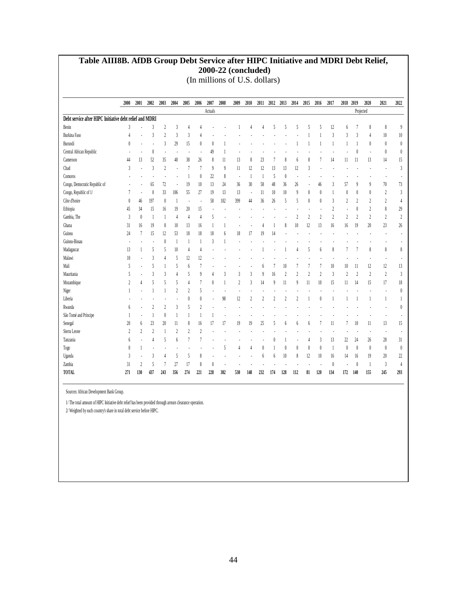#### **Table AIII8B. AfDB Group Debt Service after HIPC Initiative and MDRI Debt Relief, 2000-22 (concluded)** (In millions of U.S. dollars)

|                                                         | 2000           | 2001                          | 2002           | 2003           | 2004                     | 2005           | 2006                      | 2007     | 2008         | 2009                     | 2010           | 2011                    | 2012        | 2013                     | 2014           | 2015           | 2016           | 2017           | 2018           | 2019                    | 2020             | 2021                 | 2022           |
|---------------------------------------------------------|----------------|-------------------------------|----------------|----------------|--------------------------|----------------|---------------------------|----------|--------------|--------------------------|----------------|-------------------------|-------------|--------------------------|----------------|----------------|----------------|----------------|----------------|-------------------------|------------------|----------------------|----------------|
|                                                         |                |                               |                |                |                          |                |                           | Actuals  |              |                          |                |                         |             |                          |                |                |                |                |                |                         | Projected        |                      |                |
| Debt service after HIPC Initiative debt relief and MDRI |                |                               |                |                |                          |                |                           |          |              |                          |                |                         |             |                          |                |                |                |                |                |                         |                  |                      |                |
| Benin                                                   | 3              |                               | 3              | $\overline{2}$ | 3                        |                |                           |          |              |                          |                |                         | 5           | 5                        | 5              | 5              | 5              | 12             | 6              | 7                       | 8                | 8                    | $\overline{9}$ |
| <b>Burkina Faso</b>                                     |                |                               | 3              | $\overline{2}$ | 3                        | 3              |                           |          |              |                          |                |                         |             |                          |                |                |                | 3              | 3              | 3                       | 4                | 10                   | $10\,$         |
| Burundi                                                 | $\theta$       | ÷,                            | ÷              | 3              | 29                       | 15             | $\theta$                  | $\theta$ |              |                          |                |                         |             |                          | 1              |                | 1              | 1              |                | 1                       | 0                | $\theta$             | $\theta$       |
| Central African Republic                                |                |                               | $\theta$       |                | ÷,                       | J.             |                           | 49       | 1            |                          |                |                         |             |                          |                |                |                |                |                | $\left($                |                  | $\theta$             | $\theta$       |
| Cameroon                                                | 44             | 13                            | 52             | 35             | 40                       | 38             | 26                        | 8        | 11           | 13                       | 8              | 23                      |             | 8                        | 6              | 8              |                | 14             | 11             | 11                      | 13               | 14                   | 15             |
| Chad                                                    | 3              |                               | 3              | $\overline{2}$ | ÷,                       | $\overline{7}$ | $\overline{\phantom{a}}$  | $\theta$ | $\theta$     | 11                       | 12             | 12                      | 13          | 13                       | 12             | 3              |                |                |                |                         |                  |                      | $\sqrt{3}$     |
| Comoros                                                 |                |                               |                |                |                          |                | $\theta$                  | 22       | 8            | $\overline{\phantom{a}}$ | $\mathbf{1}$   | 1                       | 5           | $\theta$                 | ÷,             |                |                |                |                |                         |                  |                      |                |
| Congo, Democratic Republic of                           |                |                               | 65             | 72             | ÷,                       | 19             | 10                        | 13       | 24           | 36                       | 30             | 58                      | 48          | 36                       | 26             |                | 46             | 3              | 57             | $\overline{9}$          | $\boldsymbol{9}$ | $70\,$               | $73\,$         |
| Congo, Republic of 1/                                   | 7              | ÷                             | $\theta$       | 33             | 106                      | 55             | 27                        | 19       | 13           | 13                       | ÷              | 11                      | 10          | 10                       | $\overline{9}$ | $\theta$       | $\theta$       | 1              | 0              | $\theta$                | $\theta$         | $\overline{2}$       | $\sqrt{3}$     |
| Côte d'Ivoire                                           | $\theta$       | 46                            | 197            | $\bf{0}$       | $\overline{\phantom{a}}$ | ×              | $\overline{\phantom{a}}$  | 58       | 102          | 399                      | 44             | 36                      | 26          | 5                        | 5              | $\theta$       | $\theta$       | 3              | $\overline{2}$ | $\overline{\mathbf{c}}$ | $\overline{c}$   | $\overline{c}$       | $\overline{4}$ |
| Ethiopia                                                | 45             | 34                            | 15             | 16             | 19                       | 20             | 15                        |          |              | ÷                        |                |                         |             | $\overline{\phantom{a}}$ |                |                |                | $\overline{2}$ |                | $\theta$                | $\overline{c}$   | 8                    | 29             |
| Gambia, The                                             | 3              | $\begin{matrix} \end{matrix}$ |                | 1              | $\overline{4}$           | $\overline{4}$ | 4                         | 5        |              |                          |                |                         |             |                          | $\gamma$       | 2              | $\overline{2}$ | $\overline{2}$ | $\overline{2}$ | $\overline{2}$          | $\overline{c}$   | $\overline{c}$       | $\overline{2}$ |
| Ghana                                                   | 31             | 16                            | 19             | 8              | 10                       | 13             | 16                        |          |              |                          |                |                         |             | 8                        | 10             | 12             | 13             | 16             | 16             | 19                      | 20               | 23                   | $26$           |
| Guinea                                                  | 24             | $\overline{1}$                | 15             | 12             | 53                       | 18             | 18                        | 18       | 6            | 18                       | 17             | 19                      | 14          |                          |                |                |                |                |                |                         |                  |                      |                |
| Guinea-Bissau                                           |                |                               |                | $\theta$       | 1                        | 1              | $\mathbf{1}$              | 3        |              |                          |                |                         |             |                          |                |                |                |                |                |                         |                  |                      |                |
| Madagascar                                              | 13             | 1                             | 5              | 5              | 10                       | 4              | 4                         |          |              |                          |                |                         |             |                          | 4              | 5              | 6              | 8              | 7              | 7                       | 8                | 8                    | 8              |
| Malawi                                                  | 10             | $\overline{a}$                | 3              | 4              | 5                        | 12             | 12                        |          |              |                          |                |                         |             |                          |                |                |                |                |                |                         |                  |                      |                |
| Mali                                                    | 5              | Ĭ.                            | 5              | 1              | 5                        | 6              | 7                         |          |              |                          |                | h                       |             | 10                       | 7              | f,             | 7              | 10             | 10             | 11                      | 12               | 12                   | 13             |
| Mauritania                                              | 5              |                               | 3              | 3              | $\overline{4}$           | 5              | $\overline{9}$            |          | 3            | 3                        | 3              | $\boldsymbol{9}$        | 16          | $\overline{2}$           | $\gamma$       | $\overline{2}$ | $\overline{2}$ | 3              | $\overline{2}$ | $\overline{2}$          | $\overline{c}$   | $\overline{2}$       | $\mathfrak{Z}$ |
| Mozambique                                              | $\overline{2}$ | 4                             | 5              | 5              | 5                        | $\overline{4}$ | 7                         | $\theta$ | $\mathbf{1}$ | $\overline{2}$           | 3              | 14                      | $\mathbf 9$ | 11                       | 9              | 11             | 10             | 15             | 11             | 14                      | 15               | 17                   | 18             |
| Niger                                                   |                |                               |                | 1              | $\overline{2}$           | $\overline{2}$ | 5                         |          |              | J.                       |                |                         |             |                          |                |                |                |                |                |                         |                  |                      | $\theta$       |
| Liberia                                                 |                |                               |                |                |                          | 0              | $\theta$                  |          | 98           | 12                       | $\overline{2}$ | $\overline{\mathbf{c}}$ | 2           | $\overline{2}$           | 2              |                | 0              |                |                |                         |                  | 1                    | 1              |
| Rwanda                                                  | 6              | ÷,                            | $\overline{2}$ | 2              | 3                        | 5              | $\overline{2}$            |          |              |                          |                |                         |             |                          |                |                |                |                |                |                         |                  |                      | $\theta$       |
| São Tomé and Príncipe                                   |                | $\overline{a}$                |                | $\theta$       | 1                        |                | 1                         |          |              |                          |                |                         |             |                          |                |                |                |                |                |                         |                  |                      |                |
| Senegal                                                 | 20             | 6                             | 23             | 20             | 11                       | 8              | 16                        | 17       | 17           | 19                       | 19             | 25                      | 5           | 6                        | 6              | 6              | 7              | 11             | 7              | 10                      | 11               | 13                   | 15             |
| Sierra Leone                                            | $\overline{2}$ | $\overline{c}$                | $\overline{2}$ | 1              | $\overline{2}$           | $\overline{2}$ | $\overline{\mathfrak{c}}$ |          |              |                          |                |                         |             |                          |                |                |                |                |                |                         |                  | $\ddot{\phantom{a}}$ |                |
| Tanzania                                                | 6              |                               | Δ              | 5              | $\boldsymbol{6}$         | 7              |                           |          |              |                          |                |                         |             |                          |                |                | 3              | 13             | 22             | 24                      | 26               | 28                   | 31             |
| Togo                                                    | $\theta$       |                               |                |                | J.                       |                |                           |          | 5            | 4                        | 4              | $\theta$                |             | $\theta$                 | $\bf{0}$       | $\theta$       | $\theta$       | 1              | 0              | $\bf{0}$                | 0                | $\bf{0}$             | $\theta$       |
| Uganda                                                  | $\mathbf{3}$   |                               | 3              | 4              | 5                        | 5              | 8                         |          |              |                          |                | 6                       | 6           | 10                       | 8              | 12             | 10             | 16             | 14             | 16                      | 19               | 20                   | $22\,$         |
| Zambia                                                  | 31             | $\overline{2}$                | $\overline{5}$ | 7              | 27                       | 17             | 8                         | $\theta$ |              |                          |                |                         |             |                          |                |                |                | $\theta$       |                | $\theta$                | 1                | 3                    | $\overline{4}$ |
| TOTAL                                                   | 271            | 130                           | 437            | 243            | 356                      | 274            | 221                       | 228      | 302          | 530                      | 148            | 232                     | 174         | 128                      | 112            | 81             | 120            | 134            | 172            | 140                     | 155              | 245                  | 293            |

Sources: African Development Bank Group.

1/ The total amount of HIPC Initiative debt relief has been provided through arrears clearance operation.

2/ Weighted by each country's share in total debt service before HIPC.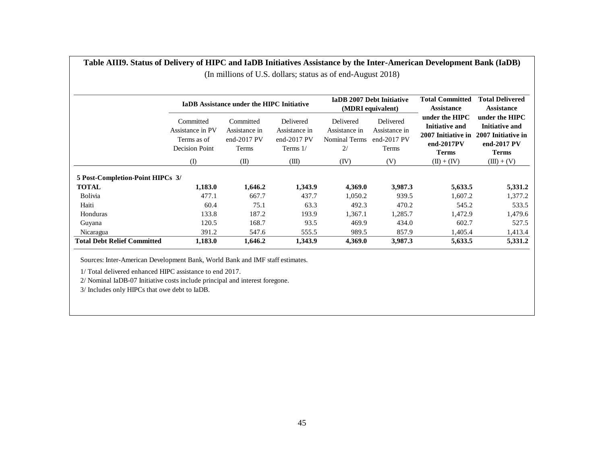|                                    |                                                                | <b>IaDB</b> Assistance under the HIPC Initiative      |                                                            |                                                   | <b>IaDB 2007 Debt Initiative</b><br>(MDRI equivalent) | <b>Total Committed</b><br><b>Assistance</b>                                                        | <b>Total Delivered</b><br><b>Assistance</b>                                                  |
|------------------------------------|----------------------------------------------------------------|-------------------------------------------------------|------------------------------------------------------------|---------------------------------------------------|-------------------------------------------------------|----------------------------------------------------------------------------------------------------|----------------------------------------------------------------------------------------------|
|                                    | Committed<br>Assistance in PV<br>Terms as of<br>Decision Point | Committed<br>Assistance in<br>end- $2017$ PV<br>Terms | Delivered<br>Assistance in<br>end- $2017$ PV<br>Terms $1/$ | Delivered<br>Assistance in<br>Nominal Terms<br>2/ | Delivered<br>Assistance in<br>end- $2017$ PV<br>Terms | under the <b>HIPC</b><br><b>Initiative and</b><br>2007 Initiative in<br>end-2017PV<br><b>Terms</b> | under the HIPC<br><b>Initiative and</b><br>2007 Initiative in<br>end-2017 PV<br><b>Terms</b> |
|                                    | (I)                                                            | (II)                                                  | (III)                                                      | (IV)                                              | (V)                                                   | $(II) + (IV)$                                                                                      | $(III) + (V)$                                                                                |
| 5 Post-Completion-Point HIPCs 3/   |                                                                |                                                       |                                                            |                                                   |                                                       |                                                                                                    |                                                                                              |
| <b>TOTAL</b>                       | 1,183.0                                                        | 1,646.2                                               | 1,343.9                                                    | 4,369.0                                           | 3,987.3                                               | 5,633.5                                                                                            | 5,331.2                                                                                      |
| <b>Bolivia</b>                     | 477.1                                                          | 667.7                                                 | 437.7                                                      | 1,050.2                                           | 939.5                                                 | 1,607.2                                                                                            | 1,377.2                                                                                      |
| Haiti                              | 60.4                                                           | 75.1                                                  | 63.3                                                       | 492.3                                             | 470.2                                                 | 545.2                                                                                              | 533.5                                                                                        |
| Honduras                           | 133.8                                                          | 187.2                                                 | 193.9                                                      | 1,367.1                                           | 1,285.7                                               | 1,472.9                                                                                            | 1,479.6                                                                                      |
| Guyana                             | 120.5                                                          | 168.7                                                 | 93.5                                                       | 469.9                                             | 434.0                                                 | 602.7                                                                                              | 527.5                                                                                        |
| Nicaragua                          | 391.2                                                          | 547.6                                                 | 555.5                                                      | 989.5                                             | 857.9                                                 | 1,405.4                                                                                            | 1,413.4                                                                                      |
| <b>Total Debt Relief Committed</b> | 1,183.0                                                        | 1,646.2                                               | 1,343.9                                                    | 4,369.0                                           | 3,987.3                                               | 5,633.5                                                                                            | 5,331.2                                                                                      |

**Table AIII9. Status of Delivery of HIPC and IaDB Initiatives Assistance by the Inter-American Development Bank (IaDB)** (In millions of U.S. dollars; status as of end-August 2018)

Sources: Inter-American Development Bank, World Bank and IMF staff estimates.

1/ Total delivered enhanced HIPC assistance to end 2017.

2/ Nominal IaDB-07 Initiative costs include principal and interest foregone.

3/ Includes only HIPCs that owe debt to IaDB.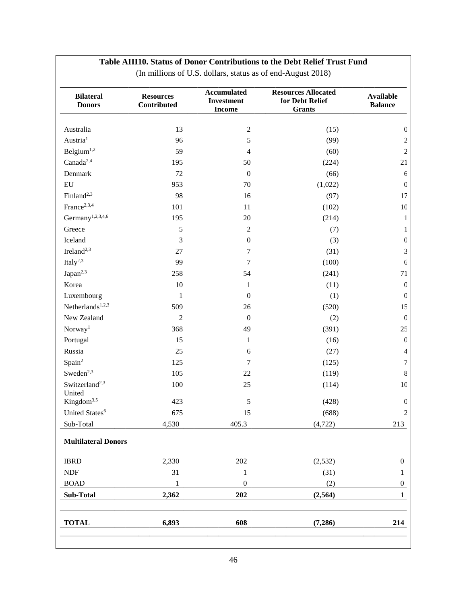#### **Table AIII10. Status of Donor Contributions to the Debt Relief Trust Fund**

| <b>Bilateral</b><br><b>Donors</b> | <b>Resources</b><br>Contributed | <b>Accumulated</b><br><b>Investment</b><br><b>Income</b> | <b>Resources Allocated</b><br>for Debt Relief<br><b>Grants</b> | <b>Available</b><br><b>Balance</b> |
|-----------------------------------|---------------------------------|----------------------------------------------------------|----------------------------------------------------------------|------------------------------------|
| Australia                         | 13                              | $\mathbf{2}$                                             | (15)                                                           | $\mathbf 0$                        |
| Austria <sup>1</sup>              | 96                              | 5                                                        | (99)                                                           | $\sqrt{2}$                         |
| Belgium <sup>1,2</sup>            | 59                              | $\overline{4}$                                           | (60)                                                           | $\sqrt{2}$                         |
| Canada <sup>2,4</sup>             | 195                             | 50                                                       | (224)                                                          | 21                                 |
| Denmark                           | 72                              | $\boldsymbol{0}$                                         | (66)                                                           | $\epsilon$                         |
| ${\rm EU}$                        | 953                             | 70                                                       | (1,022)                                                        | $\mathbf 0$                        |
| Finland <sup>2,3</sup>            | 98                              | 16                                                       | (97)                                                           | 17                                 |
| France <sup>2,3,4</sup>           | 101                             | 11                                                       | (102)                                                          | $10\,$                             |
| Germany <sup>1,2,3,4,6</sup>      | 195                             | 20                                                       | (214)                                                          | $\mathbf{1}$                       |
| Greece                            | 5                               | $\sqrt{2}$                                               | (7)                                                            | 1                                  |
| Iceland                           | 3                               | $\boldsymbol{0}$                                         | (3)                                                            | $\mathbf 0$                        |
| Ireland <sup>2,3</sup>            | $27\,$                          | $\boldsymbol{7}$                                         | (31)                                                           | 3                                  |
| Italy $^{2,3}$                    | 99                              | $\boldsymbol{7}$                                         | (100)                                                          | $\epsilon$                         |
| Japan <sup>2,3</sup>              | 258                             | 54                                                       | (241)                                                          | 71                                 |
| Korea                             | $10\,$                          | $\mathbf{1}$                                             | (11)                                                           | $\mathbf 0$                        |
| Luxembourg                        | $\,1$                           | $\boldsymbol{0}$                                         | (1)                                                            | $\mathbf 0$                        |
| Netherlands <sup>1,2,3</sup>      | 509                             | 26                                                       | (520)                                                          | 15                                 |
| New Zealand                       | $\overline{c}$                  | $\boldsymbol{0}$                                         | (2)                                                            | $\mathbf 0$                        |
| Norway <sup>1</sup>               | 368                             | 49                                                       | (391)                                                          | 25                                 |
| Portugal                          | 15                              | $\mathbf{1}$                                             | (16)                                                           | $\mathbf 0$                        |
| Russia                            | 25                              | 6                                                        | (27)                                                           | $\overline{\mathcal{A}}$           |
| Spain <sup>2</sup>                | 125                             | $\boldsymbol{7}$                                         | (125)                                                          | $\boldsymbol{7}$                   |
| Sweden <sup>2,3</sup>             | 105                             | 22                                                       | (119)                                                          | $8\,$                              |
| Switzerland <sup>2,3</sup>        | 100                             | 25                                                       | (114)                                                          | $10\,$                             |
| United                            |                                 |                                                          |                                                                |                                    |
| Kingdom <sup>3,5</sup>            | 423                             | $\sqrt{5}$                                               | (428)                                                          | $\mathbf 0$                        |
| United States <sup>6</sup>        | 675                             | 15                                                       | (688)                                                          | $\overline{2}$                     |
| Sub-Total                         | 4,530                           | 405.3                                                    | (4, 722)                                                       | 213                                |
| <b>Multilateral Donors</b>        |                                 |                                                          |                                                                |                                    |
| <b>IBRD</b>                       | 2,330                           | 202                                                      | (2,532)                                                        | $\boldsymbol{0}$                   |
| NDF                               | 31                              | $\mathbf{1}$                                             | (31)                                                           | 1                                  |
| <b>BOAD</b>                       | $\mathbf{1}$                    | $\boldsymbol{0}$                                         | (2)                                                            | $\mathbf{0}$                       |
| Sub-Total                         | 2,362                           | 202                                                      | (2, 564)                                                       | 1                                  |
| <b>TOTAL</b>                      | 6,893                           | 608                                                      | (7,286)                                                        | 214                                |

(In millions of U.S. dollars, status as of end-August 2018)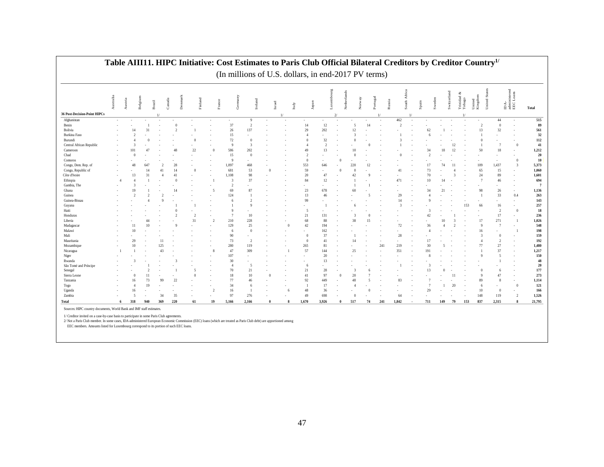|                              | Australia | Austria | Belgium         | Brazil | Canada | Denmark       | Finland  | France                   | Germany        | Ireland        | Israel   | Italy         | Japan          |                | Luxembourg     | Netherlands<br>Norway | Portugal |     | Africa<br>Russia<br>South. | Sweden<br>Spain  |               | Switzerland | Trinidad<br>Tobago | United Sta<br>United<br>Kingdom |                          | $\begin{array}{ll} \rm{IDA-} \\ \rm{administered} \\ \rm{EE} C\, \rm{L} \, \rm{o} \, \rm{ans} \end{array}$ | <b>Total</b>   |
|------------------------------|-----------|---------|-----------------|--------|--------|---------------|----------|--------------------------|----------------|----------------|----------|---------------|----------------|----------------|----------------|-----------------------|----------|-----|----------------------------|------------------|---------------|-------------|--------------------|---------------------------------|--------------------------|------------------------------------------------------------------------------------------------------------|----------------|
| 36 Post-Decision-Point HIPCs |           |         |                 |        |        |               |          |                          |                |                |          | $\frac{1}{2}$ |                |                | 2 <sup>1</sup> |                       |          |     |                            |                  |               |             |                    |                                 |                          |                                                                                                            |                |
| Afghanistan                  |           |         |                 |        |        |               |          |                          | $\sim$         | $\mathbf{Q}$   |          | ٠             |                |                |                |                       |          |     | 462                        |                  |               |             |                    |                                 | 44                       |                                                                                                            | 515            |
| Benin                        |           |         |                 |        |        | $\theta$      |          |                          | 37             | $\overline{2}$ |          |               | 14             | $12\,$         |                | $\overline{5}$        | 14       |     | $\overline{2}$             |                  |               |             |                    | $\overline{2}$                  | $\overline{0}$           |                                                                                                            | 89             |
| Bolivia                      |           |         | 14              | 31     |        | $\mathcal{I}$ |          |                          | 26             | 137            |          |               | 29             | 202            |                | 12                    |          |     |                            | 62               |               |             |                    | 13                              | 32                       |                                                                                                            | 561            |
| <b>Burkina Faso</b>          |           |         |                 |        |        |               |          |                          | 15             |                |          |               | $\Delta$       |                |                |                       |          |     |                            |                  |               |             |                    |                                 |                          |                                                                                                            | $32\,$         |
| Burundi                      |           |         |                 |        |        |               |          |                          | 72             | $\theta$       |          |               |                | 32             |                |                       |          |     |                            |                  |               |             |                    |                                 |                          |                                                                                                            | 112            |
| Central African Republic     |           |         | 3               |        |        |               |          |                          | $\overline{9}$ | $\overline{3}$ |          |               |                | $\overline{2}$ |                |                       |          |     |                            |                  |               | 12          |                    |                                 |                          | $\theta$                                                                                                   | 41             |
| Cameroon                     |           |         | IO.             |        |        | 48            | 22       | $\theta$                 | 586            | 202            |          |               | 49             | 13             |                |                       |          |     |                            | 34               | 18            |             |                    | 50                              | 18                       |                                                                                                            | 1,212          |
| Chad                         |           |         | £               |        |        |               |          |                          | 15             | $\overline{0}$ |          |               | $\mathcal{D}$  |                |                |                       |          |     | n                          |                  |               |             |                    |                                 |                          |                                                                                                            | $20\,$         |
| Comoros                      |           |         |                 |        |        |               |          |                          | $\overline{9}$ |                |          |               | $\Omega$       |                |                |                       |          |     |                            |                  |               |             |                    |                                 |                          | $\overline{0}$                                                                                             | ${\bf 10}$     |
| Congo, Dem. Rep. of          |           |         | 48              | 647    |        | 28            |          |                          | 1,097          | 468            |          |               | 553            | 646            |                | 220                   |          |     |                            |                  | 74            |             |                    | 109                             | 1,437                    | $\overline{3}$                                                                                             | 5,373          |
| Congo, Republic of           |           |         |                 |        | 41     | 14            | $\Omega$ |                          | 681            | 53             |          |               | 59             |                | $\Omega$       |                       |          |     | 41                         | 73               |               |             |                    | 65                              | 15                       |                                                                                                            | 1,060          |
| Côte d'Ivoire                |           |         | 13              | 31     |        | 41            |          |                          | 1,108          | 98             |          |               | 20             | 47             |                | 42                    |          |     |                            | 70               |               |             |                    | 24                              | 89                       | $\sim$                                                                                                     | 1,601          |
| Ethiopia                     | -4        |         | $\Delta$        |        |        | $\Omega$      |          |                          | $\overline{3}$ | 37             |          |               | 84             | 12             |                |                       |          |     | 471                        | 10 <sup>10</sup> | 14            |             |                    | $\overline{7}$                  | 46                       | $\sim$                                                                                                     | 694            |
| Gambia, The                  |           |         |                 |        |        |               |          |                          | -2             |                |          |               |                |                |                |                       |          |     |                            |                  |               |             |                    |                                 | ٠                        |                                                                                                            | $\overline{7}$ |
| Ghana                        |           |         | 19              |        |        |               |          | 5                        | 69             | 87             |          |               | 23             | 678            |                | 60                    |          |     |                            | 34               | 21            |             |                    | 98                              | 26                       | $\sim$                                                                                                     | 1,136          |
| Guinea                       |           |         |                 |        |        |               |          |                          | 124            |                |          |               | 13             | 46             |                |                       |          |     | 29                         |                  |               |             |                    |                                 | 33                       | 0.4                                                                                                        | 263            |
| Guinea-Bissau                |           |         |                 |        |        |               |          |                          |                |                |          |               | 99             |                |                |                       |          |     | 14                         |                  |               |             |                    |                                 |                          | <b>1999</b>                                                                                                | 143            |
| Guyana                       |           |         |                 |        |        |               |          |                          |                | $\mathbf Q$    |          |               |                |                |                |                       |          |     | $\overline{3}$             |                  |               |             | 153                | 66                              | 16                       | $\sim$                                                                                                     | 257            |
| Haiti                        |           |         |                 |        |        |               |          |                          |                |                |          |               | 5              |                |                |                       |          |     |                            |                  |               |             |                    |                                 | $\overline{2}$           | $\theta$                                                                                                   | 18             |
| Honduras                     |           |         |                 |        |        |               |          |                          | -7             | 10             |          |               | 21             | 131            |                |                       |          |     |                            | 42               |               |             |                    |                                 | 17                       |                                                                                                            | 236            |
| Liberia                      |           |         |                 |        |        |               | 31       | $\overline{2}$           | 210            | 228            |          |               | 68             | 88             |                | 38                    |          |     |                            |                  | $\frac{1}{2}$ |             |                    | 17                              | 271                      |                                                                                                            | 1,026          |
| Madagascar                   |           |         | $\overline{11}$ |        |        |               |          |                          | 129            | 25             |          | $\theta$      | 42             | 194            |                |                       |          |     | 72                         | 36               |               |             |                    | $\Omega$                        | $\overline{7}$           |                                                                                                            | 548            |
| Malawi                       |           |         | 10              |        |        |               |          |                          | 6              | $\theta$       |          |               |                | 162            |                |                       |          |     |                            |                  |               |             |                    | 16                              |                          |                                                                                                            | 198            |
| Mali                         |           |         |                 |        |        |               |          |                          | 90             |                |          |               | $\Omega$       | 37             |                |                       |          |     | 28                         |                  |               |             |                    |                                 | $\Omega$                 |                                                                                                            | 159            |
| Mauritania                   |           |         | 29              |        |        |               |          |                          | 73             | $\overline{2}$ |          |               | $\Omega$       | 41             |                | 14                    |          |     |                            | 17               |               |             |                    | 4                               | $\overline{2}$           |                                                                                                            | 192            |
| Mozambique                   |           |         | 10              |        | 125    |               |          |                          | 280            | 119            |          |               | 265            | 81             |                |                       |          | 241 | 219                        | 30               |               |             |                    | 77                              | $27\,$                   |                                                                                                            | 1,480          |
| Nicaragua                    |           |         |                 |        | 43     |               |          |                          | 47             | 309            |          |               | 57             | 144            |                | 25                    |          |     | 351                        | 191              |               |             |                    |                                 | 37                       |                                                                                                            | 1,217          |
| Niger                        |           |         |                 |        |        |               |          |                          | 107            |                |          |               |                | 20             |                |                       |          |     |                            |                  |               |             |                    |                                 | $\overline{\phantom{a}}$ |                                                                                                            | 150            |
| Rwanda                       |           |         |                 |        |        |               |          |                          | 30             |                |          |               |                | 13             |                |                       |          |     |                            |                  |               |             |                    |                                 |                          |                                                                                                            | 48             |
| São Tomé and Príncipe        |           |         |                 |        |        |               |          |                          | $\overline{4}$ | $\overline{5}$ |          |               | -6             |                |                |                       |          |     |                            |                  |               |             |                    |                                 |                          |                                                                                                            | $20\,$         |
| Senegal                      |           |         |                 |        |        |               | 5        |                          | 70             | 21             |          |               | 21             | 28             |                |                       |          |     |                            | 13               |               |             |                    |                                 | 6                        |                                                                                                            | 177            |
| Sierra Leone                 |           |         |                 |        |        |               |          |                          | 18             | 10             | $\Omega$ |               | $41\,$         | 97             |                | 20                    |          |     |                            |                  |               |             |                    |                                 | 47                       |                                                                                                            | 273            |
| Tanzania                     |           |         | 16              | 73     | 99     | 22            |          |                          | 77             | 46             |          |               | 92             | 449            |                | 48                    |          |     | 83                         |                  |               |             |                    | 89                              | $\mathbf{8}$             |                                                                                                            | 1,114          |
| Togo                         |           |         | $\Delta$        |        |        |               |          |                          | 34             | 6              |          |               | $\overline{1}$ | 17             |                |                       |          |     |                            |                  |               | 20          |                    | -6                              |                          | $\theta$                                                                                                   | 121            |
| Uganda                       |           |         | 16              |        |        |               |          | $\overline{\mathcal{L}}$ | 16             |                |          | 6             | 48             | 36             |                |                       |          |     |                            | 29               |               |             |                    | 10                              | $\overline{0}$           | $\sim$                                                                                                     | 166            |
| Zambia                       |           |         | 5               |        | 34     | 35            |          |                          | 97             | 276            |          |               | 49             | 698            |                |                       |          |     | 64                         |                  |               |             |                    | 148                             | 119                      | $\overline{2}$                                                                                             | 1,526          |
| Total                        | 6         |         | 318             | 940    | 369    | 220           | 61       | 19                       | 5,166          | 2.166          |          | 8             | 1.670          | 3.926          | $\theta$       | 517                   | 74       | 241 | 1,842                      | 711              | 149           | 79          | 153                | 837                             | 2.315                    | 8                                                                                                          | 21,795         |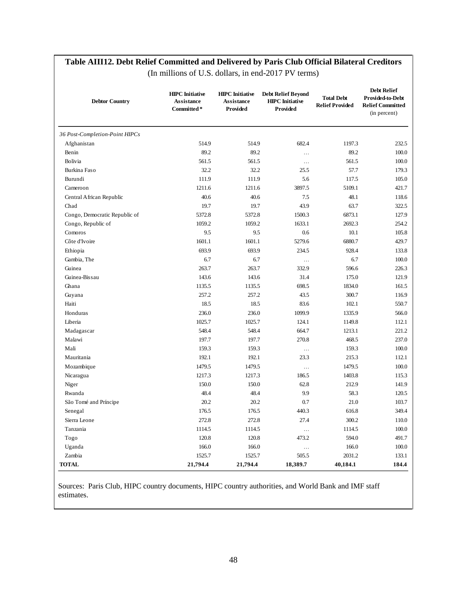#### **Table AIII12. Debt Relief Committed and Delivered by Paris Club Official Bilateral Creditors**

| <b>Debtor Country</b>          | <b>HIPC</b> Initiative<br>Assistance<br>Committed* | <b>HIPC</b> Initiative<br>Assistance<br>Provided | <b>Debt Relief Beyond</b><br><b>HIPC</b> Initiative<br>Provided | <b>Total Debt</b><br><b>Relief Provided</b> | <b>Debt Relief</b><br>Provided-to-Debt<br><b>Relief Committed</b><br>(in percent) |
|--------------------------------|----------------------------------------------------|--------------------------------------------------|-----------------------------------------------------------------|---------------------------------------------|-----------------------------------------------------------------------------------|
| 36 Post-Completion-Point HIPCs |                                                    |                                                  |                                                                 |                                             |                                                                                   |
| Afghanistan                    | 514.9                                              | 514.9                                            | 682.4                                                           | 1197.3                                      | 232.5                                                                             |
| Benin                          | 89.2                                               | 89.2                                             | $\cdots$                                                        | 89.2                                        | 100.0                                                                             |
| Bolivia                        | 561.5                                              | 561.5                                            | $\ddotsc$                                                       | 561.5                                       | 100.0                                                                             |
| Burkina Faso                   | 32.2                                               | 32.2                                             | 25.5                                                            | 57.7                                        | 179.3                                                                             |
| Burundi                        | 111.9                                              | 111.9                                            | 5.6                                                             | 117.5                                       | 105.0                                                                             |
| Cameroon                       | 1211.6                                             | 1211.6                                           | 3897.5                                                          | 5109.1                                      | 421.7                                                                             |
| Central African Republic       | 40.6                                               | 40.6                                             | 7.5                                                             | 48.1                                        | 118.6                                                                             |
| Chad                           | 19.7                                               | 19.7                                             | 43.9                                                            | 63.7                                        | 322.5                                                                             |
| Congo, Democratic Republic of  | 5372.8                                             | 5372.8                                           | 1500.3                                                          | 6873.1                                      | 127.9                                                                             |
| Congo, Republic of             | 1059.2                                             | 1059.2                                           | 1633.1                                                          | 2692.3                                      | 254.2                                                                             |
| Comoros                        | 9.5                                                | 9.5                                              | 0.6                                                             | 10.1                                        | 105.8                                                                             |
| Côte d'Ivoire                  | 1601.1                                             | 1601.1                                           | 5279.6                                                          | 6880.7                                      | 429.7                                                                             |
| Ethiopia                       | 693.9                                              | 693.9                                            | 234.5                                                           | 928.4                                       | 133.8                                                                             |
| Gambia, The                    | 6.7                                                | 6.7                                              | $\cdots$                                                        | 6.7                                         | 100.0                                                                             |
| Guinea                         | 263.7                                              | 263.7                                            | 332.9                                                           | 596.6                                       | 226.3                                                                             |
| Guinea-Bissau                  | 143.6                                              | 143.6                                            | 31.4                                                            | 175.0                                       | 121.9                                                                             |
| Ghana                          | 1135.5                                             | 1135.5                                           | 698.5                                                           | 1834.0                                      | 161.5                                                                             |
| Guyana                         | 257.2                                              | 257.2                                            | 43.5                                                            | 300.7                                       | 116.9                                                                             |
| Haiti                          | 18.5                                               | 18.5                                             | 83.6                                                            | 102.1                                       | 550.7                                                                             |
| Honduras                       | 236.0                                              | 236.0                                            | 1099.9                                                          | 1335.9                                      | 566.0                                                                             |
| Liberia                        | 1025.7                                             | 1025.7                                           | 124.1                                                           | 1149.8                                      | 112.1                                                                             |
| Madagascar                     | 548.4                                              | 548.4                                            | 664.7                                                           | 1213.1                                      | 221.2                                                                             |
| Malawi                         | 197.7                                              | 197.7                                            | 270.8                                                           | 468.5                                       | 237.0                                                                             |
| Mali                           | 159.3                                              | 159.3                                            | $\cdots$                                                        | 159.3                                       | 100.0                                                                             |
| Mauritania                     | 192.1                                              | 192.1                                            | 23.3                                                            | 215.3                                       | 112.1                                                                             |
| Mozambique                     | 1479.5                                             | 1479.5                                           | $\cdots$                                                        | 1479.5                                      | 100.0                                                                             |
| Nicaragua                      | 1217.3                                             | 1217.3                                           | 186.5                                                           | 1403.8                                      | 115.3                                                                             |
| Niger                          | 150.0                                              | 150.0                                            | 62.8                                                            | 212.9                                       | 141.9                                                                             |
| Rwanda                         | 48.4                                               | 48.4                                             | 9.9                                                             | 58.3                                        | 120.5                                                                             |
| São Tomé and Príncipe          | 20.2                                               | 20.2                                             | 0.7                                                             | 21.0                                        | 103.7                                                                             |
| Senegal                        | 176.5                                              | 176.5                                            | 440.3                                                           | 616.8                                       | 349.4                                                                             |
| Sierra Leone                   | 272.8                                              | 272.8                                            | 27.4                                                            | 300.2                                       | 110.0                                                                             |
| Tanzania                       | 1114.5                                             | 1114.5                                           | $\cdots$                                                        | 1114.5                                      | 100.0                                                                             |
| Togo                           | 120.8                                              | 120.8                                            | 473.2                                                           | 594.0                                       | 491.7                                                                             |
| Uganda                         | 166.0                                              | 166.0                                            | $\ldots$                                                        | 166.0                                       | 100.0                                                                             |
| Zambia                         | 1525.7                                             | 1525.7                                           | 505.5                                                           | 2031.2                                      | 133.1                                                                             |
| <b>TOTAL</b>                   | 21,794.4                                           | 21,794.4                                         | 18,389.7                                                        | 40,184.1                                    | 184.4                                                                             |

(In millions of U.S. dollars, in end-2017 PV terms)

Sources: Paris Club, HIPC country documents, HIPC country authorities, and World Bank and IMF staff estimates.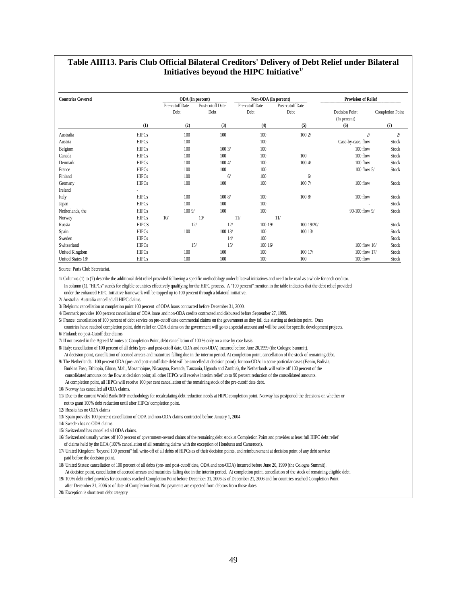#### **Table AIII13. Paris Club Official Bilateral Creditors' Delivery of Debt Relief under Bilateral Initiatives beyond the HIPC Initiative1/**

| <b>Countries Covered</b> |              |                         | ODA (In percent)         | Non-ODA (In percent)    |                          | <b>Provision of Relief</b>            |                  |
|--------------------------|--------------|-------------------------|--------------------------|-------------------------|--------------------------|---------------------------------------|------------------|
|                          |              | Pre-cutoff Date<br>Debt | Post-cutoff Date<br>Debt | Pre-cutoff Date<br>Debt | Post-cutoff Date<br>Debt | <b>Decision Point</b><br>(In percent) | Completion Point |
|                          | (1)          | (2)                     | (3)                      | (4)                     | (5)                      | (6)                                   | (7)              |
| Australia                | <b>HIPCs</b> | 100                     | 100                      | 100                     | 100 2/                   | $\overline{\mathbf{2}}$               | $2\prime$        |
| Austria                  | <b>HIPCs</b> | 100                     |                          | 100                     |                          | Case-by-case, flow                    | <b>Stock</b>     |
| Belgium                  | <b>HIPCs</b> | 100                     | 1003/                    | 100                     |                          | 100 flow                              | Stock            |
| Canada                   | <b>HIPCs</b> | 100                     | 100                      | 100                     | 100                      | 100 flow                              | Stock            |
| Denmark                  | <b>HIPCs</b> | 100                     | 1004/                    | 100                     | 1004/                    | 100 flow                              | Stock            |
| France                   | <b>HIPCs</b> | 100                     | 100                      | 100                     |                          | 100 flow 5/                           | <b>Stock</b>     |
| Finland                  | <b>HIPCs</b> | 100                     | 6/                       | 100                     | 6/                       |                                       |                  |
| Germany                  | <b>HIPCs</b> | 100                     | 100                      | 100                     | 1007/                    | 100 flow                              | Stock            |
| Ireland                  |              |                         |                          |                         |                          |                                       |                  |
| Italy                    | <b>HIPCs</b> | 100                     | 1008/                    | 100                     | 1008/                    | 100 flow                              | Stock            |
| Japan                    | <b>HIPCs</b> | 100                     | 100                      | 100                     |                          | ÷                                     | <b>Stock</b>     |
| Netherlands, the         | <b>HIPCs</b> | 1009/                   | 100                      | 100                     |                          | 90-100 flow 9/                        | Stock            |
| Norway                   | <b>HIPCs</b> | 10/                     | 10/                      | 11/                     | 11/                      |                                       |                  |
| Russia                   | <b>HIPCS</b> |                         | 12/<br>12/               | 100 19/                 | 100 19/20/               |                                       | Stock            |
| Spain                    | <b>HIPCs</b> | 100                     | 100 13/                  | 100                     | 100 13/                  |                                       | Stock            |
| Sweden                   | <b>HIPCs</b> |                         | 14/                      | 100                     |                          |                                       | Stock            |
| Switzerland              | <b>HIPCs</b> |                         | 15/<br>15/               | 100 16/                 |                          | $100$ flow $16/$                      | Stock            |
| United Kingdom           | <b>HIPCs</b> | 100                     | 100                      | 100                     | 100 17/                  | 100 flow 17/                          | <b>Stock</b>     |
| United States 18/        | <b>HIPCs</b> | 100                     | 100                      | 100                     | 100                      | 100 flow                              | <b>Stock</b>     |

Source: Paris Club Secretariat.

1/ Columns (1) to (7) describe the additional debt relief provided following a specific methodology under bilateral initiatives and need to be read as a whole for each creditor. In column (1), "HIPCs" stands for eligible countries effectively qualifying for the HIPC process. A "100 percent" mention in the table indicates that the debt relief provided under the enhanced HIPC Initiative framework will be topped up to 100 percent through a bilateral initiative.

2/ Australia: Australia cancelled all HIPC claims.

3/ Belgium: cancellation at completion point 100 percent of ODA loans contracted before December 31, 2000.

4/ Denmark provides 100 percent cancellation of ODA loans and non-ODA credits contracted and disbursed before September 27, 1999.

5/ France: cancellation of 100 percent of debt service on pre-cutoff date commercial claims on the government as they fall due starting at decision point. Once

 countries have reached completion point, debt relief on ODA claims on the government will go to a special account and will be used for specific development projects. 6/ Finland: no post-Cutoff date claims

7/ If not treated in the Agreed Minutes at Completion Point, debt cancellation of 100 % only on a case by case basis.

8/ Italy: cancellation of 100 percent of all debts (pre- and post-cutoff date, ODA and non-ODA) incurred before June 20,1999 (the Cologne Summit). At decision point, cancellation of accrued arrears and maturities falling due in the interim period. At completion point, cancellation of the stock of remaining debt.

9/ The Netherlands: 100 percent ODA (pre- and post-cutoff date debt will be cancelled at decision point); for non-ODA: in some particular cases (Benin, Bolivia, Burkina Faso, Ethiopia, Ghana, Mali, Mozambique, Nicaragua, Rwanda, Tanzania, Uganda and Zambia), the Netherlands will write off 100 percent of the consolidated amounts on the flow at decision point; all other HIPCs will receive interim relief up to 90 percent reduction of the consolidated amounts. At completion point, all HIPCs will receive 100 per cent cancellation of the remaining stock of the pre-cutoff date debt.

10/ Norway has cancelled all ODA claims.

11/ Due to the current World Bank/IMF methodology for recalculating debt reduction needs at HIPC completion point, Norway has postponed the decisions on whether or not to grant 100% debt reduction until after HIPCs' completion point.

12/ Russia has no ODA claims

13/ Spain provides 100 percent cancellation of ODA and non-ODA claims contracted before January 1, 2004

14/ Sweden has no ODA claims.

16/ Switzerland usually writes off 100 percent of government-owned claims of the remaining debt stock at Completion Point and provides at least full HIPC debt relief of claims held by the ECA (100% cancellation of all remaining claims with the exception of Honduras and Cameroon).

17/ United Kingdom: "beyond 100 percent" full write-off of all debts of HIPCs as of their decision points, and reimbursement at decision point of any debt service paid before the decision point.

18/ United States: cancellation of 100 percent of all debts (pre- and post-cutoff date, ODA and non-ODA) incurred before June 20, 1999 (the Cologne Summit). At decision point, cancellation of accrued arrears and maturities falling due in the interim period. At completion point, cancellation of the stock of remaining eligible debt.

19/ 100% debt relief provides for countries reached Completion Point before December 31, 2006 as of December 21, 2006 and for countries reached Completion Point after December 31, 2006 as of date of Completion Point. No payments are expected from debtors from those dates.

20/ Exception is short term debt category

<sup>15/</sup> Switzerland has cancelled all ODA claims.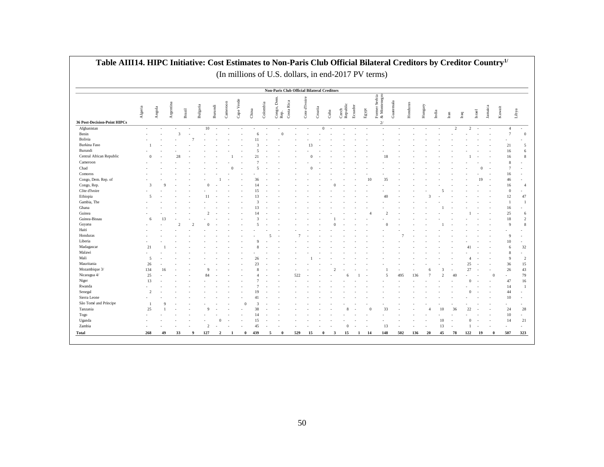| Afghanistan<br>Benin<br>Bolivia<br>Burkina Faso<br>Burundi<br>Central African Republic<br>Cameroon<br>Chad<br>Comoros<br>Congo, Dem. Rep. of<br>Congo, Rep.<br>Côte d'Ivoire<br>Ethiopia<br>Gambia, The<br>Ghana<br>Guinea<br>Guinea-Bissau<br>Guyana<br>Haiti<br>Honduras<br>Liberia<br>Madagascar<br>Malawi<br>Mali<br>Mauritania<br>Mozambique 3/<br>Nicaragua 4/ | Algeria<br>Angola<br>Argentina<br>and the same<br><b>Service</b><br>$1 - 1$<br>the company<br>$\overline{0}$<br><b>Contract</b><br>$\sim$<br>$\overline{3}$<br>$\sim$<br>$\sqrt{5}$ | the contract of the con-<br>$\alpha$<br>13 | $\sim$ 100 $\mu$ | $10 \rightarrow \cdots \rightarrow \cdots$<br>$\sim$ 100 $\mu$<br><b>Contract</b><br><b>State Street</b> | <b>Contract Contract Contract</b> | Non-Paris Club Official Bilateral Creditors                          | the company's company's<br><b>Contract Contract</b> | 13<br><b>Contract Contract</b> | $0 \rightarrow$ . The set of the set of the set of the set of the set of the set of the set of the set of the set of the set of the set of the set of the set of the set of the set of the set of the set of the set of the set of the<br>$\sim 100$ | <b>College</b><br><b>Contract Contract</b><br><b>Contract Contract</b> | 18           |     |  | $\overline{2}$<br>$\sim$ |          | $2 - 2$         | $4 - 4$<br>21<br>16<br>$\sim$ | $\sqrt{ }$<br>$\sim$ |
|----------------------------------------------------------------------------------------------------------------------------------------------------------------------------------------------------------------------------------------------------------------------------------------------------------------------------------------------------------------------|-------------------------------------------------------------------------------------------------------------------------------------------------------------------------------------|--------------------------------------------|------------------|----------------------------------------------------------------------------------------------------------|-----------------------------------|----------------------------------------------------------------------|-----------------------------------------------------|--------------------------------|------------------------------------------------------------------------------------------------------------------------------------------------------------------------------------------------------------------------------------------------------|------------------------------------------------------------------------|--------------|-----|--|--------------------------|----------|-----------------|-------------------------------|----------------------|
| 36 Post-Decision-Point HIPCs                                                                                                                                                                                                                                                                                                                                         |                                                                                                                                                                                     |                                            |                  |                                                                                                          |                                   |                                                                      |                                                     |                                |                                                                                                                                                                                                                                                      |                                                                        |              |     |  |                          |          |                 |                               |                      |
|                                                                                                                                                                                                                                                                                                                                                                      |                                                                                                                                                                                     |                                            |                  |                                                                                                          |                                   |                                                                      |                                                     |                                |                                                                                                                                                                                                                                                      |                                                                        |              |     |  |                          |          |                 |                               |                      |
|                                                                                                                                                                                                                                                                                                                                                                      |                                                                                                                                                                                     |                                            |                  |                                                                                                          |                                   |                                                                      |                                                     |                                |                                                                                                                                                                                                                                                      |                                                                        |              |     |  |                          |          |                 |                               |                      |
|                                                                                                                                                                                                                                                                                                                                                                      |                                                                                                                                                                                     |                                            |                  |                                                                                                          |                                   |                                                                      |                                                     |                                |                                                                                                                                                                                                                                                      |                                                                        |              |     |  |                          |          |                 |                               |                      |
|                                                                                                                                                                                                                                                                                                                                                                      |                                                                                                                                                                                     |                                            |                  |                                                                                                          |                                   |                                                                      |                                                     |                                |                                                                                                                                                                                                                                                      |                                                                        |              |     |  |                          |          |                 |                               |                      |
|                                                                                                                                                                                                                                                                                                                                                                      |                                                                                                                                                                                     |                                            |                  |                                                                                                          |                                   |                                                                      |                                                     |                                |                                                                                                                                                                                                                                                      |                                                                        |              |     |  |                          |          |                 |                               |                      |
|                                                                                                                                                                                                                                                                                                                                                                      |                                                                                                                                                                                     |                                            |                  |                                                                                                          |                                   |                                                                      |                                                     |                                |                                                                                                                                                                                                                                                      |                                                                        |              |     |  |                          |          |                 |                               |                      |
|                                                                                                                                                                                                                                                                                                                                                                      |                                                                                                                                                                                     |                                            |                  |                                                                                                          |                                   |                                                                      |                                                     |                                |                                                                                                                                                                                                                                                      |                                                                        |              |     |  |                          |          |                 |                               |                      |
|                                                                                                                                                                                                                                                                                                                                                                      |                                                                                                                                                                                     |                                            |                  |                                                                                                          |                                   |                                                                      |                                                     |                                |                                                                                                                                                                                                                                                      |                                                                        |              |     |  |                          |          |                 |                               | $\sim$               |
|                                                                                                                                                                                                                                                                                                                                                                      |                                                                                                                                                                                     |                                            |                  |                                                                                                          |                                   |                                                                      |                                                     |                                |                                                                                                                                                                                                                                                      |                                                                        |              |     |  |                          |          |                 |                               |                      |
|                                                                                                                                                                                                                                                                                                                                                                      |                                                                                                                                                                                     |                                            |                  |                                                                                                          |                                   |                                                                      |                                                     |                                |                                                                                                                                                                                                                                                      |                                                                        |              |     |  |                          |          |                 |                               |                      |
|                                                                                                                                                                                                                                                                                                                                                                      |                                                                                                                                                                                     |                                            |                  |                                                                                                          |                                   |                                                                      |                                                     |                                |                                                                                                                                                                                                                                                      |                                                                        |              |     |  |                          |          |                 |                               |                      |
|                                                                                                                                                                                                                                                                                                                                                                      |                                                                                                                                                                                     |                                            |                  |                                                                                                          |                                   |                                                                      |                                                     |                                |                                                                                                                                                                                                                                                      |                                                                        |              |     |  |                          |          |                 |                               |                      |
|                                                                                                                                                                                                                                                                                                                                                                      |                                                                                                                                                                                     |                                            |                  |                                                                                                          |                                   |                                                                      |                                                     |                                |                                                                                                                                                                                                                                                      |                                                                        |              |     |  |                          |          |                 |                               |                      |
|                                                                                                                                                                                                                                                                                                                                                                      |                                                                                                                                                                                     |                                            |                  |                                                                                                          |                                   |                                                                      |                                                     |                                |                                                                                                                                                                                                                                                      |                                                                        | $40^{\circ}$ |     |  |                          |          |                 | 12                            | 47                   |
|                                                                                                                                                                                                                                                                                                                                                                      |                                                                                                                                                                                     |                                            |                  |                                                                                                          |                                   |                                                                      |                                                     |                                |                                                                                                                                                                                                                                                      |                                                                        |              |     |  |                          |          |                 |                               |                      |
|                                                                                                                                                                                                                                                                                                                                                                      |                                                                                                                                                                                     |                                            |                  |                                                                                                          |                                   |                                                                      |                                                     |                                |                                                                                                                                                                                                                                                      |                                                                        |              |     |  |                          |          |                 | 16                            |                      |
|                                                                                                                                                                                                                                                                                                                                                                      |                                                                                                                                                                                     |                                            |                  |                                                                                                          |                                   |                                                                      |                                                     |                                |                                                                                                                                                                                                                                                      |                                                                        |              |     |  |                          |          |                 | 25                            | - 6                  |
|                                                                                                                                                                                                                                                                                                                                                                      |                                                                                                                                                                                     |                                            |                  |                                                                                                          |                                   |                                                                      |                                                     |                                |                                                                                                                                                                                                                                                      |                                                                        |              |     |  |                          |          |                 | 18                            | $\overline{2}$       |
|                                                                                                                                                                                                                                                                                                                                                                      |                                                                                                                                                                                     |                                            |                  |                                                                                                          |                                   |                                                                      |                                                     |                                |                                                                                                                                                                                                                                                      |                                                                        |              |     |  |                          |          |                 |                               |                      |
|                                                                                                                                                                                                                                                                                                                                                                      |                                                                                                                                                                                     |                                            |                  |                                                                                                          |                                   |                                                                      |                                                     |                                |                                                                                                                                                                                                                                                      |                                                                        |              |     |  |                          |          |                 |                               |                      |
|                                                                                                                                                                                                                                                                                                                                                                      |                                                                                                                                                                                     |                                            |                  |                                                                                                          |                                   |                                                                      |                                                     |                                |                                                                                                                                                                                                                                                      |                                                                        |              |     |  |                          |          |                 | $\sim 100$                    |                      |
|                                                                                                                                                                                                                                                                                                                                                                      |                                                                                                                                                                                     |                                            |                  |                                                                                                          |                                   |                                                                      |                                                     |                                |                                                                                                                                                                                                                                                      |                                                                        |              |     |  |                          |          |                 | 10 <sup>1</sup>               |                      |
|                                                                                                                                                                                                                                                                                                                                                                      | 21                                                                                                                                                                                  |                                            |                  |                                                                                                          |                                   |                                                                      |                                                     |                                |                                                                                                                                                                                                                                                      |                                                                        |              |     |  |                          |          |                 |                               | 32                   |
|                                                                                                                                                                                                                                                                                                                                                                      | $\sim$                                                                                                                                                                              |                                            |                  |                                                                                                          |                                   |                                                                      |                                                     |                                |                                                                                                                                                                                                                                                      |                                                                        |              |     |  |                          |          |                 |                               |                      |
|                                                                                                                                                                                                                                                                                                                                                                      | $\sim$                                                                                                                                                                              |                                            |                  |                                                                                                          |                                   |                                                                      |                                                     |                                |                                                                                                                                                                                                                                                      |                                                                        |              |     |  |                          |          |                 |                               | $\overline{2}$       |
|                                                                                                                                                                                                                                                                                                                                                                      | 26                                                                                                                                                                                  |                                            |                  |                                                                                                          |                                   |                                                                      |                                                     |                                |                                                                                                                                                                                                                                                      |                                                                        |              |     |  |                          |          |                 | 36                            | 15                   |
|                                                                                                                                                                                                                                                                                                                                                                      | 134                                                                                                                                                                                 |                                            |                  |                                                                                                          |                                   |                                                                      |                                                     |                                |                                                                                                                                                                                                                                                      |                                                                        |              |     |  |                          |          |                 | 26                            | 43                   |
|                                                                                                                                                                                                                                                                                                                                                                      | 25                                                                                                                                                                                  |                                            |                  | 84                                                                                                       |                                   |                                                                      | 522                                                 |                                |                                                                                                                                                                                                                                                      |                                                                        |              | 495 |  |                          |          |                 |                               | 79                   |
| Niger                                                                                                                                                                                                                                                                                                                                                                | 13                                                                                                                                                                                  |                                            |                  |                                                                                                          |                                   |                                                                      |                                                     |                                |                                                                                                                                                                                                                                                      |                                                                        |              |     |  |                          |          |                 | 47                            | 16                   |
| Rwanda                                                                                                                                                                                                                                                                                                                                                               | $\sim$                                                                                                                                                                              |                                            |                  |                                                                                                          |                                   |                                                                      |                                                     |                                |                                                                                                                                                                                                                                                      |                                                                        |              |     |  |                          |          |                 |                               |                      |
| Senegal                                                                                                                                                                                                                                                                                                                                                              | $2 - 1$                                                                                                                                                                             |                                            |                  |                                                                                                          |                                   |                                                                      |                                                     |                                |                                                                                                                                                                                                                                                      |                                                                        |              |     |  |                          |          |                 | 44<br>$\sim$                  |                      |
| Sierra Leone                                                                                                                                                                                                                                                                                                                                                         | $\sim$                                                                                                                                                                              |                                            |                  |                                                                                                          |                                   |                                                                      |                                                     |                                |                                                                                                                                                                                                                                                      |                                                                        |              |     |  |                          |          |                 | 10 <sup>1</sup>               | $\sim$               |
| São Tomé and Príncipe                                                                                                                                                                                                                                                                                                                                                | $\mathbf{1}$                                                                                                                                                                        | $\overline{9}$                             |                  | <b>Contract Contract</b>                                                                                 |                                   |                                                                      | <b>Contract Contract</b><br>$\sim$                  | <b>Contract Contract</b>       |                                                                                                                                                                                                                                                      |                                                                        |              |     |  |                          |          |                 |                               | $\sim 100$           |
| Tanzania                                                                                                                                                                                                                                                                                                                                                             | 25                                                                                                                                                                                  |                                            |                  |                                                                                                          |                                   |                                                                      |                                                     |                                |                                                                                                                                                                                                                                                      |                                                                        |              |     |  |                          |          |                 | 24                            | 28                   |
| Togo                                                                                                                                                                                                                                                                                                                                                                 | <b>Service</b>                                                                                                                                                                      |                                            |                  |                                                                                                          | 14                                |                                                                      | $\sim$ 100 $\mu$                                    |                                |                                                                                                                                                                                                                                                      |                                                                        |              |     |  |                          |          |                 | 10 <sup>1</sup>               |                      |
| Uganda                                                                                                                                                                                                                                                                                                                                                               | <b>Service</b>                                                                                                                                                                      |                                            |                  |                                                                                                          | 15                                |                                                                      |                                                     |                                |                                                                                                                                                                                                                                                      |                                                                        |              |     |  | - 10                     | $\Omega$ |                 | 14 21                         |                      |
| Zambia                                                                                                                                                                                                                                                                                                                                                               | the contract of                                                                                                                                                                     |                                            | <b>Contract</b>  | $2 \cdot - \cdot -$                                                                                      | 45                                | the contract of                                                      | $\cdots$ 0                                          |                                |                                                                                                                                                                                                                                                      |                                                                        |              |     |  |                          |          | $1 - 1 - 1 = 1$ | and the state of              |                      |
| Total                                                                                                                                                                                                                                                                                                                                                                |                                                                                                                                                                                     | 268 49 33 9 127 2                          |                  |                                                                                                          |                                   | 1 0 439 5 0 529 15 0 3 15 1 14 148 502 136 20 45 78 122 19 0 507 323 |                                                     |                                |                                                                                                                                                                                                                                                      |                                                                        |              |     |  |                          |          |                 |                               |                      |

# **Table AIII14. HIPC Initiative: Cost Estimates to Non-Paris Club Official Bilateral Creditors by Creditor Country1/**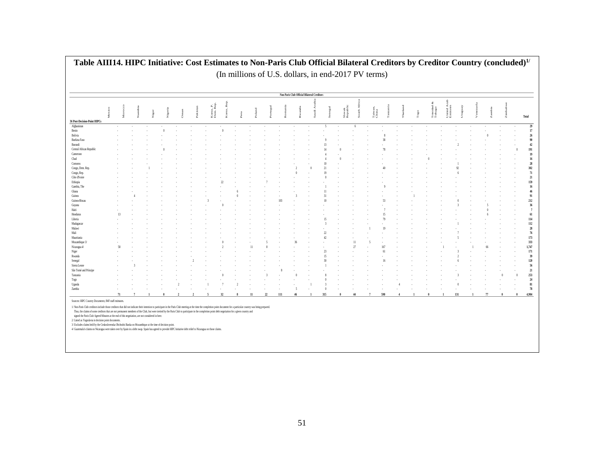|                              |        |    |               |       |  |                        |   |      |   |      | Non-Paris Club Official Bilateral Creditors |       |                   |               |                  |  |                    |                        |     |      |        |  |
|------------------------------|--------|----|---------------|-------|--|------------------------|---|------|---|------|---------------------------------------------|-------|-------------------|---------------|------------------|--|--------------------|------------------------|-----|------|--------|--|
|                              |        |    |               |       |  |                        | å |      |   |      |                                             |       |                   | ξ             |                  |  | ø,                 |                        |     |      |        |  |
|                              | Mexico |    | $\frac{1}{2}$ | geria |  | Korea, P.<br>Dem. Rep. |   | land | Ë | mani | anda                                        | negal | lovak<br>kepublic | $\frac{4}{3}$ | 'aiwan,<br>'hina |  | Trinidad<br>Tobago | Inited Art<br>Imirates |     | mbia | Zimbab |  |
| 36 Post-Decision-Point HIPCs |        |    |               |       |  |                        |   |      |   |      |                                             |       |                   |               |                  |  |                    |                        |     |      |        |  |
| Afghanistan                  |        |    |               |       |  |                        |   |      |   |      |                                             |       |                   |               |                  |  |                    |                        |     |      |        |  |
|                              |        |    |               |       |  |                        |   |      |   |      |                                             |       |                   |               |                  |  |                    |                        |     |      |        |  |
|                              |        |    |               |       |  |                        |   |      |   |      |                                             |       |                   |               |                  |  |                    |                        |     |      |        |  |
|                              |        |    |               |       |  |                        |   |      |   |      |                                             |       |                   |               |                  |  |                    |                        |     |      |        |  |
|                              |        |    |               |       |  |                        |   |      |   |      |                                             |       |                   |               |                  |  |                    |                        |     |      |        |  |
| Central African Republi      |        |    |               |       |  |                        |   |      |   |      |                                             |       |                   |               |                  |  |                    |                        |     |      |        |  |
|                              |        |    |               |       |  |                        |   |      |   |      |                                             |       |                   |               |                  |  |                    |                        |     |      |        |  |
|                              |        |    |               |       |  |                        |   |      |   |      |                                             |       |                   |               |                  |  |                    |                        |     |      |        |  |
|                              |        |    |               |       |  |                        |   |      |   |      |                                             |       |                   |               |                  |  |                    |                        |     |      |        |  |
| Congo, Dem. Rep.             |        |    |               |       |  |                        |   |      |   |      |                                             |       |                   |               |                  |  |                    |                        |     |      |        |  |
|                              |        |    |               |       |  |                        |   |      |   |      |                                             |       |                   |               |                  |  |                    |                        |     |      |        |  |
|                              |        |    |               |       |  |                        |   |      |   |      |                                             |       |                   |               |                  |  |                    |                        |     |      |        |  |
|                              |        |    |               |       |  |                        |   |      |   |      |                                             |       |                   |               |                  |  |                    |                        |     |      |        |  |
|                              |        |    |               |       |  |                        |   |      |   |      |                                             |       |                   |               |                  |  |                    |                        |     |      |        |  |
|                              |        |    |               |       |  |                        |   |      |   |      |                                             |       |                   |               |                  |  |                    |                        |     |      |        |  |
|                              |        |    |               |       |  |                        |   |      |   |      |                                             |       |                   |               |                  |  |                    |                        |     |      |        |  |
| Guinea-Bissau                |        |    |               |       |  |                        |   |      |   |      |                                             |       |                   |               |                  |  |                    |                        |     |      |        |  |
|                              |        |    |               |       |  |                        |   |      |   |      |                                             |       |                   |               |                  |  |                    |                        |     |      |        |  |
|                              |        |    |               |       |  |                        |   |      |   |      |                                             |       |                   |               |                  |  |                    |                        |     |      |        |  |
|                              |        |    |               |       |  |                        |   |      |   |      |                                             |       |                   |               |                  |  |                    |                        |     |      |        |  |
|                              |        |    |               |       |  |                        |   |      |   |      |                                             |       |                   |               |                  |  |                    |                        |     |      |        |  |
|                              |        |    |               |       |  |                        |   |      |   |      |                                             |       |                   |               |                  |  |                    |                        |     |      |        |  |
|                              |        |    |               |       |  |                        |   |      |   |      |                                             |       |                   |               |                  |  |                    |                        |     |      |        |  |
|                              |        |    |               |       |  |                        |   |      |   |      |                                             |       |                   |               |                  |  |                    |                        |     |      |        |  |
| Mozambique 3                 |        |    |               |       |  |                        |   |      |   |      |                                             |       |                   |               |                  |  |                    |                        |     |      |        |  |
|                              |        | 58 |               |       |  |                        |   |      |   |      |                                             |       |                   |               |                  |  |                    |                        |     |      |        |  |
|                              |        |    |               |       |  |                        |   |      |   |      |                                             |       |                   |               |                  |  |                    |                        |     |      |        |  |
|                              |        |    |               |       |  |                        |   |      |   |      |                                             |       |                   |               |                  |  |                    |                        |     |      |        |  |
|                              |        |    |               |       |  |                        |   |      |   |      |                                             |       |                   |               |                  |  |                    |                        |     |      |        |  |
|                              |        |    |               |       |  |                        |   |      |   |      |                                             |       |                   |               |                  |  |                    |                        |     |      |        |  |
| São Tomé and Príncip         |        |    |               |       |  |                        |   |      |   |      |                                             |       |                   |               |                  |  |                    |                        |     |      |        |  |
|                              |        |    |               |       |  |                        |   |      |   |      |                                             |       |                   |               |                  |  |                    |                        |     |      |        |  |
|                              |        |    |               |       |  |                        |   |      |   |      |                                             |       |                   |               |                  |  |                    |                        |     |      |        |  |
|                              |        |    |               |       |  |                        |   |      |   |      |                                             |       |                   |               |                  |  |                    |                        |     |      |        |  |
|                              |        |    |               |       |  |                        |   |      |   |      |                                             |       |                   |               |                  |  |                    |                        |     |      |        |  |
|                              |        | 71 |               |       |  |                        |   |      |   | 111  |                                             | 315   |                   |               |                  |  |                    |                        | 131 |      |        |  |

 $\mathbf{r}$ 

2/Listed as Yugoslavia in decision point documents.<br>3/ Excludes claims held by the Ceskolovenska Obchodni Banka on Mozambique at the time of decision point.<br>4/Guatemalá's claims on Nicaragua were taken over by Spain in a d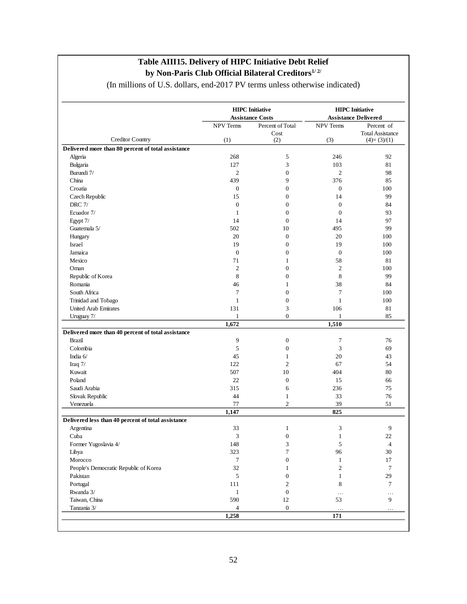|                                                    |                  | <b>HIPC</b> Initiative  | <b>HIPC</b> Initiative<br><b>Assistance Delivered</b> |                                          |  |  |  |
|----------------------------------------------------|------------------|-------------------------|-------------------------------------------------------|------------------------------------------|--|--|--|
|                                                    |                  | <b>Assistance Costs</b> |                                                       |                                          |  |  |  |
|                                                    | <b>NPV Terms</b> | Percent of Total        | NPV Terms                                             | Percent of                               |  |  |  |
| <b>Creditor Country</b>                            | (1)              | Cost<br>(2)             | (3)                                                   | <b>Total Assistance</b><br>$(4)=(3)/(1)$ |  |  |  |
| Delivered more than 80 percent of total assistance |                  |                         |                                                       |                                          |  |  |  |
| Algeria                                            | 268              | 5                       | 246                                                   | 92                                       |  |  |  |
| Bulgaria                                           | 127              | 3                       | 103                                                   | 81                                       |  |  |  |
| Burundi 7/                                         | $\mathfrak{2}$   | $\boldsymbol{0}$        | $\mathfrak{2}$                                        | 98                                       |  |  |  |
| China                                              | 439              | 9                       | 376                                                   | 85                                       |  |  |  |
| Croatia                                            | $\boldsymbol{0}$ | $\boldsymbol{0}$        | $\boldsymbol{0}$                                      | 100                                      |  |  |  |
| Czech Republic                                     | 15               | $\overline{0}$          | 14                                                    | 99                                       |  |  |  |
|                                                    |                  |                         |                                                       |                                          |  |  |  |
| <b>DRC</b> 7/                                      | $\boldsymbol{0}$ | $\boldsymbol{0}$        | $\boldsymbol{0}$                                      | 84                                       |  |  |  |
| Ecuador 7/                                         | $\mathbf{1}$     | $\boldsymbol{0}$        | $\boldsymbol{0}$                                      | 93                                       |  |  |  |
| Egypt 7/                                           | 14               | $\boldsymbol{0}$        | 14                                                    | 97                                       |  |  |  |
| Guatemala 5/                                       | 502              | 10                      | 495                                                   | 99                                       |  |  |  |
| Hungary                                            | 20               | $\theta$                | 20                                                    | 100                                      |  |  |  |
| Israel                                             | 19               | $\boldsymbol{0}$        | 19                                                    | 100                                      |  |  |  |
| Jamaica                                            | $\boldsymbol{0}$ | $\boldsymbol{0}$        | $\boldsymbol{0}$                                      | 100                                      |  |  |  |
| Mexico                                             | 71               | $\mathbf{1}$            | 58                                                    | 81                                       |  |  |  |
| Oman                                               | $\mathfrak{2}$   | $\overline{0}$          | $\mathfrak{2}$                                        | 100                                      |  |  |  |
| Republic of Korea                                  | 8                | $\overline{0}$          | 8                                                     | 99                                       |  |  |  |
| Romania                                            | 46               | $\mathbf{1}$            | 38                                                    | 84                                       |  |  |  |
| South Africa                                       | 7                | $\overline{0}$          | 7                                                     | 100                                      |  |  |  |
| Trinidad and Tobago                                | $\mathbf{1}$     | $\boldsymbol{0}$        | $\mathbf{1}$                                          | 100                                      |  |  |  |
| <b>United Arab Emirates</b>                        | 131              | 3                       | 106                                                   | 81                                       |  |  |  |
| Uruguay 7/                                         | $\mathbf{1}$     | $\overline{0}$          | $\mathbf{1}$                                          | 85                                       |  |  |  |
|                                                    | 1,672            |                         | 1,510                                                 |                                          |  |  |  |
| Delivered more than 40 percent of total assistance |                  |                         |                                                       |                                          |  |  |  |
| <b>Brazil</b>                                      | 9                | $\boldsymbol{0}$        | 7                                                     | 76                                       |  |  |  |
| Colombia                                           | 5                | $\overline{0}$          | 3                                                     | 69                                       |  |  |  |
| India 6/                                           | 45               | $\mathbf{1}$            | 20                                                    | 43                                       |  |  |  |
| Iraq $7/$                                          | 122              | $\overline{c}$          | 67                                                    | 54                                       |  |  |  |
| Kuwait                                             | 507              | 10                      | 404                                                   | 80                                       |  |  |  |
| Poland                                             | 22               | $\boldsymbol{0}$        | 15                                                    | 66                                       |  |  |  |
| Saudi Arabia                                       | 315              | 6                       | 236                                                   | 75                                       |  |  |  |
| Slovak Republic                                    | 44               | $\mathbf{1}$            | 33                                                    | 76                                       |  |  |  |
| Venezuela                                          | 77               | $\overline{c}$          | 39                                                    | 51                                       |  |  |  |
|                                                    | 1,147            |                         | 825                                                   |                                          |  |  |  |
| Delivered less than 40 percent of total assistance |                  |                         |                                                       |                                          |  |  |  |
| Argentina                                          | 33               | 1                       | 3                                                     | 9                                        |  |  |  |
| Cuba                                               | 3                | $\boldsymbol{0}$        | $\,1$                                                 | 22                                       |  |  |  |
| Former Yugoslavia 4/                               | 148              | 3                       | 5                                                     | $\overline{4}$                           |  |  |  |
| Libya                                              | 323              | 7                       | 96                                                    | 30                                       |  |  |  |
| Morocco                                            | 7                | $\boldsymbol{0}$        | $\mathbf{1}$                                          | 17                                       |  |  |  |
| People's Democratic Republic of Korea              | 32               | 1                       | $\boldsymbol{2}$                                      | $\tau$                                   |  |  |  |
|                                                    |                  |                         |                                                       |                                          |  |  |  |
| Pakistan                                           | 5                | $\boldsymbol{0}$        | 1                                                     | 29                                       |  |  |  |
| Portugal                                           | 111              | 2                       | 8                                                     | 7                                        |  |  |  |
| Rwanda 3/                                          | $\mathbf{1}$     | $\boldsymbol{0}$        | $\cdots$                                              | $\cdots$                                 |  |  |  |
| Taiwan, China                                      | 590              | 12                      | 53                                                    | 9                                        |  |  |  |
| Tanzania 3/                                        | 4                | $\boldsymbol{0}$        | $\ldots$                                              | $\cdots$                                 |  |  |  |

### **Table AIII15. Delivery of HIPC Initiative Debt Relief by Non-Paris Club Official Bilateral Creditors1/ 2/**

(In millions of U.S. dollars, end-2017 PV terms unless otherwise indicated)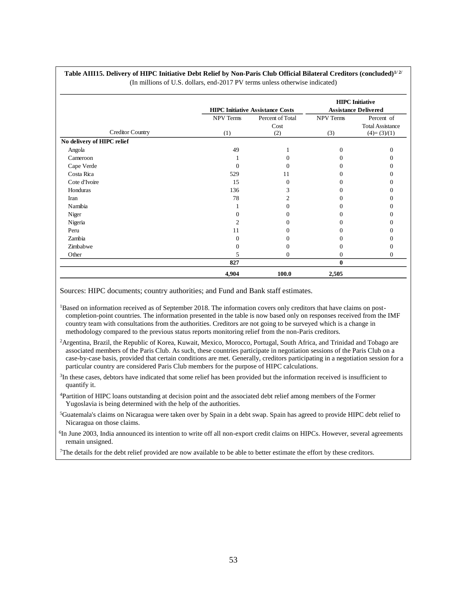|                            |                  |                                         |                             | <b>HIPC</b> Initiative  |  |  |  |
|----------------------------|------------------|-----------------------------------------|-----------------------------|-------------------------|--|--|--|
|                            |                  | <b>HIPC Initiative Assistance Costs</b> | <b>Assistance Delivered</b> |                         |  |  |  |
|                            | <b>NPV Terms</b> | Percent of Total                        | <b>NPV Terms</b>            | Percent of              |  |  |  |
| <b>Creditor Country</b>    |                  | Cost                                    |                             | <b>Total Assistance</b> |  |  |  |
|                            | (1)              | (2)                                     | (3)                         | $(4)=(3)/(1)$           |  |  |  |
| No delivery of HIPC relief |                  |                                         |                             |                         |  |  |  |
| Angola                     | 49               |                                         | $\Omega$                    | 0                       |  |  |  |
| Cameroon                   |                  |                                         | $\Omega$                    | $\theta$                |  |  |  |
| Cape Verde                 | 0                |                                         | $\Omega$                    |                         |  |  |  |
| Costa Rica                 | 529              | 11                                      | 0                           |                         |  |  |  |
| Cote d'Ivoire              | 15               | 0                                       |                             |                         |  |  |  |
| Honduras                   | 136              | 3                                       | $\Omega$                    |                         |  |  |  |
| Iran                       | 78               |                                         | $\Omega$                    |                         |  |  |  |
| Namibia                    |                  |                                         | $\theta$                    |                         |  |  |  |
| Niger                      | 0                |                                         | $\Omega$                    |                         |  |  |  |
| Nigeria                    | 2                |                                         |                             |                         |  |  |  |
| Peru                       | 11               |                                         | $\Omega$                    |                         |  |  |  |
| Zambia                     | $\Omega$         |                                         | $\Omega$                    |                         |  |  |  |
| Zimbabwe                   | 0                |                                         | $\Omega$                    |                         |  |  |  |
| Other                      | 5                | 0                                       | $\overline{0}$              | $\Omega$                |  |  |  |
|                            | 827              |                                         | $\mathbf{0}$                |                         |  |  |  |
|                            | 4,904            | 100.0                                   | 2,505                       |                         |  |  |  |

#### **Table AIII15. Delivery of HIPC Initiative Debt Relief by Non-Paris Club Official Bilateral Creditors (concluded)1/ 2/** (In millions of U.S. dollars, end-2017 PV terms unless otherwise indicated)

Sources: HIPC documents; country authorities; and Fund and Bank staff estimates.

<sup>1</sup>Based on information received as of September 2018. The information covers only creditors that have claims on postcompletion-point countries. The information presented in the table is now based only on responses received from the IMF country team with consultations from the authorities. Creditors are not going to be surveyed which is a change in methodology compared to the previous status reports monitoring relief from the non-Paris creditors.

<sup>2</sup>Argentina, Brazil, the Republic of Korea, Kuwait, Mexico, Morocco, Portugal, South Africa, and Trinidad and Tobago are associated members of the Paris Club. As such, these countries participate in negotiation sessions of the Paris Club on a case-by-case basis, provided that certain conditions are met. Generally, creditors participating in a negotiation session for a particular country are considered Paris Club members for the purpose of HIPC calculations.

<sup>3</sup>In these cases, debtors have indicated that some relief has been provided but the information received is insufficient to quantify it.

<sup>4</sup>Partition of HIPC loans outstanding at decision point and the associated debt relief among members of the Former Yugoslavia is being determined with the help of the authorities.

<sup>5</sup>Guatemala's claims on Nicaragua were taken over by Spain in a debt swap. Spain has agreed to provide HIPC debt relief to Nicaragua on those claims.

<sup>6</sup>In June 2003, India announced its intention to write off all non-export credit claims on HIPCs. However, several agreements remain unsigned.

<sup>7</sup>The details for the debt relief provided are now available to be able to better estimate the effort by these creditors.